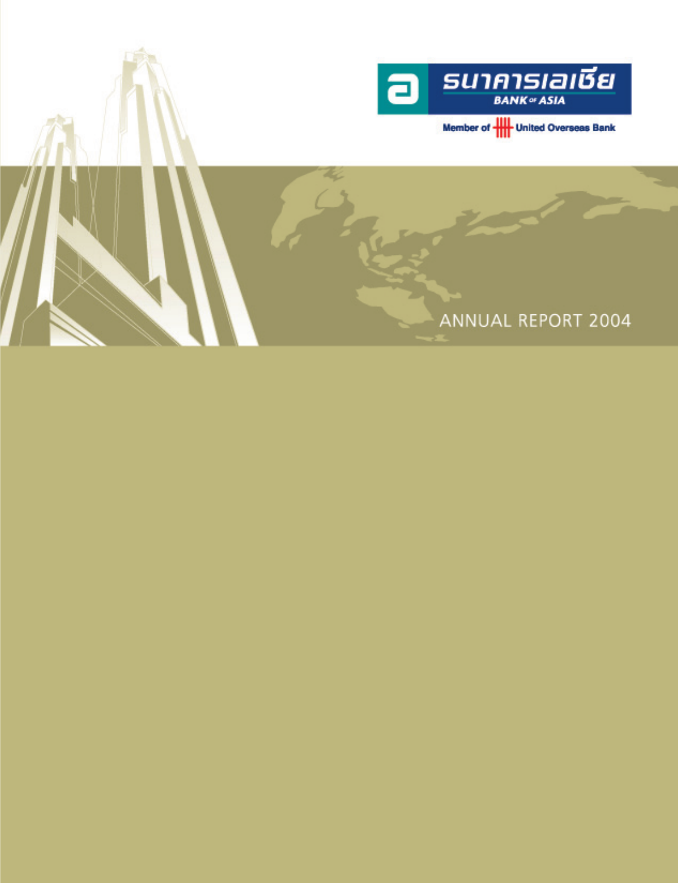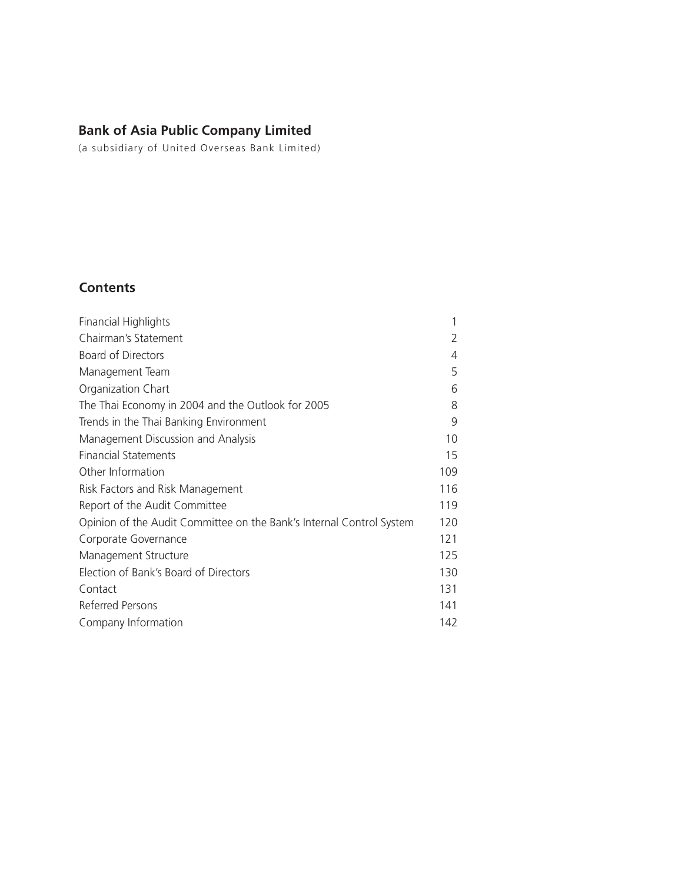# **Bank of Asia Public Company Limited**

(a subsidiary of United Overseas Bank Limited)

# **Contents**

| <b>Financial Highlights</b>                                          |               |
|----------------------------------------------------------------------|---------------|
| Chairman's Statement                                                 | $\mathcal{P}$ |
| <b>Board of Directors</b>                                            | 4             |
| Management Team                                                      | 5             |
| Organization Chart                                                   | 6             |
| The Thai Economy in 2004 and the Outlook for 2005                    | 8             |
| Trends in the Thai Banking Environment                               | 9             |
| Management Discussion and Analysis                                   | 10            |
| <b>Financial Statements</b>                                          | 15            |
| Other Information                                                    | 109           |
| Risk Factors and Risk Management                                     | 116           |
| Report of the Audit Committee                                        | 119           |
| Opinion of the Audit Committee on the Bank's Internal Control System | 120           |
| Corporate Governance                                                 | 121           |
| Management Structure                                                 | 125           |
| Election of Bank's Board of Directors                                | 130           |
| Contact                                                              | 131           |
| Referred Persons                                                     | 141           |
| Company Information                                                  | 142           |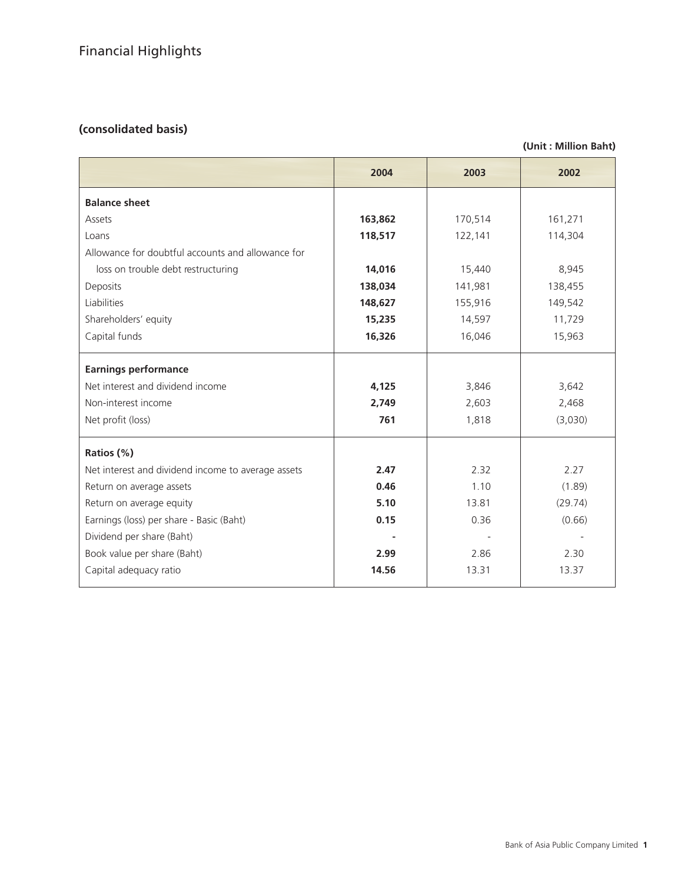# **(consolidated basis)**

## **(Unit : Million Baht)**

|                                                    | 2004    | 2003    | 2002    |
|----------------------------------------------------|---------|---------|---------|
| <b>Balance sheet</b>                               |         |         |         |
| Assets                                             | 163,862 | 170,514 | 161,271 |
| Loans                                              | 118,517 | 122,141 | 114,304 |
| Allowance for doubtful accounts and allowance for  |         |         |         |
| loss on trouble debt restructuring                 | 14,016  | 15,440  | 8,945   |
| Deposits                                           | 138,034 | 141,981 | 138,455 |
| Liabilities                                        | 148,627 | 155,916 | 149,542 |
| Shareholders' equity                               | 15,235  | 14,597  | 11,729  |
| Capital funds                                      | 16,326  | 16,046  | 15,963  |
| <b>Earnings performance</b>                        |         |         |         |
| Net interest and dividend income                   | 4,125   | 3,846   | 3,642   |
| Non-interest income                                | 2,749   | 2,603   | 2,468   |
| Net profit (loss)                                  | 761     | 1,818   | (3,030) |
| Ratios (%)                                         |         |         |         |
| Net interest and dividend income to average assets | 2.47    | 2.32    | 2.27    |
| Return on average assets                           | 0.46    | 1.10    | (1.89)  |
| Return on average equity                           | 5.10    | 13.81   | (29.74) |
| Earnings (loss) per share - Basic (Baht)           | 0.15    | 0.36    | (0.66)  |
| Dividend per share (Baht)                          |         |         |         |
| Book value per share (Baht)                        | 2.99    | 2.86    | 2.30    |
| Capital adequacy ratio                             | 14.56   | 13.31   | 13.37   |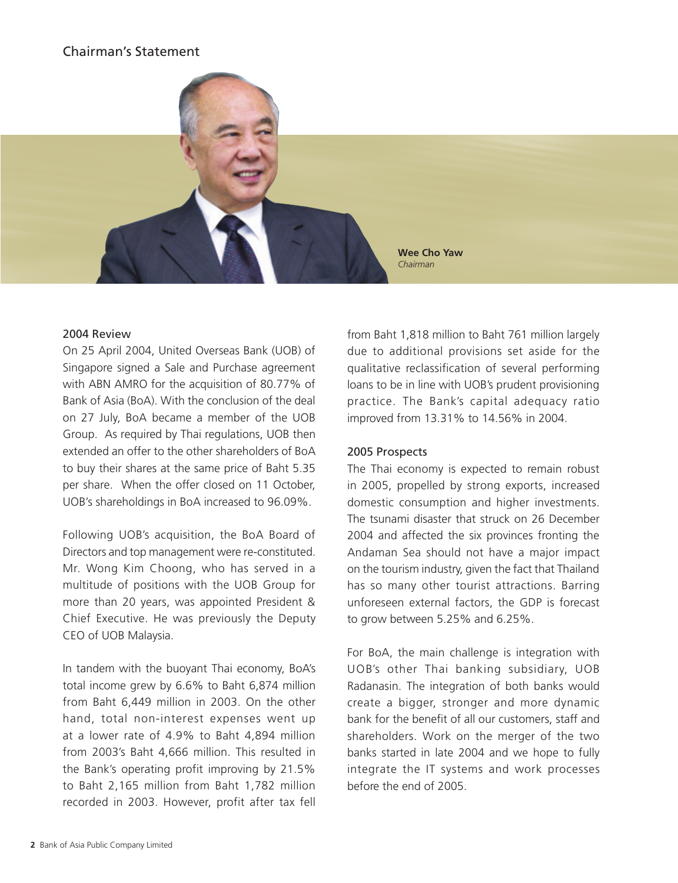# Chairman's Statement



## 2004 Review

On 25 April 2004, United Overseas Bank (UOB) of Singapore signed a Sale and Purchase agreement with ABN AMRO for the acquisition of 80.77% of Bank of Asia (BoA). With the conclusion of the deal on 27 July, BoA became a member of the UOB Group. As required by Thai regulations, UOB then extended an offer to the other shareholders of BoA to buy their shares at the same price of Baht 5.35 per share. When the offer closed on 11 October, UOB's shareholdings in BoA increased to 96.09%.

Following UOB's acquisition, the BoA Board of Directors and top management were re-constituted. Mr. Wong Kim Choong, who has served in a multitude of positions with the UOB Group for more than 20 years, was appointed President & Chief Executive. He was previously the Deputy CEO of UOB Malaysia.

In tandem with the buoyant Thai economy, BoA's total income grew by 6.6% to Baht 6,874 million from Baht 6,449 million in 2003. On the other hand, total non-interest expenses went up at a lower rate of 4.9% to Baht 4,894 million from 2003's Baht 4,666 million. This resulted in the Bank's operating profit improving by 21.5% to Baht 2,165 million from Baht 1,782 million recorded in 2003. However, profit after tax fell from Baht 1,818 million to Baht 761 million largely due to additional provisions set aside for the qualitative reclassification of several performing loans to be in line with UOB's prudent provisioning practice. The Bank's capital adequacy ratio improved from 13.31% to 14.56% in 2004.

## 2005 Prospects

The Thai economy is expected to remain robust in 2005, propelled by strong exports, increased domestic consumption and higher investments. The tsunami disaster that struck on 26 December 2004 and affected the six provinces fronting the Andaman Sea should not have a major impact on the tourism industry, given the fact that Thailand has so many other tourist attractions. Barring unforeseen external factors, the GDP is forecast to grow between 5.25% and 6.25%.

For BoA, the main challenge is integration with UOB's other Thai banking subsidiary, UOB Radanasin. The integration of both banks would create a bigger, stronger and more dynamic bank for the benefit of all our customers, staff and shareholders. Work on the merger of the two banks started in late 2004 and we hope to fully integrate the IT systems and work processes before the end of 2005.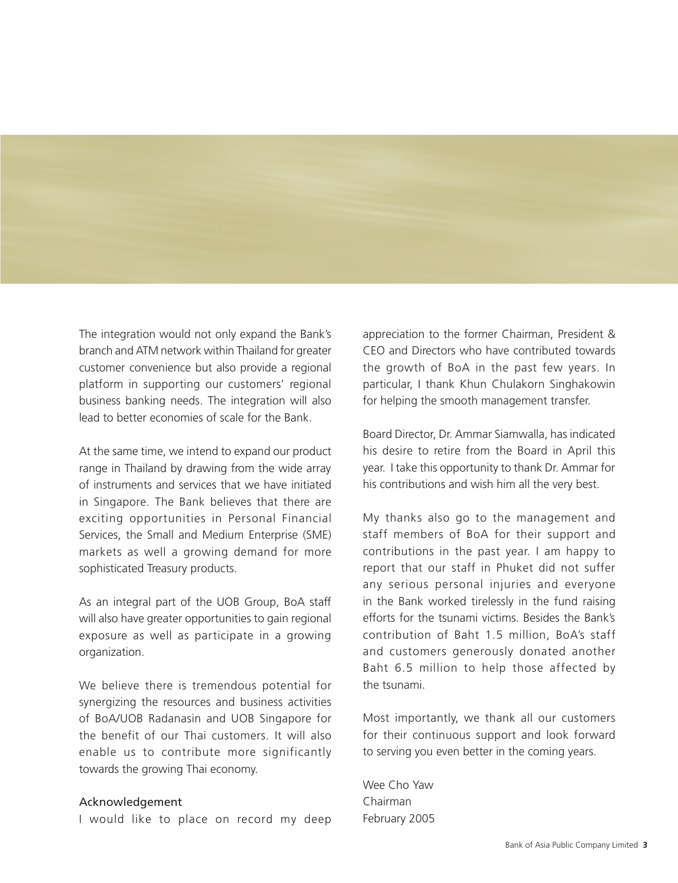The integration would not only expand the Bank's branch and ATM network within Thailand for greater customer convenience but also provide a regional platform in supporting our customers' regional business banking needs. The integration will also lead to better economies of scale for the Bank.

At the same time, we intend to expand our product range in Thailand by drawing from the wide array of instruments and services that we have initiated in Singapore. The Bank believes that there are exciting opportunities in Personal Financial Services, the Small and Medium Enterprise (SME) markets as well a growing demand for more sophisticated Treasury products.

As an integral part of the UOB Group, BoA staff will also have greater opportunities to gain regional exposure as well as participate in a growing organization.

We believe there is tremendous potential for synergizing the resources and business activities of BoA/UOB Radanasin and UOB Singapore for the benefit of our Thai customers. It will also enable us to contribute more significantly towards the growing Thai economy.

## Acknowledgement

I would like to place on record my deep

appreciation to the former Chairman, President & CEO and Directors who have contributed towards the growth of BoA in the past few years. In particular, I thank Khun Chulakorn Singhakowin for helping the smooth management transfer.

Board Director, Dr. Ammar Siamwalla, has indicated his desire to retire from the Board in April this year. I take this opportunity to thank Dr. Ammar for his contributions and wish him all the very best.

My thanks also go to the management and staff members of BoA for their support and contributions in the past year. I am happy to report that our staff in Phuket did not suffer any serious personal injuries and everyone in the Bank worked tirelessly in the fund raising efforts for the tsunami victims. Besides the Bank's contribution of Baht 1.5 million, BoA's staff and customers generously donated another Baht 6.5 million to help those affected by the tsunami.

Most importantly, we thank all our customers for their continuous support and look forward to serving you even better in the coming years.

Wee Cho Yaw Chairman February 2005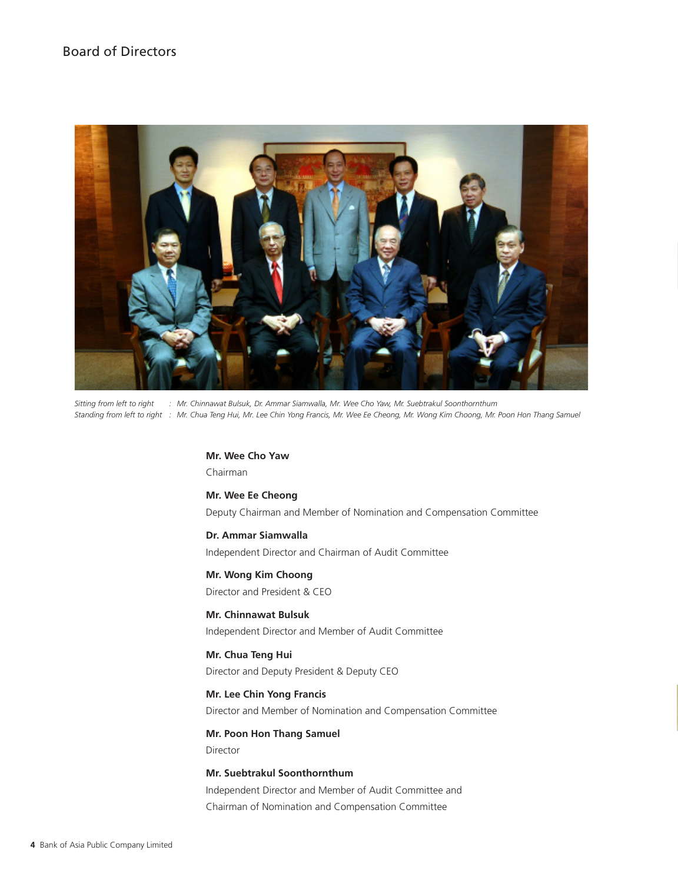# Board of Directors



*Sitting from left to right : Mr. Chinnawat Bulsuk, Dr. Ammar Siamwalla, Mr. Wee Cho Yaw, Mr. Suebtrakul Soonthornthum Standing from left to right : Mr. Chua Teng Hui, Mr. Lee Chin Yong Francis, Mr. Wee Ee Cheong, Mr. Wong Kim Choong, Mr. Poon Hon Thang Samuel*

**Mr. Wee Cho Yaw** Chairman

**Mr. Wee Ee Cheong** Deputy Chairman and Member of Nomination and Compensation Committee

**Dr. Ammar Siamwalla** Independent Director and Chairman of Audit Committee

**Mr. Wong Kim Choong** Director and President & CEO

**Mr. Chinnawat Bulsuk** Independent Director and Member of Audit Committee

**Mr. Chua Teng Hui** Director and Deputy President & Deputy CEO

**Mr. Lee Chin Yong Francis** Director and Member of Nomination and Compensation Committee

**Mr. Poon Hon Thang Samuel** Director

**Mr. Suebtrakul Soonthornthum** Independent Director and Member of Audit Committee and Chairman of Nomination and Compensation Committee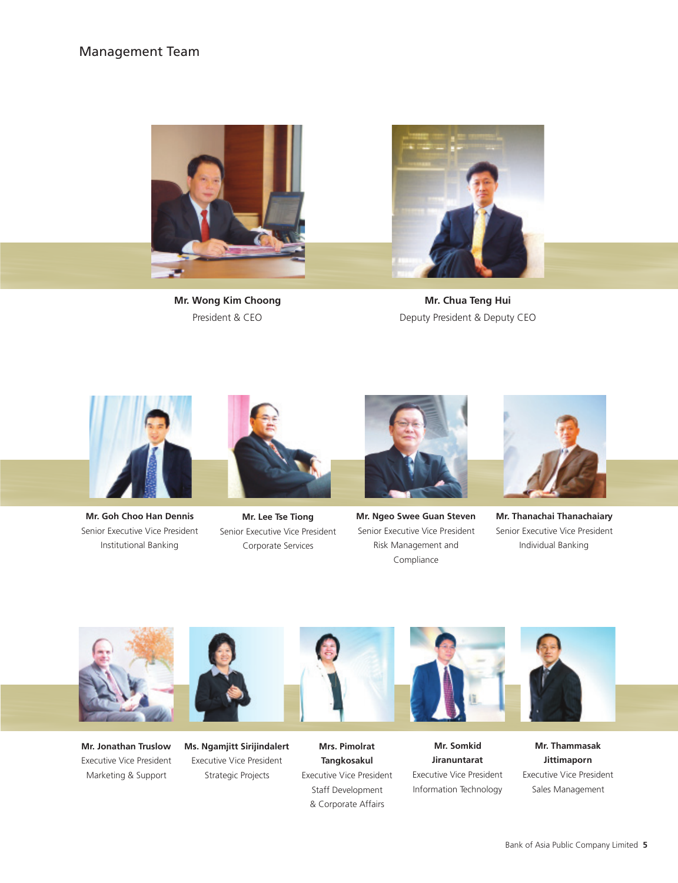## Management Team



**Mr. Wong Kim Choong** President & CEO



**Mr. Chua Teng Hui** Deputy President & Deputy CEO



**Mr. Goh Choo Han Dennis** Senior Executive Vice President Institutional Banking



**Mr. Lee Tse Tiong** Senior Executive Vice President Corporate Services



**Mr. Ngeo Swee Guan Steven** Senior Executive Vice President Risk Management and Compliance



**Mr. Thanachai Thanachaiary** Senior Executive Vice President Individual Banking



**Mr. Jonathan Truslow** Executive Vice President Marketing & Support



**Ms. Ngamjitt Sirijindalert** Executive Vice President Strategic Projects



**Mrs. Pimolrat Tangkosakul** Executive Vice President Staff Development & Corporate Affairs







**Mr. Thammasak Jittimaporn** Executive Vice President Sales Management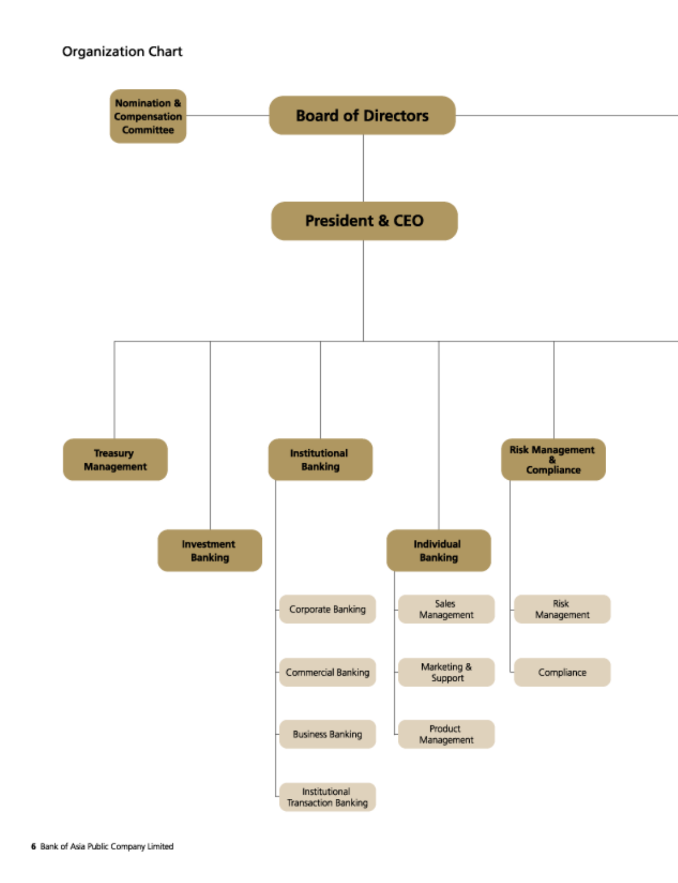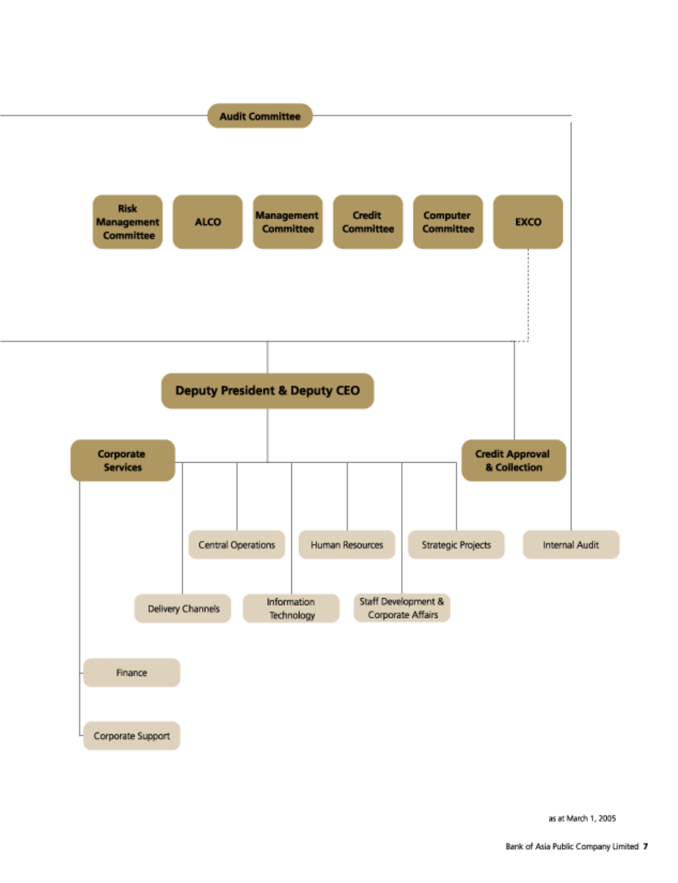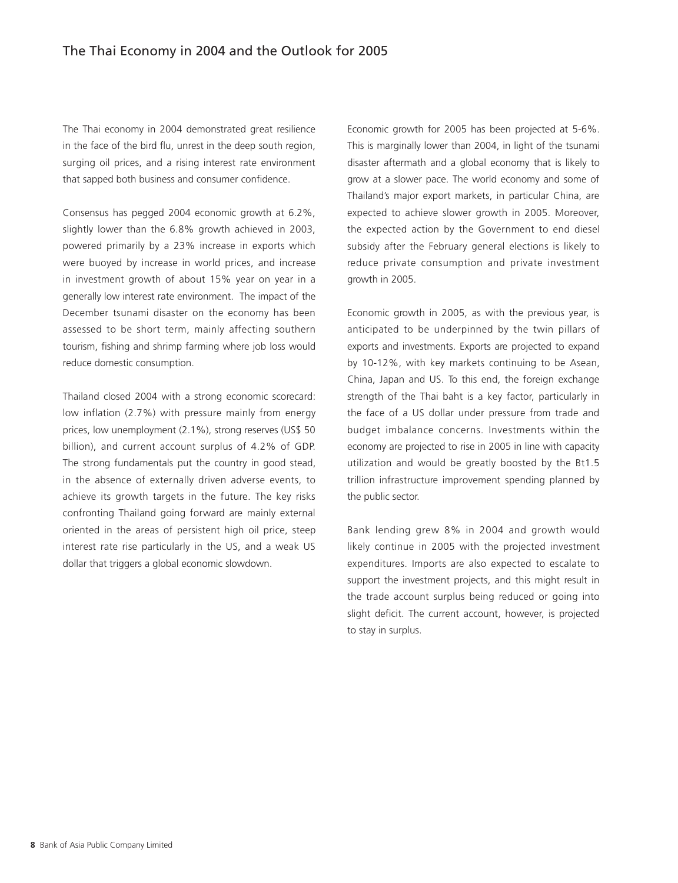The Thai economy in 2004 demonstrated great resilience in the face of the bird flu, unrest in the deep south region, surging oil prices, and a rising interest rate environment that sapped both business and consumer confidence.

Consensus has pegged 2004 economic growth at 6.2%, slightly lower than the 6.8% growth achieved in 2003, powered primarily by a 23% increase in exports which were buoyed by increase in world prices, and increase in investment growth of about 15% year on year in a generally low interest rate environment. The impact of the December tsunami disaster on the economy has been assessed to be short term, mainly affecting southern tourism, fishing and shrimp farming where job loss would reduce domestic consumption.

Thailand closed 2004 with a strong economic scorecard: low inflation (2.7%) with pressure mainly from energy prices, low unemployment (2.1%), strong reserves (US\$ 50 billion), and current account surplus of 4.2% of GDP. The strong fundamentals put the country in good stead, in the absence of externally driven adverse events, to achieve its growth targets in the future. The key risks confronting Thailand going forward are mainly external oriented in the areas of persistent high oil price, steep interest rate rise particularly in the US, and a weak US dollar that triggers a global economic slowdown.

Economic growth for 2005 has been projected at 5-6%. This is marginally lower than 2004, in light of the tsunami disaster aftermath and a global economy that is likely to grow at a slower pace. The world economy and some of Thailand's major export markets, in particular China, are expected to achieve slower growth in 2005. Moreover, the expected action by the Government to end diesel subsidy after the February general elections is likely to reduce private consumption and private investment growth in 2005.

Economic growth in 2005, as with the previous year, is anticipated to be underpinned by the twin pillars of exports and investments. Exports are projected to expand by 10-12%, with key markets continuing to be Asean, China, Japan and US. To this end, the foreign exchange strength of the Thai baht is a key factor, particularly in the face of a US dollar under pressure from trade and budget imbalance concerns. Investments within the economy are projected to rise in 2005 in line with capacity utilization and would be greatly boosted by the Bt1.5 trillion infrastructure improvement spending planned by the public sector.

Bank lending grew 8% in 2004 and growth would likely continue in 2005 with the projected investment expenditures. Imports are also expected to escalate to support the investment projects, and this might result in the trade account surplus being reduced or going into slight deficit. The current account, however, is projected to stay in surplus.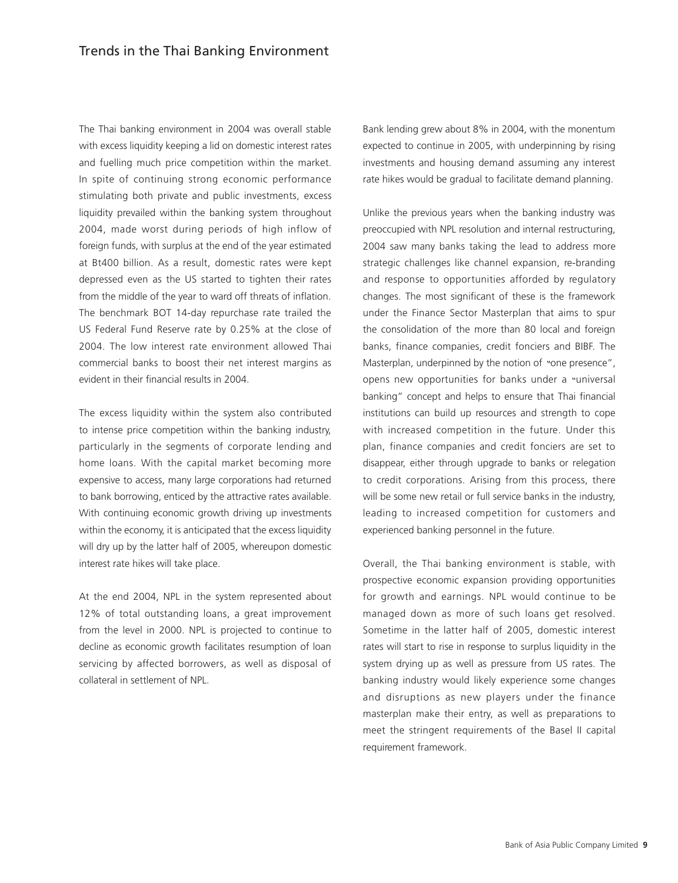The Thai banking environment in 2004 was overall stable with excess liquidity keeping a lid on domestic interest rates and fuelling much price competition within the market. In spite of continuing strong economic performance stimulating both private and public investments, excess liquidity prevailed within the banking system throughout 2004, made worst during periods of high inflow of foreign funds, with surplus at the end of the year estimated at Bt400 billion. As a result, domestic rates were kept depressed even as the US started to tighten their rates from the middle of the year to ward off threats of inflation. The benchmark BOT 14-day repurchase rate trailed the US Federal Fund Reserve rate by 0.25% at the close of 2004. The low interest rate environment allowed Thai commercial banks to boost their net interest margins as evident in their financial results in 2004.

The excess liquidity within the system also contributed to intense price competition within the banking industry, particularly in the segments of corporate lending and home loans. With the capital market becoming more expensive to access, many large corporations had returned to bank borrowing, enticed by the attractive rates available. With continuing economic growth driving up investments within the economy, it is anticipated that the excess liquidity will dry up by the latter half of 2005, whereupon domestic interest rate hikes will take place.

At the end 2004, NPL in the system represented about 12% of total outstanding loans, a great improvement from the level in 2000. NPL is projected to continue to decline as economic growth facilitates resumption of loan servicing by affected borrowers, as well as disposal of collateral in settlement of NPL.

Bank lending grew about 8% in 2004, with the monentum expected to continue in 2005, with underpinning by rising investments and housing demand assuming any interest rate hikes would be gradual to facilitate demand planning.

Unlike the previous years when the banking industry was preoccupied with NPL resolution and internal restructuring, 2004 saw many banks taking the lead to address more strategic challenges like channel expansion, re-branding and response to opportunities afforded by regulatory changes. The most significant of these is the framework under the Finance Sector Masterplan that aims to spur the consolidation of the more than 80 local and foreign banks, finance companies, credit fonciers and BIBF. The Masterplan, underpinned by the notion of "one presence", opens new opportunities for banks under a "universal banking" concept and helps to ensure that Thai financial institutions can build up resources and strength to cope with increased competition in the future. Under this plan, finance companies and credit fonciers are set to disappear, either through upgrade to banks or relegation to credit corporations. Arising from this process, there will be some new retail or full service banks in the industry, leading to increased competition for customers and experienced banking personnel in the future.

Overall, the Thai banking environment is stable, with prospective economic expansion providing opportunities for growth and earnings. NPL would continue to be managed down as more of such loans get resolved. Sometime in the latter half of 2005, domestic interest rates will start to rise in response to surplus liquidity in the system drying up as well as pressure from US rates. The banking industry would likely experience some changes and disruptions as new players under the finance masterplan make their entry, as well as preparations to meet the stringent requirements of the Basel II capital requirement framework.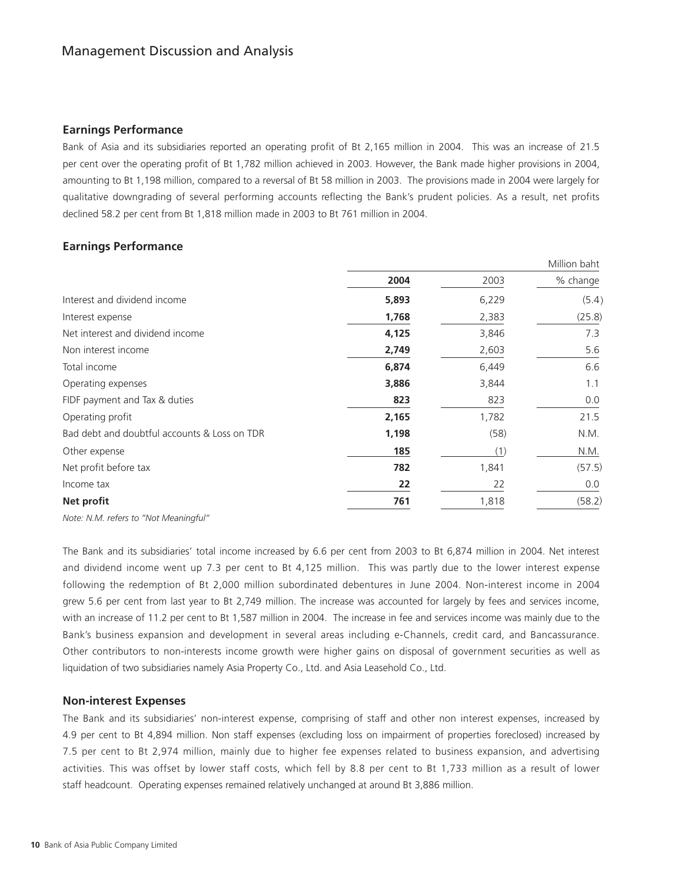### **Earnings Performance**

Bank of Asia and its subsidiaries reported an operating profit of Bt 2,165 million in 2004. This was an increase of 21.5 per cent over the operating profit of Bt 1,782 million achieved in 2003. However, the Bank made higher provisions in 2004, amounting to Bt 1,198 million, compared to a reversal of Bt 58 million in 2003. The provisions made in 2004 were largely for qualitative downgrading of several performing accounts reflecting the Bank's prudent policies. As a result, net profits declined 58.2 per cent from Bt 1,818 million made in 2003 to Bt 761 million in 2004.

## **Earnings Performance**

|                                              | Million baht |       |          |
|----------------------------------------------|--------------|-------|----------|
|                                              | 2004         | 2003  | % change |
| Interest and dividend income                 | 5,893        | 6,229 | (5.4)    |
| Interest expense                             | 1,768        | 2,383 | (25.8)   |
| Net interest and dividend income             | 4,125        | 3,846 | 7.3      |
| Non interest income                          | 2,749        | 2,603 | 5.6      |
| Total income                                 | 6,874        | 6,449 | 6.6      |
| Operating expenses                           | 3,886        | 3,844 | 1.1      |
| FIDF payment and Tax & duties                | 823          | 823   | 0.0      |
| Operating profit                             | 2,165        | 1,782 | 21.5     |
| Bad debt and doubtful accounts & Loss on TDR | 1,198        | (58)  | N.M.     |
| Other expense                                | 185          | (1)   | N.M.     |
| Net profit before tax                        | 782          | 1,841 | (57.5)   |
| Income tax                                   | 22           | 22    | 0.0      |
| Net profit                                   | 761          | 1,818 | (58.2)   |
|                                              |              |       |          |

*Note: N.M. refers to "Not Meaningful"*

The Bank and its subsidiaries' total income increased by 6.6 per cent from 2003 to Bt 6,874 million in 2004. Net interest and dividend income went up 7.3 per cent to Bt 4,125 million. This was partly due to the lower interest expense following the redemption of Bt 2,000 million subordinated debentures in June 2004. Non-interest income in 2004 grew 5.6 per cent from last year to Bt 2,749 million. The increase was accounted for largely by fees and services income, with an increase of 11.2 per cent to Bt 1,587 million in 2004. The increase in fee and services income was mainly due to the Bank's business expansion and development in several areas including e-Channels, credit card, and Bancassurance. Other contributors to non-interests income growth were higher gains on disposal of government securities as well as liquidation of two subsidiaries namely Asia Property Co., Ltd. and Asia Leasehold Co., Ltd.

### **Non-interest Expenses**

The Bank and its subsidiaries' non-interest expense, comprising of staff and other non interest expenses, increased by 4.9 per cent to Bt 4,894 million. Non staff expenses (excluding loss on impairment of properties foreclosed) increased by 7.5 per cent to Bt 2,974 million, mainly due to higher fee expenses related to business expansion, and advertising activities. This was offset by lower staff costs, which fell by 8.8 per cent to Bt 1,733 million as a result of lower staff headcount. Operating expenses remained relatively unchanged at around Bt 3,886 million.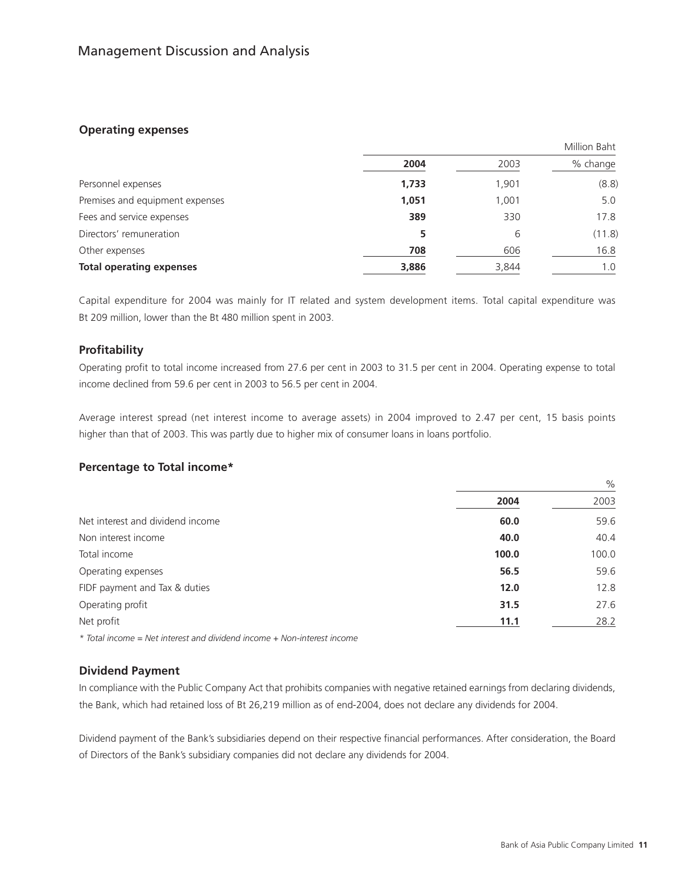## **Operating expenses**

|                                 | Million Baht |       |          |
|---------------------------------|--------------|-------|----------|
|                                 | 2004         | 2003  | % change |
| Personnel expenses              | 1,733        | 1,901 | (8.8)    |
| Premises and equipment expenses | 1,051        | 1,001 | 5.0      |
| Fees and service expenses       | 389          | 330   | 17.8     |
| Directors' remuneration         | 5            | 6     | (11.8)   |
| Other expenses                  | 708          | 606   | 16.8     |
| <b>Total operating expenses</b> | 3,886        | 3,844 | 1.0      |

Capital expenditure for 2004 was mainly for IT related and system development items. Total capital expenditure was Bt 209 million, lower than the Bt 480 million spent in 2003.

## **Profitability**

Operating profit to total income increased from 27.6 per cent in 2003 to 31.5 per cent in 2004. Operating expense to total income declined from 59.6 per cent in 2003 to 56.5 per cent in 2004.

Average interest spread (net interest income to average assets) in 2004 improved to 2.47 per cent, 15 basis points higher than that of 2003. This was partly due to higher mix of consumer loans in loans portfolio.

## **Percentage to Total income\***

|                                  |       | $\%$  |
|----------------------------------|-------|-------|
|                                  | 2004  | 2003  |
| Net interest and dividend income | 60.0  | 59.6  |
| Non interest income              | 40.0  | 40.4  |
| Total income                     | 100.0 | 100.0 |
| Operating expenses               | 56.5  | 59.6  |
| FIDF payment and Tax & duties    | 12.0  | 12.8  |
| Operating profit                 | 31.5  | 27.6  |
| Net profit                       | 11.1  | 28.2  |
|                                  |       |       |

*\* Total income = Net interest and dividend income + Non-interest income*

## **Dividend Payment**

In compliance with the Public Company Act that prohibits companies with negative retained earnings from declaring dividends, the Bank, which had retained loss of Bt 26,219 million as of end-2004, does not declare any dividends for 2004.

Dividend payment of the Bank's subsidiaries depend on their respective financial performances. After consideration, the Board of Directors of the Bank's subsidiary companies did not declare any dividends for 2004.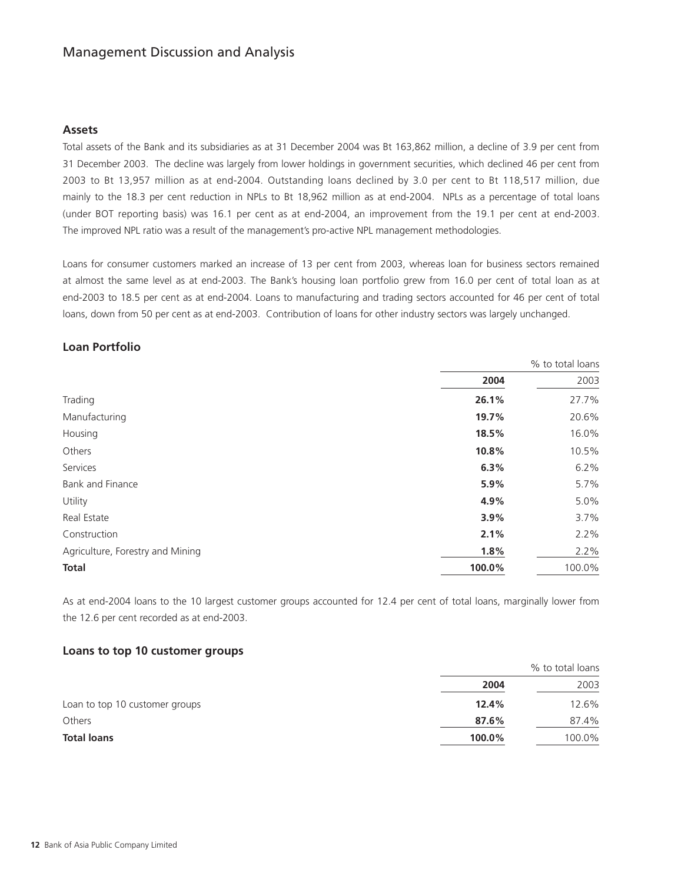# Management Discussion and Analysis

### **Assets**

Total assets of the Bank and its subsidiaries as at 31 December 2004 was Bt 163,862 million, a decline of 3.9 per cent from 31 December 2003. The decline was largely from lower holdings in government securities, which declined 46 per cent from 2003 to Bt 13,957 million as at end-2004. Outstanding loans declined by 3.0 per cent to Bt 118,517 million, due mainly to the 18.3 per cent reduction in NPLs to Bt 18,962 million as at end-2004. NPLs as a percentage of total loans (under BOT reporting basis) was 16.1 per cent as at end-2004, an improvement from the 19.1 per cent at end-2003. The improved NPL ratio was a result of the management's pro-active NPL management methodologies.

Loans for consumer customers marked an increase of 13 per cent from 2003, whereas loan for business sectors remained at almost the same level as at end-2003. The Bank's housing loan portfolio grew from 16.0 per cent of total loan as at end-2003 to 18.5 per cent as at end-2004. Loans to manufacturing and trading sectors accounted for 46 per cent of total loans, down from 50 per cent as at end-2003. Contribution of loans for other industry sectors was largely unchanged.

## **Loan Portfolio**

|                                  | % to total loans |        |
|----------------------------------|------------------|--------|
|                                  | 2004             | 2003   |
| Trading                          | 26.1%            | 27.7%  |
| Manufacturing                    | 19.7%            | 20.6%  |
| Housing                          | 18.5%            | 16.0%  |
| Others                           | 10.8%            | 10.5%  |
| Services                         | 6.3%             | 6.2%   |
| Bank and Finance                 | 5.9%             | 5.7%   |
| Utility                          | 4.9%             | 5.0%   |
| Real Estate                      | 3.9%             | 3.7%   |
| Construction                     | 2.1%             | 2.2%   |
| Agriculture, Forestry and Mining | 1.8%             | 2.2%   |
| <b>Total</b>                     | 100.0%           | 100.0% |

As at end-2004 loans to the 10 largest customer groups accounted for 12.4 per cent of total loans, marginally lower from the 12.6 per cent recorded as at end-2003.

### **Loans to top 10 customer groups**

|                                | % to total loans |        |
|--------------------------------|------------------|--------|
|                                | 2004             | 2003   |
| Loan to top 10 customer groups | 12.4%            | 12.6%  |
| Others                         | 87.6%            | 87.4%  |
| <b>Total loans</b>             | 100.0%           | 100.0% |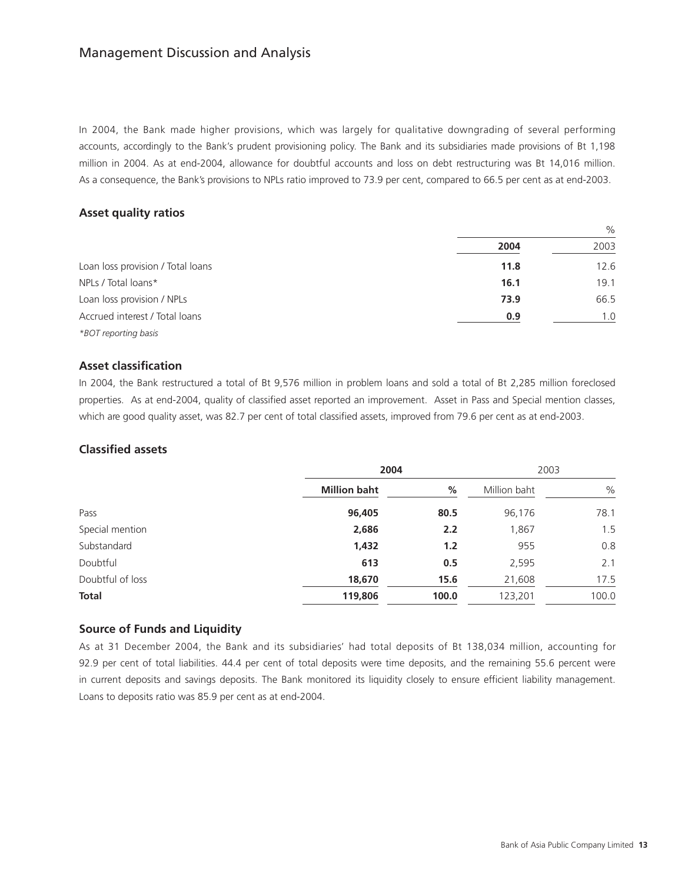# Management Discussion and Analysis

In 2004, the Bank made higher provisions, which was largely for qualitative downgrading of several performing accounts, accordingly to the Bank's prudent provisioning policy. The Bank and its subsidiaries made provisions of Bt 1,198 million in 2004. As at end-2004, allowance for doubtful accounts and loss on debt restructuring was Bt 14,016 million. As a consequence, the Bank's provisions to NPLs ratio improved to 73.9 per cent, compared to 66.5 per cent as at end-2003.

## **Asset quality ratios**

|                                   | 2004 | 2003 |
|-----------------------------------|------|------|
| Loan loss provision / Total loans | 11.8 | 12.6 |
| NPLs / Total loans*               | 16.1 | 19.1 |
| Loan loss provision / NPLs        | 73.9 | 66.5 |
| Accrued interest / Total loans    | 0.9  | 1.0  |
| *BOT reporting basis              |      |      |

### **Asset classification**

In 2004, the Bank restructured a total of Bt 9,576 million in problem loans and sold a total of Bt 2,285 million foreclosed properties. As at end-2004, quality of classified asset reported an improvement. Asset in Pass and Special mention classes, which are good quality asset, was 82.7 per cent of total classified assets, improved from 79.6 per cent as at end-2003.

### **Classified assets**

|                  | 2004                |       | 2003         |               |
|------------------|---------------------|-------|--------------|---------------|
|                  | <b>Million baht</b> | %     | Million baht | $\frac{0}{0}$ |
| Pass             | 96,405              | 80.5  | 96,176       | 78.1          |
| Special mention  | 2,686               | 2.2   | 1,867        | 1.5           |
| Substandard      | 1,432               | 1.2   | 955          | 0.8           |
| Doubtful         | 613                 | 0.5   | 2,595        | 2.1           |
| Doubtful of loss | 18,670              | 15.6  | 21,608       | 17.5          |
| <b>Total</b>     | 119,806             | 100.0 | 123,201      | 100.0         |

## **Source of Funds and Liquidity**

As at 31 December 2004, the Bank and its subsidiaries' had total deposits of Bt 138,034 million, accounting for 92.9 per cent of total liabilities. 44.4 per cent of total deposits were time deposits, and the remaining 55.6 percent were in current deposits and savings deposits. The Bank monitored its liquidity closely to ensure efficient liability management. Loans to deposits ratio was 85.9 per cent as at end-2004.

 $\Omega$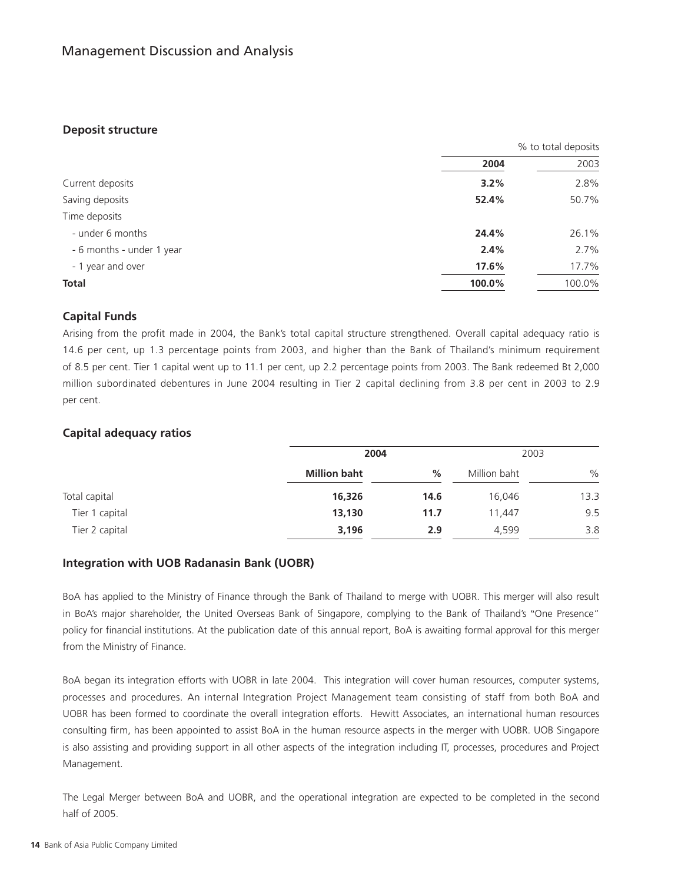## **Deposit structure**

|                           | % to total deposits |        |
|---------------------------|---------------------|--------|
|                           | 2004                | 2003   |
| Current deposits          | 3.2%                | 2.8%   |
| Saving deposits           | 52.4%               | 50.7%  |
| Time deposits             |                     |        |
| - under 6 months          | 24.4%               | 26.1%  |
| - 6 months - under 1 year | 2.4%                | 2.7%   |
| - 1 year and over         | 17.6%               | 17.7%  |
| <b>Total</b>              | 100.0%              | 100.0% |

## **Capital Funds**

Arising from the profit made in 2004, the Bank's total capital structure strengthened. Overall capital adequacy ratio is 14.6 per cent, up 1.3 percentage points from 2003, and higher than the Bank of Thailand's minimum requirement of 8.5 per cent. Tier 1 capital went up to 11.1 per cent, up 2.2 percentage points from 2003. The Bank redeemed Bt 2,000 million subordinated debentures in June 2004 resulting in Tier 2 capital declining from 3.8 per cent in 2003 to 2.9 per cent.

## **Capital adequacy ratios**

|                | 2004                |      | 2003         |      |
|----------------|---------------------|------|--------------|------|
|                | <b>Million baht</b> | %    | Million baht | $\%$ |
| Total capital  | 16,326              | 14.6 | 16.046       | 13.3 |
| Tier 1 capital | 13,130              | 11.7 | 11.447       | 9.5  |
| Tier 2 capital | 3,196               | 2.9  | 4,599        | 3.8  |

## **Integration with UOB Radanasin Bank (UOBR)**

BoA has applied to the Ministry of Finance through the Bank of Thailand to merge with UOBR. This merger will also result in BoA's major shareholder, the United Overseas Bank of Singapore, complying to the Bank of Thailand's "One Presence" policy for financial institutions. At the publication date of this annual report, BoA is awaiting formal approval for this merger from the Ministry of Finance.

BoA began its integration efforts with UOBR in late 2004. This integration will cover human resources, computer systems, processes and procedures. An internal Integration Project Management team consisting of staff from both BoA and UOBR has been formed to coordinate the overall integration efforts. Hewitt Associates, an international human resources consulting firm, has been appointed to assist BoA in the human resource aspects in the merger with UOBR. UOB Singapore is also assisting and providing support in all other aspects of the integration including IT, processes, procedures and Project Management.

The Legal Merger between BoA and UOBR, and the operational integration are expected to be completed in the second half of 2005.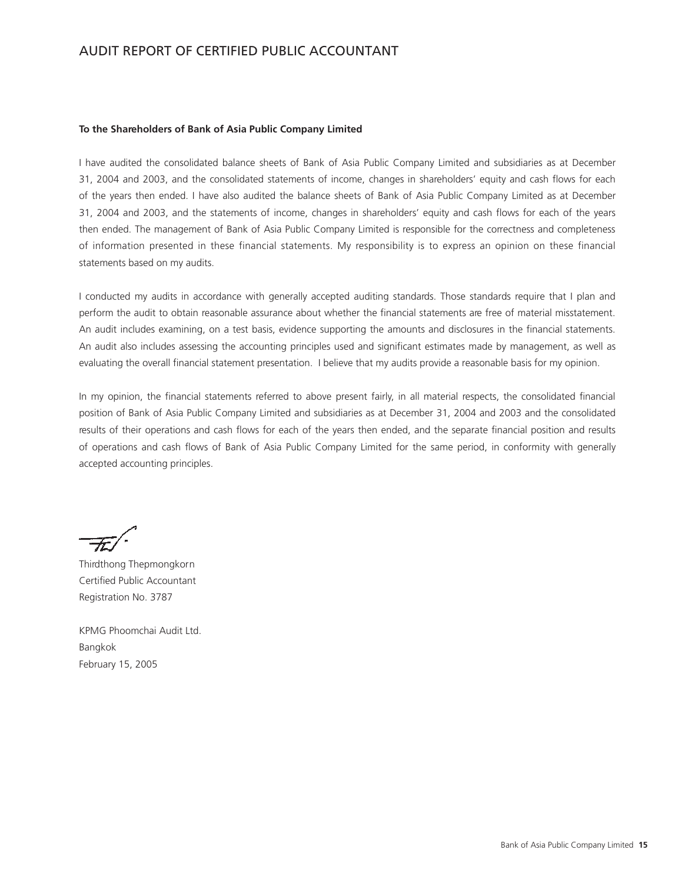# AUDIT REPORT OF CERTIFIED PUBLIC ACCOUNTANT

### **To the Shareholders of Bank of Asia Public Company Limited**

I have audited the consolidated balance sheets of Bank of Asia Public Company Limited and subsidiaries as at December 31, 2004 and 2003, and the consolidated statements of income, changes in shareholders' equity and cash flows for each of the years then ended. I have also audited the balance sheets of Bank of Asia Public Company Limited as at December 31, 2004 and 2003, and the statements of income, changes in shareholders' equity and cash flows for each of the years then ended. The management of Bank of Asia Public Company Limited is responsible for the correctness and completeness of information presented in these financial statements. My responsibility is to express an opinion on these financial statements based on my audits.

I conducted my audits in accordance with generally accepted auditing standards. Those standards require that I plan and perform the audit to obtain reasonable assurance about whether the financial statements are free of material misstatement. An audit includes examining, on a test basis, evidence supporting the amounts and disclosures in the financial statements. An audit also includes assessing the accounting principles used and significant estimates made by management, as well as evaluating the overall financial statement presentation. I believe that my audits provide a reasonable basis for my opinion.

In my opinion, the financial statements referred to above present fairly, in all material respects, the consolidated financial position of Bank of Asia Public Company Limited and subsidiaries as at December 31, 2004 and 2003 and the consolidated results of their operations and cash flows for each of the years then ended, and the separate financial position and results of operations and cash flows of Bank of Asia Public Company Limited for the same period, in conformity with generally accepted accounting principles.

Thirdthong Thepmongkorn Certified Public Accountant Registration No. 3787

KPMG Phoomchai Audit Ltd. Bangkok February 15, 2005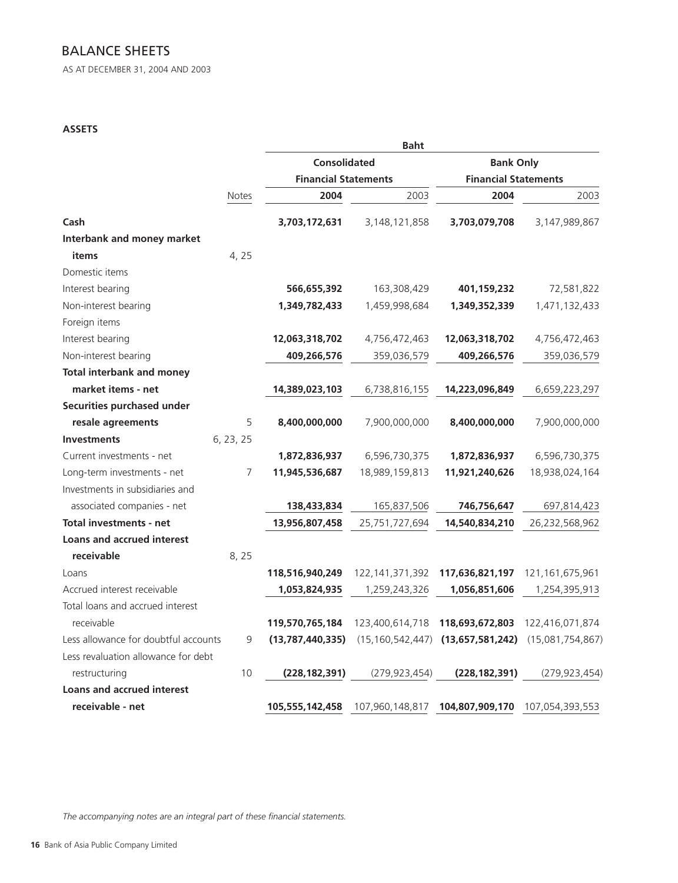# BALANCE SHEETS

AS AT DECEMBER 31, 2004 AND 2003

## **ASSETS**

|                                      |                             |                     | <b>Baht</b>                 |                  |                    |  |  |
|--------------------------------------|-----------------------------|---------------------|-----------------------------|------------------|--------------------|--|--|
|                                      |                             | <b>Consolidated</b> |                             | <b>Bank Only</b> |                    |  |  |
|                                      | <b>Financial Statements</b> |                     | <b>Financial Statements</b> |                  |                    |  |  |
|                                      | <b>Notes</b>                | 2004                | 2003                        | 2004             | 2003               |  |  |
| Cash                                 |                             | 3,703,172,631       | 3,148,121,858               | 3,703,079,708    | 3,147,989,867      |  |  |
| <b>Interbank and money market</b>    |                             |                     |                             |                  |                    |  |  |
| items                                | 4, 25                       |                     |                             |                  |                    |  |  |
| Domestic items                       |                             |                     |                             |                  |                    |  |  |
| Interest bearing                     |                             | 566,655,392         | 163,308,429                 | 401,159,232      | 72,581,822         |  |  |
| Non-interest bearing                 |                             | 1,349,782,433       | 1,459,998,684               | 1,349,352,339    | 1,471,132,433      |  |  |
| Foreign items                        |                             |                     |                             |                  |                    |  |  |
| Interest bearing                     |                             | 12,063,318,702      | 4,756,472,463               | 12,063,318,702   | 4,756,472,463      |  |  |
| Non-interest bearing                 |                             | 409,266,576         | 359,036,579                 | 409,266,576      | 359,036,579        |  |  |
| <b>Total interbank and money</b>     |                             |                     |                             |                  |                    |  |  |
| market items - net                   |                             | 14,389,023,103      | 6,738,816,155               | 14,223,096,849   | 6,659,223,297      |  |  |
| Securities purchased under           |                             |                     |                             |                  |                    |  |  |
| resale agreements                    | 5                           | 8,400,000,000       | 7,900,000,000               | 8,400,000,000    | 7,900,000,000      |  |  |
| <b>Investments</b>                   | 6, 23, 25                   |                     |                             |                  |                    |  |  |
| Current investments - net            |                             | 1,872,836,937       | 6,596,730,375               | 1,872,836,937    | 6,596,730,375      |  |  |
| Long-term investments - net          | 7                           | 11,945,536,687      | 18,989,159,813              | 11,921,240,626   | 18,938,024,164     |  |  |
| Investments in subsidiaries and      |                             |                     |                             |                  |                    |  |  |
| associated companies - net           |                             | 138,433,834         | 165,837,506                 | 746,756,647      | 697,814,423        |  |  |
| <b>Total investments - net</b>       |                             | 13,956,807,458      | 25,751,727,694              | 14,540,834,210   | 26,232,568,962     |  |  |
| <b>Loans and accrued interest</b>    |                             |                     |                             |                  |                    |  |  |
| receivable                           | 8, 25                       |                     |                             |                  |                    |  |  |
| Loans                                |                             | 118,516,940,249     | 122, 141, 371, 392          | 117,636,821,197  | 121, 161, 675, 961 |  |  |
| Accrued interest receivable          |                             | 1,053,824,935       | 1,259,243,326               | 1,056,851,606    | 1,254,395,913      |  |  |
| Total loans and accrued interest     |                             |                     |                             |                  |                    |  |  |
| receivable                           |                             | 119,570,765,184     | 123,400,614,718             | 118,693,672,803  | 122,416,071,874    |  |  |
| Less allowance for doubtful accounts | 9                           | (13, 787, 440, 335) | (15, 160, 542, 447)         | (13,657,581,242) | (15,081,754,867)   |  |  |
| Less revaluation allowance for debt  |                             |                     |                             |                  |                    |  |  |
| restructuring                        | 10                          | (228, 182, 391)     | (279, 923, 454)             | (228, 182, 391)  | (279, 923, 454)    |  |  |
| <b>Loans and accrued interest</b>    |                             |                     |                             |                  |                    |  |  |
| receivable - net                     |                             | 105,555,142,458     | 107,960,148,817             | 104,807,909,170  | 107,054,393,553    |  |  |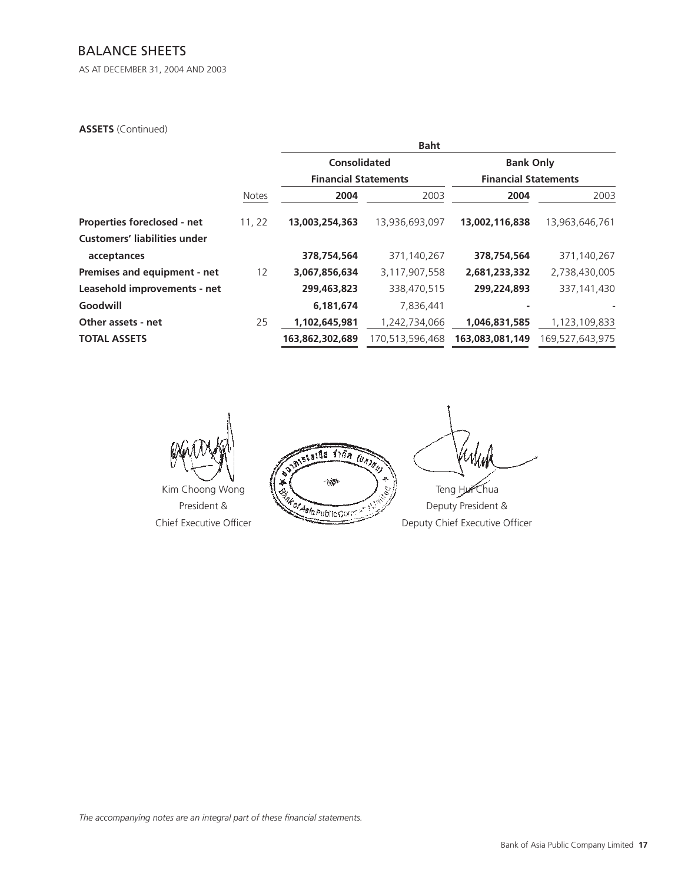# BALANCE SHEETS

AS AT DECEMBER 31, 2004 AND 2003

### **ASSETS** (Continued)

|                                     |              |                             | <b>Baht</b>     |                             |                 |
|-------------------------------------|--------------|-----------------------------|-----------------|-----------------------------|-----------------|
|                                     |              | Consolidated                |                 | <b>Bank Only</b>            |                 |
|                                     |              | <b>Financial Statements</b> |                 | <b>Financial Statements</b> |                 |
|                                     | <b>Notes</b> | 2004                        | 2003            | 2004                        | 2003            |
| Properties foreclosed - net         | 11, 22       | 13,003,254,363              | 13,936,693,097  | 13,002,116,838              | 13,963,646,761  |
| <b>Customers' liabilities under</b> |              |                             |                 |                             |                 |
| acceptances                         |              | 378,754,564                 | 371,140,267     | 378,754,564                 | 371,140,267     |
| Premises and equipment - net        | 12           | 3,067,856,634               | 3,117,907,558   | 2,681,233,332               | 2,738,430,005   |
| Leasehold improvements - net        |              | 299,463,823                 | 338,470,515     | 299,224,893                 | 337, 141, 430   |
| Goodwill                            |              | 6,181,674                   | 7,836,441       |                             |                 |
| Other assets - net                  | 25           | 1,102,645,981               | 1,242,734,066   | 1,046,831,585               | 1,123,109,833   |
| <b>TOTAL ASSETS</b>                 |              | 163,862,302,689             | 170,513,596,468 | 163,083,081,149             | 169,527,643,975 |
|                                     |              |                             |                 |                             |                 |



**MISLAIDS SINA (UNION)** 4 Kim Choong Wong<br>President &<br>Deputy Chief Executive<br>Deputy Chief Executive President & **Were the Little Corpus Control of the Deputy President &** 

Chief Executive Officer Deputy Chief Executive Officer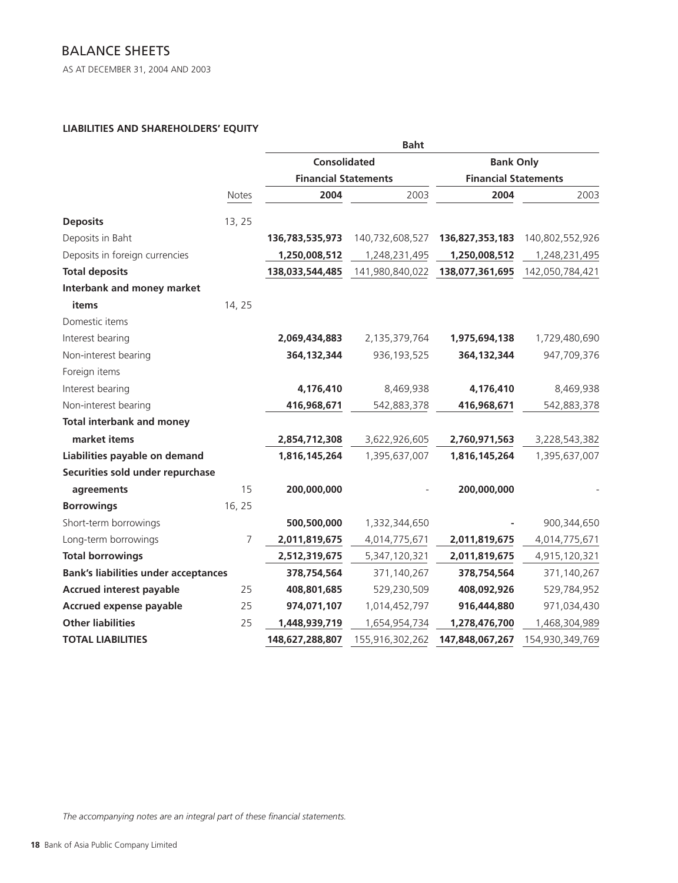AS AT DECEMBER 31, 2004 AND 2003

## **LIABILITIES AND SHAREHOLDERS' EQUITY**

|                                             |                |                             | <b>Baht</b>     |                             |                 |
|---------------------------------------------|----------------|-----------------------------|-----------------|-----------------------------|-----------------|
|                                             |                | <b>Consolidated</b>         |                 | <b>Bank Only</b>            |                 |
|                                             |                | <b>Financial Statements</b> |                 | <b>Financial Statements</b> |                 |
|                                             | Notes          | 2004                        | 2003            | 2004                        | 2003            |
| <b>Deposits</b>                             | 13, 25         |                             |                 |                             |                 |
| Deposits in Baht                            |                | 136,783,535,973             | 140,732,608,527 | 136,827,353,183             | 140,802,552,926 |
| Deposits in foreign currencies              |                | 1,250,008,512               | 1,248,231,495   | 1,250,008,512               | 1,248,231,495   |
| <b>Total deposits</b>                       |                | 138,033,544,485             | 141,980,840,022 | 138,077,361,695             | 142,050,784,421 |
| Interbank and money market                  |                |                             |                 |                             |                 |
| items                                       | 14, 25         |                             |                 |                             |                 |
| Domestic items                              |                |                             |                 |                             |                 |
| Interest bearing                            |                | 2,069,434,883               | 2,135,379,764   | 1,975,694,138               | 1,729,480,690   |
| Non-interest bearing                        |                | 364,132,344                 | 936, 193, 525   | 364,132,344                 | 947,709,376     |
| Foreign items                               |                |                             |                 |                             |                 |
| Interest bearing                            |                | 4,176,410                   | 8,469,938       | 4,176,410                   | 8,469,938       |
| Non-interest bearing                        |                | 416,968,671                 | 542,883,378     | 416,968,671                 | 542,883,378     |
| <b>Total interbank and money</b>            |                |                             |                 |                             |                 |
| market items                                |                | 2,854,712,308               | 3,622,926,605   | 2,760,971,563               | 3,228,543,382   |
| Liabilities payable on demand               |                | 1,816,145,264               | 1,395,637,007   | 1,816,145,264               | 1,395,637,007   |
| Securities sold under repurchase            |                |                             |                 |                             |                 |
| agreements                                  | 15             | 200,000,000                 |                 | 200,000,000                 |                 |
| <b>Borrowings</b>                           | 16, 25         |                             |                 |                             |                 |
| Short-term borrowings                       |                | 500,500,000                 | 1,332,344,650   |                             | 900,344,650     |
| Long-term borrowings                        | $\overline{7}$ | 2,011,819,675               | 4,014,775,671   | 2,011,819,675               | 4,014,775,671   |
| <b>Total borrowings</b>                     |                | 2,512,319,675               | 5,347,120,321   | 2,011,819,675               | 4,915,120,321   |
| <b>Bank's liabilities under acceptances</b> |                | 378,754,564                 | 371,140,267     | 378,754,564                 | 371,140,267     |
| <b>Accrued interest payable</b>             | 25             | 408,801,685                 | 529,230,509     | 408,092,926                 | 529,784,952     |
| <b>Accrued expense payable</b>              | 25             | 974,071,107                 | 1,014,452,797   | 916,444,880                 | 971,034,430     |
| <b>Other liabilities</b>                    | 25             | 1,448,939,719               | 1,654,954,734   | 1,278,476,700               | 1,468,304,989   |
| <b>TOTAL LIABILITIES</b>                    |                | 148,627,288,807             | 155,916,302,262 | 147,848,067,267             | 154,930,349,769 |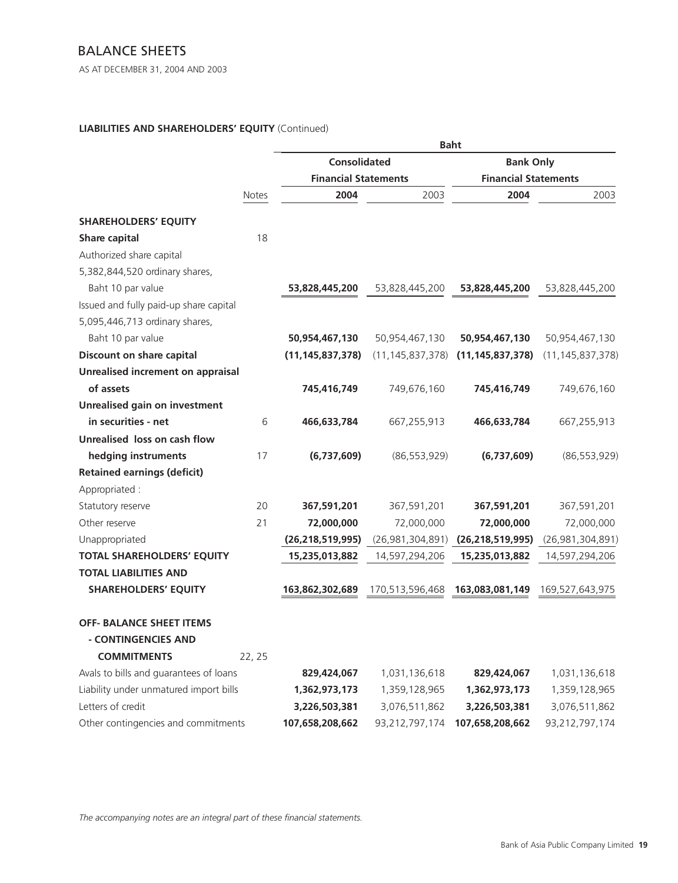# BALANCE SHEETS

AS AT DECEMBER 31, 2004 AND 2003

## **LIABILITIES AND SHAREHOLDERS' EQUITY** (Continued)

|                                          |        |                             |                     | <b>Baht</b>                 |                     |
|------------------------------------------|--------|-----------------------------|---------------------|-----------------------------|---------------------|
|                                          |        | <b>Consolidated</b>         |                     | <b>Bank Only</b>            |                     |
|                                          |        | <b>Financial Statements</b> |                     | <b>Financial Statements</b> |                     |
|                                          | Notes  | 2004                        | 2003                | 2004                        | 2003                |
| <b>SHAREHOLDERS' EQUITY</b>              |        |                             |                     |                             |                     |
| Share capital                            | 18     |                             |                     |                             |                     |
| Authorized share capital                 |        |                             |                     |                             |                     |
| 5,382,844,520 ordinary shares,           |        |                             |                     |                             |                     |
| Baht 10 par value                        |        | 53,828,445,200              | 53,828,445,200      | 53,828,445,200              | 53,828,445,200      |
| Issued and fully paid-up share capital   |        |                             |                     |                             |                     |
| 5,095,446,713 ordinary shares,           |        |                             |                     |                             |                     |
| Baht 10 par value                        |        | 50,954,467,130              | 50,954,467,130      | 50,954,467,130              | 50,954,467,130      |
| Discount on share capital                |        | (11, 145, 837, 378)         | (11, 145, 837, 378) | (11, 145, 837, 378)         | (11, 145, 837, 378) |
| <b>Unrealised increment on appraisal</b> |        |                             |                     |                             |                     |
| of assets                                |        | 745,416,749                 | 749,676,160         | 745,416,749                 | 749,676,160         |
| <b>Unrealised gain on investment</b>     |        |                             |                     |                             |                     |
| in securities - net                      | 6      | 466,633,784                 | 667,255,913         | 466,633,784                 | 667,255,913         |
| Unrealised loss on cash flow             |        |                             |                     |                             |                     |
| hedging instruments                      | 17     | (6,737,609)                 | (86, 553, 929)      | (6,737,609)                 | (86, 553, 929)      |
| <b>Retained earnings (deficit)</b>       |        |                             |                     |                             |                     |
| Appropriated :                           |        |                             |                     |                             |                     |
| Statutory reserve                        | 20     | 367,591,201                 | 367,591,201         | 367,591,201                 | 367,591,201         |
| Other reserve                            | 21     | 72,000,000                  | 72,000,000          | 72,000,000                  | 72,000,000          |
| Unappropriated                           |        | (26, 218, 519, 995)         | (26,981,304,891)    | (26, 218, 519, 995)         | (26,981,304,891)    |
| <b>TOTAL SHAREHOLDERS' EQUITY</b>        |        | 15,235,013,882              | 14,597,294,206      | 15,235,013,882              | 14,597,294,206      |
| <b>TOTAL LIABILITIES AND</b>             |        |                             |                     |                             |                     |
| <b>SHAREHOLDERS' EQUITY</b>              |        | 163,862,302,689             | 170,513,596,468     | 163,083,081,149             | 169,527,643,975     |
| <b>OFF- BALANCE SHEET ITEMS</b>          |        |                             |                     |                             |                     |
| - CONTINGENCIES AND                      |        |                             |                     |                             |                     |
| <b>COMMITMENTS</b>                       | 22, 25 |                             |                     |                             |                     |
| Avals to bills and guarantees of loans   |        | 829,424,067                 | 1,031,136,618       | 829,424,067                 | 1,031,136,618       |
| Liability under unmatured import bills   |        | 1,362,973,173               | 1,359,128,965       | 1,362,973,173               | 1,359,128,965       |
| Letters of credit                        |        | 3,226,503,381               | 3,076,511,862       | 3,226,503,381               | 3,076,511,862       |
| Other contingencies and commitments      |        | 107,658,208,662             | 93,212,797,174      | 107,658,208,662             | 93,212,797,174      |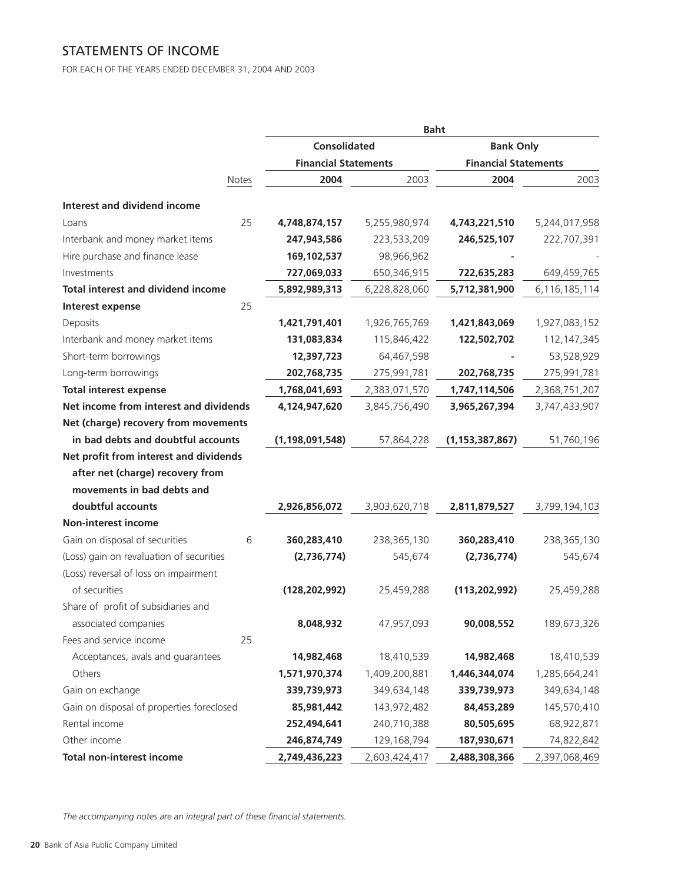# STATEMENTS OF INCOME

FOR EACH OF THE YEARS ENDED DECEMBER 31, 2004 AND 2003

|                                           |    |                             | <b>Baht</b>   |                             |               |
|-------------------------------------------|----|-----------------------------|---------------|-----------------------------|---------------|
|                                           |    | Consolidated                |               | <b>Bank Only</b>            |               |
|                                           |    | <b>Financial Statements</b> |               | <b>Financial Statements</b> |               |
| Notes                                     |    | 2004                        | 2003          | 2004                        | 2003          |
| <b>Interest and dividend income</b>       |    |                             |               |                             |               |
| Loans                                     | 25 | 4,748,874,157               | 5,255,980,974 | 4,743,221,510               | 5,244,017,958 |
| Interbank and money market items          |    | 247,943,586                 | 223,533,209   | 246,525,107                 | 222,707,391   |
| Hire purchase and finance lease           |    | 169,102,537                 | 98,966,962    |                             |               |
| Investments                               |    | 727,069,033                 | 650,346,915   | 722,635,283                 | 649,459,765   |
| <b>Total interest and dividend income</b> |    | 5,892,989,313               | 6,228,828,060 | 5,712,381,900               | 6,116,185,114 |
| Interest expense                          | 25 |                             |               |                             |               |
| Deposits                                  |    | 1,421,791,401               | 1,926,765,769 | 1,421,843,069               | 1,927,083,152 |
| Interbank and money market items          |    | 131,083,834                 | 115,846,422   | 122,502,702                 | 112, 147, 345 |
| Short-term borrowings                     |    | 12,397,723                  | 64,467,598    |                             | 53,528,929    |
| Long-term borrowings                      |    | 202,768,735                 | 275,991,781   | 202,768,735                 | 275,991,781   |
| <b>Total interest expense</b>             |    | 1,768,041,693               | 2,383,071,570 | 1,747,114,506               | 2,368,751,207 |
| Net income from interest and dividends    |    | 4,124,947,620               | 3,845,756,490 | 3,965,267,394               | 3,747,433,907 |
| Net (charge) recovery from movements      |    |                             |               |                             |               |
| in bad debts and doubtful accounts        |    | (1, 198, 091, 548)          | 57,864,228    | (1, 153, 387, 867)          | 51,760,196    |
| Net profit from interest and dividends    |    |                             |               |                             |               |
| after net (charge) recovery from          |    |                             |               |                             |               |
| movements in bad debts and                |    |                             |               |                             |               |
| doubtful accounts                         |    | 2,926,856,072               | 3,903,620,718 | 2,811,879,527               | 3,799,194,103 |
| <b>Non-interest income</b>                |    |                             |               |                             |               |
| Gain on disposal of securities            | 6  | 360,283,410                 | 238,365,130   | 360,283,410                 | 238,365,130   |
| (Loss) gain on revaluation of securities  |    | (2,736,774)                 | 545,674       | (2,736,774)                 | 545,674       |
| (Loss) reversal of loss on impairment     |    |                             |               |                             |               |
| of securities                             |    | (128, 202, 992)             | 25,459,288    | (113, 202, 992)             | 25,459,288    |
| Share of profit of subsidiaries and       |    |                             |               |                             |               |
| associated companies                      |    | 8,048,932                   | 47,957,093    | 90,008,552                  | 189,673,326   |
| Fees and service income                   | 25 |                             |               |                             |               |
| Acceptances, avals and guarantees         |    | 14,982,468                  | 18,410,539    | 14,982,468                  | 18,410,539    |
| Others                                    |    | 1,571,970,374               | 1,409,200,881 | 1,446,344,074               | 1,285,664,241 |
| Gain on exchange                          |    | 339,739,973                 | 349,634,148   | 339,739,973                 | 349,634,148   |
| Gain on disposal of properties foreclosed |    | 85,981,442                  | 143,972,482   | 84,453,289                  | 145,570,410   |
| Rental income                             |    | 252,494,641                 | 240,710,388   | 80,505,695                  | 68,922,871    |
| Other income                              |    | 246,874,749                 | 129,168,794   | 187,930,671                 | 74,822,842    |
| <b>Total non-interest income</b>          |    | 2,749,436,223               | 2,603,424,417 | 2,488,308,366               | 2,397,068,469 |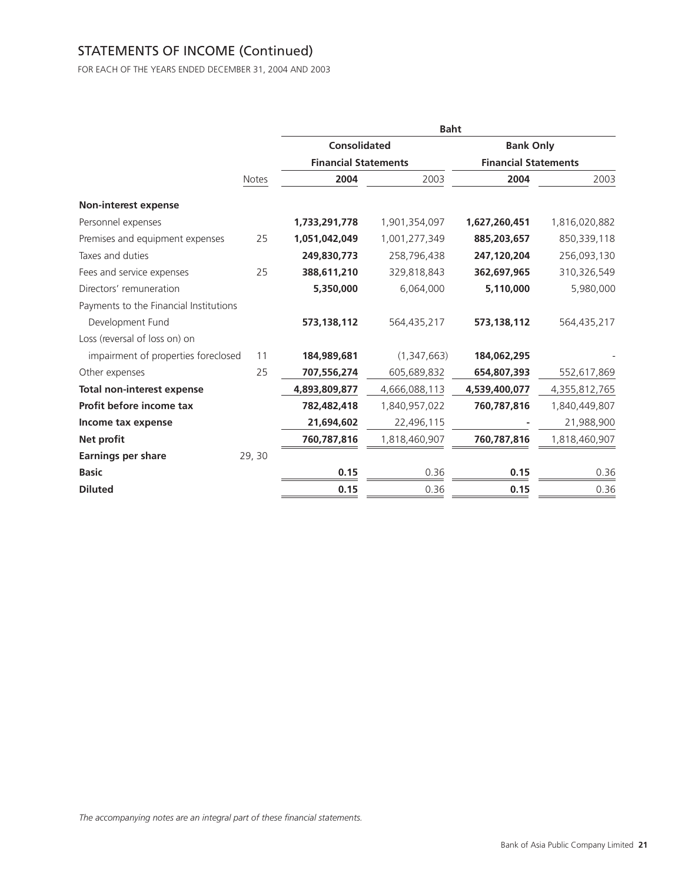# STATEMENTS OF INCOME (Continued)

FOR EACH OF THE YEARS ENDED DECEMBER 31, 2004 AND 2003

|                                        |              |                             | <b>Baht</b>   |                             |               |
|----------------------------------------|--------------|-----------------------------|---------------|-----------------------------|---------------|
|                                        |              | <b>Consolidated</b>         |               | <b>Bank Only</b>            |               |
|                                        |              | <b>Financial Statements</b> |               | <b>Financial Statements</b> |               |
|                                        | <b>Notes</b> | 2004                        | 2003          | 2004                        | 2003          |
| <b>Non-interest expense</b>            |              |                             |               |                             |               |
| Personnel expenses                     |              | 1,733,291,778               | 1,901,354,097 | 1,627,260,451               | 1,816,020,882 |
| Premises and equipment expenses        | 25           | 1,051,042,049               | 1,001,277,349 | 885,203,657                 | 850,339,118   |
| Taxes and duties                       |              | 249,830,773                 | 258,796,438   | 247,120,204                 | 256,093,130   |
| Fees and service expenses              | 25           | 388,611,210                 | 329,818,843   | 362,697,965                 | 310,326,549   |
| Directors' remuneration                |              | 5,350,000                   | 6,064,000     | 5,110,000                   | 5,980,000     |
| Payments to the Financial Institutions |              |                             |               |                             |               |
| Development Fund                       |              | 573, 138, 112               | 564,435,217   | 573,138,112                 | 564,435,217   |
| Loss (reversal of loss on) on          |              |                             |               |                             |               |
| impairment of properties foreclosed    | 11           | 184,989,681                 | (1,347,663)   | 184,062,295                 |               |
| Other expenses                         | 25           | 707,556,274                 | 605,689,832   | 654,807,393                 | 552,617,869   |
| <b>Total non-interest expense</b>      |              | 4,893,809,877               | 4,666,088,113 | 4,539,400,077               | 4,355,812,765 |
| Profit before income tax               |              | 782,482,418                 | 1,840,957,022 | 760,787,816                 | 1,840,449,807 |
| Income tax expense                     |              | 21,694,602                  | 22,496,115    |                             | 21,988,900    |
| Net profit                             |              | 760,787,816                 | 1,818,460,907 | 760,787,816                 | 1,818,460,907 |
| <b>Earnings per share</b>              | 29, 30       |                             |               |                             |               |
| <b>Basic</b>                           |              | 0.15                        | 0.36          | 0.15                        | 0.36          |
| <b>Diluted</b>                         |              | 0.15                        | 0.36          | 0.15                        | 0.36          |
|                                        |              |                             |               |                             |               |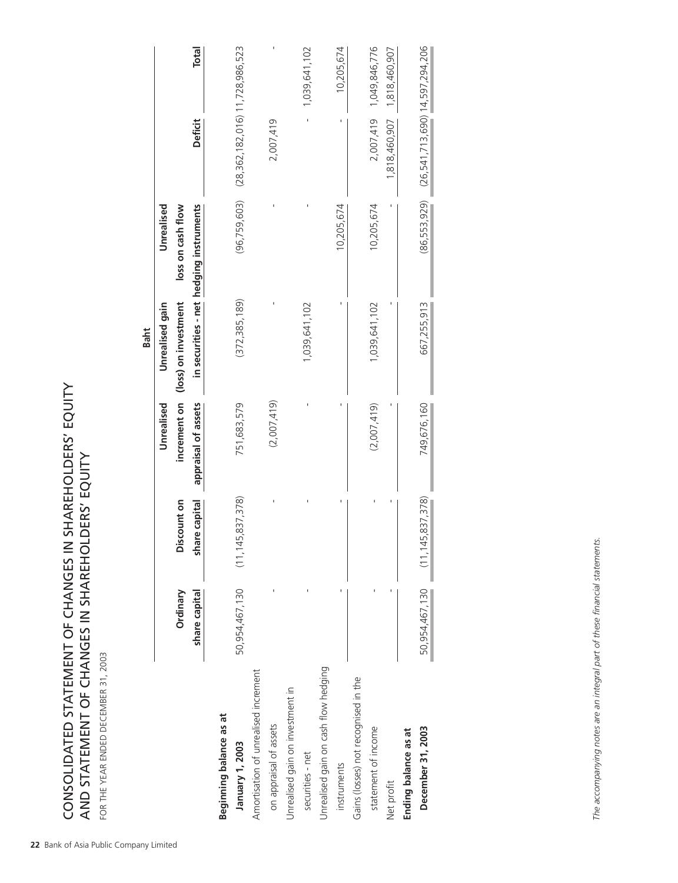**22**<br>
Bank of Asia Public CHANGES IN SHAREHOLDERS' EQUITY<br>
AND STATEMENT OF CHANGES IN SHAREHOLDERS' EQUITY<br>
FOR THE YEAR ENDED DECEMBER 31, 2003<br>
The Asia Public Company Limited<br>
Company Limited<br>
Company Limited<br>
Company CONSOLIDATED STATEMENT OF CHANGES IN SHAREHOLDERS' EQUITY AND STATEMENT OF CHANGES IN SHAREHOLDERS' EQUITY

FOR THE YEAR ENDED DECEMBER 31, 2003

|                                      |                |                                 | Unrealised          | Unrealised gain      | Unrealised                              |                                         |               |
|--------------------------------------|----------------|---------------------------------|---------------------|----------------------|-----------------------------------------|-----------------------------------------|---------------|
|                                      | Ordinary       | Discount on                     | increment on        | (loss) on investment | loss on cash flow                       |                                         |               |
|                                      | share capital  | share capital                   | appraisal of assets |                      | in securities - net hedging instruments | Deficit                                 | <b>Total</b>  |
| Beginning balance as at              |                |                                 |                     |                      |                                         |                                         |               |
| January 1, 2003                      | 50,954,467,130 | (11, 145, 837, 378)             | 751,683,579         | (372, 385, 189)      | (96, 759, 603)                          | $(28, 362, 182, 016)$ 11, 728, 986, 523 |               |
| Amortisation of unrealised increment |                |                                 |                     |                      |                                         |                                         |               |
| on appraisal of assets               |                |                                 | (2,007,419)         |                      |                                         | 2,007,419                               |               |
| Unrealised gain on investment in     |                |                                 |                     |                      |                                         |                                         |               |
| securities - net                     |                |                                 |                     | 1,039,641,102        |                                         |                                         | 1,039,641,102 |
| Unrealised gain on cash flow hedging |                |                                 |                     |                      |                                         |                                         |               |
| instruments                          |                |                                 |                     |                      | 10,205,674                              |                                         | 10,205,674    |
| Gains (losses) not recognised in the |                |                                 |                     |                      |                                         |                                         |               |
| statement of income                  |                |                                 | (2,007,419)         | 1,039,641,102        | 10,205,674                              | 2,007,419                               | 1,049,846,776 |
| Net profit                           |                |                                 |                     |                      |                                         | 1,818,460,907                           | 1,818,460,907 |
| Ending balance as at                 |                |                                 |                     |                      |                                         |                                         |               |
| December 31, 2003                    |                | 50,954,467,130 (11,145,837,378) | 749,676,160         | 667,255,913          | (86, 553, 929)                          | $(26, 541, 713, 690)$ 14,597,294,206    |               |
|                                      |                |                                 |                     |                      |                                         |                                         |               |

The accompanying notes are an integral part of these financial statements. *The accompanying notes are an integral part of these financial statements.*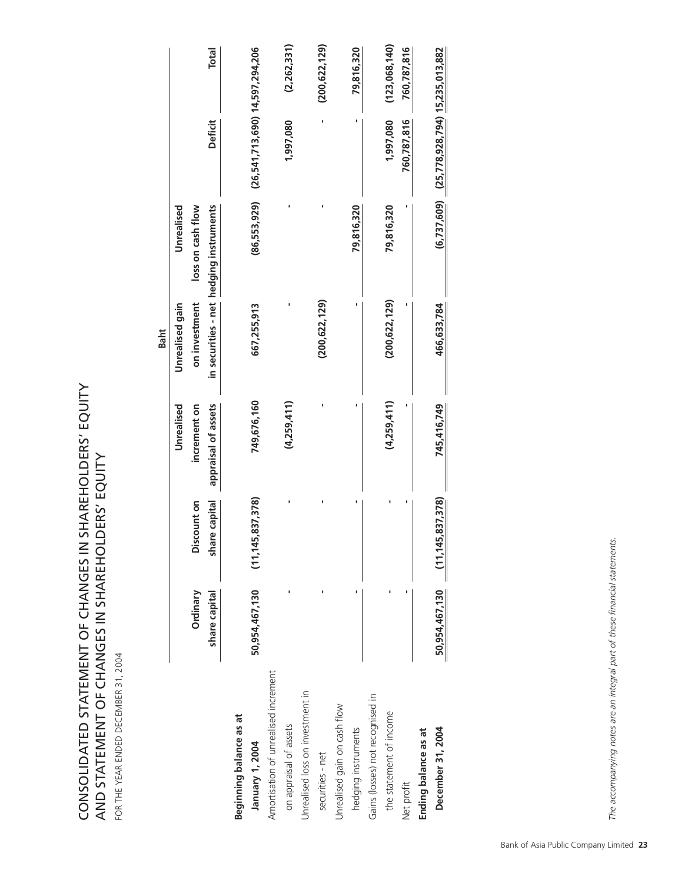CONSOLIDATED STATEMENT OF CHANGES IN SHAREHOLDERS' EQUITY<br>AND STATEMENT OF CHANGES IN SHAREHOLDERS' EQUITY CONSOLIDATED STATEMENT OF CHANGES IN SHAREHOLDERS' EQUITY AND STATEMENT OF CHANGES IN SHAREHOLDERS' EQUITY

| ١<br>Ó<br>$\mathbf$             |
|---------------------------------|
|                                 |
| ۹<br>$\overline{a}$             |
| Ï<br>ı<br>Í                     |
| ĺ<br>J<br>I<br>Ï<br>ı<br>í<br>١ |
| Ï<br>ť<br>ī<br>Ĺ                |
| I                               |
| I<br>ľ                          |
| J                               |
| O<br>ı                          |

|                                      |                |                                 |                     | <b>Baht</b>     |                                         |                                                 |                 |
|--------------------------------------|----------------|---------------------------------|---------------------|-----------------|-----------------------------------------|-------------------------------------------------|-----------------|
|                                      |                |                                 | Unrealised          | Unrealised gain | Unrealised                              |                                                 |                 |
|                                      | Ordinary       | Discount on                     | increment on        | on investment   | loss on cash flow                       |                                                 |                 |
|                                      | share capital  | share capital                   | appraisal of assets |                 | in securities - net hedging instruments | Deficit                                         | <b>Total</b>    |
| <b>Beginning balance as at</b>       |                |                                 |                     |                 |                                         |                                                 |                 |
| January 1, 2004                      | 50,954,467,130 | 15,837,378)<br>(11, 14)         | 749,676,160         | 667,255,913     | (86, 553, 929)                          | (26,541,713,690) 14,597,294,206                 |                 |
| Amortisation of unrealised increment |                |                                 |                     |                 |                                         |                                                 |                 |
| on appraisal of assets               |                |                                 | (4,259,411)         |                 |                                         | 1,997,080                                       | (2,262,331)     |
| Unrealised loss on investment in     |                |                                 |                     |                 |                                         |                                                 |                 |
| securities - net                     |                |                                 |                     | (200, 622, 129) |                                         |                                                 | (200, 622, 129) |
| Unrealised gain on cash flow         |                |                                 |                     |                 |                                         |                                                 |                 |
| hedging instruments                  |                |                                 |                     |                 | 79,816,320                              |                                                 | 79,816,320      |
| Gains (losses) not recognised in     |                |                                 |                     |                 |                                         |                                                 |                 |
| the statement of income              |                |                                 | (4,259,411)         | (200, 622, 129) | 79,816,320                              | 1,997,080                                       | (123,068,140)   |
| Net profit                           |                |                                 |                     |                 |                                         | 760,787,816                                     | 760,787,816     |
| Ending balance as at                 |                |                                 |                     |                 |                                         |                                                 |                 |
| December 31, 2004                    |                | 50,954,467,130 (11,145,837,378) | 745,416,749         | 466,633,784     |                                         | $(6,737,609)$ $(25,778,928,794)$ 15,235,013,882 |                 |
|                                      |                |                                 |                     |                 |                                         |                                                 |                 |

The accompanying notes are an integral part of these financial statements. *The accompanying notes are an integral part of these financial statements.*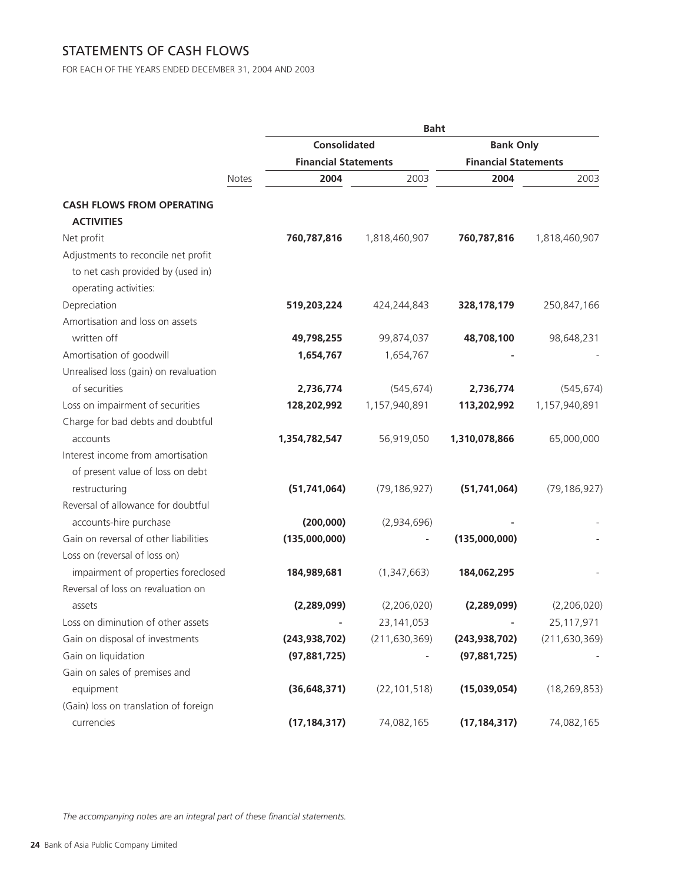# STATEMENTS OF CASH FLOWS

FOR EACH OF THE YEARS ENDED DECEMBER 31, 2004 AND 2003

|                                                            |                             | <b>Baht</b>     |                             |                 |
|------------------------------------------------------------|-----------------------------|-----------------|-----------------------------|-----------------|
|                                                            | <b>Consolidated</b>         |                 | <b>Bank Only</b>            |                 |
|                                                            | <b>Financial Statements</b> |                 | <b>Financial Statements</b> |                 |
| Notes                                                      | 2004                        | 2003            | 2004                        | 2003            |
| <b>CASH FLOWS FROM OPERATING</b><br><b>ACTIVITIES</b>      |                             |                 |                             |                 |
| Net profit                                                 | 760,787,816                 | 1,818,460,907   | 760,787,816                 | 1,818,460,907   |
| Adjustments to reconcile net profit                        |                             |                 |                             |                 |
| to net cash provided by (used in)<br>operating activities: |                             |                 |                             |                 |
| Depreciation                                               | 519,203,224                 | 424,244,843     | 328, 178, 179               | 250,847,166     |
| Amortisation and loss on assets                            |                             |                 |                             |                 |
| written off                                                | 49,798,255                  | 99,874,037      | 48,708,100                  | 98,648,231      |
| Amortisation of goodwill                                   | 1,654,767                   | 1,654,767       |                             |                 |
| Unrealised loss (gain) on revaluation                      |                             |                 |                             |                 |
| of securities                                              | 2,736,774                   | (545, 674)      | 2,736,774                   | (545, 674)      |
| Loss on impairment of securities                           | 128,202,992                 | 1,157,940,891   | 113,202,992                 | 1,157,940,891   |
| Charge for bad debts and doubtful                          |                             |                 |                             |                 |
| accounts                                                   | 1,354,782,547               | 56,919,050      | 1,310,078,866               | 65,000,000      |
| Interest income from amortisation                          |                             |                 |                             |                 |
| of present value of loss on debt                           |                             |                 |                             |                 |
| restructuring                                              | (51, 741, 064)              | (79, 186, 927)  | (51, 741, 064)              | (79, 186, 927)  |
| Reversal of allowance for doubtful                         |                             |                 |                             |                 |
| accounts-hire purchase                                     | (200,000)                   | (2,934,696)     |                             |                 |
| Gain on reversal of other liabilities                      | (135,000,000)               |                 | (135,000,000)               |                 |
| Loss on (reversal of loss on)                              |                             |                 |                             |                 |
| impairment of properties foreclosed                        | 184,989,681                 | (1,347,663)     | 184,062,295                 |                 |
| Reversal of loss on revaluation on                         |                             |                 |                             |                 |
| assets                                                     | (2, 289, 099)               | (2,206,020)     | (2,289,099)                 | (2,206,020)     |
| Loss on diminution of other assets                         |                             | 23, 141, 053    |                             | 25,117,971      |
| Gain on disposal of investments                            | (243, 938, 702)             | (211, 630, 369) | (243, 938, 702)             | (211, 630, 369) |
| Gain on liquidation                                        | (97,881,725)                |                 | (97,881,725)                |                 |
| Gain on sales of premises and                              |                             |                 |                             |                 |
| equipment                                                  | (36, 648, 371)              | (22, 101, 518)  | (15,039,054)                | (18, 269, 853)  |
| (Gain) loss on translation of foreign                      |                             |                 |                             |                 |
| currencies                                                 | (17, 184, 317)              | 74,082,165      | (17, 184, 317)              | 74,082,165      |
|                                                            |                             |                 |                             |                 |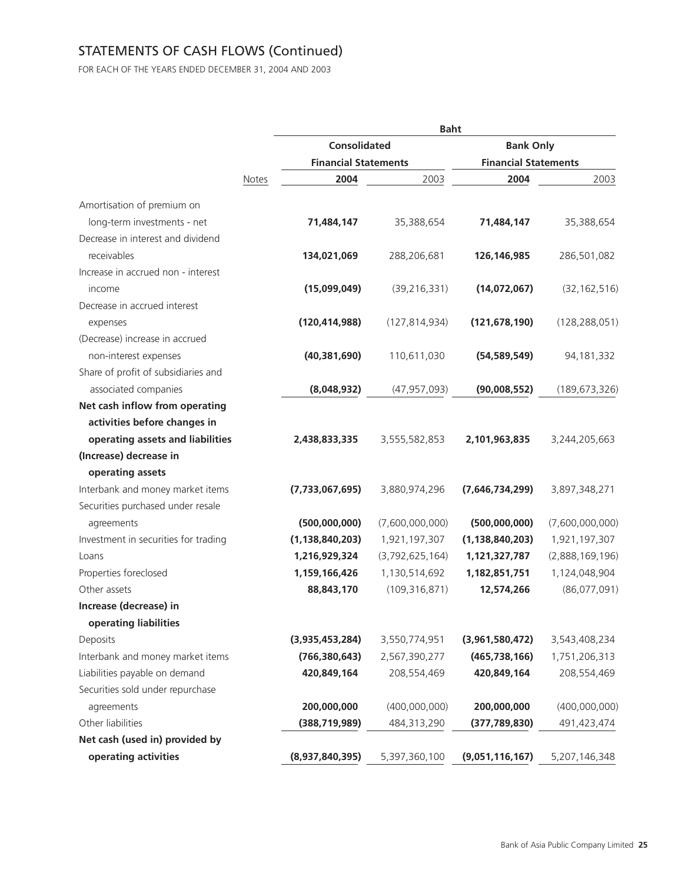# STATEMENTS OF CASH FLOWS (Continued)

FOR EACH OF THE YEARS ENDED DECEMBER 31, 2004 AND 2003

|                                      |       |                             | <b>Baht</b>     |                             |                              |
|--------------------------------------|-------|-----------------------------|-----------------|-----------------------------|------------------------------|
|                                      |       | <b>Consolidated</b>         |                 | <b>Bank Only</b>            |                              |
|                                      |       | <b>Financial Statements</b> |                 | <b>Financial Statements</b> |                              |
|                                      | Notes | 2004                        | 2003            | 2004                        | 2003                         |
| Amortisation of premium on           |       |                             |                 |                             |                              |
| long-term investments - net          |       | 71,484,147                  | 35,388,654      | 71,484,147                  | 35,388,654                   |
| Decrease in interest and dividend    |       |                             |                 |                             |                              |
| receivables                          |       | 134,021,069                 | 288,206,681     | 126, 146, 985               | 286,501,082                  |
| Increase in accrued non - interest   |       |                             |                 |                             |                              |
| income                               |       | (15,099,049)                | (39, 216, 331)  | (14,072,067)                | (32, 162, 516)               |
| Decrease in accrued interest         |       |                             |                 |                             |                              |
| expenses                             |       | (120, 414, 988)             | (127, 814, 934) | (121, 678, 190)             | (128, 288, 051)              |
| (Decrease) increase in accrued       |       |                             |                 |                             |                              |
| non-interest expenses                |       | (40, 381, 690)              | 110,611,030     | (54, 589, 549)              | 94,181,332                   |
| Share of profit of subsidiaries and  |       |                             |                 |                             |                              |
| associated companies                 |       | (8,048,932)                 | (47, 957, 093)  | (90,008,552)                | (189, 673, 326)              |
| Net cash inflow from operating       |       |                             |                 |                             |                              |
| activities before changes in         |       |                             |                 |                             |                              |
| operating assets and liabilities     |       | 2,438,833,335               | 3,555,582,853   | 2,101,963,835               | 3,244,205,663                |
| (Increase) decrease in               |       |                             |                 |                             |                              |
| operating assets                     |       |                             |                 |                             |                              |
| Interbank and money market items     |       | (7,733,067,695)             | 3,880,974,296   | (7,646,734,299)             | 3,897,348,271                |
| Securities purchased under resale    |       |                             |                 |                             |                              |
| agreements                           |       | (500,000,000)               | (7,600,000,000) | (500,000,000)               | (7,600,000,000)              |
| Investment in securities for trading |       | (1, 138, 840, 203)          | 1,921,197,307   | (1, 138, 840, 203)          | 1,921,197,307                |
| Loans                                |       | 1,216,929,324               | (3,792,625,164) | 1,121,327,787               | (2,888,169,196)              |
| Properties foreclosed                |       | 1,159,166,426               | 1,130,514,692   | 1,182,851,751               | 1,124,048,904                |
| Other assets                         |       | 88,843,170                  | (109, 316, 871) | 12,574,266                  | (86,077,091)                 |
| Increase (decrease) in               |       |                             |                 |                             |                              |
| operating liabilities                |       |                             |                 |                             |                              |
| Deposits                             |       | (3,935,453,284)             | 3,550,774,951   | (3,961,580,472)             | 3,543,408,234                |
| Interbank and money market items     |       | (766, 380, 643)             | 2,567,390,277   | (465, 738, 166)             | 1,751,206,313                |
| Liabilities payable on demand        |       | 420,849,164                 | 208,554,469     | 420,849,164                 | 208,554,469                  |
| Securities sold under repurchase     |       | 200,000,000                 | (400,000,000)   | 200,000,000                 |                              |
| agreements<br>Other liabilities      |       | (388, 719, 989)             | 484,313,290     | (377, 789, 830)             | (400,000,000)<br>491,423,474 |
| Net cash (used in) provided by       |       |                             |                 |                             |                              |
| operating activities                 |       | (8,937,840,395)             | 5,397,360,100   | (9,051,116,167)             | 5,207,146,348                |
|                                      |       |                             |                 |                             |                              |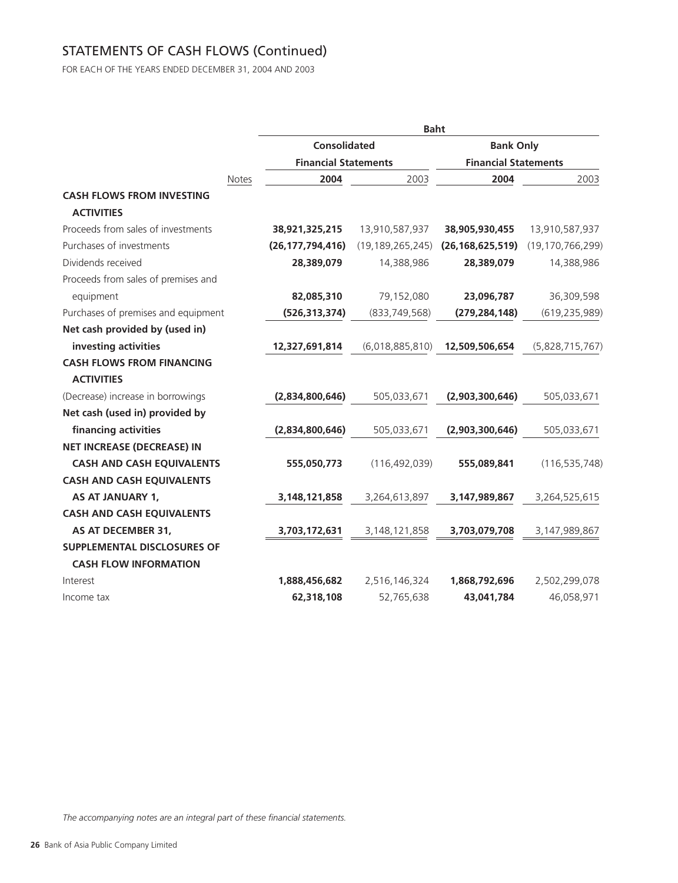# STATEMENTS OF CASH FLOWS (Continued)

FOR EACH OF THE YEARS ENDED DECEMBER 31, 2004 AND 2003

|                                     |                             | <b>Baht</b>         |                             |                     |
|-------------------------------------|-----------------------------|---------------------|-----------------------------|---------------------|
|                                     | <b>Consolidated</b>         |                     | <b>Bank Only</b>            |                     |
|                                     | <b>Financial Statements</b> |                     | <b>Financial Statements</b> |                     |
| Notes                               | 2004                        | 2003                | 2004                        | 2003                |
| <b>CASH FLOWS FROM INVESTING</b>    |                             |                     |                             |                     |
| <b>ACTIVITIES</b>                   |                             |                     |                             |                     |
| Proceeds from sales of investments  | 38,921,325,215              | 13,910,587,937      | 38,905,930,455              | 13,910,587,937      |
| Purchases of investments            | (26, 177, 794, 416)         | (19, 189, 265, 245) | (26, 168, 625, 519)         | (19, 170, 766, 299) |
| Dividends received                  | 28,389,079                  | 14,388,986          | 28,389,079                  | 14,388,986          |
| Proceeds from sales of premises and |                             |                     |                             |                     |
| equipment                           | 82,085,310                  | 79,152,080          | 23,096,787                  | 36,309,598          |
| Purchases of premises and equipment | (526, 313, 374)             | (833, 749, 568)     | (279, 284, 148)             | (619, 235, 989)     |
| Net cash provided by (used in)      |                             |                     |                             |                     |
| investing activities                | 12,327,691,814              | (6,018,885,810)     | 12,509,506,654              | (5,828,715,767)     |
| <b>CASH FLOWS FROM FINANCING</b>    |                             |                     |                             |                     |
| <b>ACTIVITIES</b>                   |                             |                     |                             |                     |
| (Decrease) increase in borrowings   | (2,834,800,646)             | 505,033,671         | (2,903,300,646)             | 505,033,671         |
| Net cash (used in) provided by      |                             |                     |                             |                     |
| financing activities                | (2,834,800,646)             | 505,033,671         | (2,903,300,646)             | 505,033,671         |
| <b>NET INCREASE (DECREASE) IN</b>   |                             |                     |                             |                     |
| <b>CASH AND CASH EQUIVALENTS</b>    | 555,050,773                 | (116, 492, 039)     | 555,089,841                 | (116, 535, 748)     |
| <b>CASH AND CASH EQUIVALENTS</b>    |                             |                     |                             |                     |
| <b>AS AT JANUARY 1,</b>             | 3,148,121,858               | 3,264,613,897       | 3,147,989,867               | 3,264,525,615       |
| <b>CASH AND CASH EQUIVALENTS</b>    |                             |                     |                             |                     |
| AS AT DECEMBER 31,                  | 3,703,172,631               | 3,148,121,858       | 3,703,079,708               | 3,147,989,867       |
| SUPPLEMENTAL DISCLOSURES OF         |                             |                     |                             |                     |
| <b>CASH FLOW INFORMATION</b>        |                             |                     |                             |                     |
| Interest                            | 1,888,456,682               | 2,516,146,324       | 1,868,792,696               | 2,502,299,078       |
| Income tax                          | 62,318,108                  | 52,765,638          | 43,041,784                  | 46,058,971          |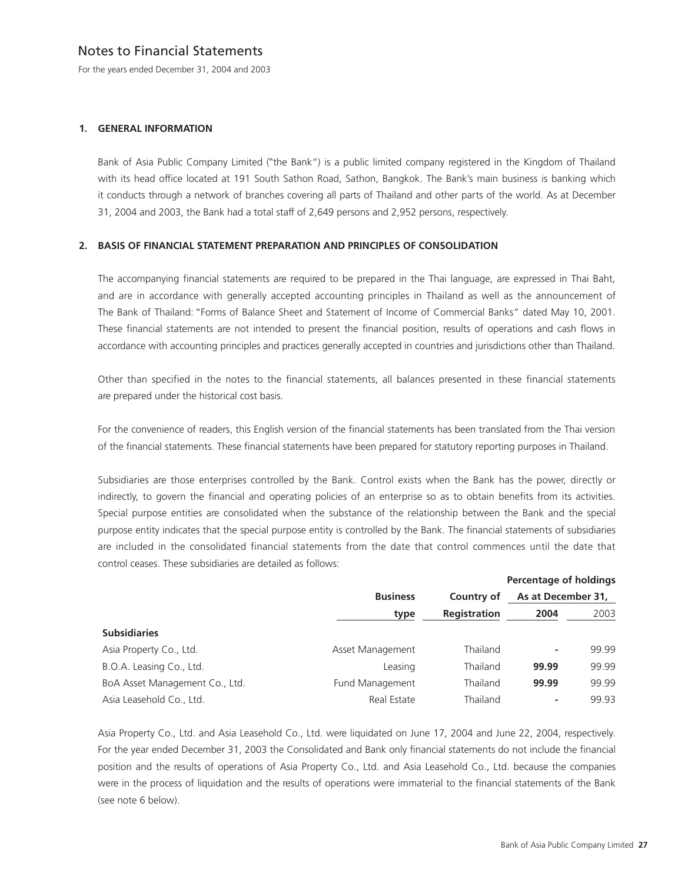## Notes to Financial Statements

For the years ended December 31, 2004 and 2003

### **1. GENERAL INFORMATION**

Bank of Asia Public Company Limited ("the Bank") is a public limited company registered in the Kingdom of Thailand with its head office located at 191 South Sathon Road, Sathon, Bangkok. The Bank's main business is banking which it conducts through a network of branches covering all parts of Thailand and other parts of the world. As at December 31, 2004 and 2003, the Bank had a total staff of 2,649 persons and 2,952 persons, respectively.

### **2. BASIS OF FINANCIAL STATEMENT PREPARATION AND PRINCIPLES OF CONSOLIDATION**

The accompanying financial statements are required to be prepared in the Thai language, are expressed in Thai Baht, and are in accordance with generally accepted accounting principles in Thailand as well as the announcement of The Bank of Thailand: "Forms of Balance Sheet and Statement of Income of Commercial Banks" dated May 10, 2001. These financial statements are not intended to present the financial position, results of operations and cash flows in accordance with accounting principles and practices generally accepted in countries and jurisdictions other than Thailand.

Other than specified in the notes to the financial statements, all balances presented in these financial statements are prepared under the historical cost basis.

For the convenience of readers, this English version of the financial statements has been translated from the Thai version of the financial statements. These financial statements have been prepared for statutory reporting purposes in Thailand.

Subsidiaries are those enterprises controlled by the Bank. Control exists when the Bank has the power, directly or indirectly, to govern the financial and operating policies of an enterprise so as to obtain benefits from its activities. Special purpose entities are consolidated when the substance of the relationship between the Bank and the special purpose entity indicates that the special purpose entity is controlled by the Bank. The financial statements of subsidiaries are included in the consolidated financial statements from the date that control commences until the date that control ceases. These subsidiaries are detailed as follows:

|                                |                  |                     | <b>Percentage of holdings</b> |       |
|--------------------------------|------------------|---------------------|-------------------------------|-------|
|                                | <b>Business</b>  | Country of          | As at December 31,            |       |
|                                | type             | <b>Registration</b> | 2004                          | 2003  |
| <b>Subsidiaries</b>            |                  |                     |                               |       |
| Asia Property Co., Ltd.        | Asset Management | Thailand            |                               | 99.99 |
| B.O.A. Leasing Co., Ltd.       | Leasing          | Thailand            | 99.99                         | 99.99 |
| BoA Asset Management Co., Ltd. | Fund Management  | Thailand            | 99.99                         | 99.99 |
| Asia Leasehold Co., Ltd.       | Real Estate      | Thailand            |                               | 99.93 |

Asia Property Co., Ltd. and Asia Leasehold Co., Ltd. were liquidated on June 17, 2004 and June 22, 2004, respectively. For the year ended December 31, 2003 the Consolidated and Bank only financial statements do not include the financial position and the results of operations of Asia Property Co., Ltd. and Asia Leasehold Co., Ltd. because the companies were in the process of liquidation and the results of operations were immaterial to the financial statements of the Bank (see note 6 below).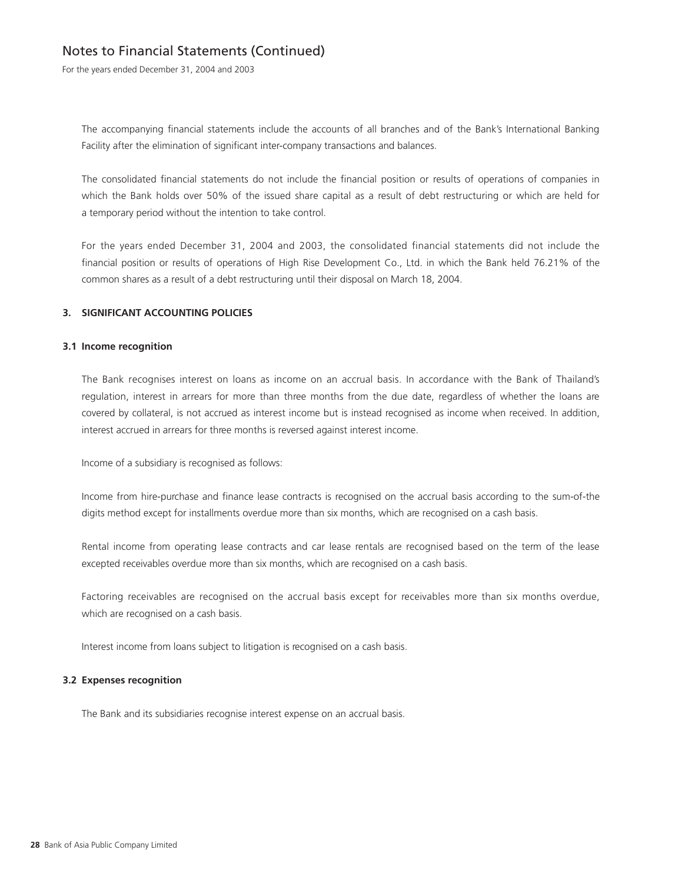For the years ended December 31, 2004 and 2003

The accompanying financial statements include the accounts of all branches and of the Bank's International Banking Facility after the elimination of significant inter-company transactions and balances.

The consolidated financial statements do not include the financial position or results of operations of companies in which the Bank holds over 50% of the issued share capital as a result of debt restructuring or which are held for a temporary period without the intention to take control.

For the years ended December 31, 2004 and 2003, the consolidated financial statements did not include the financial position or results of operations of High Rise Development Co., Ltd. in which the Bank held 76.21% of the common shares as a result of a debt restructuring until their disposal on March 18, 2004.

### **3. SIGNIFICANT ACCOUNTING POLICIES**

### **3.1 Income recognition**

The Bank recognises interest on loans as income on an accrual basis. In accordance with the Bank of Thailand's regulation, interest in arrears for more than three months from the due date, regardless of whether the loans are covered by collateral, is not accrued as interest income but is instead recognised as income when received. In addition, interest accrued in arrears for three months is reversed against interest income.

Income of a subsidiary is recognised as follows:

Income from hire-purchase and finance lease contracts is recognised on the accrual basis according to the sum-of-the digits method except for installments overdue more than six months, which are recognised on a cash basis.

Rental income from operating lease contracts and car lease rentals are recognised based on the term of the lease excepted receivables overdue more than six months, which are recognised on a cash basis.

Factoring receivables are recognised on the accrual basis except for receivables more than six months overdue, which are recognised on a cash basis.

Interest income from loans subject to litigation is recognised on a cash basis.

### **3.2 Expenses recognition**

The Bank and its subsidiaries recognise interest expense on an accrual basis.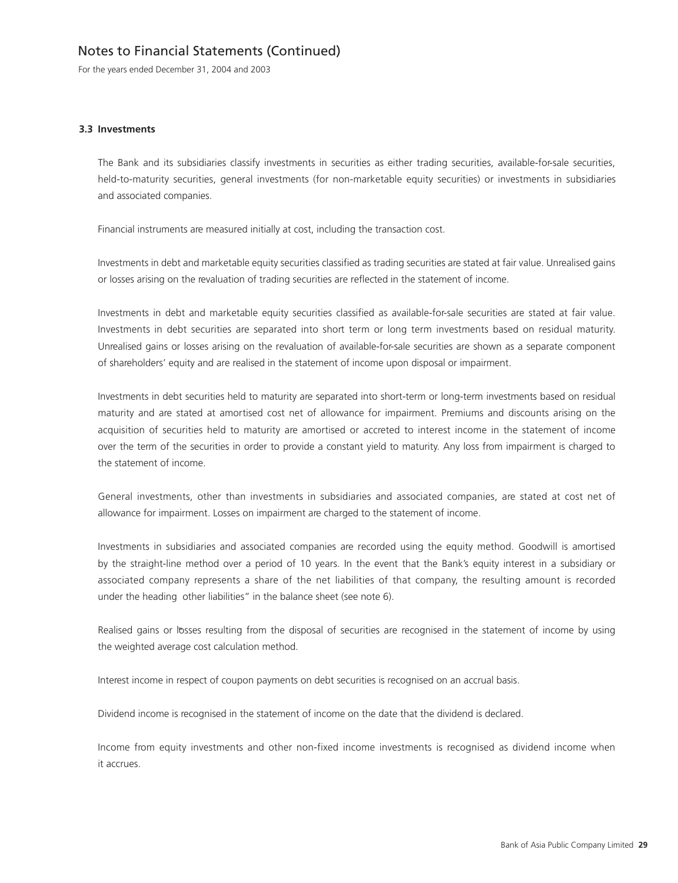For the years ended December 31, 2004 and 2003

### **3.3 Investments**

The Bank and its subsidiaries classify investments in securities as either trading securities, available-for-sale securities, held-to-maturity securities, general investments (for non-marketable equity securities) or investments in subsidiaries and associated companies.

Financial instruments are measured initially at cost, including the transaction cost.

Investments in debt and marketable equity securities classified as trading securities are stated at fair value. Unrealised gains or losses arising on the revaluation of trading securities are reflected in the statement of income.

Investments in debt and marketable equity securities classified as available-for-sale securities are stated at fair value. Investments in debt securities are separated into short term or long term investments based on residual maturity. Unrealised gains or losses arising on the revaluation of available-for-sale securities are shown as a separate component of shareholders' equity and are realised in the statement of income upon disposal or impairment.

Investments in debt securities held to maturity are separated into short-term or long-term investments based on residual maturity and are stated at amortised cost net of allowance for impairment. Premiums and discounts arising on the acquisition of securities held to maturity are amortised or accreted to interest income in the statement of income over the term of the securities in order to provide a constant yield to maturity. Any loss from impairment is charged to the statement of income.

General investments, other than investments in subsidiaries and associated companies, are stated at cost net of allowance for impairment. Losses on impairment are charged to the statement of income.

Investments in subsidiaries and associated companies are recorded using the equity method. Goodwill is amortised by the straight-line method over a period of 10 years. In the event that the Bank's equity interest in a subsidiary or associated company represents a share of the net liabilities of that company, the resulting amount is recorded under the heading other liabilities" in the balance sheet (see note 6).

Realised gains or losses resulting from the disposal of securities are recognised in the statement of income by using the weighted average cost calculation method.

Interest income in respect of coupon payments on debt securities is recognised on an accrual basis.

Dividend income is recognised in the statement of income on the date that the dividend is declared.

Income from equity investments and other non-fixed income investments is recognised as dividend income when it accrues.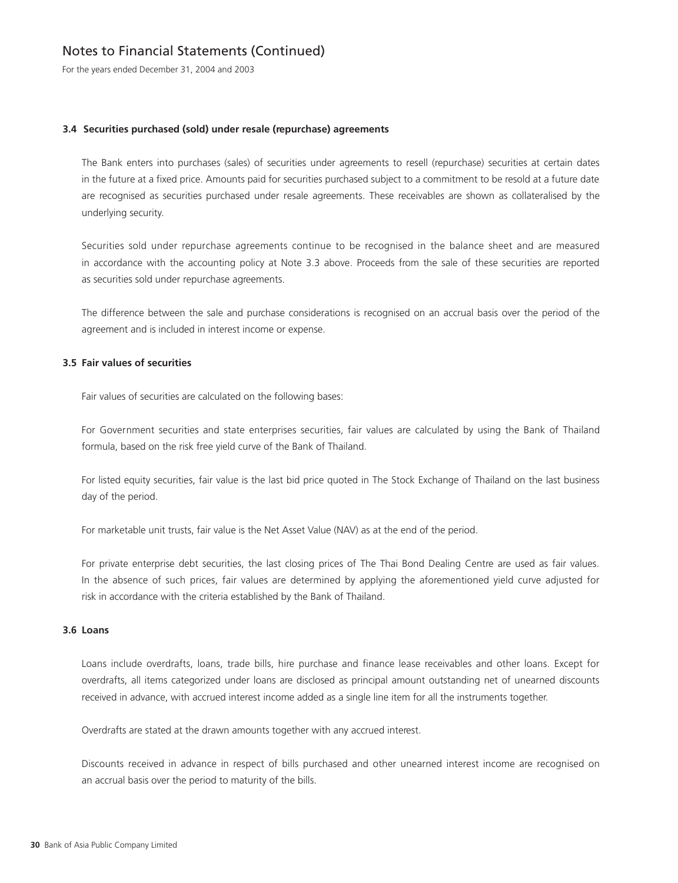For the years ended December 31, 2004 and 2003

### **3.4 Securities purchased (sold) under resale (repurchase) agreements**

The Bank enters into purchases (sales) of securities under agreements to resell (repurchase) securities at certain dates in the future at a fixed price. Amounts paid for securities purchased subject to a commitment to be resold at a future date are recognised as securities purchased under resale agreements. These receivables are shown as collateralised by the underlying security.

Securities sold under repurchase agreements continue to be recognised in the balance sheet and are measured in accordance with the accounting policy at Note 3.3 above. Proceeds from the sale of these securities are reported as securities sold under repurchase agreements.

The difference between the sale and purchase considerations is recognised on an accrual basis over the period of the agreement and is included in interest income or expense.

### **3.5 Fair values of securities**

Fair values of securities are calculated on the following bases:

For Government securities and state enterprises securities, fair values are calculated by using the Bank of Thailand formula, based on the risk free yield curve of the Bank of Thailand.

For listed equity securities, fair value is the last bid price quoted in The Stock Exchange of Thailand on the last business day of the period.

For marketable unit trusts, fair value is the Net Asset Value (NAV) as at the end of the period.

For private enterprise debt securities, the last closing prices of The Thai Bond Dealing Centre are used as fair values. In the absence of such prices, fair values are determined by applying the aforementioned yield curve adjusted for risk in accordance with the criteria established by the Bank of Thailand.

### **3.6 Loans**

Loans include overdrafts, loans, trade bills, hire purchase and finance lease receivables and other loans. Except for overdrafts, all items categorized under loans are disclosed as principal amount outstanding net of unearned discounts received in advance, with accrued interest income added as a single line item for all the instruments together.

Overdrafts are stated at the drawn amounts together with any accrued interest.

Discounts received in advance in respect of bills purchased and other unearned interest income are recognised on an accrual basis over the period to maturity of the bills.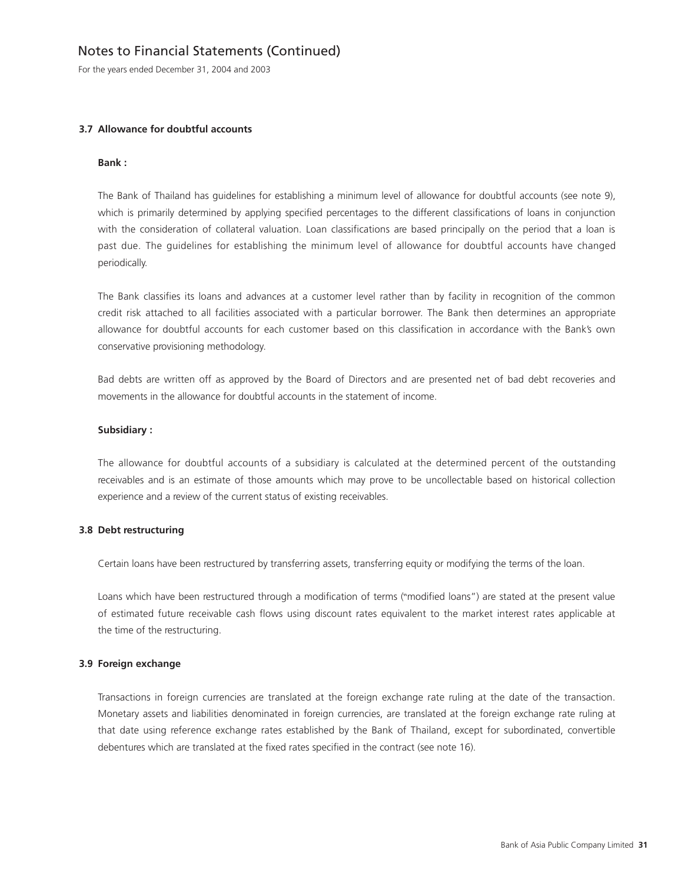For the years ended December 31, 2004 and 2003

### **3.7 Allowance for doubtful accounts**

#### **Bank :**

The Bank of Thailand has guidelines for establishing a minimum level of allowance for doubtful accounts (see note 9), which is primarily determined by applying specified percentages to the different classifications of loans in conjunction with the consideration of collateral valuation. Loan classifications are based principally on the period that a loan is past due. The guidelines for establishing the minimum level of allowance for doubtful accounts have changed periodically.

The Bank classifies its loans and advances at a customer level rather than by facility in recognition of the common credit risk attached to all facilities associated with a particular borrower. The Bank then determines an appropriate allowance for doubtful accounts for each customer based on this classification in accordance with the Bank's own conservative provisioning methodology.

Bad debts are written off as approved by the Board of Directors and are presented net of bad debt recoveries and movements in the allowance for doubtful accounts in the statement of income.

### **Subsidiary :**

The allowance for doubtful accounts of a subsidiary is calculated at the determined percent of the outstanding receivables and is an estimate of those amounts which may prove to be uncollectable based on historical collection experience and a review of the current status of existing receivables.

### **3.8 Debt restructuring**

Certain loans have been restructured by transferring assets, transferring equity or modifying the terms of the loan.

Loans which have been restructured through a modification of terms ("modified loans") are stated at the present value of estimated future receivable cash flows using discount rates equivalent to the market interest rates applicable at the time of the restructuring.

#### **3.9 Foreign exchange**

Transactions in foreign currencies are translated at the foreign exchange rate ruling at the date of the transaction. Monetary assets and liabilities denominated in foreign currencies, are translated at the foreign exchange rate ruling at that date using reference exchange rates established by the Bank of Thailand, except for subordinated, convertible debentures which are translated at the fixed rates specified in the contract (see note 16).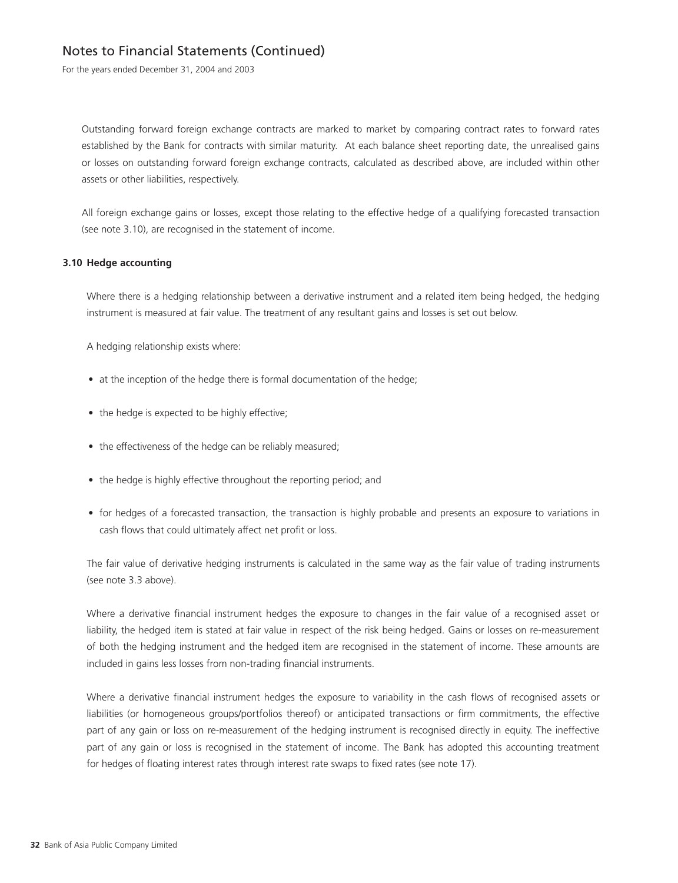For the years ended December 31, 2004 and 2003

Outstanding forward foreign exchange contracts are marked to market by comparing contract rates to forward rates established by the Bank for contracts with similar maturity. At each balance sheet reporting date, the unrealised gains or losses on outstanding forward foreign exchange contracts, calculated as described above, are included within other assets or other liabilities, respectively.

All foreign exchange gains or losses, except those relating to the effective hedge of a qualifying forecasted transaction (see note 3.10), are recognised in the statement of income.

### **3.10 Hedge accounting**

Where there is a hedging relationship between a derivative instrument and a related item being hedged, the hedging instrument is measured at fair value. The treatment of any resultant gains and losses is set out below.

A hedging relationship exists where:

- at the inception of the hedge there is formal documentation of the hedge;
- the hedge is expected to be highly effective;
- the effectiveness of the hedge can be reliably measured;
- the hedge is highly effective throughout the reporting period; and
- for hedges of a forecasted transaction, the transaction is highly probable and presents an exposure to variations in cash flows that could ultimately affect net profit or loss.

The fair value of derivative hedging instruments is calculated in the same way as the fair value of trading instruments (see note 3.3 above).

Where a derivative financial instrument hedges the exposure to changes in the fair value of a recognised asset or liability, the hedged item is stated at fair value in respect of the risk being hedged. Gains or losses on re-measurement of both the hedging instrument and the hedged item are recognised in the statement of income. These amounts are included in gains less losses from non-trading financial instruments.

Where a derivative financial instrument hedges the exposure to variability in the cash flows of recognised assets or liabilities (or homogeneous groups/portfolios thereof) or anticipated transactions or firm commitments, the effective part of any gain or loss on re-measurement of the hedging instrument is recognised directly in equity. The ineffective part of any gain or loss is recognised in the statement of income. The Bank has adopted this accounting treatment for hedges of floating interest rates through interest rate swaps to fixed rates (see note 17).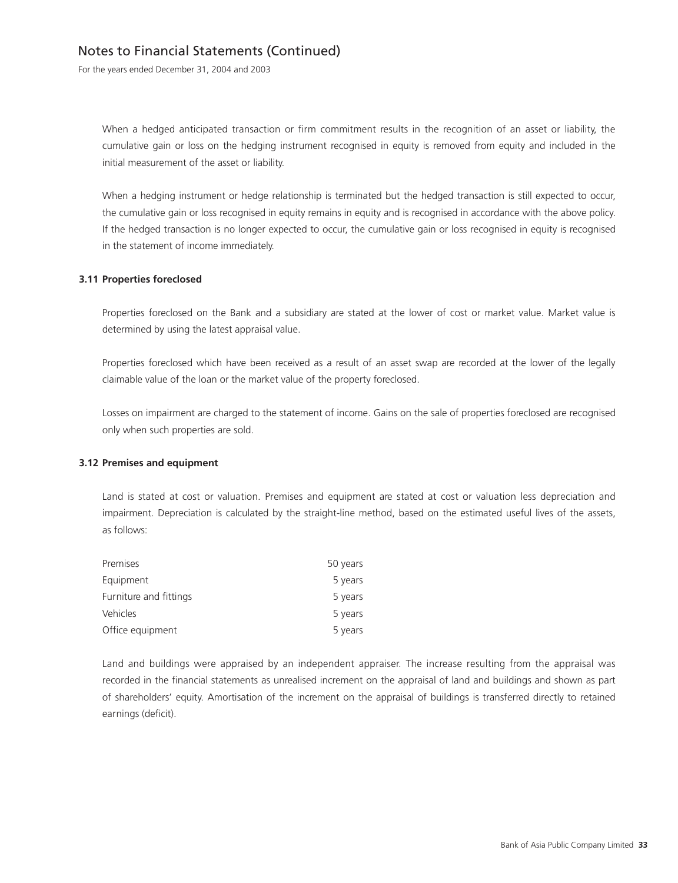For the years ended December 31, 2004 and 2003

When a hedged anticipated transaction or firm commitment results in the recognition of an asset or liability, the cumulative gain or loss on the hedging instrument recognised in equity is removed from equity and included in the initial measurement of the asset or liability.

When a hedging instrument or hedge relationship is terminated but the hedged transaction is still expected to occur, the cumulative gain or loss recognised in equity remains in equity and is recognised in accordance with the above policy. If the hedged transaction is no longer expected to occur, the cumulative gain or loss recognised in equity is recognised in the statement of income immediately.

### **3.11 Properties foreclosed**

Properties foreclosed on the Bank and a subsidiary are stated at the lower of cost or market value. Market value is determined by using the latest appraisal value.

Properties foreclosed which have been received as a result of an asset swap are recorded at the lower of the legally claimable value of the loan or the market value of the property foreclosed.

Losses on impairment are charged to the statement of income. Gains on the sale of properties foreclosed are recognised only when such properties are sold.

#### **3.12 Premises and equipment**

Land is stated at cost or valuation. Premises and equipment are stated at cost or valuation less depreciation and impairment. Depreciation is calculated by the straight-line method, based on the estimated useful lives of the assets, as follows:

| Premises               | 50 years |
|------------------------|----------|
| Equipment              | 5 years  |
| Furniture and fittings | 5 years  |
| Vehicles               | 5 years  |
| Office equipment       | 5 years  |

Land and buildings were appraised by an independent appraiser. The increase resulting from the appraisal was recorded in the financial statements as unrealised increment on the appraisal of land and buildings and shown as part of shareholders' equity. Amortisation of the increment on the appraisal of buildings is transferred directly to retained earnings (deficit).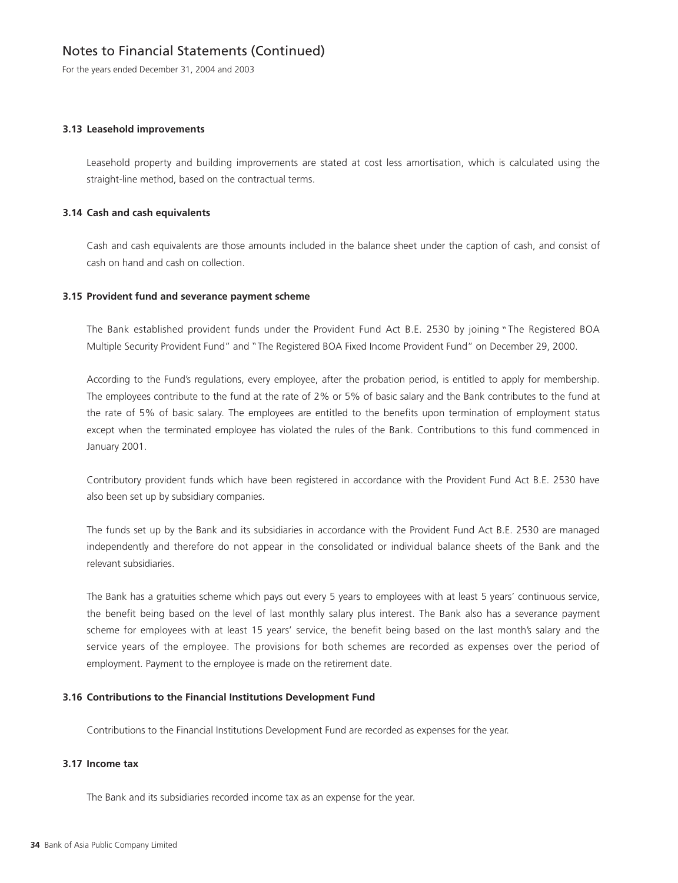For the years ended December 31, 2004 and 2003

### **3.13 Leasehold improvements**

Leasehold property and building improvements are stated at cost less amortisation, which is calculated using the straight-line method, based on the contractual terms.

### **3.14 Cash and cash equivalents**

Cash and cash equivalents are those amounts included in the balance sheet under the caption of cash, and consist of cash on hand and cash on collection.

### **3.15 Provident fund and severance payment scheme**

The Bank established provident funds under the Provident Fund Act B.E. 2530 by joining "The Registered BOA Multiple Security Provident Fund" and "The Registered BOA Fixed Income Provident Fund" on December 29, 2000.

According to the Fund's regulations, every employee, after the probation period, is entitled to apply for membership. The employees contribute to the fund at the rate of 2% or 5% of basic salary and the Bank contributes to the fund at the rate of 5% of basic salary. The employees are entitled to the benefits upon termination of employment status except when the terminated employee has violated the rules of the Bank. Contributions to this fund commenced in January 2001.

Contributory provident funds which have been registered in accordance with the Provident Fund Act B.E. 2530 have also been set up by subsidiary companies.

The funds set up by the Bank and its subsidiaries in accordance with the Provident Fund Act B.E. 2530 are managed independently and therefore do not appear in the consolidated or individual balance sheets of the Bank and the relevant subsidiaries.

The Bank has a gratuities scheme which pays out every 5 years to employees with at least 5 years' continuous service, the benefit being based on the level of last monthly salary plus interest. The Bank also has a severance payment scheme for employees with at least 15 years' service, the benefit being based on the last month's salary and the service years of the employee. The provisions for both schemes are recorded as expenses over the period of employment. Payment to the employee is made on the retirement date.

### **3.16 Contributions to the Financial Institutions Development Fund**

Contributions to the Financial Institutions Development Fund are recorded as expenses for the year.

### **3.17 Income tax**

The Bank and its subsidiaries recorded income tax as an expense for the year.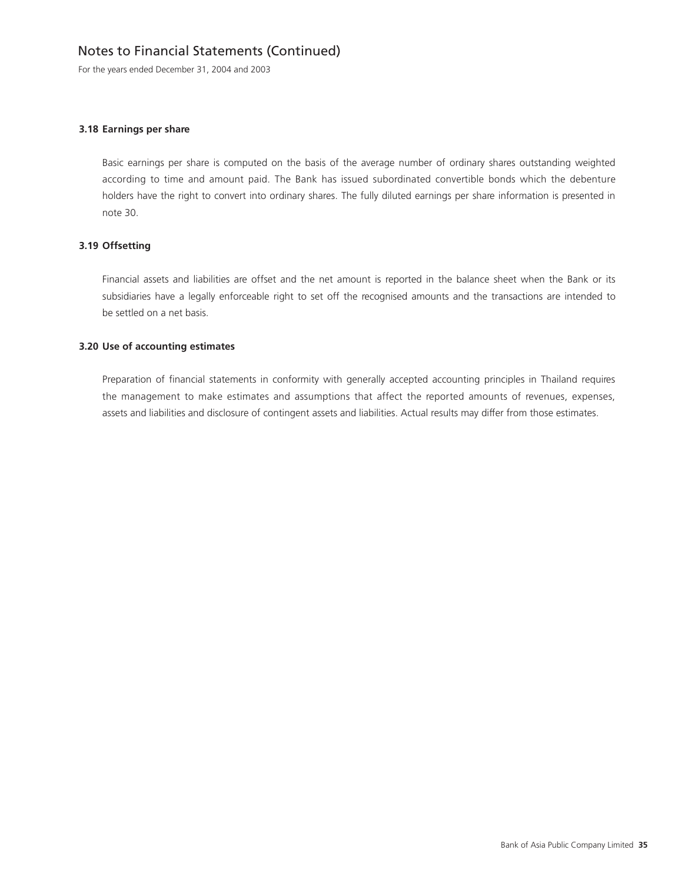For the years ended December 31, 2004 and 2003

#### **3.18 Earnings per share**

Basic earnings per share is computed on the basis of the average number of ordinary shares outstanding weighted according to time and amount paid. The Bank has issued subordinated convertible bonds which the debenture holders have the right to convert into ordinary shares. The fully diluted earnings per share information is presented in note 30.

### **3.19 Offsetting**

Financial assets and liabilities are offset and the net amount is reported in the balance sheet when the Bank or its subsidiaries have a legally enforceable right to set off the recognised amounts and the transactions are intended to be settled on a net basis.

### **3.20 Use of accounting estimates**

Preparation of financial statements in conformity with generally accepted accounting principles in Thailand requires the management to make estimates and assumptions that affect the reported amounts of revenues, expenses, assets and liabilities and disclosure of contingent assets and liabilities. Actual results may differ from those estimates.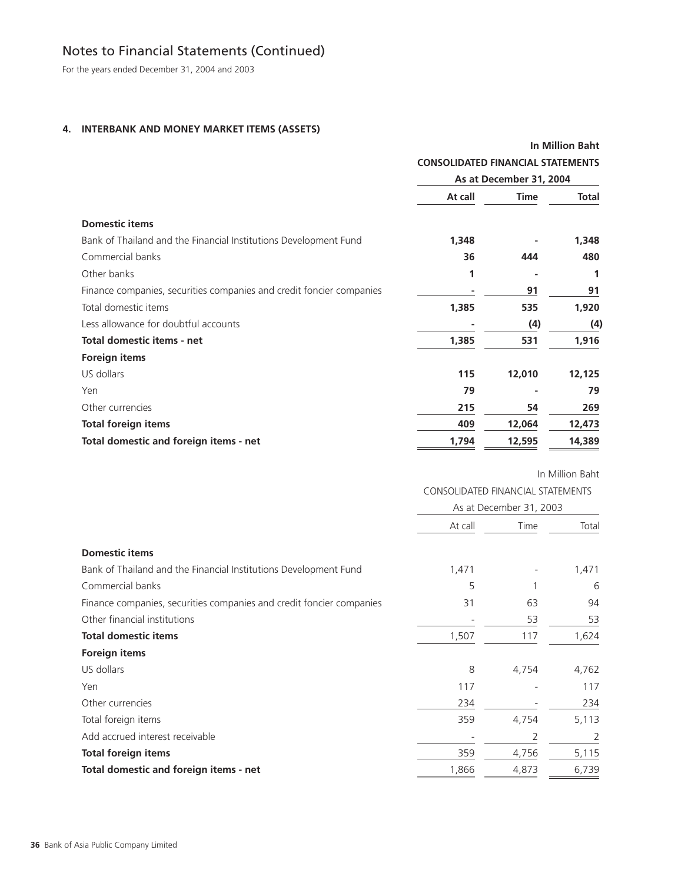For the years ended December 31, 2004 and 2003

### **4. INTERBANK AND MONEY MARKET ITEMS (ASSETS)**

|                                                                      |         | <b>In Million Baht</b><br><b>CONSOLIDATED FINANCIAL STATEMENTS</b><br>As at December 31, 2004 |        |  |
|----------------------------------------------------------------------|---------|-----------------------------------------------------------------------------------------------|--------|--|
|                                                                      |         |                                                                                               |        |  |
|                                                                      |         |                                                                                               |        |  |
|                                                                      | At call | Time                                                                                          | Total  |  |
| <b>Domestic items</b>                                                |         |                                                                                               |        |  |
| Bank of Thailand and the Financial Institutions Development Fund     | 1,348   |                                                                                               | 1,348  |  |
| Commercial banks                                                     | 36      | 444                                                                                           | 480    |  |
| Other banks                                                          | 1       |                                                                                               | 1      |  |
| Finance companies, securities companies and credit foncier companies |         | 91                                                                                            | 91     |  |
| Total domestic items                                                 | 1,385   | 535                                                                                           | 1,920  |  |
| Less allowance for doubtful accounts                                 |         | (4)                                                                                           | (4)    |  |
| Total domestic items - net                                           | 1,385   | 531                                                                                           | 1,916  |  |
| <b>Foreign items</b>                                                 |         |                                                                                               |        |  |
| US dollars                                                           | 115     | 12,010                                                                                        | 12,125 |  |
| Yen                                                                  | 79      |                                                                                               | 79     |  |
| Other currencies                                                     | 215     | 54                                                                                            | 269    |  |
| <b>Total foreign items</b>                                           | 409     | 12,064                                                                                        | 12,473 |  |
| Total domestic and foreign items - net                               | 1,794   | 12,595                                                                                        | 14,389 |  |

In Million Baht

### CONSOLIDATED FINANCIAL STATEMENTS

|                                                                      | As at December 31, 2003 |       |       |
|----------------------------------------------------------------------|-------------------------|-------|-------|
|                                                                      | At call                 | Time  | Total |
| <b>Domestic items</b>                                                |                         |       |       |
| Bank of Thailand and the Financial Institutions Development Fund     | 1,471                   |       | 1,471 |
| Commercial banks                                                     | 5                       |       | 6     |
| Finance companies, securities companies and credit foncier companies | 31                      | 63    | 94    |
| Other financial institutions                                         |                         | 53    | 53    |
| <b>Total domestic items</b>                                          | 1,507                   | 117   | 1,624 |
| <b>Foreign items</b>                                                 |                         |       |       |
| US dollars                                                           | 8                       | 4,754 | 4,762 |
| Yen                                                                  | 117                     |       | 117   |
| Other currencies                                                     | 234                     |       | 234   |
| Total foreign items                                                  | 359                     | 4,754 | 5,113 |
| Add accrued interest receivable                                      |                         | 2     | 2     |
| <b>Total foreign items</b>                                           | 359                     | 4,756 | 5,115 |
| Total domestic and foreign items - net                               | 1,866                   | 4,873 | 6,739 |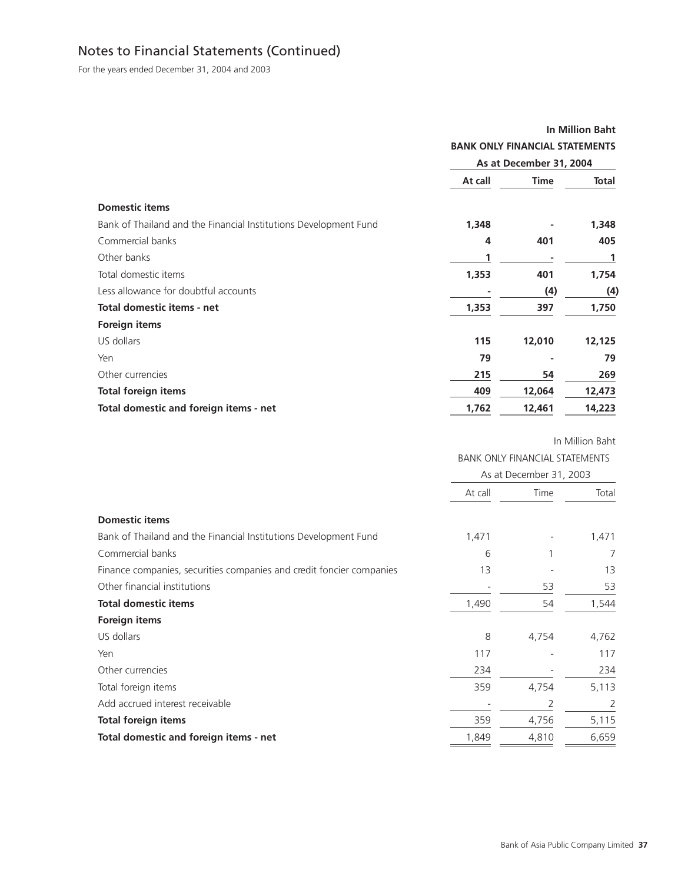For the years ended December 31, 2004 and 2003

|                                                                  | <b>In Million Baht</b>                |             |              |
|------------------------------------------------------------------|---------------------------------------|-------------|--------------|
|                                                                  | <b>BANK ONLY FINANCIAL STATEMENTS</b> |             |              |
|                                                                  | As at December 31, 2004               |             |              |
|                                                                  | At call                               | <b>Time</b> | <b>Total</b> |
| <b>Domestic items</b>                                            |                                       |             |              |
| Bank of Thailand and the Financial Institutions Development Fund | 1,348                                 |             | 1,348        |
| Commercial banks                                                 | 4                                     | 401         | 405          |
| Other banks                                                      | 1                                     |             | 1            |
| Total domestic items                                             | 1,353                                 | 401         | 1,754        |
| Less allowance for doubtful accounts                             |                                       | (4)         | (4)          |
| <b>Total domestic items - net</b>                                | 1,353                                 | 397         | 1,750        |
| Foreign items                                                    |                                       |             |              |
| US dollars                                                       | 115                                   | 12,010      | 12,125       |
| Yen                                                              | 79                                    |             | 79           |
| Other currencies                                                 | 215                                   | 54          | 269          |
| <b>Total foreign items</b>                                       | 409                                   | 12,064      | 12,473       |
| Total domestic and foreign items - net                           | 1,762                                 | 12,461      | 14,223       |

|                                                                      | <b>BANK ONLY FINANCIAL STATEMENTS</b> |       |       |  |
|----------------------------------------------------------------------|---------------------------------------|-------|-------|--|
|                                                                      | As at December 31, 2003               |       |       |  |
|                                                                      | At call                               | Time  | Total |  |
| <b>Domestic items</b>                                                |                                       |       |       |  |
| Bank of Thailand and the Financial Institutions Development Fund     | 1,471                                 |       | 1,471 |  |
| Commercial banks                                                     | 6                                     |       | 7     |  |
| Finance companies, securities companies and credit foncier companies | 13                                    |       | 13    |  |
| Other financial institutions                                         |                                       | 53    | 53    |  |
| <b>Total domestic items</b>                                          | 1,490                                 | 54    | 1,544 |  |
| <b>Foreign items</b>                                                 |                                       |       |       |  |
| US dollars                                                           | 8                                     | 4,754 | 4,762 |  |
| Yen                                                                  | 117                                   |       | 117   |  |
| Other currencies                                                     | 234                                   |       | 234   |  |
| Total foreign items                                                  | 359                                   | 4,754 | 5,113 |  |
| Add accrued interest receivable                                      |                                       | 2     | 2     |  |
| <b>Total foreign items</b>                                           | 359                                   | 4,756 | 5,115 |  |
| Total domestic and foreign items - net                               | 1,849                                 | 4,810 | 6,659 |  |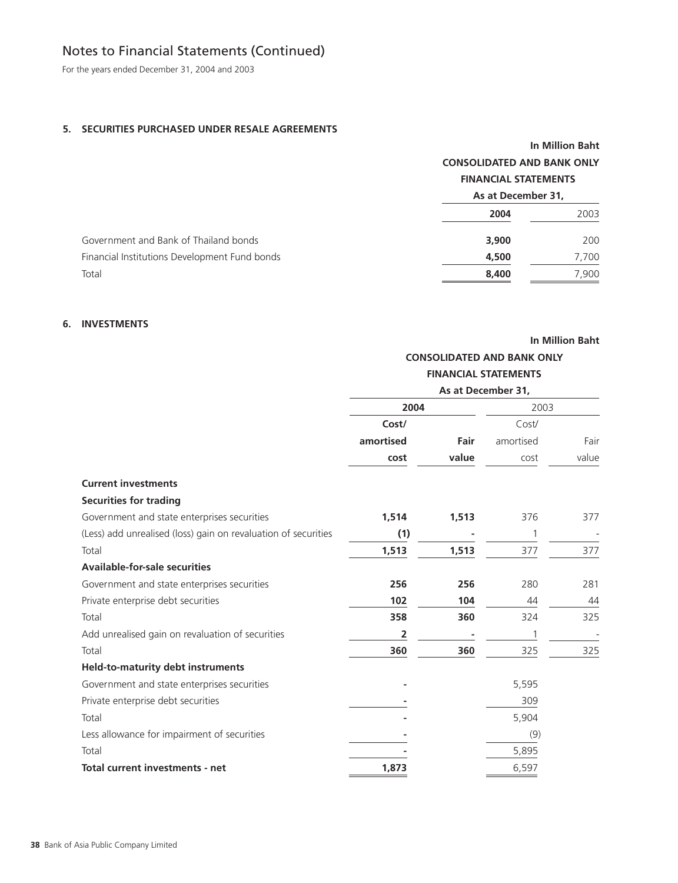For the years ended December 31, 2004 and 2003

### **5. SECURITIES PURCHASED UNDER RESALE AGREEMENTS**

|                                               | <b>In Million Baht</b>                            |       |  |  |
|-----------------------------------------------|---------------------------------------------------|-------|--|--|
|                                               | <b>CONSOLIDATED AND BANK ONLY</b>                 |       |  |  |
|                                               | <b>FINANCIAL STATEMENTS</b><br>As at December 31, |       |  |  |
|                                               |                                                   |       |  |  |
|                                               | 2004                                              | 2003  |  |  |
| Government and Bank of Thailand bonds         | 3,900                                             | 200   |  |  |
| Financial Institutions Development Fund bonds | 4,500                                             | 7,700 |  |  |
| Total                                         | 8,400                                             | 7,900 |  |  |
|                                               |                                                   |       |  |  |

### **6. INVESTMENTS**

**In Million Baht**

## **CONSOLIDATED AND BANK ONLY FINANCIAL STATEMENTS**

|                                                                |           |       | As at December 31, |       |  |
|----------------------------------------------------------------|-----------|-------|--------------------|-------|--|
|                                                                | 2004      |       | 2003               |       |  |
|                                                                | Cost/     |       | Cost/              |       |  |
|                                                                | amortised | Fair  | amortised          | Fair  |  |
|                                                                | cost      | value | cost               | value |  |
| <b>Current investments</b>                                     |           |       |                    |       |  |
| <b>Securities for trading</b>                                  |           |       |                    |       |  |
| Government and state enterprises securities                    | 1,514     | 1,513 | 376                | 377   |  |
| (Less) add unrealised (loss) gain on revaluation of securities | (1)       |       | 1                  |       |  |
| Total                                                          | 1,513     | 1,513 | 377                | 377   |  |
| <b>Available-for-sale securities</b>                           |           |       |                    |       |  |
| Government and state enterprises securities                    | 256       | 256   | 280                | 281   |  |
| Private enterprise debt securities                             | 102       | 104   | 44                 | 44    |  |
| Total                                                          | 358       | 360   | 324                | 325   |  |
| Add unrealised gain on revaluation of securities               | 2         |       |                    |       |  |
| Total                                                          | 360       | 360   | 325                | 325   |  |
| <b>Held-to-maturity debt instruments</b>                       |           |       |                    |       |  |
| Government and state enterprises securities                    |           |       | 5,595              |       |  |
| Private enterprise debt securities                             |           |       | 309                |       |  |
| Total                                                          |           |       | 5,904              |       |  |
| Less allowance for impairment of securities                    |           |       | (9)                |       |  |
| Total                                                          |           |       | 5,895              |       |  |
| Total current investments - net                                | 1,873     |       | 6,597              |       |  |
|                                                                |           |       |                    |       |  |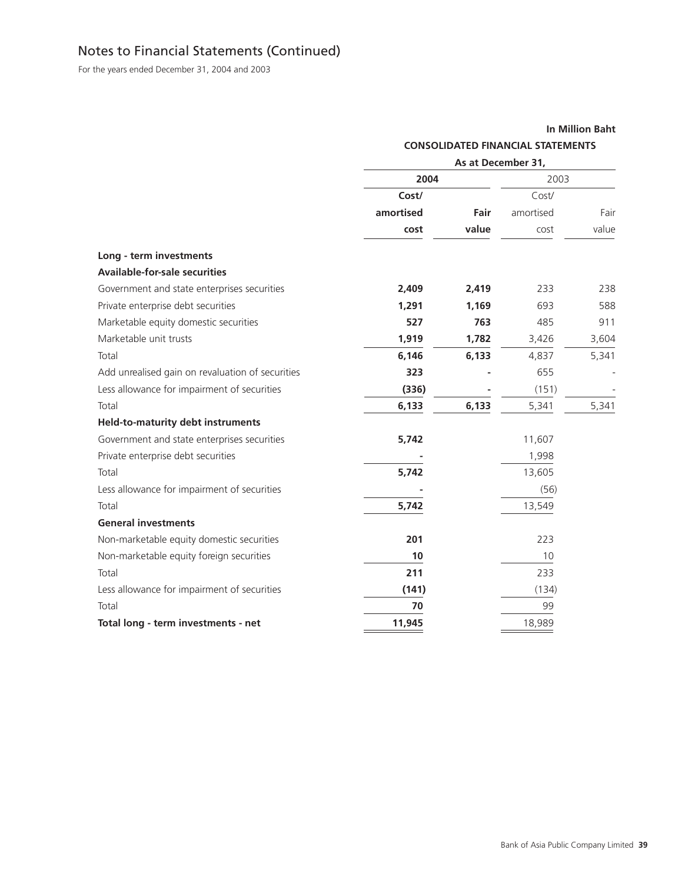For the years ended December 31, 2004 and 2003

### **In Million Baht**

### **CONSOLIDATED FINANCIAL STATEMENTS**

|                                                  | As at December 31, |       |           |       |
|--------------------------------------------------|--------------------|-------|-----------|-------|
|                                                  | 2004               |       | 2003      |       |
|                                                  | Cost/              |       | Cost/     |       |
|                                                  | amortised          | Fair  | amortised | Fair  |
|                                                  | cost               | value | cost      | value |
| Long - term investments                          |                    |       |           |       |
| <b>Available-for-sale securities</b>             |                    |       |           |       |
| Government and state enterprises securities      | 2,409              | 2,419 | 233       | 238   |
| Private enterprise debt securities               | 1,291              | 1,169 | 693       | 588   |
| Marketable equity domestic securities            | 527                | 763   | 485       | 911   |
| Marketable unit trusts                           | 1,919              | 1,782 | 3,426     | 3,604 |
| Total                                            | 6,146              | 6,133 | 4,837     | 5,341 |
| Add unrealised gain on revaluation of securities | 323                |       | 655       |       |
| Less allowance for impairment of securities      | (336)              |       | (151)     |       |
| Total                                            | 6,133              | 6,133 | 5,341     | 5,341 |
| <b>Held-to-maturity debt instruments</b>         |                    |       |           |       |
| Government and state enterprises securities      | 5,742              |       | 11,607    |       |
| Private enterprise debt securities               |                    |       | 1,998     |       |
| Total                                            | 5,742              |       | 13,605    |       |
| Less allowance for impairment of securities      |                    |       | (56)      |       |
| Total                                            | 5,742              |       | 13,549    |       |
| <b>General investments</b>                       |                    |       |           |       |
| Non-marketable equity domestic securities        | 201                |       | 223       |       |
| Non-marketable equity foreign securities         | 10                 |       | 10        |       |
| Total                                            | 211                |       | 233       |       |
| Less allowance for impairment of securities      | (141)              |       | (134)     |       |
| Total                                            | 70                 |       | 99        |       |
| Total long - term investments - net              | 11,945             |       | 18,989    |       |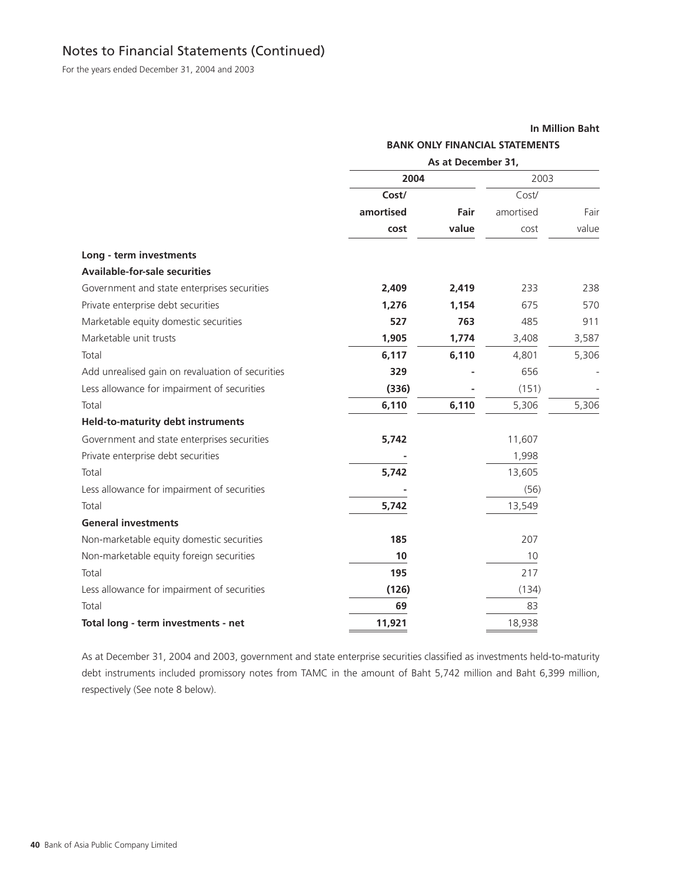For the years ended December 31, 2004 and 2003

### **In Million Baht**

|                                                  | <b>BANK ONLY FINANCIAL STATEMENTS</b> |       |           |       |
|--------------------------------------------------|---------------------------------------|-------|-----------|-------|
|                                                  | As at December 31,                    |       |           |       |
|                                                  | 2004                                  |       | 2003      |       |
|                                                  | Cost/                                 |       | Cost/     |       |
|                                                  | amortised                             | Fair  | amortised | Fair  |
|                                                  | cost                                  | value | cost      | value |
| Long - term investments                          |                                       |       |           |       |
| <b>Available-for-sale securities</b>             |                                       |       |           |       |
| Government and state enterprises securities      | 2,409                                 | 2,419 | 233       | 238   |
| Private enterprise debt securities               | 1,276                                 | 1,154 | 675       | 570   |
| Marketable equity domestic securities            | 527                                   | 763   | 485       | 911   |
| Marketable unit trusts                           | 1,905                                 | 1,774 | 3,408     | 3,587 |
| Total                                            | 6,117                                 | 6,110 | 4,801     | 5,306 |
| Add unrealised gain on revaluation of securities | 329                                   |       | 656       |       |
| Less allowance for impairment of securities      | (336)                                 |       | (151)     |       |
| Total                                            | 6,110                                 | 6,110 | 5,306     | 5,306 |
| <b>Held-to-maturity debt instruments</b>         |                                       |       |           |       |
| Government and state enterprises securities      | 5,742                                 |       | 11,607    |       |
| Private enterprise debt securities               |                                       |       | 1,998     |       |
| Total                                            | 5,742                                 |       | 13,605    |       |
| Less allowance for impairment of securities      |                                       |       | (56)      |       |
| Total                                            | 5,742                                 |       | 13,549    |       |
| <b>General investments</b>                       |                                       |       |           |       |
| Non-marketable equity domestic securities        | 185                                   |       | 207       |       |
| Non-marketable equity foreign securities         | 10                                    |       | 10        |       |
| Total                                            | 195                                   |       | 217       |       |
| Less allowance for impairment of securities      | (126)                                 |       | (134)     |       |
| Total                                            | 69                                    |       | 83        |       |
| Total long - term investments - net              | 11,921                                |       | 18,938    |       |

As at December 31, 2004 and 2003, government and state enterprise securities classified as investments held-to-maturity debt instruments included promissory notes from TAMC in the amount of Baht 5,742 million and Baht 6,399 million, respectively (See note 8 below).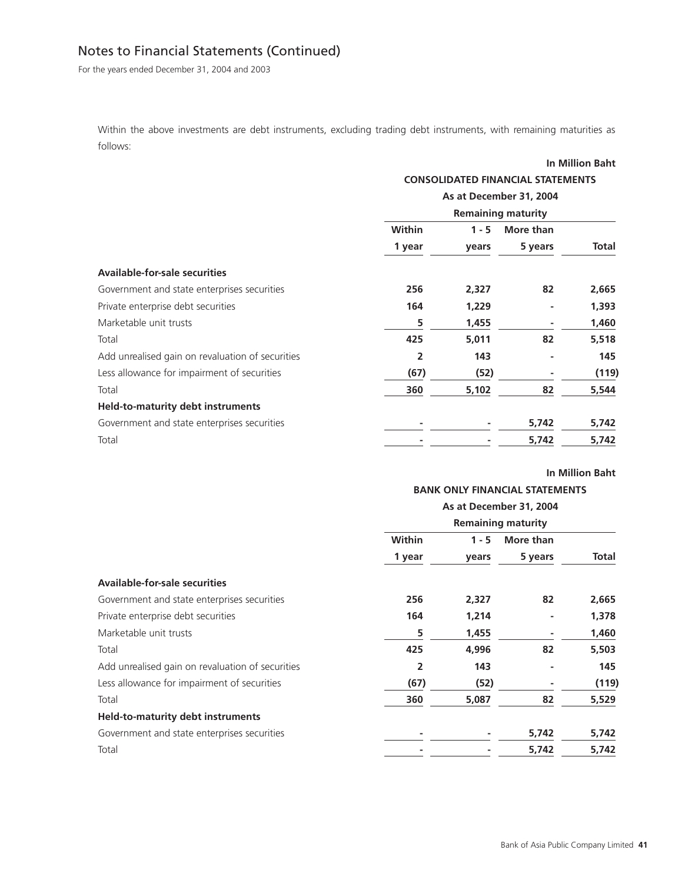For the years ended December 31, 2004 and 2003

Within the above investments are debt instruments, excluding trading debt instruments, with remaining maturities as follows:

|                                                  |                                          |         |                           | In Million Baht |
|--------------------------------------------------|------------------------------------------|---------|---------------------------|-----------------|
|                                                  | <b>CONSOLIDATED FINANCIAL STATEMENTS</b> |         |                           |                 |
|                                                  | As at December 31, 2004                  |         |                           |                 |
|                                                  |                                          |         | <b>Remaining maturity</b> |                 |
|                                                  | Within                                   | $1 - 5$ | More than                 |                 |
|                                                  | 1 year                                   | vears   | 5 years                   | Total           |
| <b>Available-for-sale securities</b>             |                                          |         |                           |                 |
| Government and state enterprises securities      | 256                                      | 2,327   | 82                        | 2,665           |
| Private enterprise debt securities               | 164                                      | 1,229   |                           | 1,393           |
| Marketable unit trusts                           | 5                                        | 1,455   |                           | 1,460           |
| Total                                            | 425                                      | 5,011   | 82                        | 5,518           |
| Add unrealised gain on revaluation of securities | 2                                        | 143     |                           | 145             |
| Less allowance for impairment of securities      | (67)                                     | (52)    | ٠                         | (119)           |
| Total                                            | 360                                      | 5,102   | 82                        | 5,544           |
| <b>Held-to-maturity debt instruments</b>         |                                          |         |                           |                 |
| Government and state enterprises securities      |                                          |         | 5,742                     | 5,742           |
| Total                                            |                                          |         | 5,742                     | 5,742           |

### **In Million Baht**

### **BANK ONLY FINANCIAL STATEMENTS**

|                                                  | As at December 31, 2004<br><b>Remaining maturity</b> |         |           |              |
|--------------------------------------------------|------------------------------------------------------|---------|-----------|--------------|
|                                                  |                                                      |         |           |              |
|                                                  | Within                                               | $1 - 5$ | More than |              |
|                                                  | 1 year                                               | years   | 5 years   | <b>Total</b> |
| <b>Available-for-sale securities</b>             |                                                      |         |           |              |
| Government and state enterprises securities      | 256                                                  | 2,327   | 82        | 2,665        |
| Private enterprise debt securities               | 164                                                  | 1,214   |           | 1,378        |
| Marketable unit trusts                           | 5                                                    | 1,455   |           | 1,460        |
| Total                                            | 425                                                  | 4,996   | 82        | 5,503        |
| Add unrealised gain on revaluation of securities | 2                                                    | 143     |           | 145          |
| Less allowance for impairment of securities      | (67)                                                 | (52)    |           | (119)        |
| Total                                            | 360                                                  | 5,087   | 82        | 5,529        |
| <b>Held-to-maturity debt instruments</b>         |                                                      |         |           |              |
| Government and state enterprises securities      |                                                      |         | 5,742     | 5,742        |
| Total                                            |                                                      |         | 5,742     | 5,742        |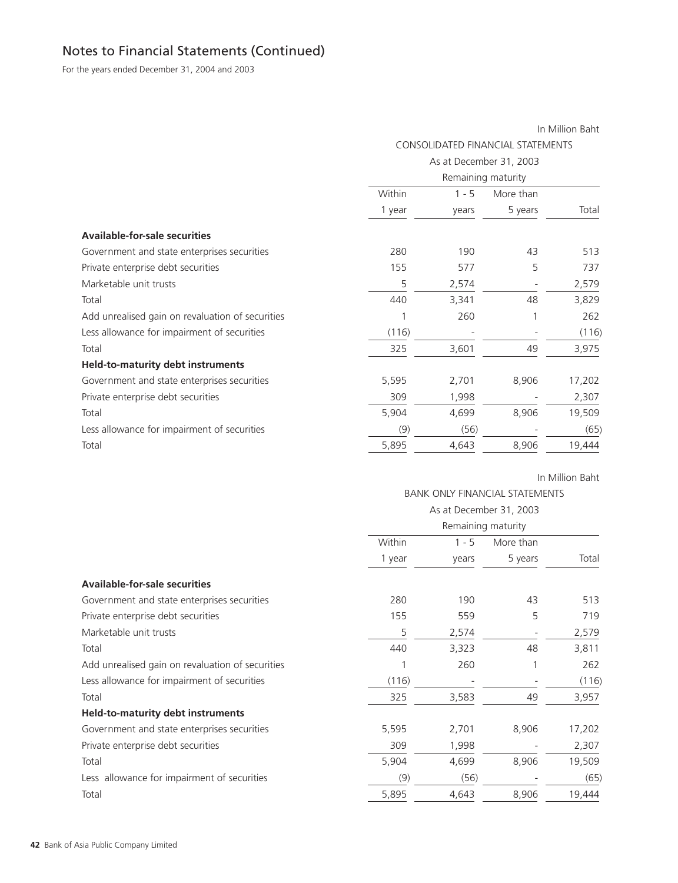For the years ended December 31, 2004 and 2003

| In Million Baht                   |         |           |                                               |
|-----------------------------------|---------|-----------|-----------------------------------------------|
| CONSOLIDATED FINANCIAL STATEMENTS |         |           |                                               |
|                                   |         |           |                                               |
|                                   |         |           |                                               |
| Within                            | $1 - 5$ | More than |                                               |
| 1 year                            | years   | 5 years   | Total                                         |
|                                   |         |           |                                               |
| 280                               | 190     | 43        | 513                                           |
| 155                               | 577     | 5         | 737                                           |
| 5                                 | 2,574   |           | 2,579                                         |
| 440                               | 3,341   | 48        | 3,829                                         |
| 1                                 | 260     |           | 262                                           |
| (116)                             |         |           | (116)                                         |
| 325                               | 3,601   | 49        | 3,975                                         |
|                                   |         |           |                                               |
| 5,595                             | 2,701   | 8,906     | 17,202                                        |
| 309                               | 1,998   |           | 2,307                                         |
| 5,904                             | 4,699   | 8,906     | 19,509                                        |
| (9)                               | (56)    |           | (65)                                          |
| 5,895                             | 4,643   | 8,906     | 19,444                                        |
|                                   |         |           | As at December 31, 2003<br>Remaining maturity |

In Million Baht

### BANK ONLY FINANCIAL STATEMENTS

|                                                  | As at December 31, 2003<br>Remaining maturity |         |           |        |
|--------------------------------------------------|-----------------------------------------------|---------|-----------|--------|
|                                                  |                                               |         |           |        |
|                                                  | Within                                        | $1 - 5$ | More than |        |
|                                                  | 1 year                                        | years   | 5 years   | Total  |
| <b>Available-for-sale securities</b>             |                                               |         |           |        |
| Government and state enterprises securities      | 280                                           | 190     | 43        | 513    |
| Private enterprise debt securities               | 155                                           | 559     | 5         | 719    |
| Marketable unit trusts                           | 5                                             | 2,574   |           | 2,579  |
| Total                                            | 440                                           | 3,323   | 48        | 3,811  |
| Add unrealised gain on revaluation of securities |                                               | 260     |           | 262    |
| Less allowance for impairment of securities      | (116)                                         |         |           | (116)  |
| Total                                            | 325                                           | 3,583   | 49        | 3,957  |
| <b>Held-to-maturity debt instruments</b>         |                                               |         |           |        |
| Government and state enterprises securities      | 5,595                                         | 2,701   | 8,906     | 17,202 |
| Private enterprise debt securities               | 309                                           | 1,998   |           | 2,307  |
| Total                                            | 5,904                                         | 4,699   | 8,906     | 19,509 |
| Less allowance for impairment of securities      | (9)                                           | (56)    |           | (65)   |
| Total                                            | 5,895                                         | 4,643   | 8,906     | 19,444 |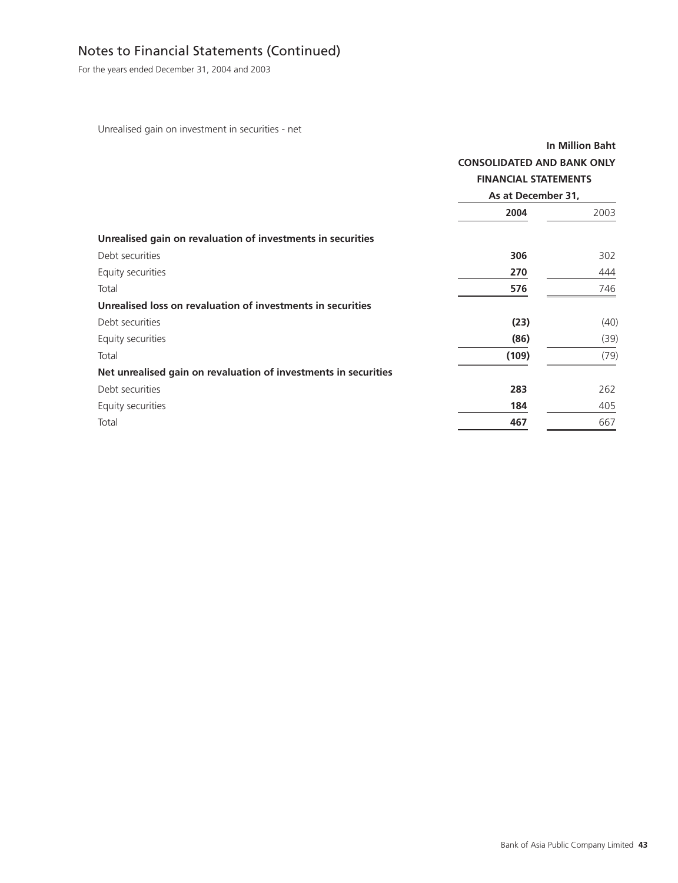For the years ended December 31, 2004 and 2003

Unrealised gain on investment in securities - net

|                                                                 | <b>CONSOLIDATED AND BANK ONLY</b><br><b>FINANCIAL STATEMENTS</b><br>As at December 31, | <b>In Million Baht</b> |
|-----------------------------------------------------------------|----------------------------------------------------------------------------------------|------------------------|
|                                                                 | 2004                                                                                   | 2003                   |
| Unrealised gain on revaluation of investments in securities     |                                                                                        |                        |
| Debt securities                                                 | 306                                                                                    | 302                    |
| Equity securities                                               | 270                                                                                    | 444                    |
| Total                                                           | 576                                                                                    | 746                    |
| Unrealised loss on revaluation of investments in securities     |                                                                                        |                        |
| Debt securities                                                 | (23)                                                                                   | (40)                   |
| Equity securities                                               | (86)                                                                                   | (39)                   |
| Total                                                           | (109)                                                                                  | (79)                   |
| Net unrealised gain on revaluation of investments in securities |                                                                                        |                        |
| Debt securities                                                 | 283                                                                                    | 262                    |
| Equity securities                                               | 184                                                                                    | 405                    |
| Total                                                           | 467                                                                                    | 667                    |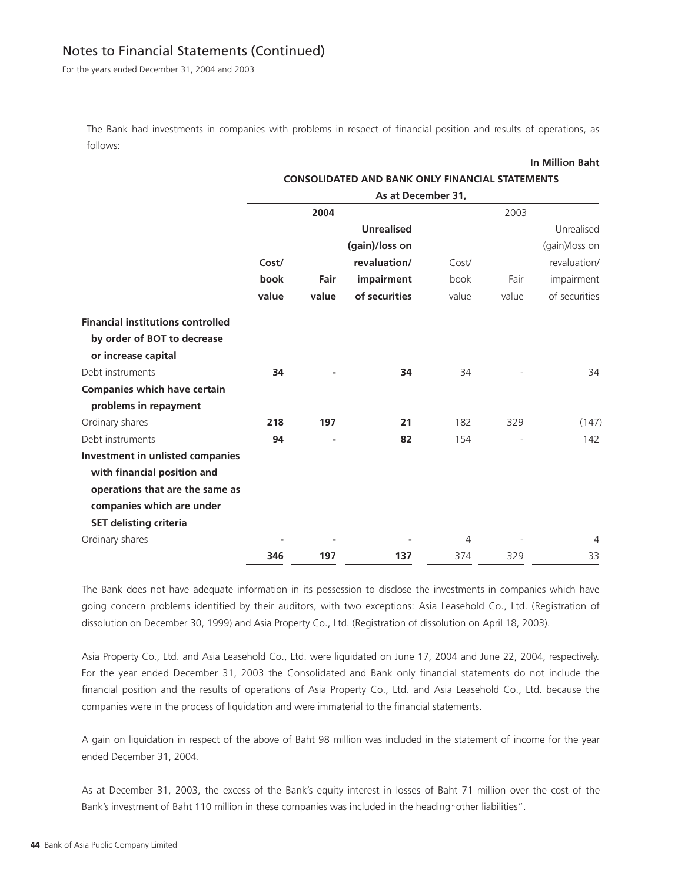For the years ended December 31, 2004 and 2003

The Bank had investments in companies with problems in respect of financial position and results of operations, as follows:

#### **In Million Baht**

|                                          | As at December 31, |       |                   |       |       |                |
|------------------------------------------|--------------------|-------|-------------------|-------|-------|----------------|
|                                          |                    | 2004  |                   |       | 2003  |                |
|                                          |                    |       | <b>Unrealised</b> |       |       | Unrealised     |
|                                          |                    |       | (gain)/loss on    |       |       | (gain)/loss on |
|                                          | Cost/              |       | revaluation/      | Cost/ |       | revaluation/   |
|                                          | book               | Fair  | impairment        | book  | Fair  | impairment     |
|                                          | value              | value | of securities     | value | value | of securities  |
| <b>Financial institutions controlled</b> |                    |       |                   |       |       |                |
| by order of BOT to decrease              |                    |       |                   |       |       |                |
| or increase capital                      |                    |       |                   |       |       |                |
| Debt instruments                         | 34                 |       | 34                | 34    |       | 34             |
| <b>Companies which have certain</b>      |                    |       |                   |       |       |                |
| problems in repayment                    |                    |       |                   |       |       |                |
| Ordinary shares                          | 218                | 197   | 21                | 182   | 329   | (147)          |
| Debt instruments                         | 94                 |       | 82                | 154   |       | 142            |
| <b>Investment in unlisted companies</b>  |                    |       |                   |       |       |                |
| with financial position and              |                    |       |                   |       |       |                |
| operations that are the same as          |                    |       |                   |       |       |                |
| companies which are under                |                    |       |                   |       |       |                |
| <b>SET delisting criteria</b>            |                    |       |                   |       |       |                |
| Ordinary shares                          |                    |       |                   | 4     |       | 4              |
|                                          | 346                | 197   | 137               | 374   | 329   | 33             |

**CONSOLIDATED AND BANK ONLY FINANCIAL STATEMENTS**

The Bank does not have adequate information in its possession to disclose the investments in companies which have going concern problems identified by their auditors, with two exceptions: Asia Leasehold Co., Ltd. (Registration of dissolution on December 30, 1999) and Asia Property Co., Ltd. (Registration of dissolution on April 18, 2003).

Asia Property Co., Ltd. and Asia Leasehold Co., Ltd. were liquidated on June 17, 2004 and June 22, 2004, respectively. For the year ended December 31, 2003 the Consolidated and Bank only financial statements do not include the financial position and the results of operations of Asia Property Co., Ltd. and Asia Leasehold Co., Ltd. because the companies were in the process of liquidation and were immaterial to the financial statements.

A gain on liquidation in respect of the above of Baht 98 million was included in the statement of income for the year ended December 31, 2004.

As at December 31, 2003, the excess of the Bank's equity interest in losses of Baht 71 million over the cost of the Bank's investment of Baht 110 million in these companies was included in the heading "other liabilities".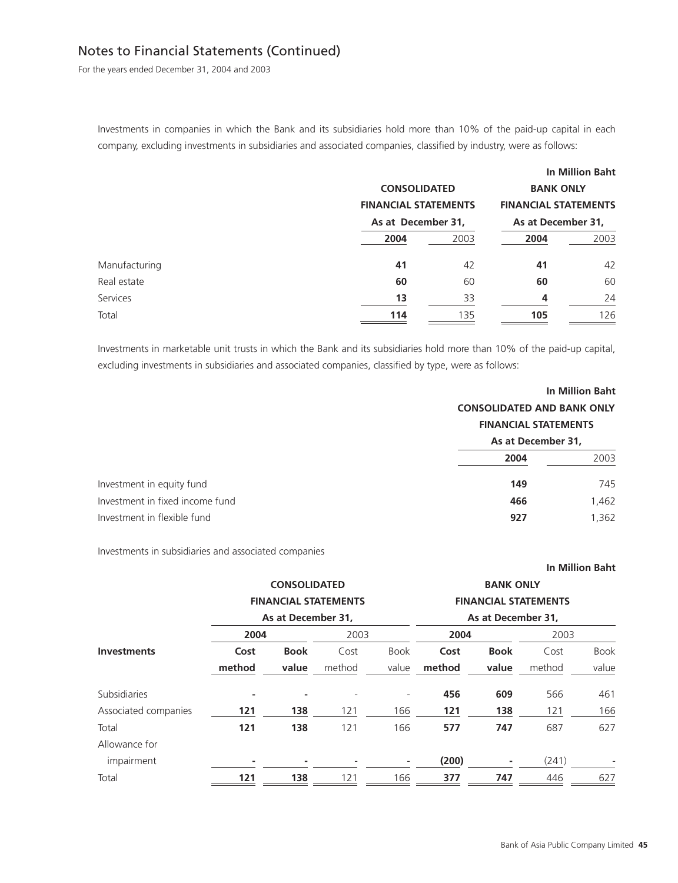For the years ended December 31, 2004 and 2003

Investments in companies in which the Bank and its subsidiaries hold more than 10% of the paid-up capital in each company, excluding investments in subsidiaries and associated companies, classified by industry, were as follows:

|               |                             |      |                             | <b>In Million Baht</b> |  |
|---------------|-----------------------------|------|-----------------------------|------------------------|--|
|               | <b>CONSOLIDATED</b>         |      | <b>BANK ONLY</b>            |                        |  |
|               | <b>FINANCIAL STATEMENTS</b> |      | <b>FINANCIAL STATEMENTS</b> |                        |  |
|               | As at December 31,          |      | As at December 31,          |                        |  |
|               | 2004                        | 2003 | 2004                        | 2003                   |  |
| Manufacturing | 41                          | 42   | 41                          | 42                     |  |
| Real estate   | 60                          | 60   | 60                          | 60                     |  |
| Services      | 13                          | 33   | $\overline{4}$              | 24                     |  |
| Total         | 114                         | 135  | 105                         | 126                    |  |

Investments in marketable unit trusts in which the Bank and its subsidiaries hold more than 10% of the paid-up capital, excluding investments in subsidiaries and associated companies, classified by type, were as follows:

|                                 | <b>CONSOLIDATED AND BANK ONLY</b><br><b>FINANCIAL STATEMENTS</b> | In Million Baht |  |
|---------------------------------|------------------------------------------------------------------|-----------------|--|
|                                 | As at December 31,                                               |                 |  |
|                                 | 2004                                                             | 2003            |  |
| Investment in equity fund       | 149                                                              | 745             |  |
| Investment in fixed income fund | 466                                                              | 1,462           |  |
| Investment in flexible fund     | 927                                                              | 1,362           |  |

Investments in subsidiaries and associated companies

|                      |        |                     |                             |                          |        |                    |                             | In Million Baht |
|----------------------|--------|---------------------|-----------------------------|--------------------------|--------|--------------------|-----------------------------|-----------------|
|                      |        | <b>CONSOLIDATED</b> |                             |                          |        | <b>BANK ONLY</b>   |                             |                 |
|                      |        |                     | <b>FINANCIAL STATEMENTS</b> |                          |        |                    | <b>FINANCIAL STATEMENTS</b> |                 |
|                      |        | As at December 31,  |                             |                          |        | As at December 31, |                             |                 |
|                      | 2004   |                     | 2003                        |                          | 2004   |                    | 2003                        |                 |
| <b>Investments</b>   | Cost   | <b>Book</b>         | Cost                        | <b>Book</b>              | Cost   | <b>Book</b>        | Cost                        | <b>Book</b>     |
|                      | method | value               | method                      | value                    | method | value              | method                      | value           |
| Subsidiaries         | ٠      |                     |                             | $\overline{\phantom{a}}$ | 456    | 609                | 566                         | 461             |
| Associated companies | 121    | 138                 | 121                         | 166                      | 121    | 138                | 121                         | 166             |
| Total                | 121    | 138                 | 121                         | 166                      | 577    | 747                | 687                         | 627             |
| Allowance for        |        |                     |                             |                          |        |                    |                             |                 |
| impairment           |        |                     |                             |                          | (200)  |                    | (241)                       |                 |
| Total                | 121    | 138                 | 121                         | 166                      | 377    | 747                | 446                         | 627             |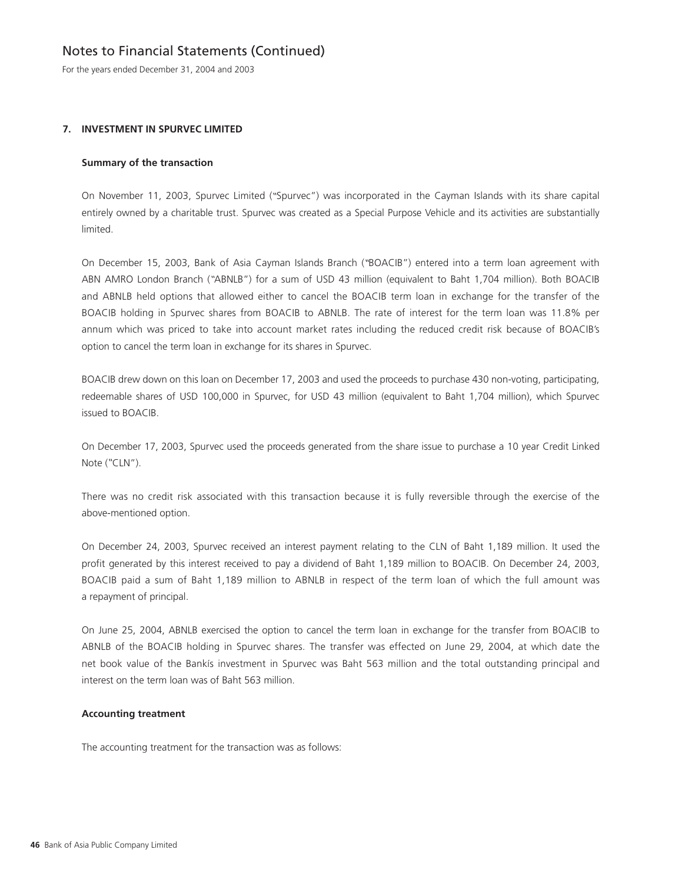For the years ended December 31, 2004 and 2003

### **7. INVESTMENT IN SPURVEC LIMITED**

#### **Summary of the transaction**

On November 11, 2003, Spurvec Limited ("Spurvec") was incorporated in the Cayman Islands with its share capital entirely owned by a charitable trust. Spurvec was created as a Special Purpose Vehicle and its activities are substantially limited.

On December 15, 2003, Bank of Asia Cayman Islands Branch ("BOACIB") entered into a term loan agreement with ABN AMRO London Branch ("ABNLB") for a sum of USD 43 million (equivalent to Baht 1,704 million). Both BOACIB and ABNLB held options that allowed either to cancel the BOACIB term loan in exchange for the transfer of the BOACIB holding in Spurvec shares from BOACIB to ABNLB. The rate of interest for the term loan was 11.8% per annum which was priced to take into account market rates including the reduced credit risk because of BOACIB's option to cancel the term loan in exchange for its shares in Spurvec.

BOACIB drew down on this loan on December 17, 2003 and used the proceeds to purchase 430 non-voting, participating, redeemable shares of USD 100,000 in Spurvec, for USD 43 million (equivalent to Baht 1,704 million), which Spurvec issued to BOACIB.

On December 17, 2003, Spurvec used the proceeds generated from the share issue to purchase a 10 year Credit Linked Note ("CLN").

There was no credit risk associated with this transaction because it is fully reversible through the exercise of the above-mentioned option.

On December 24, 2003, Spurvec received an interest payment relating to the CLN of Baht 1,189 million. It used the profit generated by this interest received to pay a dividend of Baht 1,189 million to BOACIB. On December 24, 2003, BOACIB paid a sum of Baht 1,189 million to ABNLB in respect of the term loan of which the full amount was a repayment of principal.

On June 25, 2004, ABNLB exercised the option to cancel the term loan in exchange for the transfer from BOACIB to ABNLB of the BOACIB holding in Spurvec shares. The transfer was effected on June 29, 2004, at which date the net book value of the Bankís investment in Spurvec was Baht 563 million and the total outstanding principal and interest on the term loan was of Baht 563 million.

#### **Accounting treatment**

The accounting treatment for the transaction was as follows: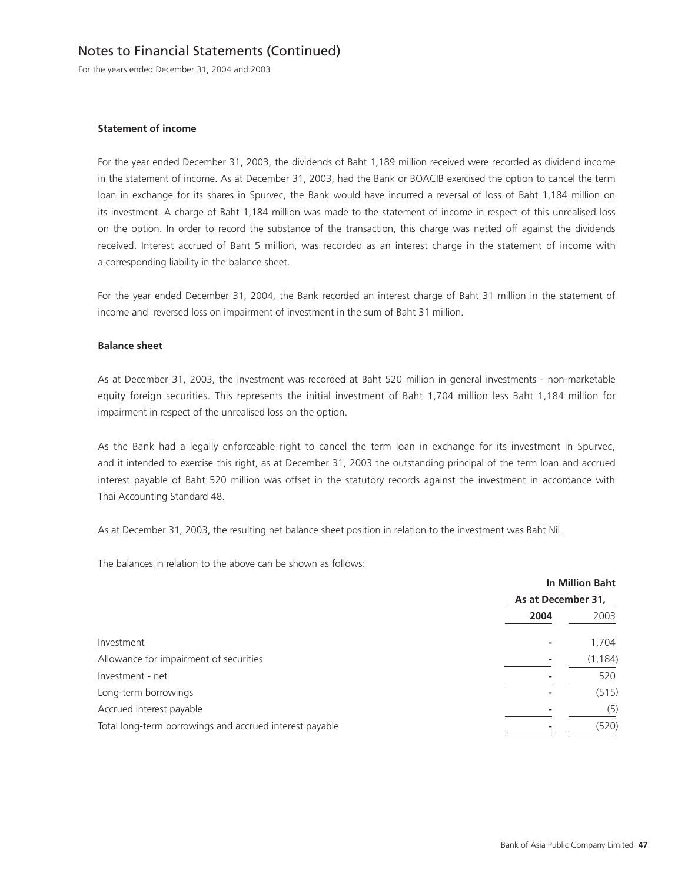For the years ended December 31, 2004 and 2003

#### **Statement of income**

For the year ended December 31, 2003, the dividends of Baht 1,189 million received were recorded as dividend income in the statement of income. As at December 31, 2003, had the Bank or BOACIB exercised the option to cancel the term loan in exchange for its shares in Spurvec, the Bank would have incurred a reversal of loss of Baht 1,184 million on its investment. A charge of Baht 1,184 million was made to the statement of income in respect of this unrealised loss on the option. In order to record the substance of the transaction, this charge was netted off against the dividends received. Interest accrued of Baht 5 million, was recorded as an interest charge in the statement of income with a corresponding liability in the balance sheet.

For the year ended December 31, 2004, the Bank recorded an interest charge of Baht 31 million in the statement of income and reversed loss on impairment of investment in the sum of Baht 31 million.

#### **Balance sheet**

As at December 31, 2003, the investment was recorded at Baht 520 million in general investments - non-marketable equity foreign securities. This represents the initial investment of Baht 1,704 million less Baht 1,184 million for impairment in respect of the unrealised loss on the option.

As the Bank had a legally enforceable right to cancel the term loan in exchange for its investment in Spurvec, and it intended to exercise this right, as at December 31, 2003 the outstanding principal of the term loan and accrued interest payable of Baht 520 million was offset in the statutory records against the investment in accordance with Thai Accounting Standard 48.

As at December 31, 2003, the resulting net balance sheet position in relation to the investment was Baht Nil.

The balances in relation to the above can be shown as follows:

|                                                         | <b>In Million Baht</b><br>As at December 31, |          |  |
|---------------------------------------------------------|----------------------------------------------|----------|--|
|                                                         |                                              |          |  |
|                                                         | 2004                                         | 2003     |  |
| Investment                                              |                                              | 1,704    |  |
| Allowance for impairment of securities                  |                                              | (1, 184) |  |
| Investment - net                                        |                                              | 520      |  |
| Long-term borrowings                                    |                                              | (515)    |  |
| Accrued interest payable                                |                                              | (5)      |  |
| Total long-term borrowings and accrued interest payable |                                              | (520)    |  |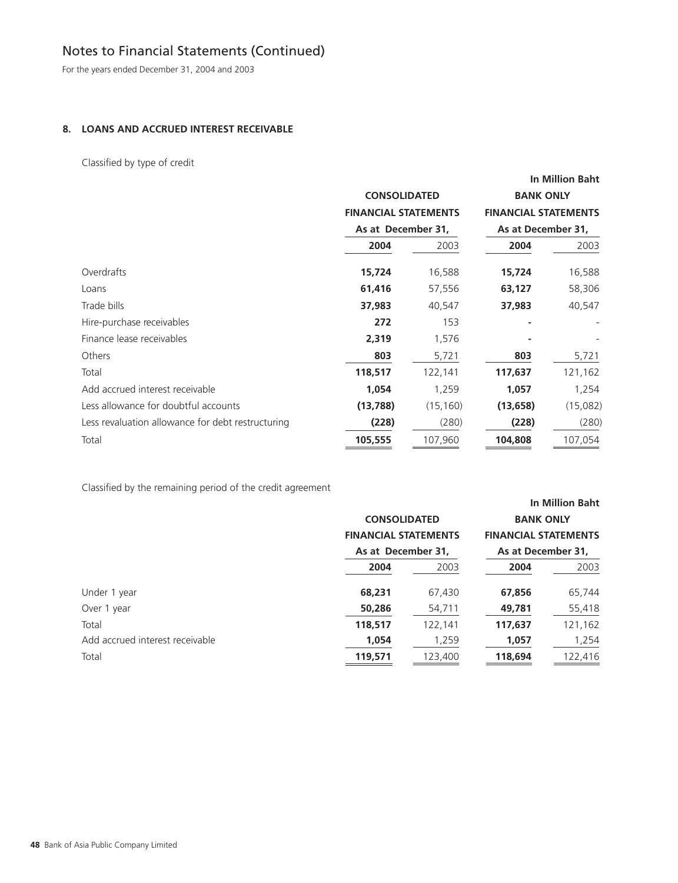For the years ended December 31, 2004 and 2003

### **8. LOANS AND ACCRUED INTEREST RECEIVABLE**

Classified by type of credit

|                                                   |                             |           |                                                   | <b>In Million Baht</b> |
|---------------------------------------------------|-----------------------------|-----------|---------------------------------------------------|------------------------|
|                                                   | <b>CONSOLIDATED</b>         |           | <b>BANK ONLY</b>                                  |                        |
|                                                   | <b>FINANCIAL STATEMENTS</b> |           | <b>FINANCIAL STATEMENTS</b><br>As at December 31, |                        |
|                                                   | As at December 31,          |           |                                                   |                        |
|                                                   | 2004                        | 2003      | 2004                                              | 2003                   |
| Overdrafts                                        | 15,724                      | 16,588    | 15,724                                            | 16,588                 |
| Loans                                             | 61,416                      | 57,556    | 63,127                                            | 58,306                 |
| Trade bills                                       | 37,983                      | 40,547    | 37,983                                            | 40,547                 |
| Hire-purchase receivables                         | 272                         | 153       |                                                   |                        |
| Finance lease receivables                         | 2,319                       | 1,576     |                                                   |                        |
| Others                                            | 803                         | 5,721     | 803                                               | 5,721                  |
| Total                                             | 118,517                     | 122,141   | 117,637                                           | 121,162                |
| Add accrued interest receivable                   | 1,054                       | 1,259     | 1,057                                             | 1,254                  |
| Less allowance for doubtful accounts              | (13, 788)                   | (15, 160) | (13, 658)                                         | (15,082)               |
| Less revaluation allowance for debt restructuring | (228)                       | (280)     | (228)                                             | (280)                  |
| Total                                             | 105,555                     | 107,960   | 104,808                                           | 107,054                |
|                                                   |                             |           |                                                   |                        |

Classified by the remaining period of the credit agreement

|                                 |                             |                    |                             | <b>In Million Baht</b> |  |  |
|---------------------------------|-----------------------------|--------------------|-----------------------------|------------------------|--|--|
|                                 | <b>CONSOLIDATED</b>         |                    | <b>BANK ONLY</b>            |                        |  |  |
|                                 | <b>FINANCIAL STATEMENTS</b> |                    | <b>FINANCIAL STATEMENTS</b> |                        |  |  |
|                                 |                             | As at December 31. |                             | As at December 31.     |  |  |
|                                 | 2004                        | 2003               | 2004                        | 2003                   |  |  |
| Under 1 year                    | 68,231                      | 67,430             | 67,856                      | 65,744                 |  |  |
| Over 1 year                     | 50,286                      | 54,711             | 49,781                      | 55,418                 |  |  |
| Total                           | 118,517                     | 122,141            | 117,637                     | 121,162                |  |  |
| Add accrued interest receivable | 1,054                       | 1,259              | 1,057                       | 1,254                  |  |  |
| Total                           | 119,571                     | 123,400            | 118,694                     | 122,416                |  |  |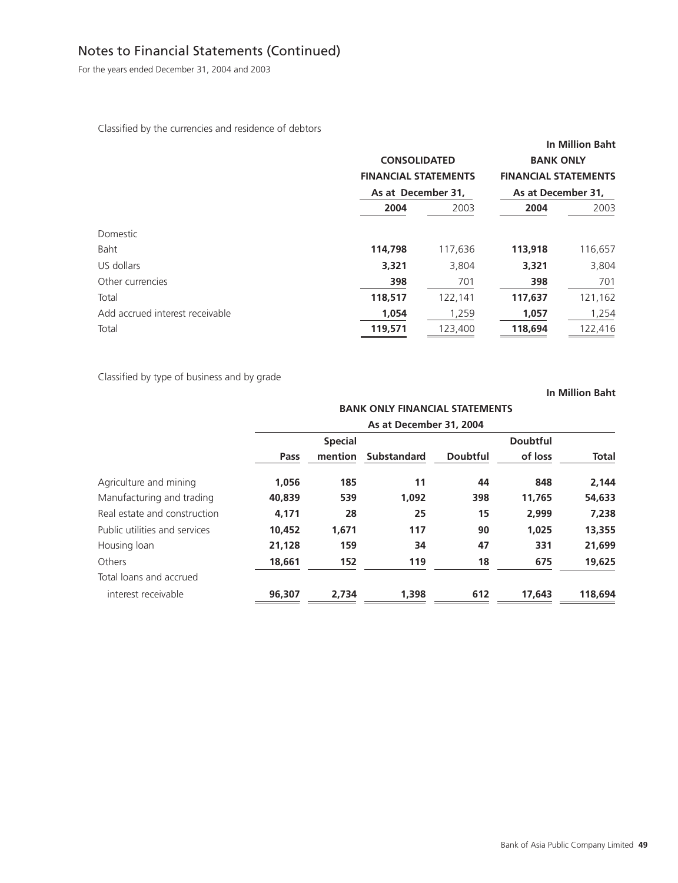For the years ended December 31, 2004 and 2003

Classified by the currencies and residence of debtors

|                                 |         | <b>CONSOLIDATED</b><br><b>FINANCIAL STATEMENTS</b><br>As at December 31. |         | <b>In Million Baht</b><br><b>BANK ONLY</b><br><b>FINANCIAL STATEMENTS</b><br>As at December 31, |
|---------------------------------|---------|--------------------------------------------------------------------------|---------|-------------------------------------------------------------------------------------------------|
|                                 | 2004    | 2003                                                                     | 2004    | 2003                                                                                            |
| Domestic                        |         |                                                                          |         |                                                                                                 |
| Baht                            | 114,798 | 117,636                                                                  | 113,918 | 116,657                                                                                         |
| US dollars                      | 3,321   | 3,804                                                                    | 3,321   | 3,804                                                                                           |
| Other currencies                | 398     | 701                                                                      | 398     | 701                                                                                             |
| Total                           | 118,517 | 122,141                                                                  | 117,637 | 121,162                                                                                         |
| Add accrued interest receivable | 1,054   | 1,259                                                                    | 1,057   | 1,254                                                                                           |
| Total                           | 119,571 | 123,400                                                                  | 118,694 | 122,416                                                                                         |

Classified by type of business and by grade

|                               |        |                         | <b>BANK ONLY FINANCIAL STATEMENTS</b> |                 |         |              |  |
|-------------------------------|--------|-------------------------|---------------------------------------|-----------------|---------|--------------|--|
|                               |        | As at December 31, 2004 |                                       |                 |         |              |  |
|                               |        | <b>Special</b>          |                                       |                 |         |              |  |
|                               | Pass   | mention                 | <b>Substandard</b>                    | <b>Doubtful</b> | of loss | <b>Total</b> |  |
| Agriculture and mining        | 1,056  | 185                     | 11                                    | 44              | 848     | 2,144        |  |
| Manufacturing and trading     | 40,839 | 539                     | 1,092                                 | 398             | 11,765  | 54,633       |  |
| Real estate and construction  | 4.171  | 28                      | 25                                    | 15              | 2,999   | 7,238        |  |
| Public utilities and services | 10,452 | 1,671                   | 117                                   | 90              | 1.025   | 13,355       |  |
| Housing loan                  | 21.128 | 159                     | 34                                    | 47              | 331     | 21,699       |  |
| Others                        | 18,661 | 152                     | 119                                   | 18              | 675     | 19,625       |  |
| Total loans and accrued       |        |                         |                                       |                 |         |              |  |
| interest receivable           | 96,307 | 2.734                   | 1,398                                 | 612             | 17,643  | 118,694      |  |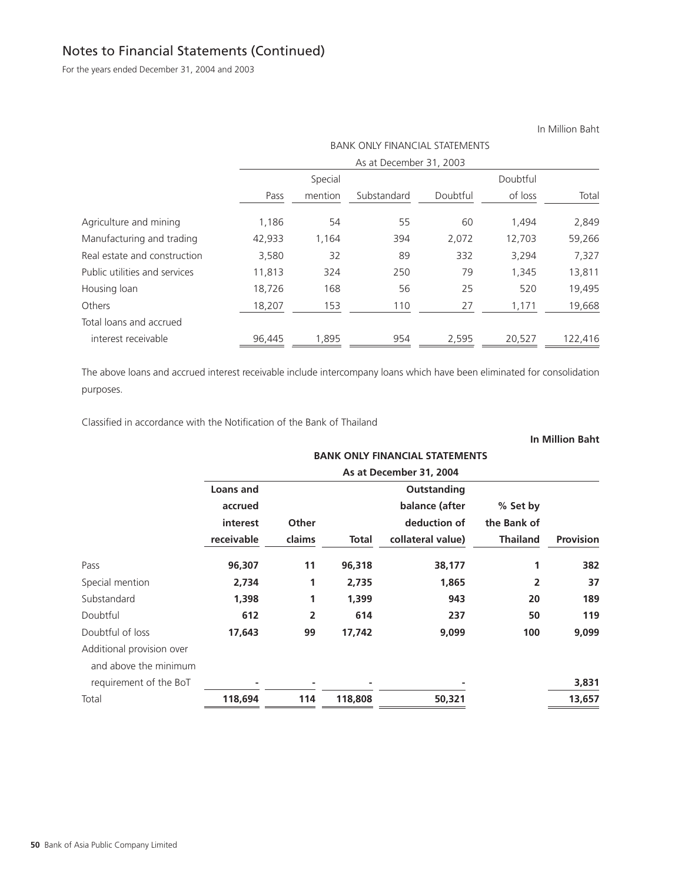For the years ended December 31, 2004 and 2003

In Million Baht BANK ONLY FINANCIAL STATEMENTS As at December 31, 2003 Special Doubtful Pass mention Substandard Doubtful of loss Total Agriculture and mining 1,186 54 55 60 1,494 2,849 Manufacturing and trading 42,933 1,164 394 2,072 12,703 59,266 Real estate and construction 3,580 32 89 332 3,294 7,327 Public utilities and services 11,813 324 250 79 1,345 13,811 Housing loan 18,726 168 56 25 520 19,495 Others 18,207 153 110 27 1,171 19,668 Total loans and accrued interest receivable 96,445 1,895 954 2,595 20,527 122,416

The above loans and accrued interest receivable include intercompany loans which have been eliminated for consolidation purposes.

Classified in accordance with the Notification of the Bank of Thailand

# **BANK ONLY FINANCIAL STATEMENTS As at December 31, 2004 Loans and COULTER 2008 COULTER 2008 COULTER 2009 COULTER accrued balance (after % Set by interest** Other **deduction of** the Bank of **receivable claims Total collateral value) Thailand Provision** Pass **96,307 11 96,318 38,177 1 382** Special mention **2,734** 1 2,735 1,865 2 37 Substandard **1,398 1 1,399 943 20 189** Doubtful **612 2 614 237 50 119** Doubtful of loss **17,643 99 17,742 9,099 100 9,099** Additional provision over and above the minimum requirement of the BoT **- - - - 3,831**

Total **118,694 114 118,808 50,321 13,657**

| $\sim$ |
|--------|
|        |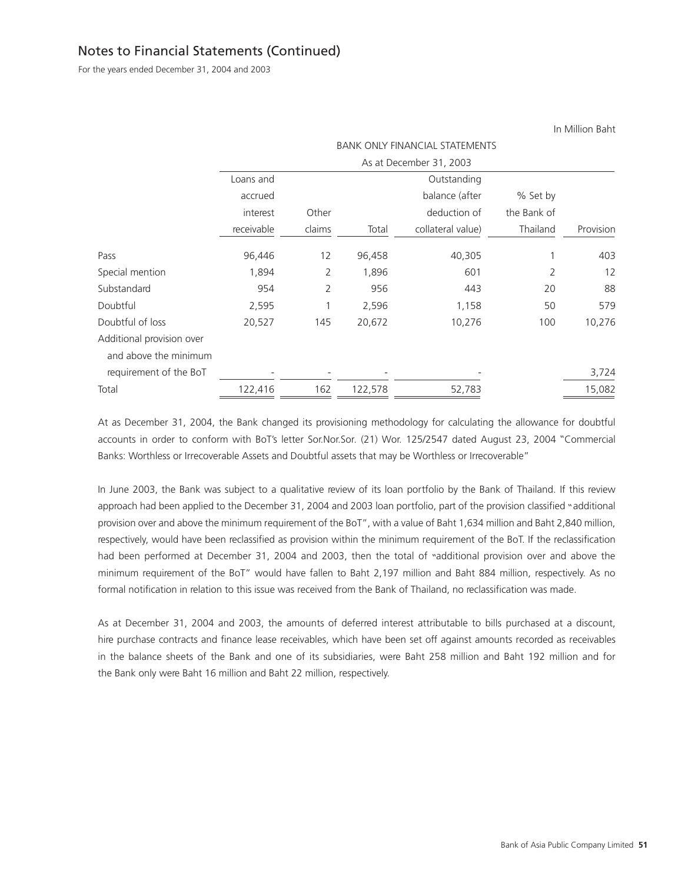For the years ended December 31, 2004 and 2003

|                           |            | <b>BANK ONLY FINANCIAL STATEMENTS</b> |         |                         |             |           |  |
|---------------------------|------------|---------------------------------------|---------|-------------------------|-------------|-----------|--|
|                           |            |                                       |         | As at December 31, 2003 |             |           |  |
|                           | Loans and  |                                       |         |                         |             |           |  |
|                           | accrued    |                                       |         | balance (after          | % Set by    |           |  |
|                           | interest   | Other                                 |         | deduction of            | the Bank of |           |  |
|                           | receivable | claims                                | Total   | collateral value)       | Thailand    | Provision |  |
| Pass                      | 96,446     | 12                                    | 96,458  | 40,305                  |             | 403       |  |
| Special mention           | 1,894      | 2                                     | 1,896   | 601                     | 2           | 12        |  |
| Substandard               | 954        | 2                                     | 956     | 443                     | 20          | 88        |  |
| Doubtful                  | 2,595      |                                       | 2,596   | 1,158                   | 50          | 579       |  |
| Doubtful of loss          | 20,527     | 145                                   | 20,672  | 10,276                  | 100         | 10,276    |  |
| Additional provision over |            |                                       |         |                         |             |           |  |
| and above the minimum     |            |                                       |         |                         |             |           |  |
| requirement of the BoT    |            |                                       |         |                         |             | 3,724     |  |
| Total                     | 122,416    | 162                                   | 122,578 | 52,783                  |             | 15,082    |  |

At as December 31, 2004, the Bank changed its provisioning methodology for calculating the allowance for doubtful accounts in order to conform with BoT's letter Sor.Nor.Sor. (21) Wor. 125/2547 dated August 23, 2004 "Commercial Banks: Worthless or Irrecoverable Assets and Doubtful assets that may be Worthless or Irrecoverable"

In June 2003, the Bank was subject to a qualitative review of its loan portfolio by the Bank of Thailand. If this review approach had been applied to the December 31, 2004 and 2003 loan portfolio, part of the provision classified "additional provision over and above the minimum requirement of the BoT", with a value of Baht 1,634 million and Baht 2,840 million, respectively, would have been reclassified as provision within the minimum requirement of the BoT. If the reclassification had been performed at December 31, 2004 and 2003, then the total of "additional provision over and above the minimum requirement of the BoT" would have fallen to Baht 2,197 million and Baht 884 million, respectively. As no formal notification in relation to this issue was received from the Bank of Thailand, no reclassification was made.

As at December 31, 2004 and 2003, the amounts of deferred interest attributable to bills purchased at a discount, hire purchase contracts and finance lease receivables, which have been set off against amounts recorded as receivables in the balance sheets of the Bank and one of its subsidiaries, were Baht 258 million and Baht 192 million and for the Bank only were Baht 16 million and Baht 22 million, respectively.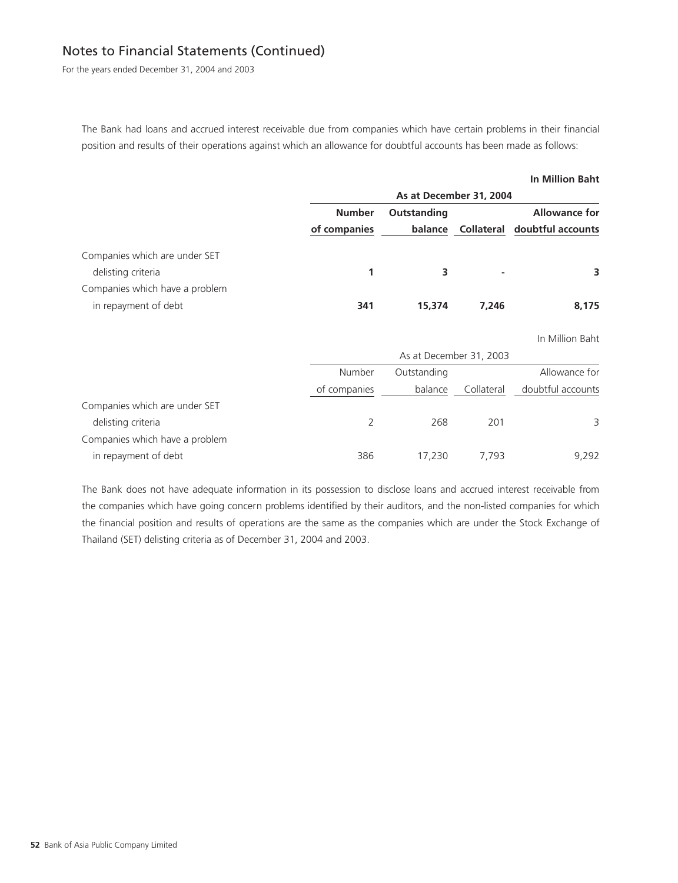For the years ended December 31, 2004 and 2003

The Bank had loans and accrued interest receivable due from companies which have certain problems in their financial position and results of their operations against which an allowance for doubtful accounts has been made as follows:

#### **In Million Baht**

|                                                     |                               | As at December 31, 2004 |                |                                                      |  |  |  |
|-----------------------------------------------------|-------------------------------|-------------------------|----------------|------------------------------------------------------|--|--|--|
|                                                     | <b>Number</b><br>of companies | Outstanding<br>balance  |                | <b>Allowance for</b><br>Collateral doubtful accounts |  |  |  |
| Companies which are under SET<br>delisting criteria |                               |                         | $\blacksquare$ | 3                                                    |  |  |  |
| Companies which have a problem                      |                               |                         |                |                                                      |  |  |  |
| in repayment of debt                                | 341                           | 15,374                  | 7.246          | 8.175                                                |  |  |  |

In Million Baht

|                                |              | As at December 31, 2003 |            |                   |  |  |
|--------------------------------|--------------|-------------------------|------------|-------------------|--|--|
|                                | Number       | Outstanding             |            | Allowance for     |  |  |
|                                | of companies | balance                 | Collateral | doubtful accounts |  |  |
| Companies which are under SET  |              |                         |            |                   |  |  |
| delisting criteria             |              | 268                     | 201        | 3                 |  |  |
| Companies which have a problem |              |                         |            |                   |  |  |
| in repayment of debt           | 386          | 17.230                  | 7.793      | 9.292             |  |  |

The Bank does not have adequate information in its possession to disclose loans and accrued interest receivable from the companies which have going concern problems identified by their auditors, and the non-listed companies for which the financial position and results of operations are the same as the companies which are under the Stock Exchange of Thailand (SET) delisting criteria as of December 31, 2004 and 2003.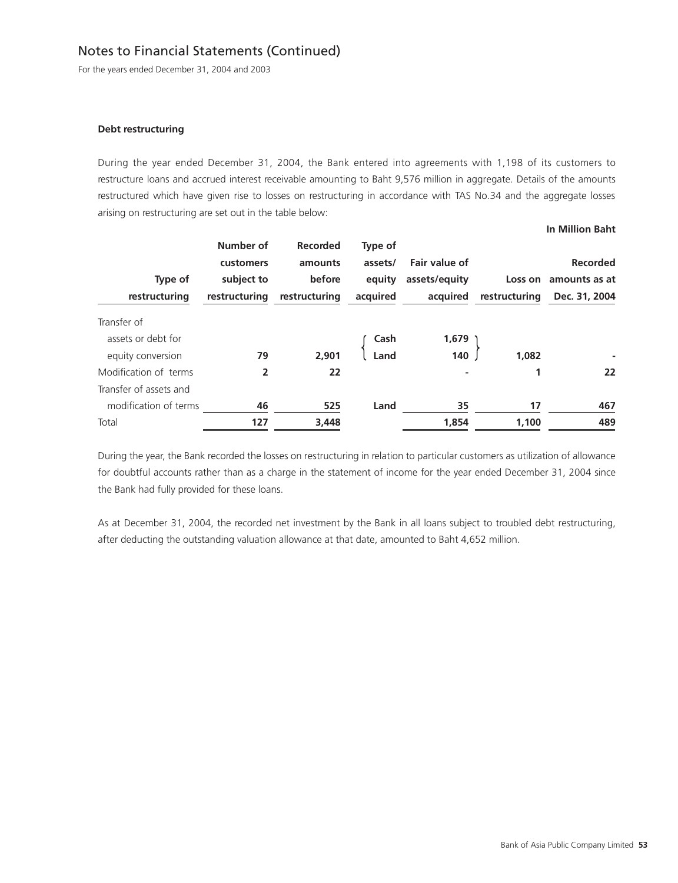For the years ended December 31, 2004 and 2003

#### **Debt restructuring**

During the year ended December 31, 2004, the Bank entered into agreements with 1,198 of its customers to restructure loans and accrued interest receivable amounting to Baht 9,576 million in aggregate. Details of the amounts restructured which have given rise to losses on restructuring in accordance with TAS No.34 and the aggregate losses arising on restructuring are set out in the table below:

| Type of<br>restructuring | Number of<br>customers<br>subject to<br>restructuring | <b>Recorded</b><br>amounts<br>before<br>restructuring | Type of<br>assets/<br>equity<br>acquired | Fair value of<br>assets/equity<br>acquired | Loss on<br>restructuring | <b>Recorded</b><br>amounts as at<br>Dec. 31, 2004 |
|--------------------------|-------------------------------------------------------|-------------------------------------------------------|------------------------------------------|--------------------------------------------|--------------------------|---------------------------------------------------|
| Transfer of              |                                                       |                                                       |                                          |                                            |                          |                                                   |
| assets or debt for       |                                                       |                                                       | Cash                                     | 1,679                                      |                          |                                                   |
| equity conversion        | 79                                                    | 2,901                                                 | Land                                     | 140                                        | 1,082                    |                                                   |
| Modification of terms    | 2                                                     | 22                                                    |                                          |                                            |                          | 22                                                |
| Transfer of assets and   |                                                       |                                                       |                                          |                                            |                          |                                                   |
| modification of terms    | 46                                                    | 525                                                   | Land                                     | 35                                         | 17                       | 467                                               |
| Total                    | 127                                                   | 3,448                                                 |                                          | 1,854                                      | 1,100                    | 489                                               |

During the year, the Bank recorded the losses on restructuring in relation to particular customers as utilization of allowance for doubtful accounts rather than as a charge in the statement of income for the year ended December 31, 2004 since the Bank had fully provided for these loans.

As at December 31, 2004, the recorded net investment by the Bank in all loans subject to troubled debt restructuring, after deducting the outstanding valuation allowance at that date, amounted to Baht 4,652 million.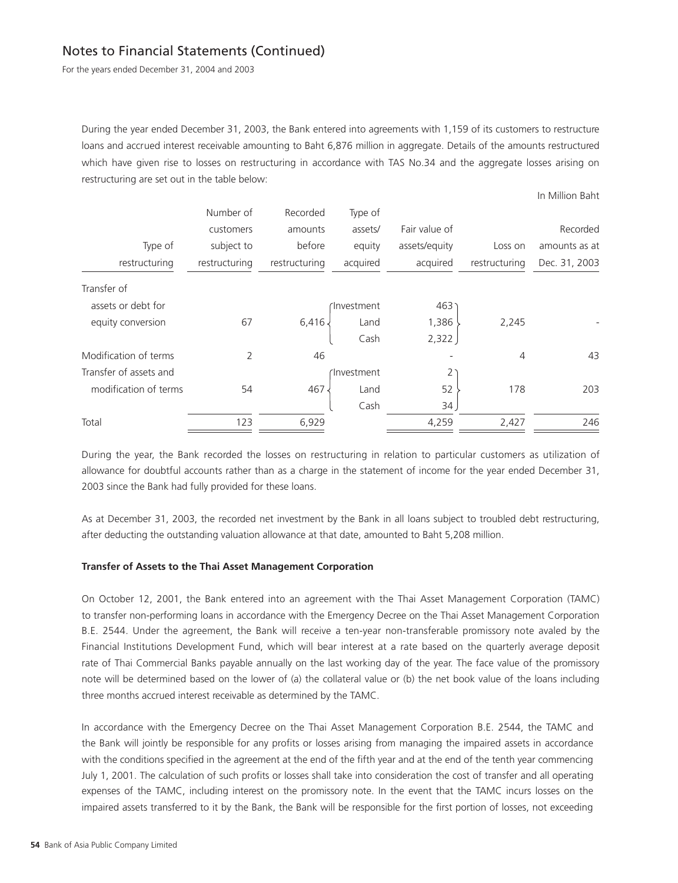For the years ended December 31, 2004 and 2003

During the year ended December 31, 2003, the Bank entered into agreements with 1,159 of its customers to restructure loans and accrued interest receivable amounting to Baht 6,876 million in aggregate. Details of the amounts restructured which have given rise to losses on restructuring in accordance with TAS No.34 and the aggregate losses arising on restructuring are set out in the table below:

In Million Baht

|                        | Number of     | Recorded      | Type of    |               |               |               |
|------------------------|---------------|---------------|------------|---------------|---------------|---------------|
|                        | customers     | amounts       | assets/    | Fair value of |               | Recorded      |
| Type of                | subject to    | before        | equity     | assets/equity | Loss on       | amounts as at |
| restructuring          | restructuring | restructuring | acquired   | acquired      | restructuring | Dec. 31, 2003 |
| Transfer of            |               |               |            |               |               |               |
| assets or debt for     |               |               | Investment | 463           |               |               |
| equity conversion      | 67            | 6,416.        | Land       | 1,386         | 2,245         |               |
|                        |               |               | Cash       | 2,322         |               |               |
| Modification of terms  | 2             | 46            |            |               | 4             | 43            |
| Transfer of assets and |               |               | Investment | 2             |               |               |
| modification of terms  | 54            | 467           | Land       | 52            | 178           | 203           |
|                        |               |               | Cash       | 34            |               |               |
| Total                  | 123           | 6,929         |            | 4,259         | 2,427         | 246           |
|                        |               |               |            |               |               |               |

During the year, the Bank recorded the losses on restructuring in relation to particular customers as utilization of allowance for doubtful accounts rather than as a charge in the statement of income for the year ended December 31, 2003 since the Bank had fully provided for these loans.

As at December 31, 2003, the recorded net investment by the Bank in all loans subject to troubled debt restructuring, after deducting the outstanding valuation allowance at that date, amounted to Baht 5,208 million.

#### **Transfer of Assets to the Thai Asset Management Corporation**

On October 12, 2001, the Bank entered into an agreement with the Thai Asset Management Corporation (TAMC) to transfer non-performing loans in accordance with the Emergency Decree on the Thai Asset Management Corporation B.E. 2544. Under the agreement, the Bank will receive a ten-year non-transferable promissory note avaled by the Financial Institutions Development Fund, which will bear interest at a rate based on the quarterly average deposit rate of Thai Commercial Banks payable annually on the last working day of the year. The face value of the promissory note will be determined based on the lower of (a) the collateral value or (b) the net book value of the loans including three months accrued interest receivable as determined by the TAMC.

In accordance with the Emergency Decree on the Thai Asset Management Corporation B.E. 2544, the TAMC and the Bank will jointly be responsible for any profits or losses arising from managing the impaired assets in accordance with the conditions specified in the agreement at the end of the fifth year and at the end of the tenth year commencing July 1, 2001. The calculation of such profits or losses shall take into consideration the cost of transfer and all operating expenses of the TAMC, including interest on the promissory note. In the event that the TAMC incurs losses on the impaired assets transferred to it by the Bank, the Bank will be responsible for the first portion of losses, not exceeding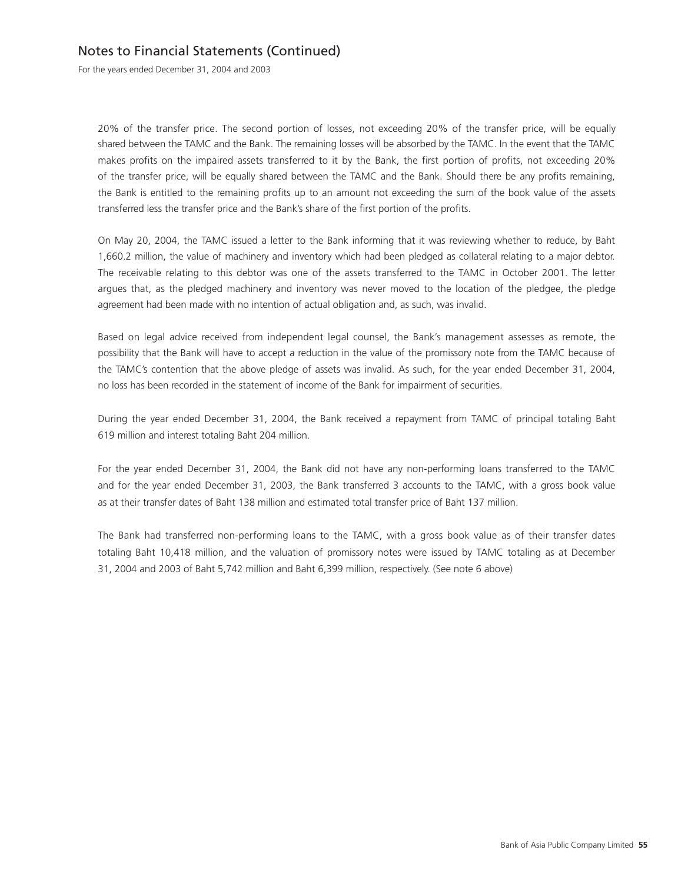For the years ended December 31, 2004 and 2003

20% of the transfer price. The second portion of losses, not exceeding 20% of the transfer price, will be equally shared between the TAMC and the Bank. The remaining losses will be absorbed by the TAMC. In the event that the TAMC makes profits on the impaired assets transferred to it by the Bank, the first portion of profits, not exceeding 20% of the transfer price, will be equally shared between the TAMC and the Bank. Should there be any profits remaining, the Bank is entitled to the remaining profits up to an amount not exceeding the sum of the book value of the assets transferred less the transfer price and the Bank's share of the first portion of the profits.

On May 20, 2004, the TAMC issued a letter to the Bank informing that it was reviewing whether to reduce, by Baht 1,660.2 million, the value of machinery and inventory which had been pledged as collateral relating to a major debtor. The receivable relating to this debtor was one of the assets transferred to the TAMC in October 2001. The letter argues that, as the pledged machinery and inventory was never moved to the location of the pledgee, the pledge agreement had been made with no intention of actual obligation and, as such, was invalid.

Based on legal advice received from independent legal counsel, the Bank's management assesses as remote, the possibility that the Bank will have to accept a reduction in the value of the promissory note from the TAMC because of the TAMC's contention that the above pledge of assets was invalid. As such, for the year ended December 31, 2004, no loss has been recorded in the statement of income of the Bank for impairment of securities.

During the year ended December 31, 2004, the Bank received a repayment from TAMC of principal totaling Baht 619 million and interest totaling Baht 204 million.

For the year ended December 31, 2004, the Bank did not have any non-performing loans transferred to the TAMC and for the year ended December 31, 2003, the Bank transferred 3 accounts to the TAMC, with a gross book value as at their transfer dates of Baht 138 million and estimated total transfer price of Baht 137 million.

The Bank had transferred non-performing loans to the TAMC, with a gross book value as of their transfer dates totaling Baht 10,418 million, and the valuation of promissory notes were issued by TAMC totaling as at December 31, 2004 and 2003 of Baht 5,742 million and Baht 6,399 million, respectively. (See note 6 above)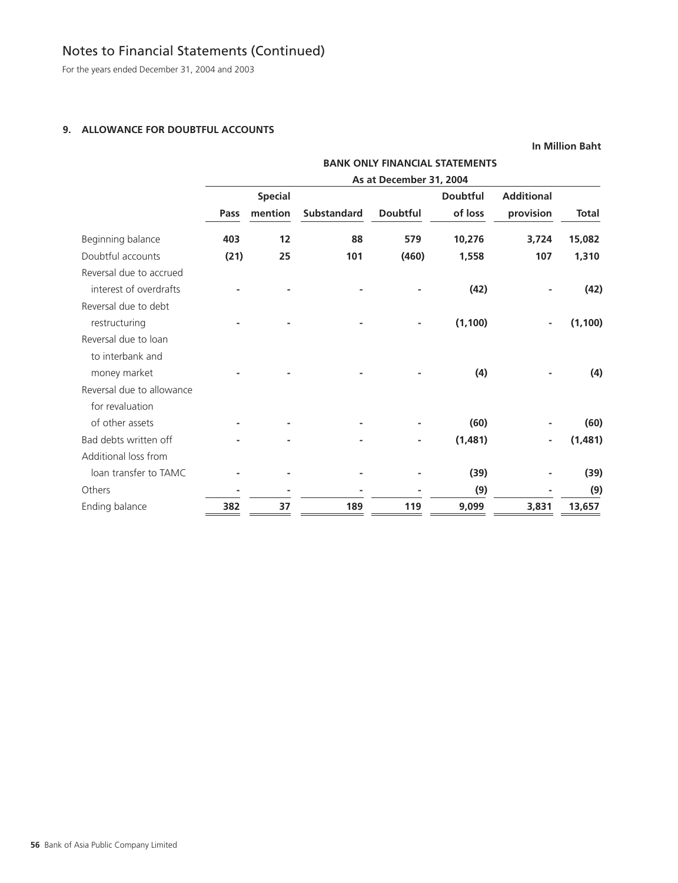For the years ended December 31, 2004 and 2003

### **9. ALLOWANCE FOR DOUBTFUL ACCOUNTS**

|                           |                                       |                |                    |                 |                 |                   | <b>In Million Baht</b> |  |
|---------------------------|---------------------------------------|----------------|--------------------|-----------------|-----------------|-------------------|------------------------|--|
|                           | <b>BANK ONLY FINANCIAL STATEMENTS</b> |                |                    |                 |                 |                   |                        |  |
|                           | As at December 31, 2004               |                |                    |                 |                 |                   |                        |  |
|                           |                                       | <b>Special</b> |                    |                 | <b>Doubtful</b> | <b>Additional</b> |                        |  |
|                           | Pass                                  | mention        | <b>Substandard</b> | <b>Doubtful</b> | of loss         | provision         | <b>Total</b>           |  |
| Beginning balance         | 403                                   | 12             | 88                 | 579             | 10,276          | 3,724             | 15,082                 |  |
| Doubtful accounts         | (21)                                  | 25             | 101                | (460)           | 1,558           | 107               | 1,310                  |  |
| Reversal due to accrued   |                                       |                |                    |                 |                 |                   |                        |  |
| interest of overdrafts    |                                       |                |                    |                 | (42)            |                   | (42)                   |  |
| Reversal due to debt      |                                       |                |                    |                 |                 |                   |                        |  |
| restructuring             |                                       |                |                    |                 | (1, 100)        | ٠                 | (1, 100)               |  |
| Reversal due to loan      |                                       |                |                    |                 |                 |                   |                        |  |
| to interbank and          |                                       |                |                    |                 |                 |                   |                        |  |
| money market              |                                       |                |                    |                 | (4)             |                   | (4)                    |  |
| Reversal due to allowance |                                       |                |                    |                 |                 |                   |                        |  |
| for revaluation           |                                       |                |                    |                 |                 |                   |                        |  |
| of other assets           |                                       |                |                    |                 | (60)            |                   | (60)                   |  |
| Bad debts written off     |                                       |                |                    |                 | (1,481)         | ۰                 | (1,481)                |  |
| Additional loss from      |                                       |                |                    |                 |                 |                   |                        |  |
| loan transfer to TAMC     |                                       |                |                    |                 | (39)            |                   | (39)                   |  |
| Others                    |                                       |                |                    |                 | (9)             |                   | (9)                    |  |
| Ending balance            | 382                                   | 37             | 189                | 119             | 9,099           | 3,831             | 13,657                 |  |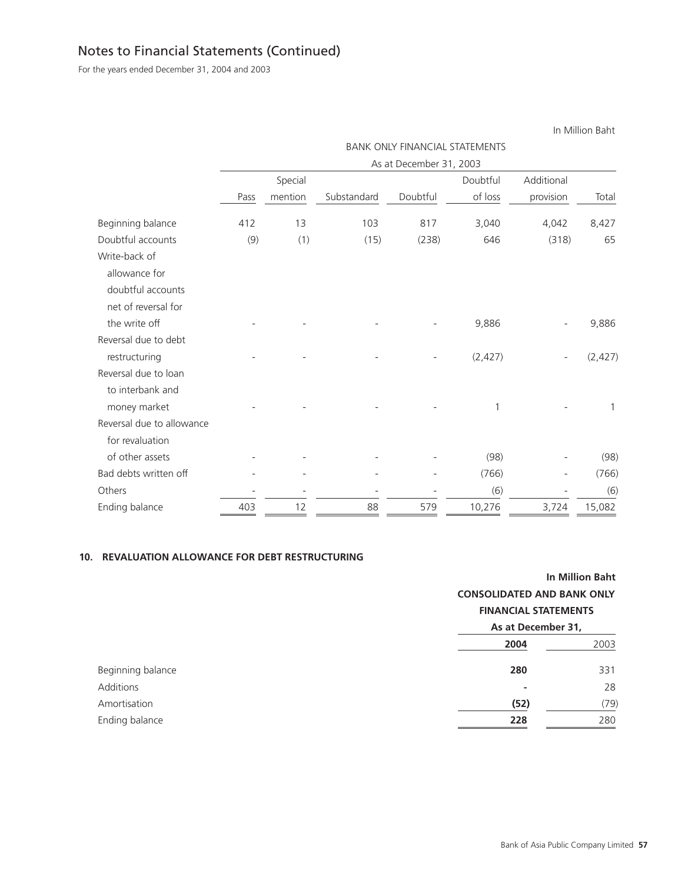For the years ended December 31, 2004 and 2003

|                           | <b>BANK ONLY FINANCIAL STATEMENTS</b> |         |             |                         |          |            |          |  |
|---------------------------|---------------------------------------|---------|-------------|-------------------------|----------|------------|----------|--|
|                           |                                       |         |             | As at December 31, 2003 |          |            |          |  |
|                           |                                       | Special |             |                         | Doubtful | Additional |          |  |
|                           | Pass                                  | mention | Substandard | Doubtful                | of loss  | provision  | Total    |  |
| Beginning balance         | 412                                   | 13      | 103         | 817                     | 3,040    | 4,042      | 8,427    |  |
| Doubtful accounts         | (9)                                   | (1)     | (15)        | (238)                   | 646      | (318)      | 65       |  |
| Write-back of             |                                       |         |             |                         |          |            |          |  |
| allowance for             |                                       |         |             |                         |          |            |          |  |
| doubtful accounts         |                                       |         |             |                         |          |            |          |  |
| net of reversal for       |                                       |         |             |                         |          |            |          |  |
| the write off             |                                       |         |             |                         | 9,886    |            | 9,886    |  |
| Reversal due to debt      |                                       |         |             |                         |          |            |          |  |
| restructuring             |                                       |         |             |                         | (2, 427) |            | (2, 427) |  |
| Reversal due to loan      |                                       |         |             |                         |          |            |          |  |
| to interbank and          |                                       |         |             |                         |          |            |          |  |
| money market              |                                       |         |             |                         | 1        |            | 1        |  |
| Reversal due to allowance |                                       |         |             |                         |          |            |          |  |
| for revaluation           |                                       |         |             |                         |          |            |          |  |
| of other assets           |                                       |         |             |                         | (98)     |            | (98)     |  |
| Bad debts written off     |                                       |         |             |                         | (766)    |            | (766)    |  |
| Others                    |                                       |         |             |                         | (6)      |            | (6)      |  |
| Ending balance            | 403                                   | 12      | 88          | 579                     | 10,276   | 3,724      | 15,082   |  |

### **10. REVALUATION ALLOWANCE FOR DEBT RESTRUCTURING**

|                   | In Million Baht             |                                   |  |  |
|-------------------|-----------------------------|-----------------------------------|--|--|
|                   |                             | <b>CONSOLIDATED AND BANK ONLY</b> |  |  |
|                   | <b>FINANCIAL STATEMENTS</b> |                                   |  |  |
|                   | As at December 31,          |                                   |  |  |
|                   | 2004                        | 2003                              |  |  |
| Beginning balance | 280                         | 331                               |  |  |
| Additions         | ٠                           | 28                                |  |  |
| Amortisation      | (52)                        | (79)                              |  |  |
| Ending balance    | 228                         | 280                               |  |  |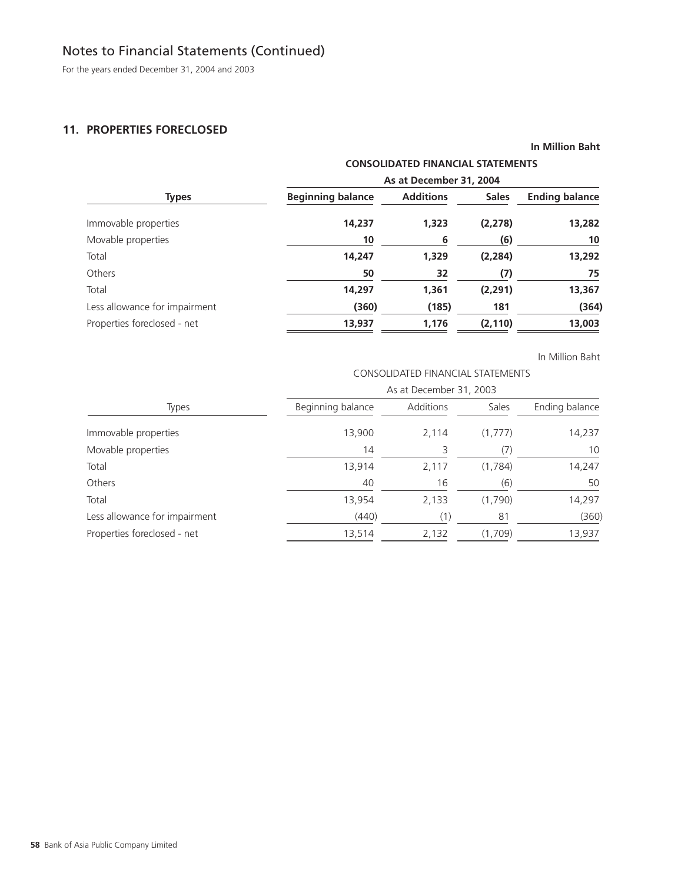For the years ended December 31, 2004 and 2003

### **11. PROPERTIES FORECLOSED**

|  |  |  | <b>In Million Baht</b> |
|--|--|--|------------------------|
|--|--|--|------------------------|

### **CONSOLIDATED FINANCIAL STATEMENTS**

|                               | As at December 31, 2004  |                  |              |                       |  |  |
|-------------------------------|--------------------------|------------------|--------------|-----------------------|--|--|
| <b>Types</b>                  | <b>Beginning balance</b> | <b>Additions</b> | <b>Sales</b> | <b>Ending balance</b> |  |  |
| Immovable properties          | 14,237                   | 1,323            | (2, 278)     | 13,282                |  |  |
| Movable properties            | 10                       | 6                | (6)          | 10                    |  |  |
| Total                         | 14,247                   | 1,329            | (2, 284)     | 13,292                |  |  |
| Others                        | 50                       | 32               | (7)          | 75                    |  |  |
| Total                         | 14,297                   | 1,361            | (2, 291)     | 13,367                |  |  |
| Less allowance for impairment | (360)                    | (185)            | 181          | (364)                 |  |  |
| Properties foreclosed - net   | 13,937                   | 1,176            | (2, 110)     | 13,003                |  |  |

In Million Baht

### CONSOLIDATED FINANCIAL STATEMENTS

|                               | As at December 31, 2003 |           |         |                |  |  |
|-------------------------------|-------------------------|-----------|---------|----------------|--|--|
| <b>Types</b>                  | Beginning balance       | Additions | Sales   | Ending balance |  |  |
| Immovable properties          | 13,900                  | 2,114     | (1,777) | 14,237         |  |  |
| Movable properties            | 14                      | 3         |         | 10             |  |  |
| Total                         | 13,914                  | 2,117     | (1,784) | 14,247         |  |  |
| Others                        | 40                      | 16        | (6)     | 50             |  |  |
| Total                         | 13,954                  | 2,133     | (1,790) | 14,297         |  |  |
| Less allowance for impairment | (440)                   | (1)       | 81      | (360)          |  |  |
| Properties foreclosed - net   | 13,514                  | 2,132     | (1,709) | 13,937         |  |  |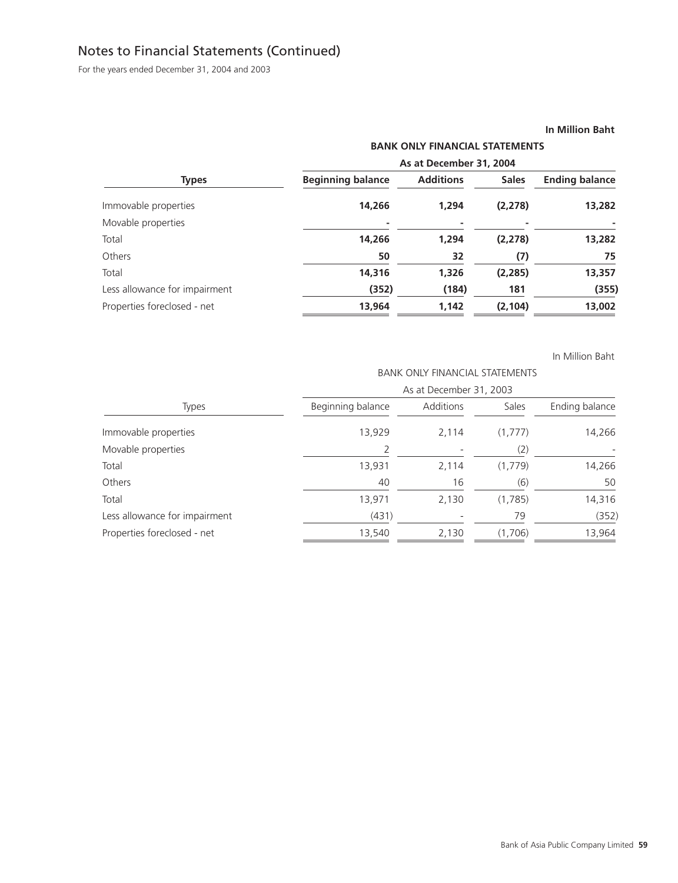For the years ended December 31, 2004 and 2003

#### **In Million Baht**

| As at December 31, 2004 |       |          |                                       |  |  |
|-------------------------|-------|----------|---------------------------------------|--|--|
|                         |       |          |                                       |  |  |
| 14,266                  | 1,294 | (2, 278) | 13,282                                |  |  |
|                         |       |          |                                       |  |  |
| 14,266                  | 1,294 | (2, 278) | 13,282                                |  |  |
| 50                      | 32    | (7)      | 75                                    |  |  |
| 14,316                  | 1,326 | (2, 285) | 13,357                                |  |  |
| (352)                   | (184) | 181      | (355)                                 |  |  |
| 13,964                  | 1,142 | (2, 104) | 13,002                                |  |  |
|                         |       |          | <b>BANK ONLY FINANCIAL STATEMENTS</b> |  |  |

|                               | <b>BANK ONLY FINANCIAL STATEMENTS</b><br>As at December 31, 2003 |           |         |                |  |  |
|-------------------------------|------------------------------------------------------------------|-----------|---------|----------------|--|--|
|                               |                                                                  |           |         |                |  |  |
| <b>Types</b>                  | Beginning balance                                                | Additions | Sales   | Ending balance |  |  |
| Immovable properties          | 13,929                                                           | 2,114     | (1,777) | 14,266         |  |  |
| Movable properties            |                                                                  |           | (2)     |                |  |  |
| Total                         | 13,931                                                           | 2,114     | (1,779) | 14,266         |  |  |
| Others                        | 40                                                               | 16        | (6)     | 50             |  |  |
| Total                         | 13,971                                                           | 2,130     | (1,785) | 14,316         |  |  |
| Less allowance for impairment | (431)                                                            |           | 79      | (352)          |  |  |
| Properties foreclosed - net   | 13,540                                                           | 2,130     | (1,706) | 13,964         |  |  |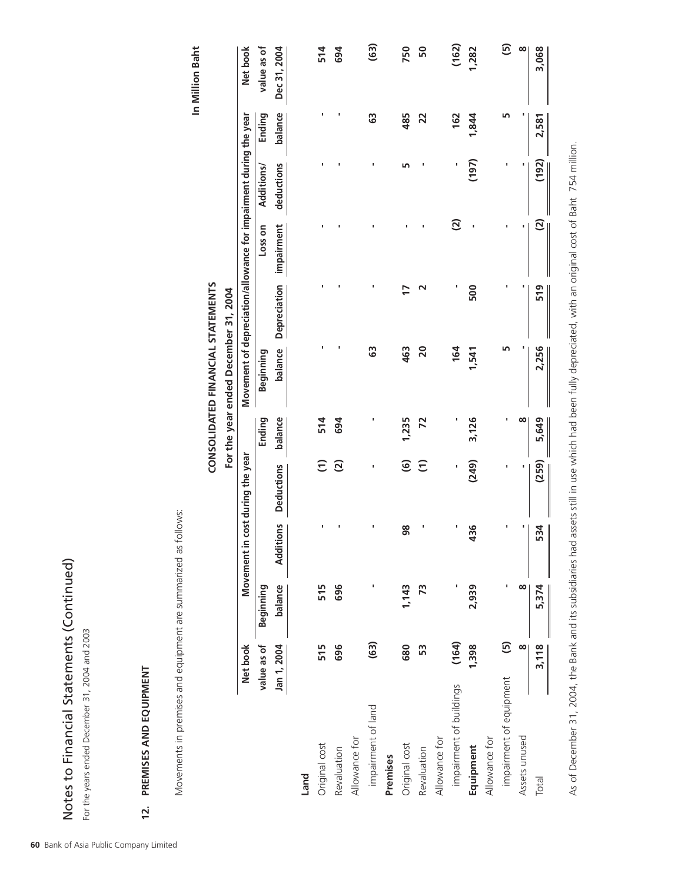| 514             |         |            |            |                                                                   |                                      | 514     | $\widehat{c}$                    |                  | 515                             | 515             |
|-----------------|---------|------------|------------|-------------------------------------------------------------------|--------------------------------------|---------|----------------------------------|------------------|---------------------------------|-----------------|
| Dec 31, 2004    | balance | deductions | impairment | balance Depreciation                                              |                                      | balance | <b>Deductions</b>                | <b>Additions</b> | balance                         | n 1, 2004       |
|                 |         |            |            |                                                                   |                                      |         |                                  |                  |                                 |                 |
| value as of     | Ending  | Additions/ | Loss on    |                                                                   | Beginning                            | Ending  |                                  |                  | Beginning                       | lue as of       |
| Net book        |         |            |            | Movement of depreciation/allowance for impairment during the year |                                      |         | Movement in cost during the year |                  |                                 | <b>Net book</b> |
|                 |         |            |            |                                                                   | For the year ended December 31, 2004 |         |                                  |                  |                                 |                 |
|                 |         |            |            |                                                                   | CONSOLIDATED FINANCIAL STATEMENTS    |         |                                  |                  |                                 |                 |
| In Million Baht |         |            |            |                                                                   |                                      |         |                                  |                  |                                 |                 |
|                 |         |            |            |                                                                   |                                      |         |                                  | ollows:          | d equipment are summarized as f |                 |
|                 |         |            |            |                                                                   |                                      |         |                                  |                  |                                 |                 |
|                 |         |            |            |                                                                   |                                      |         |                                  |                  |                                 | EN <sub>1</sub> |
|                 |         |            |            |                                                                   |                                      |         |                                  |                  |                                 |                 |
|                 |         |            |            |                                                                   |                                      |         |                                  |                  |                                 | 004 and 2003    |
|                 |         |            |            |                                                                   |                                      |         |                                  |                  | ements (Continued)              |                 |

|                         | value as of  | Beginning |                  |                        | Ending  | Beginning    |              | Loss on                  | Additions/ | Ending         | value as of  |
|-------------------------|--------------|-----------|------------------|------------------------|---------|--------------|--------------|--------------------------|------------|----------------|--------------|
|                         | Jan 1, 2004  | balance   | <b>Additions</b> | <b>Deductions</b>      | balance | balance      | Depreciation | impairment               | deductions | balance        | Dec 31, 2004 |
| Land                    |              |           |                  |                        |         |              |              |                          |            |                |              |
| Original cost           | 515          | 515       |                  | $\widehat{\tau}$       | 514     |              |              |                          |            |                | 514          |
| Revaluation             | 696          | 696       |                  | $\widetilde{c}$        | 694     |              |              |                          |            |                | 694          |
| Allowance for           |              |           |                  |                        |         |              |              |                          |            |                |              |
| impairment of land      | (63)         |           |                  |                        |         | ශී           |              |                          | ı          | ශී             | (63)         |
| Premises                |              |           |                  |                        |         |              |              |                          |            |                |              |
| Original cost           | 680          | 1,143     | 98               | $\widehat{\mathbf{G}}$ | 1,235   | 463          | 17           |                          | m          | 485            | 750          |
| Revaluation             | 53           | 73        |                  | $\widehat{E}$          | Z       | $\mathsf{S}$ |              |                          |            | $\overline{2}$ | 50           |
| Allowance for           |              |           |                  |                        |         |              |              |                          |            |                |              |
| impairment of buildings | (164)        |           |                  |                        |         | 164          |              | $\mathfrak{D}$           |            | 162            | (162)        |
| Equipment               | 1,398        | 2,939     | 36               | (249)                  | 3,126   | 1,541        | 500          |                          | (197)      | 1,844          | 1,282        |
| Allowance for           |              |           |                  |                        |         |              |              |                          |            |                |              |
| impairment of equipment | $\mathbf{E}$ |           |                  |                        |         |              |              |                          |            |                | ගි           |
| Assets unused           | ∞            | 8         |                  |                        | œ       |              |              |                          |            |                | $\infty$     |
| Total                   | 3,118        | 5,374     | 534              | (259)                  | 5,649   | 2,256        | 519          | $\widehat{\mathfrak{S}}$ | (192)      | 2,581          | 3,068        |
|                         |              |           | $\parallel$      |                        |         |              |              |                          |            |                |              |

As of December 31, 2004, the Bank and its subsidiaries had assets still in use which had been fully depreciated, with an original cost of Baht 754 million. As of December 31, 2004, the Bank and its subsidiaries had assets still in use which had been fully depreciated, with an original cost of Baht 754 million.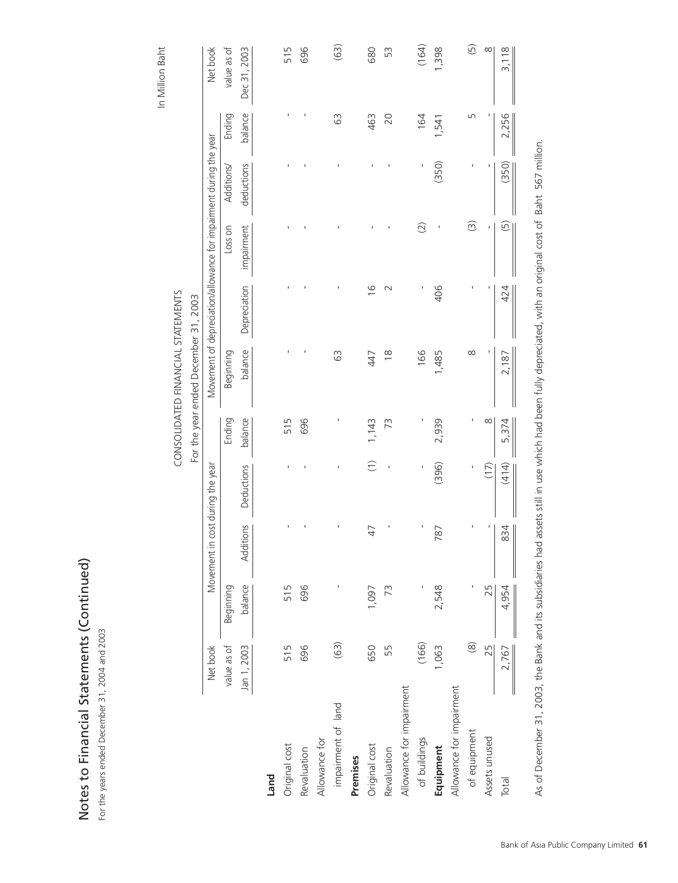| Notes to Financial Statements (Contin | $1, 2004$ and $2003$<br>mber 31<br>Jecer<br>he years ended Du<br>$-01u$ |
|---------------------------------------|-------------------------------------------------------------------------|

| es to Financial Statements (Continued)<br>ne years ended December 31, 2004 and 2003 |             |           |                                  |               |          |                                      |                                                                   |                         |            |         |                    |
|-------------------------------------------------------------------------------------|-------------|-----------|----------------------------------|---------------|----------|--------------------------------------|-------------------------------------------------------------------|-------------------------|------------|---------|--------------------|
|                                                                                     |             |           |                                  |               |          |                                      |                                                                   |                         |            |         | In Million Baht    |
|                                                                                     |             |           |                                  |               |          | CONSOLIDATED FINANCIAL STATEMENTS    |                                                                   |                         |            |         |                    |
|                                                                                     |             |           |                                  |               |          | For the year ended December 31, 2003 |                                                                   |                         |            |         |                    |
|                                                                                     | Net book    |           | Movement in cost during the year |               |          |                                      | Movement of depreciation/allowance for impairment during the year |                         |            |         | Net book           |
|                                                                                     | value as of | Beginning |                                  |               | Ending   | Beginning                            |                                                                   | Loss on                 | Additions/ | Ending  | value as of        |
|                                                                                     | Jan 1, 2003 | balance   | Additions                        | Deductions    | balance  | balance                              | Depreciation                                                      | impairment              | deductions | balance | Dec 31, 2003       |
| Land                                                                                |             |           |                                  |               |          |                                      |                                                                   |                         |            |         |                    |
| Original cost                                                                       | 515         | 515       |                                  |               | 515      |                                      |                                                                   |                         |            | ı       | 515                |
| Revaluation                                                                         | 696         | 696       |                                  |               | 696      |                                      |                                                                   |                         |            | J.      | 696                |
| Allowance for                                                                       |             |           |                                  |               |          |                                      |                                                                   |                         |            |         |                    |
| impairment of land                                                                  | (63)        |           |                                  |               |          | 63                                   |                                                                   |                         |            | 63      | (63)               |
| Premises                                                                            |             |           |                                  |               |          |                                      |                                                                   |                         |            |         |                    |
| Original cost                                                                       | 650         | 1,097     | 47                               | $\widehat{C}$ | 1,143    | 447                                  | $\frac{6}{1}$                                                     |                         |            | 463     | 680                |
| Revaluation                                                                         | 55          | 73        |                                  |               | 73       | $\frac{8}{1}$                        | $\sim$                                                            |                         |            | 20      | SS                 |
| Allowance for impairment                                                            |             |           |                                  |               |          |                                      |                                                                   |                         |            |         |                    |
| of buildings                                                                        | (166)       |           |                                  | Ï             |          | 166                                  | I                                                                 | $\widehat{Q}$           |            | 164     | (164)              |
| Equipment                                                                           | 1,063       | 2,548     | 787                              | (396)         | 2,939    | 1,485                                | 406                                                               | $\mathbf{I}$            | (350)      | 1,541   | 1,398              |
| Allowance for impairment                                                            |             |           |                                  |               |          |                                      |                                                                   |                         |            |         |                    |
| of equipment                                                                        | $\circledR$ |           |                                  |               |          | $\infty$                             |                                                                   | $\widehat{\mathcal{C}}$ |            | LN      | $\widehat{\Theta}$ |
| Assets unused                                                                       | 25          | 25        | I                                | (17)          | $\infty$ |                                      | I                                                                 |                         |            |         | $\infty$           |
| Total                                                                               | 2,767       | 4,954     | 834                              | (414)         | 5,374    | 2,187                                | 424                                                               | $\widehat{\Theta}$      | (350)      | 2,256   | 3,118              |
|                                                                                     |             |           |                                  |               |          |                                      |                                                                   |                         |            |         |                    |

As of December 31, 2003, the Bank and its subsidiaries had assets still in use which had been fully depreciated, with an original cost of Baht 567 million. As of December 31, 2003, the Bank and its subsidiaries had assets still in use which had been fully depreciated, with an original cost of Baht 567 million.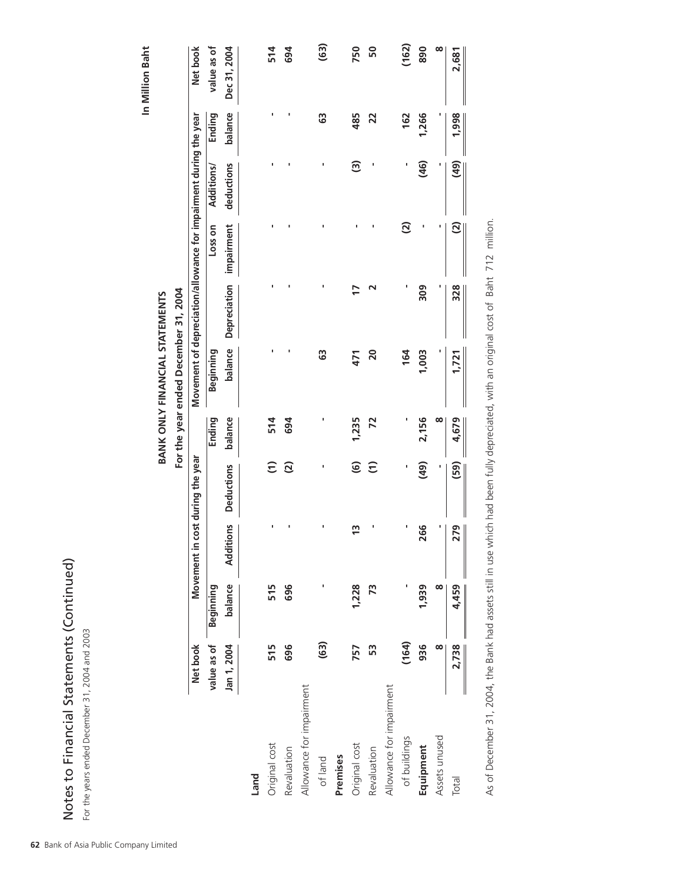| In Million Baht                                                        | Net book                                                          | value as of<br>Ending | Dec 31, 2004<br>balance |      | 514<br>ı             | 694            |                          | (63)<br>63 |          | 750<br>485             | 50<br>22        |                          | (162)<br>162             | 890<br>1,266 | œ             | 2,681<br>1,998              |  |
|------------------------------------------------------------------------|-------------------------------------------------------------------|-----------------------|-------------------------|------|----------------------|----------------|--------------------------|------------|----------|------------------------|-----------------|--------------------------|--------------------------|--------------|---------------|-----------------------------|--|
|                                                                        |                                                                   | Additions/            | deductions              |      |                      |                |                          |            |          | <u>ි</u>               |                 |                          | ı                        | (46)         |               | (49)                        |  |
|                                                                        |                                                                   | Loss on               | impairment              |      |                      |                |                          |            |          |                        |                 |                          | $\widehat{\mathfrak{D}}$ | ı            | ı             | $\overline{c}$              |  |
|                                                                        |                                                                   |                       | Depreciation            |      |                      |                |                          |            |          | 17                     | ٦               |                          | ٠                        | 309          |               | 328                         |  |
| For the year ended December 31, 2004<br>BANK ONLY FINANCIAL STATEMENTS | Movement of depreciation/allowance for impairment during the year | Beginning             | balance                 |      |                      |                |                          | 63         |          | 471                    | $\overline{20}$ |                          | 164                      | 1,003        |               | 1,721                       |  |
|                                                                        |                                                                   | Ending                | balance                 |      | 514                  | 694            |                          |            |          | 1,235                  | 72              |                          |                          | 2,156        | ∞             | 4,679                       |  |
|                                                                        | Movement in cost during the year                                  |                       | <b>Deductions</b>       |      | $\widehat{\epsilon}$ | $\overline{c}$ |                          | ı          |          | $\widehat{\mathbf{e}}$ | $\widehat{E}$   |                          | ı                        | (49)         |               | (59)                        |  |
|                                                                        |                                                                   |                       | Additions               |      |                      |                |                          |            |          | $\frac{3}{2}$          |                 |                          |                          | 266          | ٠             | 79<br>$\mathbf{\mathsf{N}}$ |  |
|                                                                        |                                                                   | Beginning             | balance                 |      | 515                  | 696            |                          |            |          | 1,228                  | 73              |                          |                          | 1,939        | 8             | 4,459                       |  |
|                                                                        | Net book                                                          | value as of           | Jan 1, 2004             |      | 515                  | 696            |                          | (63)       |          | 757                    | 53              |                          | (164)                    | 936          | $\infty$      | 2,738                       |  |
|                                                                        |                                                                   |                       |                         | Land | Original cost        | Revaluation    | Allowance for impairment | of land    | Premises | Original cost          | Revaluation     | Allowance for impairment | of buildings             | Equipment    | Assets unused | Total                       |  |

As of December 31, 2004, the Bank had assets still in use which had been fully depreciated, with an original cost of Baht 712 million. As of December 31, 2004, the Bank had assets still in use which had been fully depreciated, with an original cost of Baht 712 million.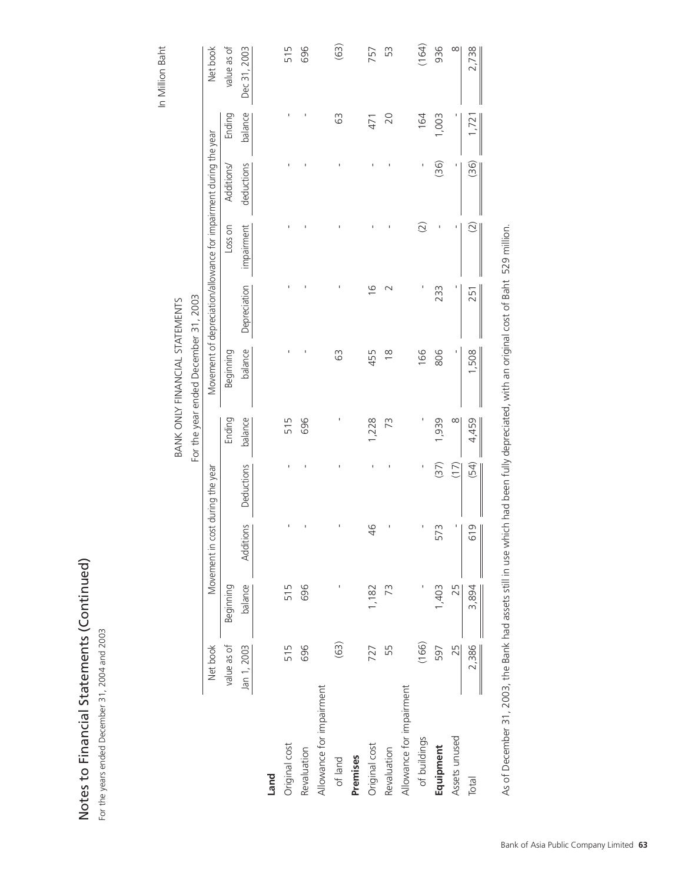| V<br>V⊃ויטוו+      |
|--------------------|
| s<br>S             |
| רומממים <br>۱<br>Ξ |
| _<br>IC†¤          |

For the years ended December 31, 2004 and 2003 For the years ended December 31, 2004 and 2003

| In Million Baht<br>(63)<br>Net book<br>936<br>$\infty$<br>2,738<br>value as of<br>Dec 31, 2003<br>696<br>53<br>515<br>757<br>Ending<br>balance<br>63<br>164<br>1,003<br>20<br>1,721<br>471<br>Movement of depreciation/allowance for impairment during the year<br>(36)<br>(36)<br>deductions<br>Ţ<br>I<br>Additions/<br>$\widehat{O}$<br>$\widetilde{C}$<br>impairment<br>Loss on<br>t<br>Depreciation<br>ı<br>I<br>$\frac{6}{1}$<br>233<br>$\sim$<br>251<br>For the year ended December 31, 2003<br><b>BANK ONLY FINANCIAL STATEMENTS</b><br>balance<br>166<br>I<br>Beginning<br>63<br>455<br>806<br>1,508<br>$\frac{8}{1}$<br>balance<br>1,228<br>1,939<br>$\infty$<br>696<br>73<br>4,459<br>Ending<br>515<br>(37)<br>(54)<br>(17)<br>Deductions<br>Ţ<br>Movement in cost during the year<br>I<br>Additions<br>$\frac{4}{6}$<br>573<br>619<br>balance<br>Beginning<br>1,403<br>25<br>696<br>1,182<br>3,894<br>515<br>73<br>(166)<br>(63)<br>25<br>2,386<br>Net book<br>Jan 1, 2003<br>696<br>55<br>597<br>value as of<br>515<br>727<br>Allowance for impairment<br>Allowance for impairment<br>Assets unused<br>of buildings<br>Original cost<br>Original cost<br>Equipment<br>Revaluation<br>Revaluation<br>Premises<br>of land<br>Land<br><b>Total</b> | es to Financial Statements (Continued)<br>e years ended December 31, 2004 and 2003 |  |  |  |  |  |       |
|-------------------------------------------------------------------------------------------------------------------------------------------------------------------------------------------------------------------------------------------------------------------------------------------------------------------------------------------------------------------------------------------------------------------------------------------------------------------------------------------------------------------------------------------------------------------------------------------------------------------------------------------------------------------------------------------------------------------------------------------------------------------------------------------------------------------------------------------------------------------------------------------------------------------------------------------------------------------------------------------------------------------------------------------------------------------------------------------------------------------------------------------------------------------------------------------------------------------------------------------------------------|------------------------------------------------------------------------------------|--|--|--|--|--|-------|
|                                                                                                                                                                                                                                                                                                                                                                                                                                                                                                                                                                                                                                                                                                                                                                                                                                                                                                                                                                                                                                                                                                                                                                                                                                                             |                                                                                    |  |  |  |  |  |       |
|                                                                                                                                                                                                                                                                                                                                                                                                                                                                                                                                                                                                                                                                                                                                                                                                                                                                                                                                                                                                                                                                                                                                                                                                                                                             |                                                                                    |  |  |  |  |  |       |
|                                                                                                                                                                                                                                                                                                                                                                                                                                                                                                                                                                                                                                                                                                                                                                                                                                                                                                                                                                                                                                                                                                                                                                                                                                                             |                                                                                    |  |  |  |  |  |       |
|                                                                                                                                                                                                                                                                                                                                                                                                                                                                                                                                                                                                                                                                                                                                                                                                                                                                                                                                                                                                                                                                                                                                                                                                                                                             |                                                                                    |  |  |  |  |  |       |
|                                                                                                                                                                                                                                                                                                                                                                                                                                                                                                                                                                                                                                                                                                                                                                                                                                                                                                                                                                                                                                                                                                                                                                                                                                                             |                                                                                    |  |  |  |  |  |       |
|                                                                                                                                                                                                                                                                                                                                                                                                                                                                                                                                                                                                                                                                                                                                                                                                                                                                                                                                                                                                                                                                                                                                                                                                                                                             |                                                                                    |  |  |  |  |  |       |
|                                                                                                                                                                                                                                                                                                                                                                                                                                                                                                                                                                                                                                                                                                                                                                                                                                                                                                                                                                                                                                                                                                                                                                                                                                                             |                                                                                    |  |  |  |  |  |       |
|                                                                                                                                                                                                                                                                                                                                                                                                                                                                                                                                                                                                                                                                                                                                                                                                                                                                                                                                                                                                                                                                                                                                                                                                                                                             |                                                                                    |  |  |  |  |  |       |
|                                                                                                                                                                                                                                                                                                                                                                                                                                                                                                                                                                                                                                                                                                                                                                                                                                                                                                                                                                                                                                                                                                                                                                                                                                                             |                                                                                    |  |  |  |  |  |       |
|                                                                                                                                                                                                                                                                                                                                                                                                                                                                                                                                                                                                                                                                                                                                                                                                                                                                                                                                                                                                                                                                                                                                                                                                                                                             |                                                                                    |  |  |  |  |  |       |
|                                                                                                                                                                                                                                                                                                                                                                                                                                                                                                                                                                                                                                                                                                                                                                                                                                                                                                                                                                                                                                                                                                                                                                                                                                                             |                                                                                    |  |  |  |  |  |       |
|                                                                                                                                                                                                                                                                                                                                                                                                                                                                                                                                                                                                                                                                                                                                                                                                                                                                                                                                                                                                                                                                                                                                                                                                                                                             |                                                                                    |  |  |  |  |  |       |
|                                                                                                                                                                                                                                                                                                                                                                                                                                                                                                                                                                                                                                                                                                                                                                                                                                                                                                                                                                                                                                                                                                                                                                                                                                                             |                                                                                    |  |  |  |  |  |       |
|                                                                                                                                                                                                                                                                                                                                                                                                                                                                                                                                                                                                                                                                                                                                                                                                                                                                                                                                                                                                                                                                                                                                                                                                                                                             |                                                                                    |  |  |  |  |  |       |
|                                                                                                                                                                                                                                                                                                                                                                                                                                                                                                                                                                                                                                                                                                                                                                                                                                                                                                                                                                                                                                                                                                                                                                                                                                                             |                                                                                    |  |  |  |  |  |       |
|                                                                                                                                                                                                                                                                                                                                                                                                                                                                                                                                                                                                                                                                                                                                                                                                                                                                                                                                                                                                                                                                                                                                                                                                                                                             |                                                                                    |  |  |  |  |  | (164) |
|                                                                                                                                                                                                                                                                                                                                                                                                                                                                                                                                                                                                                                                                                                                                                                                                                                                                                                                                                                                                                                                                                                                                                                                                                                                             |                                                                                    |  |  |  |  |  |       |
|                                                                                                                                                                                                                                                                                                                                                                                                                                                                                                                                                                                                                                                                                                                                                                                                                                                                                                                                                                                                                                                                                                                                                                                                                                                             |                                                                                    |  |  |  |  |  |       |
|                                                                                                                                                                                                                                                                                                                                                                                                                                                                                                                                                                                                                                                                                                                                                                                                                                                                                                                                                                                                                                                                                                                                                                                                                                                             |                                                                                    |  |  |  |  |  |       |

As of December 31, 2003, the Bank had assets still in use which had been fully depreciated, with an original cost of Baht 529 million. As of December 31, 2003, the Bank had assets still in use which had been fully depreciated, with an original cost of Baht 529 million.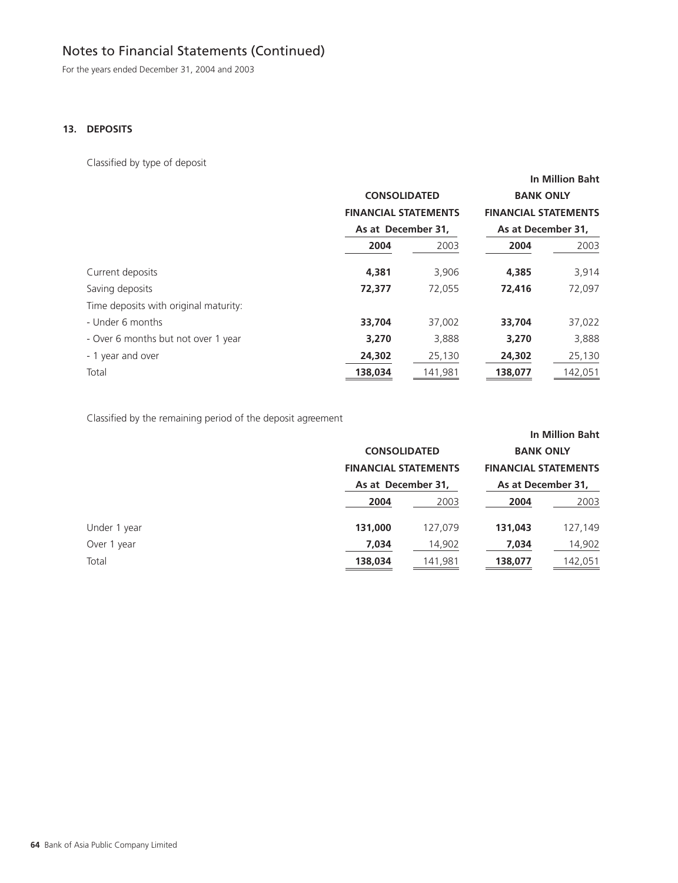For the years ended December 31, 2004 and 2003

### **13. DEPOSITS**

Classified by type of deposit

|                                       |                             |         |                             | <b>In Million Baht</b> |
|---------------------------------------|-----------------------------|---------|-----------------------------|------------------------|
|                                       | <b>CONSOLIDATED</b>         |         | <b>BANK ONLY</b>            |                        |
|                                       | <b>FINANCIAL STATEMENTS</b> |         | <b>FINANCIAL STATEMENTS</b> |                        |
|                                       | As at December 31,          |         | As at December 31,          |                        |
|                                       | 2004                        | 2003    | 2004                        | 2003                   |
| Current deposits                      | 4,381                       | 3,906   | 4,385                       | 3,914                  |
| Saving deposits                       | 72,377                      | 72,055  | 72,416                      | 72,097                 |
| Time deposits with original maturity: |                             |         |                             |                        |
| - Under 6 months                      | 33,704                      | 37,002  | 33,704                      | 37,022                 |
| - Over 6 months but not over 1 year   | 3,270                       | 3,888   | 3,270                       | 3,888                  |
| - 1 year and over                     | 24,302                      | 25,130  | 24,302                      | 25,130                 |
| Total                                 | 138,034                     | 141,981 | 138,077                     | 142,051                |

Classified by the remaining period of the deposit agreement

|              | <b>CONSOLIDATED</b><br><b>FINANCIAL STATEMENTS</b><br>As at December 31, |         | <b>BANK ONLY</b><br><b>FINANCIAL STATEMENTS</b><br>As at December 31, | <b>In Million Baht</b> |
|--------------|--------------------------------------------------------------------------|---------|-----------------------------------------------------------------------|------------------------|
|              | 2004                                                                     | 2003    | 2004                                                                  | 2003                   |
| Under 1 year | 131,000                                                                  | 127,079 | 131,043                                                               | 127,149                |
| Over 1 year  | 7,034                                                                    | 14,902  | 7,034                                                                 | 14,902                 |
| Total        | 138,034                                                                  | 141,981 | 138,077                                                               | 142,051                |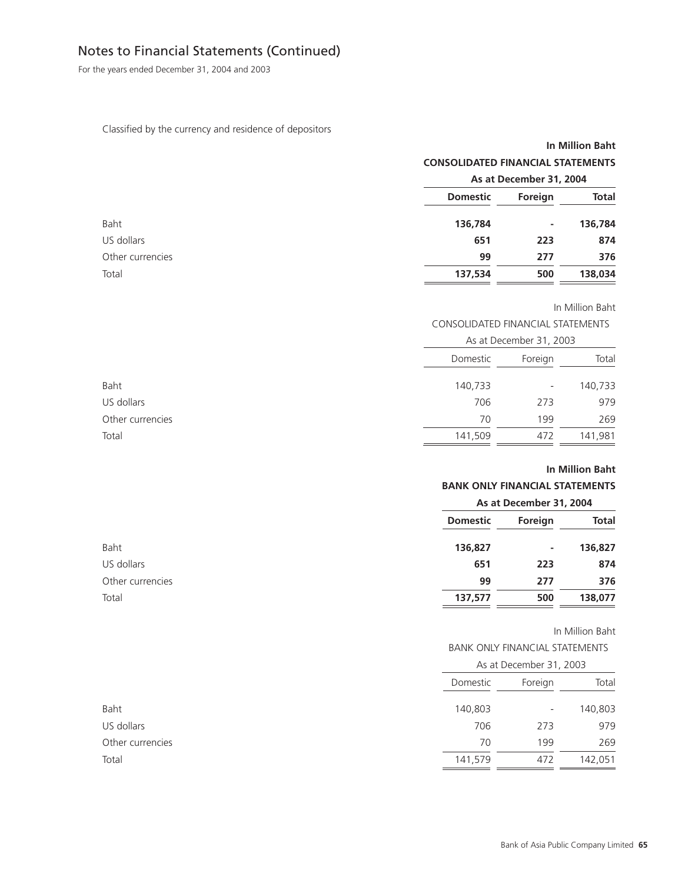For the years ended December 31, 2004 and 2003

### Classified by the currency and residence of depositors

### **In Million Baht CONSOLIDATED FINANCIAL STATEMENTS**

|                  |                 | As at December 31, 2004 |              |
|------------------|-----------------|-------------------------|--------------|
|                  | <b>Domestic</b> | Foreign                 | <b>Total</b> |
| Baht             | 136,784         | ٠.                      | 136,784      |
| US dollars       | 651             | 223                     | 874          |
| Other currencies | 99              | 277                     | 376          |
| Total            | 137,534         | 500                     | 138,034      |

In Million Baht

### CONSOLIDATED FINANCIAL STATEMENTS

|                  |          | As at December 31, 2003  |         |  |
|------------------|----------|--------------------------|---------|--|
|                  | Domestic | Foreign                  | Total   |  |
| Baht             | 140,733  | $\overline{\phantom{a}}$ | 140,733 |  |
| US dollars       | 706      | 273                      | 979     |  |
| Other currencies | 70       | 199                      | 269     |  |
| Total            | 141,509  | 472                      | 141,981 |  |
|                  |          |                          |         |  |

### **In Million Baht**

### **BANK ONLY FINANCIAL STATEMENTS**

| As at December 31, 2004 |         |              |
|-------------------------|---------|--------------|
| <b>Domestic</b>         | Foreign | <b>Total</b> |
| 136,827                 | ٠       | 136,827      |
| 651                     | 223     | 874          |
| 99                      | 277     | 376          |
| 137,577                 | 500     | 138,077      |
|                         |         |              |

#### In Million Baht

### BANK ONLY FINANCIAL STATEMENTS

|                  |          | As at December 31, 2003  |         |  |
|------------------|----------|--------------------------|---------|--|
|                  | Domestic | Foreign                  | Total   |  |
| Baht             | 140,803  | $\overline{\phantom{a}}$ | 140,803 |  |
| US dollars       | 706      | 273                      | 979     |  |
| Other currencies | 70       | 199                      | 269     |  |
| Total            | 141,579  | 472                      | 142,051 |  |
|                  |          |                          |         |  |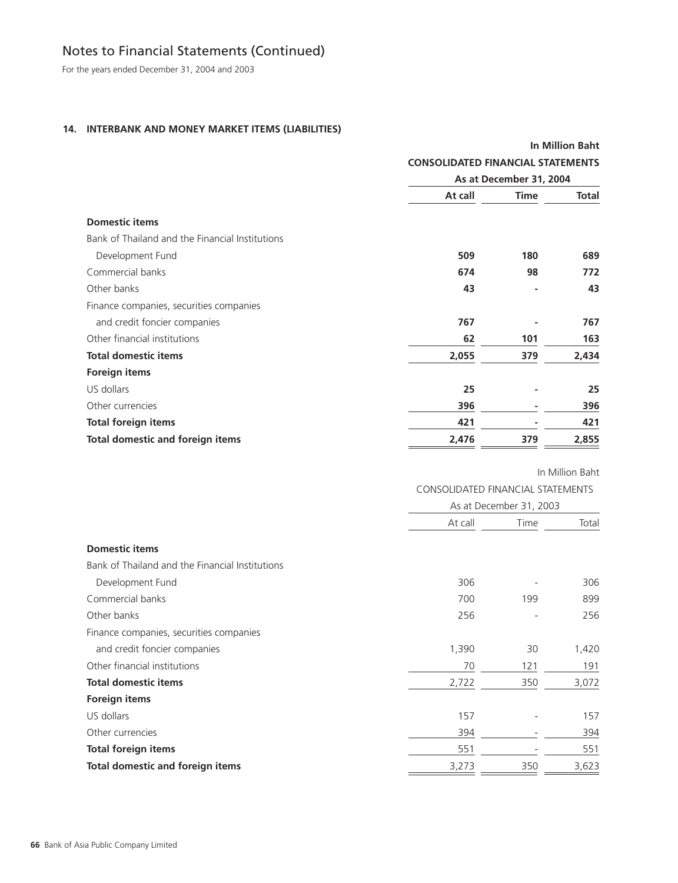For the years ended December 31, 2004 and 2003

### **14. INTERBANK AND MONEY MARKET ITEMS (LIABILITIES)**

|                                                 |                                          |             | <b>In Million Baht</b> |
|-------------------------------------------------|------------------------------------------|-------------|------------------------|
|                                                 | <b>CONSOLIDATED FINANCIAL STATEMENTS</b> |             |                        |
|                                                 | As at December 31, 2004                  |             |                        |
|                                                 | At call                                  | <b>Time</b> | <b>Total</b>           |
| <b>Domestic items</b>                           |                                          |             |                        |
| Bank of Thailand and the Financial Institutions |                                          |             |                        |
| Development Fund                                | 509                                      | 180         | 689                    |
| Commercial banks                                | 674                                      | 98          | 772                    |
| Other banks                                     | 43                                       |             | 43                     |
| Finance companies, securities companies         |                                          |             |                        |
| and credit foncier companies                    | 767                                      |             | 767                    |
| Other financial institutions                    | 62                                       | 101         | 163                    |
| <b>Total domestic items</b>                     | 2,055                                    | 379         | 2,434                  |
| <b>Foreign items</b>                            |                                          |             |                        |
| US dollars                                      | 25                                       |             | 25                     |
| Other currencies                                | 396                                      |             | 396                    |
| <b>Total foreign items</b>                      | 421                                      |             | 421                    |
| <b>Total domestic and foreign items</b>         | 2,476                                    | 379         | 2,855                  |

In Million Baht

CONSOLIDATED FINANCIAL STATEMENTS

|                                                 |         | As at December 31, 2003 |       |  |
|-------------------------------------------------|---------|-------------------------|-------|--|
|                                                 | At call | Time                    | Total |  |
| <b>Domestic items</b>                           |         |                         |       |  |
| Bank of Thailand and the Financial Institutions |         |                         |       |  |
| Development Fund                                | 306     |                         | 306   |  |
| Commercial banks                                | 700     | 199                     | 899   |  |
| Other banks                                     | 256     |                         | 256   |  |
| Finance companies, securities companies         |         |                         |       |  |
| and credit foncier companies                    | 1,390   | 30                      | 1,420 |  |
| Other financial institutions                    | 70      | 121                     | 191   |  |
| <b>Total domestic items</b>                     | 2,722   | 350                     | 3,072 |  |
| <b>Foreign items</b>                            |         |                         |       |  |
| US dollars                                      | 157     |                         | 157   |  |
| Other currencies                                | 394     |                         | 394   |  |
| <b>Total foreign items</b>                      | 551     |                         | 551   |  |
| <b>Total domestic and foreign items</b>         | 3,273   | 350                     | 3,623 |  |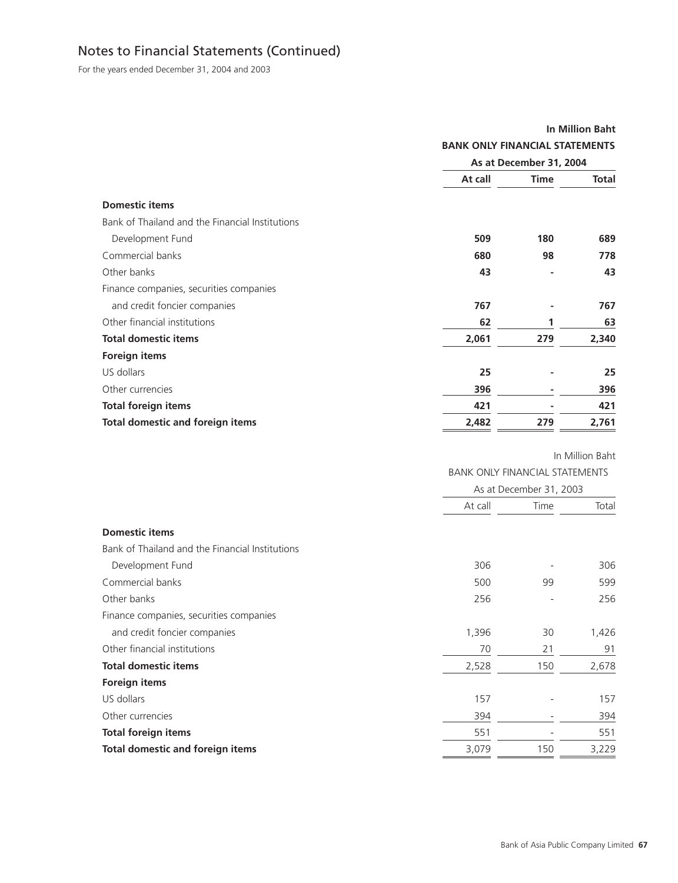For the years ended December 31, 2004 and 2003

|                                                 |                                       |                         | <b>In Million Baht</b> |
|-------------------------------------------------|---------------------------------------|-------------------------|------------------------|
|                                                 | <b>BANK ONLY FINANCIAL STATEMENTS</b> |                         |                        |
|                                                 | As at December 31, 2004               |                         |                        |
|                                                 | At call                               | <b>Time</b>             | <b>Total</b>           |
| <b>Domestic items</b>                           |                                       |                         |                        |
| Bank of Thailand and the Financial Institutions |                                       |                         |                        |
| Development Fund                                | 509                                   | 180                     | 689                    |
| Commercial banks                                | 680                                   | 98                      | 778                    |
| Other banks                                     | 43                                    |                         | 43                     |
| Finance companies, securities companies         |                                       |                         |                        |
| and credit foncier companies                    | 767                                   |                         | 767                    |
| Other financial institutions                    | 62                                    | 1                       | 63                     |
| <b>Total domestic items</b>                     | 2,061                                 | 279                     | 2,340                  |
| <b>Foreign items</b>                            |                                       |                         |                        |
| US dollars                                      | 25                                    |                         | 25                     |
| Other currencies                                | 396                                   |                         | 396                    |
| <b>Total foreign items</b>                      | 421                                   |                         | 421                    |
| <b>Total domestic and foreign items</b>         | 2,482                                 | 279                     | 2,761                  |
|                                                 |                                       |                         | In Million Baht        |
|                                                 | <b>BANK ONLY FINANCIAL STATEMENTS</b> |                         |                        |
|                                                 |                                       | As at December 31, 2003 |                        |
|                                                 | At call                               | Time                    | Total                  |
| <b>Domestic items</b>                           |                                       |                         |                        |
| Bank of Thailand and the Financial Institutions |                                       |                         |                        |
| Development Fund                                | 306                                   |                         | 306                    |
| Commercial banks                                | 500                                   | 99                      | 599                    |
| Other banks                                     | 256                                   |                         | 256                    |
| Finance companies, securities companies         |                                       |                         |                        |
| and credit foncier companies                    | 1,396                                 | 30                      | 1,426                  |
| Other financial institutions                    | 70                                    | 21                      | 91                     |
| <b>Total domestic items</b>                     | 2,528                                 | 150                     | 2,678                  |
| Foreign items                                   |                                       |                         |                        |
| US dollars                                      | 157                                   |                         | 157                    |
| Other currencies                                | 394                                   |                         | 394                    |
| <b>Total foreign items</b>                      | 551                                   |                         | 551                    |
| <b>Total domestic and foreign items</b>         | 3,079                                 | 150                     | 3,229                  |
|                                                 |                                       |                         |                        |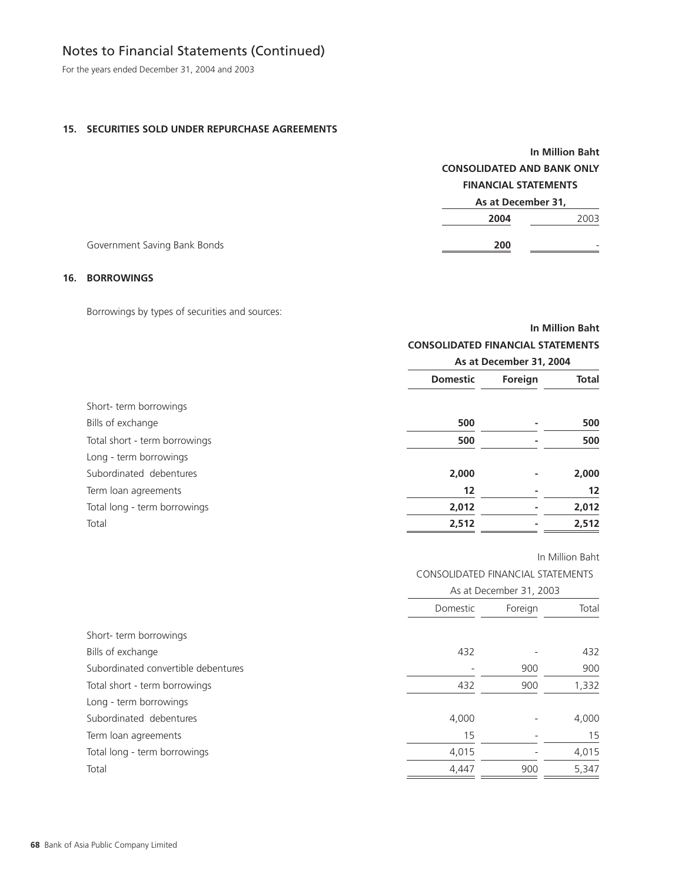For the years ended December 31, 2004 and 2003

### **15. SECURITIES SOLD UNDER REPURCHASE AGREEMENTS**

|                              |                             | <b>In Million Baht</b><br><b>CONSOLIDATED AND BANK ONLY</b> |  |  |
|------------------------------|-----------------------------|-------------------------------------------------------------|--|--|
|                              |                             |                                                             |  |  |
|                              | <b>FINANCIAL STATEMENTS</b> |                                                             |  |  |
|                              | As at December 31,          |                                                             |  |  |
|                              | 2004                        | 2003                                                        |  |  |
| Government Saving Bank Bonds | 200                         |                                                             |  |  |

### **16. BORROWINGS**

Borrowings by types of securities and sources:

|                               | <b>In Million Baht</b>                   |         |              |
|-------------------------------|------------------------------------------|---------|--------------|
|                               | <b>CONSOLIDATED FINANCIAL STATEMENTS</b> |         |              |
|                               | As at December 31, 2004                  |         |              |
|                               | <b>Domestic</b>                          | Foreign | <b>Total</b> |
| Short-term borrowings         |                                          |         |              |
| Bills of exchange             | 500                                      |         | 500          |
| Total short - term borrowings | 500                                      |         | 500          |
| Long - term borrowings        |                                          |         |              |
| Subordinated debentures       | 2,000                                    |         | 2,000        |
| Term loan agreements          | 12                                       |         | 12           |
| Total long - term borrowings  | 2,012                                    |         | 2,012        |
| Total                         | 2,512                                    |         | 2,512        |

|                                     | <b>CONSOLIDATED FINANCIAL STATEMENTS</b> |         |       |
|-------------------------------------|------------------------------------------|---------|-------|
|                                     | As at December 31, 2003                  |         |       |
|                                     | Domestic                                 | Foreign | Total |
| Short-term borrowings               |                                          |         |       |
| Bills of exchange                   | 432                                      |         | 432   |
| Subordinated convertible debentures |                                          | 900     | 900   |
| Total short - term borrowings       | 432                                      | 900     | 1,332 |
| Long - term borrowings              |                                          |         |       |
| Subordinated debentures             | 4,000                                    |         | 4,000 |
| Term loan agreements                | 15                                       |         | 15    |
| Total long - term borrowings        | 4,015                                    |         | 4,015 |
| Total                               | 4,447                                    | 900     | 5,347 |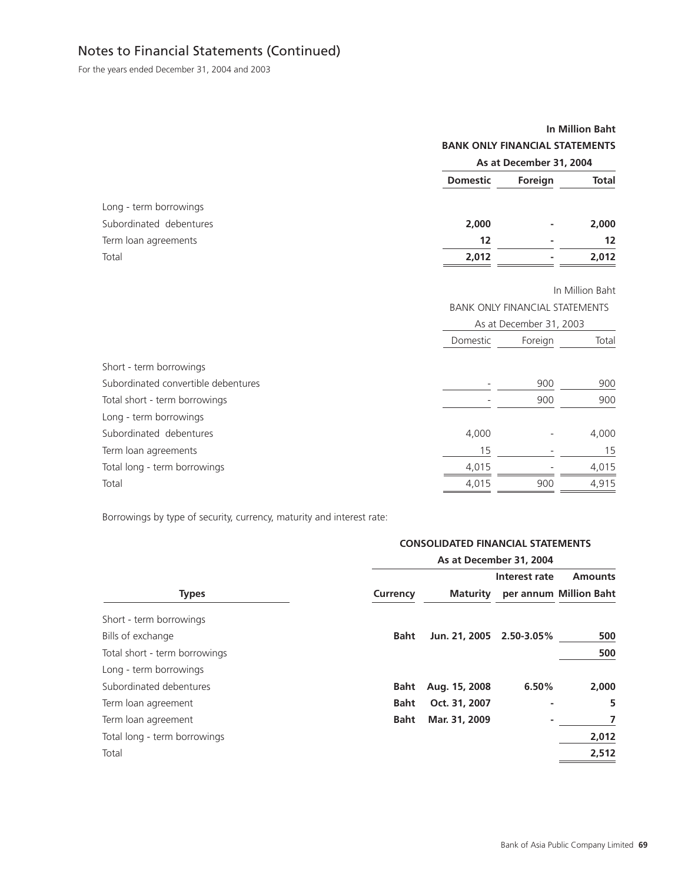For the years ended December 31, 2004 and 2003

# **In Million Baht BANK ONLY FINANCIAL STATEMENTS As at December 31, 2004**

|                         | <b>Domestic</b> | Foreign | <b>Total</b> |
|-------------------------|-----------------|---------|--------------|
| Long - term borrowings  |                 |         |              |
| Subordinated debentures | 2,000           | ٠       | 2,000        |
| Term loan agreements    | 12              |         | 12           |
| Total                   | 2,012           | ۰       | 2,012        |
|                         |                 |         |              |

In Million Baht

BANK ONLY FINANCIAL STATEMENTS

|                                     | As at December 31, 2003 |         |       |
|-------------------------------------|-------------------------|---------|-------|
|                                     | Domestic                | Foreign | Total |
| Short - term borrowings             |                         |         |       |
| Subordinated convertible debentures |                         | 900     | 900   |
| Total short - term borrowings       |                         | 900     | 900   |
| Long - term borrowings              |                         |         |       |
| Subordinated debentures             | 4,000                   |         | 4,000 |
| Term loan agreements                | 15                      |         | 15    |
| Total long - term borrowings        | 4,015                   |         | 4,015 |
| Total                               | 4,015                   | 900     | 4,915 |

Borrowings by type of security, currency, maturity and interest rate:

### **CONSOLIDATED FINANCIAL STATEMENTS**

|                               | As at December 31, 2004 |                 |               |                                          |
|-------------------------------|-------------------------|-----------------|---------------|------------------------------------------|
| <b>Types</b>                  | Currency                | <b>Maturity</b> | Interest rate | <b>Amounts</b><br>per annum Million Baht |
| Short - term borrowings       |                         |                 |               |                                          |
| Bills of exchange             | <b>Baht</b>             | Jun. 21, 2005   | 2.50-3.05%    | 500                                      |
| Total short - term borrowings |                         |                 |               | 500                                      |
| Long - term borrowings        |                         |                 |               |                                          |
| Subordinated debentures       | <b>Baht</b>             | Aug. 15, 2008   | 6.50%         | 2,000                                    |
| Term loan agreement           | Baht                    | Oct. 31, 2007   | ٠             | 5                                        |
| Term loan agreement           | <b>Baht</b>             | Mar. 31, 2009   |               |                                          |
| Total long - term borrowings  |                         |                 |               | 2,012                                    |
| Total                         |                         |                 |               | 2,512                                    |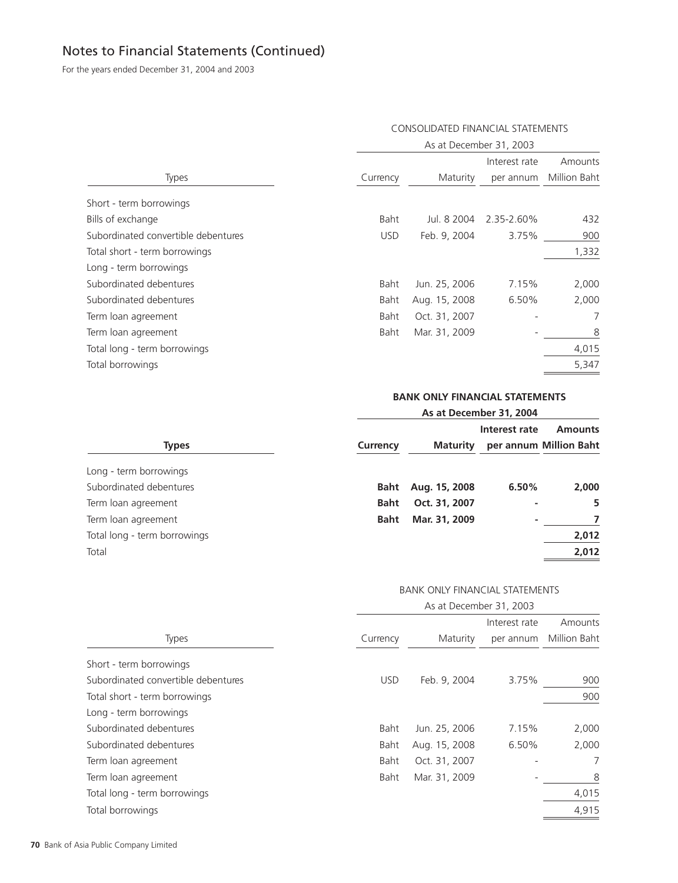For the years ended December 31, 2004 and 2003

# As at December 31, 2003 Interest rate Amounts Types Currency Maturity per annum Million Baht Short - term borrowings Bills of exchange Baht Jul. 8 2004 2.35-2.60% 432 Subordinated convertible debentures USD Feb. 9, 2004 3.75% 900 Total short - term borrowings 1,332 Long - term borrowings Subordinated debentures Baht Jun. 25, 2006 7.15% 2,000 Subordinated debentures Baht Aug. 15, 2008 6.50% 2,000 Term loan agreement Term loan agreement and the state of the Baht Oct. 31, 2007 - 7 Term loan agreement and the state of the Baht Mar. 31, 2009 - 8 Total long - term borrowings 4,015 Total borrowings 5,347

#### CONSOLIDATED FINANCIAL STATEMENTS

**BANK ONLY FINANCIAL STATEMENTS As at December 31, 2004**

| <b>Types</b>                 | Currency    | Maturity      | Interest rate | <b>Amounts</b><br>per annum Million Baht |  |
|------------------------------|-------------|---------------|---------------|------------------------------------------|--|
| Long - term borrowings       |             |               |               |                                          |  |
| Subordinated debentures      | Baht        | Aug. 15, 2008 | 6.50%         | 2,000                                    |  |
| Term loan agreement          | <b>Baht</b> | Oct. 31, 2007 |               | 5                                        |  |
| Term loan agreement          | <b>Baht</b> | Mar. 31, 2009 |               |                                          |  |
| Total long - term borrowings |             |               |               | 2,012                                    |  |
| Total                        |             |               |               | 2,012                                    |  |
|                              |             |               |               |                                          |  |

#### BANK ONLY FINANCIAL STATEMENTS

As at December 31, 2003

|                                     |            |               | Interest rate | Amounts      |
|-------------------------------------|------------|---------------|---------------|--------------|
| Types                               | Currency   | Maturity      | per annum     | Million Baht |
| Short - term borrowings             |            |               |               |              |
| Subordinated convertible debentures | <b>USD</b> | Feb. 9, 2004  | 3.75%         | 900          |
| Total short - term borrowings       |            |               |               | 900          |
| Long - term borrowings              |            |               |               |              |
| Subordinated debentures             | Baht       | Jun. 25, 2006 | 7.15%         | 2,000        |
| Subordinated debentures             | Baht       | Aug. 15, 2008 | 6.50%         | 2,000        |
| Term loan agreement                 | Baht       | Oct. 31, 2007 |               | 7            |
| Term loan agreement                 | Baht       | Mar. 31, 2009 |               | 8            |
| Total long - term borrowings        |            |               |               | 4,015        |
| Total borrowings                    |            |               |               | 4,915        |
|                                     |            |               |               |              |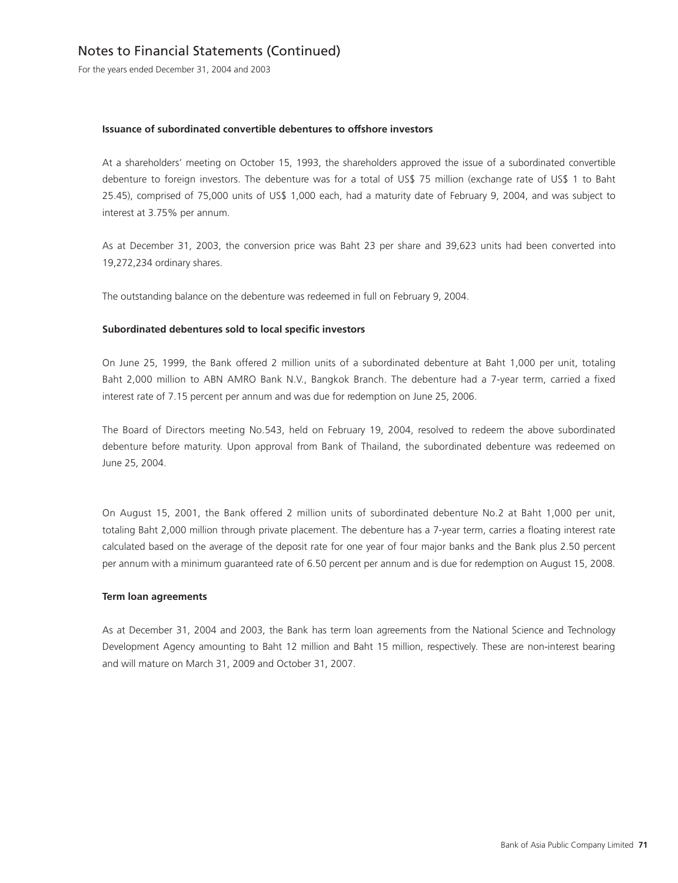For the years ended December 31, 2004 and 2003

#### **Issuance of subordinated convertible debentures to offshore investors**

At a shareholders' meeting on October 15, 1993, the shareholders approved the issue of a subordinated convertible debenture to foreign investors. The debenture was for a total of US\$ 75 million (exchange rate of US\$ 1 to Baht 25.45), comprised of 75,000 units of US\$ 1,000 each, had a maturity date of February 9, 2004, and was subject to interest at 3.75% per annum.

As at December 31, 2003, the conversion price was Baht 23 per share and 39,623 units had been converted into 19,272,234 ordinary shares.

The outstanding balance on the debenture was redeemed in full on February 9, 2004.

#### **Subordinated debentures sold to local specific investors**

On June 25, 1999, the Bank offered 2 million units of a subordinated debenture at Baht 1,000 per unit, totaling Baht 2,000 million to ABN AMRO Bank N.V., Bangkok Branch. The debenture had a 7-year term, carried a fixed interest rate of 7.15 percent per annum and was due for redemption on June 25, 2006.

The Board of Directors meeting No.543, held on February 19, 2004, resolved to redeem the above subordinated debenture before maturity. Upon approval from Bank of Thailand, the subordinated debenture was redeemed on June 25, 2004.

On August 15, 2001, the Bank offered 2 million units of subordinated debenture No.2 at Baht 1,000 per unit, totaling Baht 2,000 million through private placement. The debenture has a 7-year term, carries a floating interest rate calculated based on the average of the deposit rate for one year of four major banks and the Bank plus 2.50 percent per annum with a minimum guaranteed rate of 6.50 percent per annum and is due for redemption on August 15, 2008.

#### **Term loan agreements**

As at December 31, 2004 and 2003, the Bank has term loan agreements from the National Science and Technology Development Agency amounting to Baht 12 million and Baht 15 million, respectively. These are non-interest bearing and will mature on March 31, 2009 and October 31, 2007.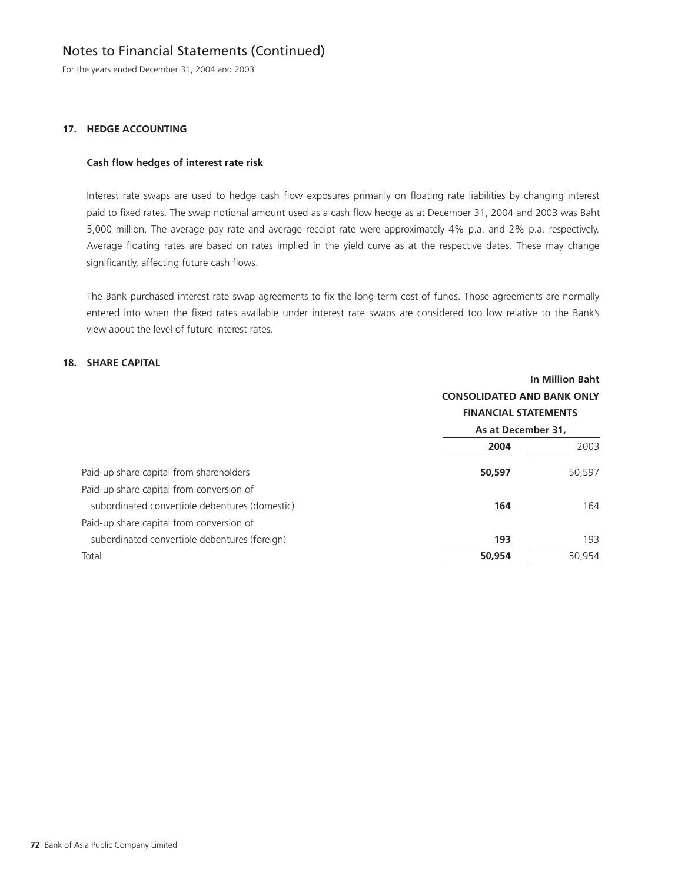For the years ended December 31, 2004 and 2003

## **17. HEDGE ACCOUNTING**

## **Cash flow hedges of interest rate risk**

Interest rate swaps are used to hedge cash flow exposures primarily on floating rate liabilities by changing interest paid to fixed rates. The swap notional amount used as a cash flow hedge as at December 31, 2004 and 2003 was Baht 5,000 million. The average pay rate and average receipt rate were approximately 4% p.a. and 2% p.a. respectively. Average floating rates are based on rates implied in the yield curve as at the respective dates. These may change significantly, affecting future cash flows.

The Bank purchased interest rate swap agreements to fix the long-term cost of funds. Those agreements are normally entered into when the fixed rates available under interest rate swaps are considered too low relative to the Bank's view about the level of future interest rates.

## **18. SHARE CAPITAL**

|                                                | In Million Baht<br><b>CONSOLIDATED AND BANK ONLY</b><br><b>FINANCIAL STATEMENTS</b> |        |  |
|------------------------------------------------|-------------------------------------------------------------------------------------|--------|--|
|                                                | As at December 31,                                                                  |        |  |
|                                                | 2004                                                                                | 2003   |  |
| Paid-up share capital from shareholders        | 50,597                                                                              | 50,597 |  |
| Paid-up share capital from conversion of       |                                                                                     |        |  |
| subordinated convertible debentures (domestic) | 164                                                                                 | 164    |  |
| Paid-up share capital from conversion of       |                                                                                     |        |  |
| subordinated convertible debentures (foreign)  | 193                                                                                 | 193    |  |
| Total                                          | 50,954                                                                              | 50,954 |  |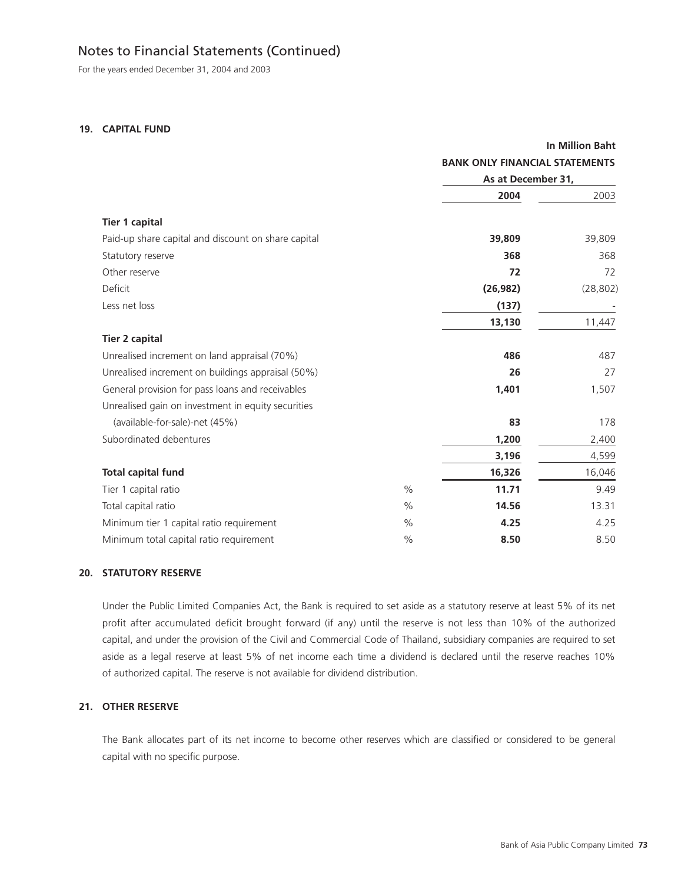For the years ended December 31, 2004 and 2003

## **19. CAPITAL FUND**

|                                                     |               |                                       | <b>In Million Baht</b> |  |  |
|-----------------------------------------------------|---------------|---------------------------------------|------------------------|--|--|
|                                                     |               | <b>BANK ONLY FINANCIAL STATEMENTS</b> |                        |  |  |
|                                                     |               |                                       | As at December 31,     |  |  |
|                                                     |               | 2004                                  | 2003                   |  |  |
| <b>Tier 1 capital</b>                               |               |                                       |                        |  |  |
| Paid-up share capital and discount on share capital |               | 39,809                                | 39,809                 |  |  |
| Statutory reserve                                   |               | 368                                   | 368                    |  |  |
| Other reserve                                       |               | 72                                    | 72                     |  |  |
| Deficit                                             |               | (26, 982)                             | (28, 802)              |  |  |
| Less net loss                                       |               | (137)                                 |                        |  |  |
|                                                     |               | 13,130                                | 11,447                 |  |  |
| <b>Tier 2 capital</b>                               |               |                                       |                        |  |  |
| Unrealised increment on land appraisal (70%)        |               | 486                                   | 487                    |  |  |
| Unrealised increment on buildings appraisal (50%)   |               | 26                                    | 27                     |  |  |
| General provision for pass loans and receivables    |               | 1,401                                 | 1,507                  |  |  |
| Unrealised gain on investment in equity securities  |               |                                       |                        |  |  |
| (available-for-sale)-net (45%)                      |               | 83                                    | 178                    |  |  |
| Subordinated debentures                             |               | 1,200                                 | 2,400                  |  |  |
|                                                     |               | 3,196                                 | 4,599                  |  |  |
| <b>Total capital fund</b>                           |               | 16,326                                | 16,046                 |  |  |
| Tier 1 capital ratio                                | $\frac{0}{0}$ | 11.71                                 | 9.49                   |  |  |
| Total capital ratio                                 | $\%$          | 14.56                                 | 13.31                  |  |  |
| Minimum tier 1 capital ratio requirement            | $\frac{0}{0}$ | 4.25                                  | 4.25                   |  |  |
| Minimum total capital ratio requirement             | $\frac{0}{0}$ | 8.50                                  | 8.50                   |  |  |

## **20. STATUTORY RESERVE**

Under the Public Limited Companies Act, the Bank is required to set aside as a statutory reserve at least 5% of its net profit after accumulated deficit brought forward (if any) until the reserve is not less than 10% of the authorized capital, and under the provision of the Civil and Commercial Code of Thailand, subsidiary companies are required to set aside as a legal reserve at least 5% of net income each time a dividend is declared until the reserve reaches 10% of authorized capital. The reserve is not available for dividend distribution.

## **21. OTHER RESERVE**

The Bank allocates part of its net income to become other reserves which are classified or considered to be general capital with no specific purpose.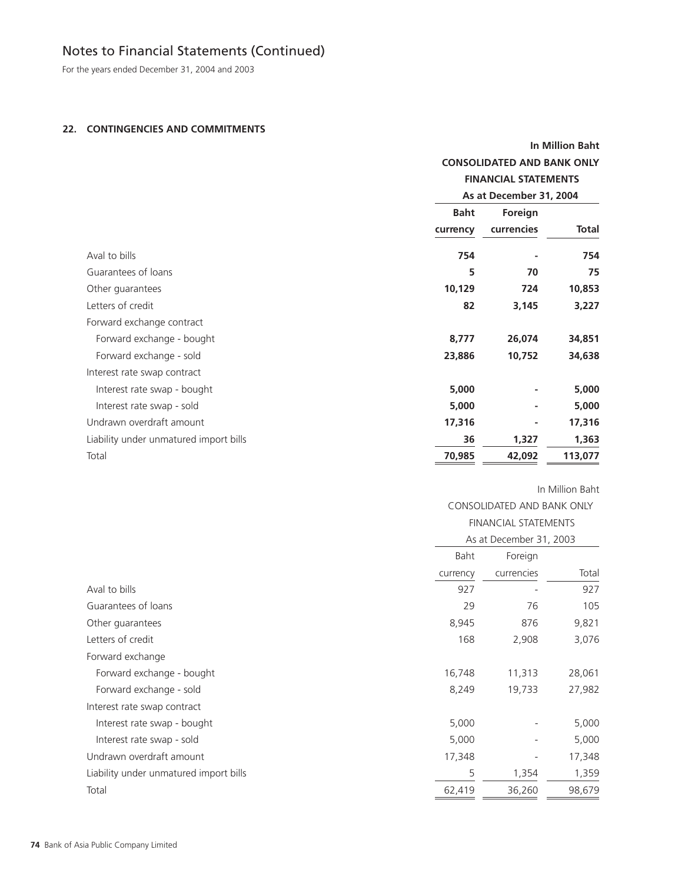For the years ended December 31, 2004 and 2003

## **22. CONTINGENCIES AND COMMITMENTS**

|                                        | <b>In Million Baht</b>            |                             |              |
|----------------------------------------|-----------------------------------|-----------------------------|--------------|
|                                        | <b>CONSOLIDATED AND BANK ONLY</b> |                             |              |
|                                        |                                   | <b>FINANCIAL STATEMENTS</b> |              |
|                                        |                                   | As at December 31, 2004     |              |
|                                        | <b>Baht</b>                       | Foreign                     |              |
|                                        | currency                          | currencies                  | <b>Total</b> |
| Aval to bills                          | 754                               |                             | 754          |
| Guarantees of loans                    | 5                                 | 70                          | 75           |
| Other guarantees                       | 10,129                            | 724                         | 10,853       |
| Letters of credit                      | 82                                | 3,145                       | 3,227        |
| Forward exchange contract              |                                   |                             |              |
| Forward exchange - bought              | 8,777                             | 26,074                      | 34,851       |
| Forward exchange - sold                | 23,886                            | 10,752                      | 34,638       |
| Interest rate swap contract            |                                   |                             |              |
| Interest rate swap - bought            | 5,000                             |                             | 5,000        |
| Interest rate swap - sold              | 5,000                             |                             | 5,000        |
| Undrawn overdraft amount               | 17,316                            |                             | 17,316       |
| Liability under unmatured import bills | 36                                | 1,327                       | 1,363        |
| Total                                  | 70,985                            | 42,092                      | 113,077      |

## In Million Baht

CONSOLIDATED AND BANK ONLY

|                                        |          | <b>FINANCIAL STATEMENTS</b> |        |  |  |
|----------------------------------------|----------|-----------------------------|--------|--|--|
|                                        |          | As at December 31, 2003     |        |  |  |
|                                        | Baht     | Foreign                     |        |  |  |
|                                        | currency | currencies                  | Total  |  |  |
| Aval to bills                          | 927      |                             | 927    |  |  |
| Guarantees of loans                    | 29       | 76                          | 105    |  |  |
| Other guarantees                       | 8,945    | 876                         | 9,821  |  |  |
| Letters of credit                      | 168      | 2,908                       | 3,076  |  |  |
| Forward exchange                       |          |                             |        |  |  |
| Forward exchange - bought              | 16,748   | 11,313                      | 28,061 |  |  |
| Forward exchange - sold                | 8,249    | 19,733                      | 27,982 |  |  |
| Interest rate swap contract            |          |                             |        |  |  |
| Interest rate swap - bought            | 5,000    |                             | 5,000  |  |  |
| Interest rate swap - sold              | 5,000    |                             | 5,000  |  |  |
| Undrawn overdraft amount               | 17,348   |                             | 17,348 |  |  |
| Liability under unmatured import bills | 5        | 1,354                       | 1,359  |  |  |
| Total                                  | 62,419   | 36,260                      | 98,679 |  |  |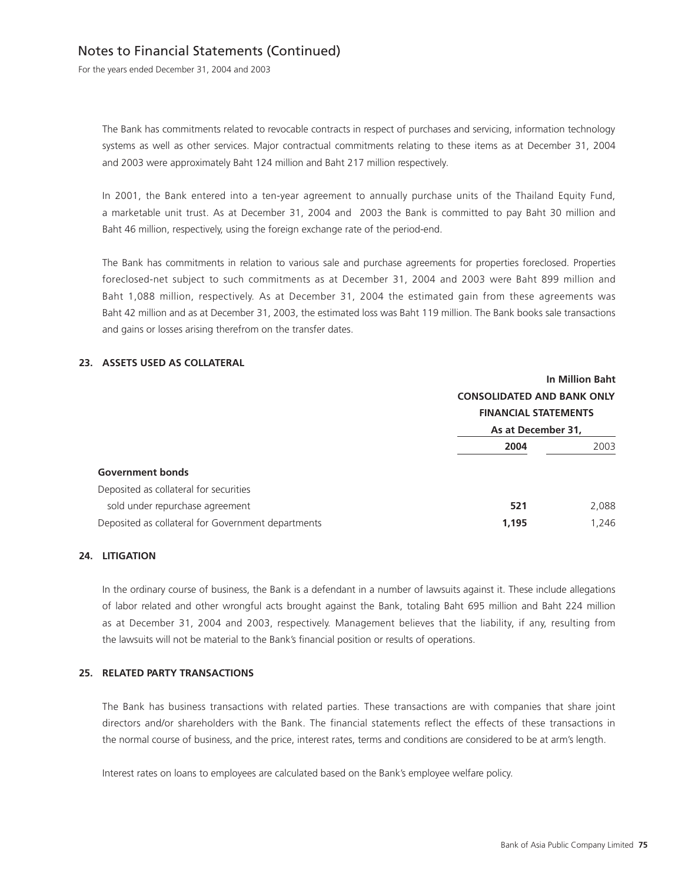For the years ended December 31, 2004 and 2003

The Bank has commitments related to revocable contracts in respect of purchases and servicing, information technology systems as well as other services. Major contractual commitments relating to these items as at December 31, 2004 and 2003 were approximately Baht 124 million and Baht 217 million respectively.

In 2001, the Bank entered into a ten-year agreement to annually purchase units of the Thailand Equity Fund, a marketable unit trust. As at December 31, 2004 and 2003 the Bank is committed to pay Baht 30 million and Baht 46 million, respectively, using the foreign exchange rate of the period-end.

The Bank has commitments in relation to various sale and purchase agreements for properties foreclosed. Properties foreclosed-net subject to such commitments as at December 31, 2004 and 2003 were Baht 899 million and Baht 1,088 million, respectively. As at December 31, 2004 the estimated gain from these agreements was Baht 42 million and as at December 31, 2003, the estimated loss was Baht 119 million. The Bank books sale transactions and gains or losses arising therefrom on the transfer dates.

## **23. ASSETS USED AS COLLATERAL**

|                                                    | <b>In Million Baht</b>                            |       |  |
|----------------------------------------------------|---------------------------------------------------|-------|--|
|                                                    | <b>CONSOLIDATED AND BANK ONLY</b>                 |       |  |
|                                                    | <b>FINANCIAL STATEMENTS</b><br>As at December 31, |       |  |
|                                                    |                                                   |       |  |
|                                                    | 2004                                              | 2003  |  |
| <b>Government bonds</b>                            |                                                   |       |  |
| Deposited as collateral for securities             |                                                   |       |  |
| sold under repurchase agreement                    | 521                                               | 2,088 |  |
| Deposited as collateral for Government departments | 1,195                                             | 1,246 |  |

#### **24. LITIGATION**

In the ordinary course of business, the Bank is a defendant in a number of lawsuits against it. These include allegations of labor related and other wrongful acts brought against the Bank, totaling Baht 695 million and Baht 224 million as at December 31, 2004 and 2003, respectively. Management believes that the liability, if any, resulting from the lawsuits will not be material to the Bank's financial position or results of operations.

### **25. RELATED PARTY TRANSACTIONS**

The Bank has business transactions with related parties. These transactions are with companies that share joint directors and/or shareholders with the Bank. The financial statements reflect the effects of these transactions in the normal course of business, and the price, interest rates, terms and conditions are considered to be at arm's length.

Interest rates on loans to employees are calculated based on the Bank's employee welfare policy.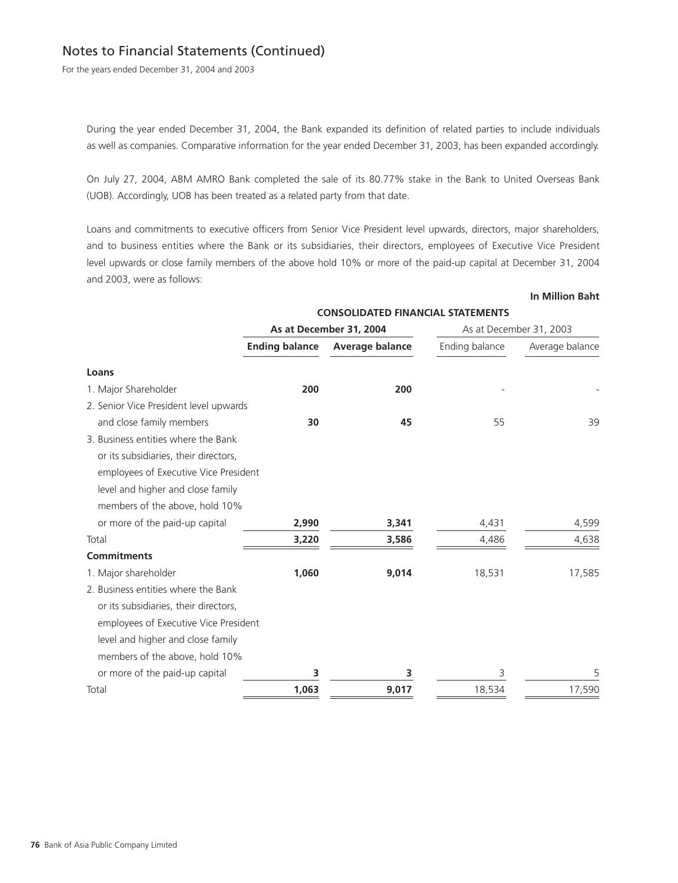For the years ended December 31, 2004 and 2003

During the year ended December 31, 2004, the Bank expanded its definition of related parties to include individuals as well as companies. Comparative information for the year ended December 31, 2003, has been expanded accordingly.

On July 27, 2004, ABM AMRO Bank completed the sale of its 80.77% stake in the Bank to United Overseas Bank (UOB). Accordingly, UOB has been treated as a related party from that date.

Loans and commitments to executive officers from Senior Vice President level upwards, directors, major shareholders, and to business entities where the Bank or its subsidiaries, their directors, employees of Executive Vice President level upwards or close family members of the above hold 10% or more of the paid-up capital at December 31, 2004 and 2003, were as follows:

#### **In Million Baht**

|                                        | <b>CONSOLIDATED FINANCIAL STATEMENTS</b> |                         |                |                         |
|----------------------------------------|------------------------------------------|-------------------------|----------------|-------------------------|
|                                        |                                          | As at December 31, 2004 |                | As at December 31, 2003 |
|                                        | <b>Ending balance</b>                    | Average balance         | Ending balance | Average balance         |
| Loans                                  |                                          |                         |                |                         |
| 1. Major Shareholder                   | 200                                      | 200                     |                |                         |
| 2. Senior Vice President level upwards |                                          |                         |                |                         |
| and close family members               | 30                                       | 45                      | 55             | 39                      |
| 3. Business entities where the Bank    |                                          |                         |                |                         |
| or its subsidiaries, their directors,  |                                          |                         |                |                         |
| employees of Executive Vice President  |                                          |                         |                |                         |
| level and higher and close family      |                                          |                         |                |                         |
| members of the above, hold 10%         |                                          |                         |                |                         |
| or more of the paid-up capital         | 2,990                                    | 3,341                   | 4,431          | 4,599                   |
| Total                                  | 3,220                                    | 3,586                   | 4,486          | 4,638                   |
| <b>Commitments</b>                     |                                          |                         |                |                         |
| 1. Major shareholder                   | 1,060                                    | 9,014                   | 18,531         | 17,585                  |
| 2. Business entities where the Bank    |                                          |                         |                |                         |
| or its subsidiaries, their directors,  |                                          |                         |                |                         |
| employees of Executive Vice President  |                                          |                         |                |                         |
| level and higher and close family      |                                          |                         |                |                         |
| members of the above, hold 10%         |                                          |                         |                |                         |
| or more of the paid-up capital         | 3                                        | 3                       | 3              | 5                       |
| Total                                  | 1,063                                    | 9,017                   | 18,534         | 17,590                  |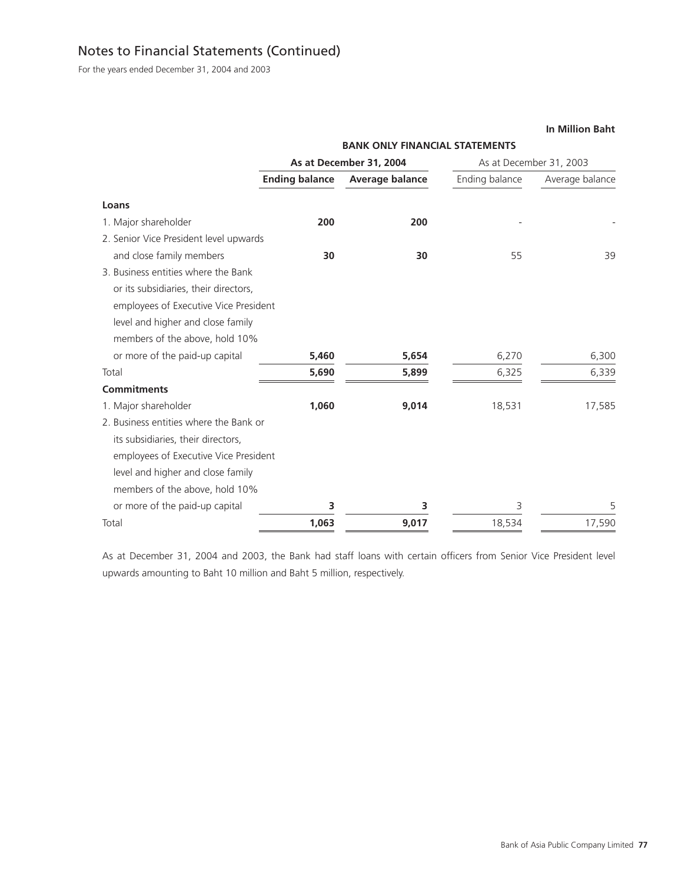For the years ended December 31, 2004 and 2003

# **BANK ONLY FINANCIAL STATEMENTS As at December 31, 2004** As at December 31, 2003 **Ending balance Average balance Ending balance Average balance Loans** 1. Major shareholder **200 200 200** 2. Senior Vice President level upwards and close family members **30 30** 55 39 3. Business entities where the Bank or its subsidiaries, their directors employees of Executive Vice President level and higher and close family members of the above, hold 10% or more of the paid-up capital **5,460 5,654** 6,270 6,300 Total **5,690 5,899** 6,325 6,339 **Commitments** 1. Major shareholder **1,060 9,014** 18,531 17,585 2. Business entities where the Bank or its subsidiaries, their directors, employees of Executive Vice President level and higher and close family members of the above, hold 10% or more of the paid-up capital **3 3** 3 5 Total **1,063 9,017** 18,534 17,590

As at December 31, 2004 and 2003, the Bank had staff loans with certain officers from Senior Vice President level upwards amounting to Baht 10 million and Baht 5 million, respectively.

#### **In Million Baht**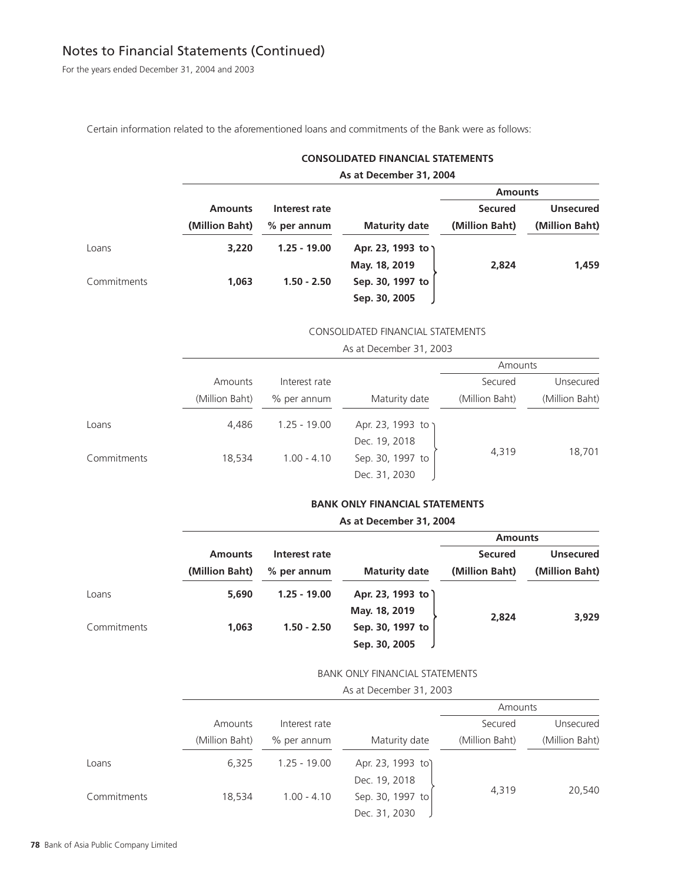For the years ended December 31, 2004 and 2003

Certain information related to the aforementioned loans and commitments of the Bank were as follows:

| <b>CONSOLIDATED FINANCIAL STATEMENTS</b> |  |
|------------------------------------------|--|
|------------------------------------------|--|

|  |  | As at December 31, 2004 |  |  |
|--|--|-------------------------|--|--|
|--|--|-------------------------|--|--|

|             |                |                |                      | <b>Amounts</b> |                  |
|-------------|----------------|----------------|----------------------|----------------|------------------|
|             | <b>Amounts</b> | Interest rate  |                      | <b>Secured</b> | <b>Unsecured</b> |
|             | (Million Baht) | % per annum    | <b>Maturity date</b> | (Million Baht) | (Million Baht)   |
| Loans       | 3,220          | $1.25 - 19.00$ | Apr. 23, 1993 to )   |                |                  |
|             |                |                | May. 18, 2019        | 2,824          | 1,459            |
| Commitments | 1,063          | $1.50 - 2.50$  | Sep. 30, 1997 to     |                |                  |
|             |                |                | Sep. 30, 2005        |                |                  |

## CONSOLIDATED FINANCIAL STATEMENTS

As at December 31, 2003

|             |                |                |                  | Amounts        |                |
|-------------|----------------|----------------|------------------|----------------|----------------|
|             | Amounts        | Interest rate  |                  | Secured        | Unsecured      |
|             | (Million Baht) | % per annum    | Maturity date    | (Million Baht) | (Million Baht) |
| Loans       | 4.486          | $1.25 - 19.00$ | Apr. 23, 1993 to |                |                |
|             |                |                | Dec. 19, 2018    |                |                |
| Commitments | 18.534         | $1.00 - 4.10$  | Sep. 30, 1997 to | 4,319          | 18,701         |
|             |                |                | Dec. 31, 2030    |                |                |

## **BANK ONLY FINANCIAL STATEMENTS**

#### **As at December 31, 2004**

|             |                |                |                      | <b>Amounts</b> |                  |
|-------------|----------------|----------------|----------------------|----------------|------------------|
|             | <b>Amounts</b> | Interest rate  |                      | <b>Secured</b> | <b>Unsecured</b> |
|             | (Million Baht) | % per annum    | <b>Maturity date</b> | (Million Baht) | (Million Baht)   |
| Loans       | 5,690          | $1.25 - 19.00$ | Apr. 23, 1993 to )   |                |                  |
|             |                |                | May. 18, 2019        | 2,824          | 3,929            |
| Commitments | 1,063          | $1.50 - 2.50$  | Sep. 30, 1997 to     |                |                  |
|             |                |                | Sep. 30, 2005        |                |                  |

## BANK ONLY FINANCIAL STATEMENTS

As at December 31, 2003

|             |                |                |                   | Amounts        |                |
|-------------|----------------|----------------|-------------------|----------------|----------------|
|             | Amounts        | Interest rate  |                   | Secured        | Unsecured      |
|             | (Million Baht) | % per annum    | Maturity date     | (Million Baht) | (Million Baht) |
| Loans       | 6,325          | $1.25 - 19.00$ | Apr. 23, 1993 to) |                |                |
|             |                |                | Dec. 19, 2018     |                |                |
| Commitments | 18,534         | $1.00 - 4.10$  | Sep. 30, 1997 to  | 4,319          | 20,540         |
|             |                |                | Dec. 31, 2030     |                |                |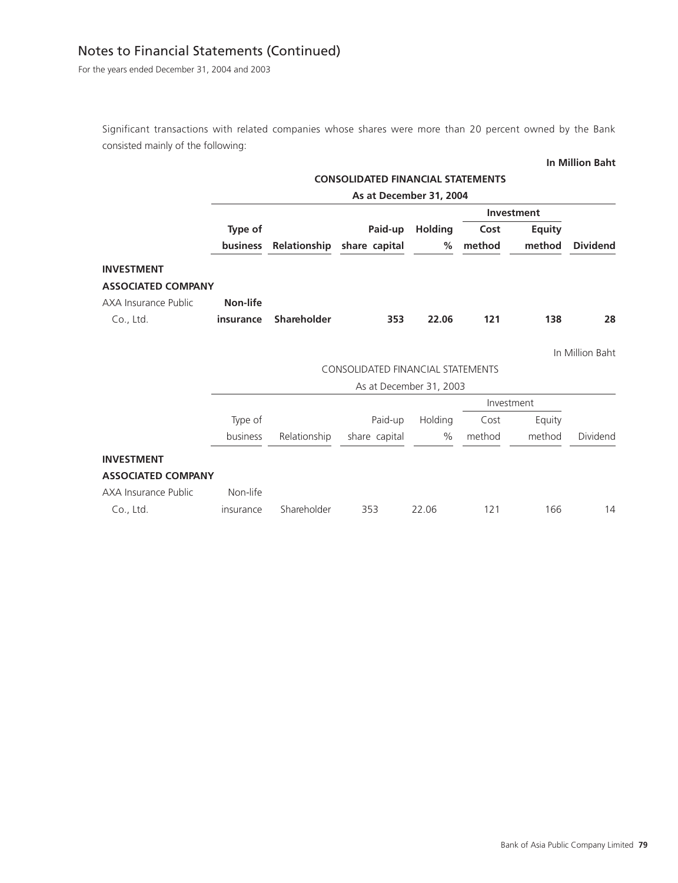For the years ended December 31, 2004 and 2003

Significant transactions with related companies whose shares were more than 20 percent owned by the Bank consisted mainly of the following:

## **In Million Baht**

|                           |                 |                    | <b>CONSOLIDATED FINANCIAL STATEMENTS</b> |                |        |               |                 |
|---------------------------|-----------------|--------------------|------------------------------------------|----------------|--------|---------------|-----------------|
|                           |                 |                    | As at December 31, 2004                  |                |        |               |                 |
|                           |                 |                    |                                          |                |        | Investment    |                 |
|                           | Type of         |                    | Paid-up                                  | <b>Holding</b> | Cost   | <b>Equity</b> |                 |
|                           | <b>business</b> |                    | Relationship share capital               | %              | method | method        | <b>Dividend</b> |
| <b>INVESTMENT</b>         |                 |                    |                                          |                |        |               |                 |
| <b>ASSOCIATED COMPANY</b> |                 |                    |                                          |                |        |               |                 |
| AXA Insurance Public      | <b>Non-life</b> |                    |                                          |                |        |               |                 |
| Co., Ltd.                 | insurance       | <b>Shareholder</b> | 353                                      | 22.06          | $121$  | 138           | 28              |
|                           |                 |                    |                                          |                |        |               | In Million Baht |
|                           |                 |                    | <b>CONSOLIDATED FINANCIAL STATEMENTS</b> |                |        |               |                 |
|                           |                 |                    | As at December 31, 2003                  |                |        |               |                 |
|                           |                 |                    |                                          |                |        | Investment    |                 |
|                           | Type of         |                    | Paid-up                                  | Holding        | Cost   | Equity        |                 |
|                           | business        | Relationship       | share capital                            | $\%$           | method | method        | Dividend        |
| <b>INVESTMENT</b>         |                 |                    |                                          |                |        |               |                 |
| <b>ASSOCIATED COMPANY</b> |                 |                    |                                          |                |        |               |                 |
| AXA Insurance Public      | Non-life        |                    |                                          |                |        |               |                 |
| Co., Ltd.                 | insurance       | Shareholder        | 353                                      | 22.06          | 121    | 166           | 14              |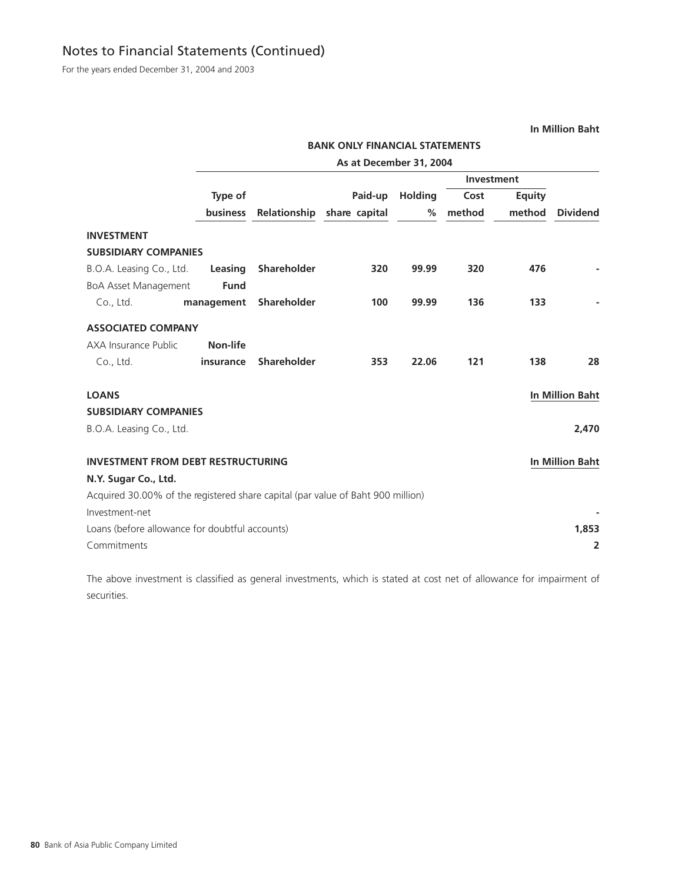For the years ended December 31, 2004 and 2003

**In Million Baht**

**BANK ONLY FINANCIAL STATEMENTS**

|                                                                                 |                 |                    | As at December 31, 2004    |         |            |               |                        |
|---------------------------------------------------------------------------------|-----------------|--------------------|----------------------------|---------|------------|---------------|------------------------|
|                                                                                 |                 |                    |                            |         | Investment |               |                        |
|                                                                                 | Type of         |                    | Paid-up                    | Holding | Cost       | <b>Equity</b> |                        |
|                                                                                 | <b>business</b> |                    | Relationship share capital | %       | method     | method        | <b>Dividend</b>        |
| <b>INVESTMENT</b>                                                               |                 |                    |                            |         |            |               |                        |
| <b>SUBSIDIARY COMPANIES</b>                                                     |                 |                    |                            |         |            |               |                        |
| B.O.A. Leasing Co., Ltd.                                                        | Leasing         | Shareholder        | 320                        | 99.99   | 320        | 476           |                        |
| <b>BoA Asset Management</b>                                                     | <b>Fund</b>     |                    |                            |         |            |               |                        |
| Co., Ltd.                                                                       | management      | <b>Shareholder</b> | 100                        | 99.99   | 136        | 133           |                        |
| <b>ASSOCIATED COMPANY</b>                                                       |                 |                    |                            |         |            |               |                        |
| AXA Insurance Public                                                            | Non-life        |                    |                            |         |            |               |                        |
| Co., Ltd.                                                                       | insurance       | <b>Shareholder</b> | 353                        | 22.06   | 121        | 138           | 28                     |
| <b>LOANS</b>                                                                    |                 |                    |                            |         |            |               | <b>In Million Baht</b> |
| <b>SUBSIDIARY COMPANIES</b>                                                     |                 |                    |                            |         |            |               |                        |
| B.O.A. Leasing Co., Ltd.                                                        |                 |                    |                            |         |            |               | 2,470                  |
| <b>INVESTMENT FROM DEBT RESTRUCTURING</b>                                       |                 |                    |                            |         |            |               | <b>In Million Baht</b> |
| N.Y. Sugar Co., Ltd.                                                            |                 |                    |                            |         |            |               |                        |
| Acquired 30.00% of the registered share capital (par value of Baht 900 million) |                 |                    |                            |         |            |               |                        |
| Investment-net                                                                  |                 |                    |                            |         |            |               |                        |
| Loans (before allowance for doubtful accounts)                                  |                 |                    |                            |         |            |               | 1,853                  |
| Commitments                                                                     |                 |                    |                            |         |            |               | $\overline{2}$         |
|                                                                                 |                 |                    |                            |         |            |               |                        |

The above investment is classified as general investments, which is stated at cost net of allowance for impairment of securities.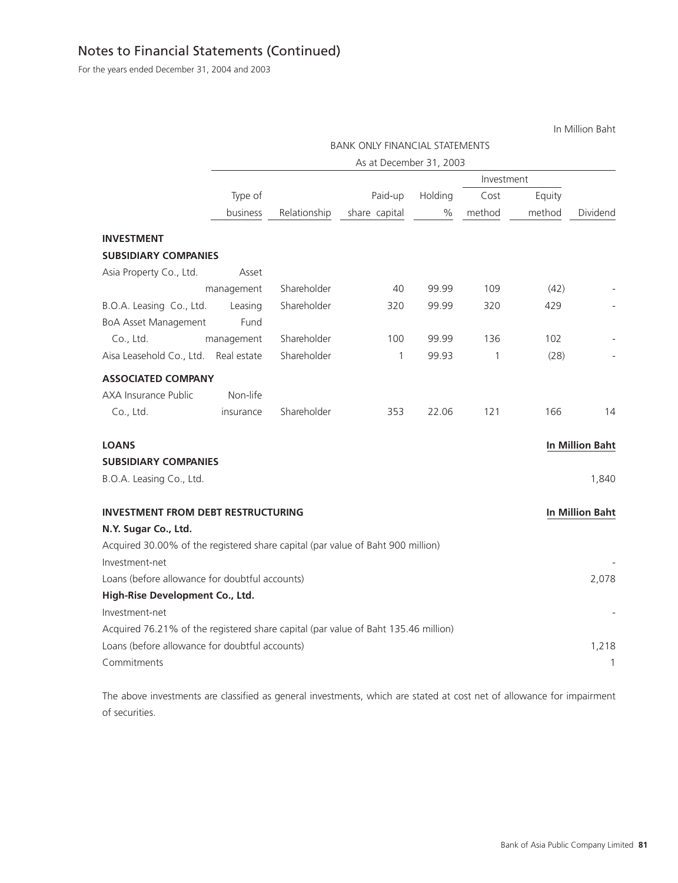For the years ended December 31, 2004 and 2003

In Million Baht

|                                                                                    |             |              | <b>BANK ONLY FINANCIAL STATEMENTS</b> |         |            |        |                        |
|------------------------------------------------------------------------------------|-------------|--------------|---------------------------------------|---------|------------|--------|------------------------|
|                                                                                    |             |              | As at December 31, 2003               |         |            |        |                        |
|                                                                                    |             |              |                                       |         | Investment |        |                        |
|                                                                                    | Type of     |              | Paid-up                               | Holding | Cost       | Equity |                        |
|                                                                                    | business    | Relationship | share capital                         | %       | method     | method | Dividend               |
| <b>INVESTMENT</b>                                                                  |             |              |                                       |         |            |        |                        |
| <b>SUBSIDIARY COMPANIES</b>                                                        |             |              |                                       |         |            |        |                        |
| Asia Property Co., Ltd.                                                            | Asset       |              |                                       |         |            |        |                        |
|                                                                                    | management  | Shareholder  | 40                                    | 99.99   | 109        | (42)   |                        |
| B.O.A. Leasing Co., Ltd.                                                           | Leasing     | Shareholder  | 320                                   | 99.99   | 320        | 429    |                        |
| <b>BoA Asset Management</b>                                                        | Fund        |              |                                       |         |            |        |                        |
| Co., Ltd.                                                                          | management  | Shareholder  | 100                                   | 99.99   | 136        | 102    |                        |
| Aisa Leasehold Co., Ltd.                                                           | Real estate | Shareholder  | 1                                     | 99.93   | 1          | (28)   |                        |
| <b>ASSOCIATED COMPANY</b>                                                          |             |              |                                       |         |            |        |                        |
| AXA Insurance Public                                                               | Non-life    |              |                                       |         |            |        |                        |
| Co., Ltd.                                                                          | insurance   | Shareholder  | 353                                   | 22.06   | 121        | 166    | 14                     |
| <b>LOANS</b>                                                                       |             |              |                                       |         |            |        | <b>In Million Baht</b> |
| <b>SUBSIDIARY COMPANIES</b>                                                        |             |              |                                       |         |            |        |                        |
| B.O.A. Leasing Co., Ltd.                                                           |             |              |                                       |         |            |        | 1,840                  |
|                                                                                    |             |              |                                       |         |            |        |                        |
| <b>INVESTMENT FROM DEBT RESTRUCTURING</b>                                          |             |              |                                       |         |            |        | <b>In Million Baht</b> |
| N.Y. Sugar Co., Ltd.                                                               |             |              |                                       |         |            |        |                        |
| Acquired 30.00% of the registered share capital (par value of Baht 900 million)    |             |              |                                       |         |            |        |                        |
| Investment-net                                                                     |             |              |                                       |         |            |        |                        |
| Loans (before allowance for doubtful accounts)                                     |             |              |                                       |         |            |        | 2,078                  |
| High-Rise Development Co., Ltd.                                                    |             |              |                                       |         |            |        |                        |
| Investment-net                                                                     |             |              |                                       |         |            |        |                        |
| Acquired 76.21% of the registered share capital (par value of Baht 135.46 million) |             |              |                                       |         |            |        |                        |
| Loans (before allowance for doubtful accounts)                                     |             |              |                                       |         |            |        | 1,218                  |
| Commitments                                                                        |             |              |                                       |         |            |        | 1                      |

The above investments are classified as general investments, which are stated at cost net of allowance for impairment of securities.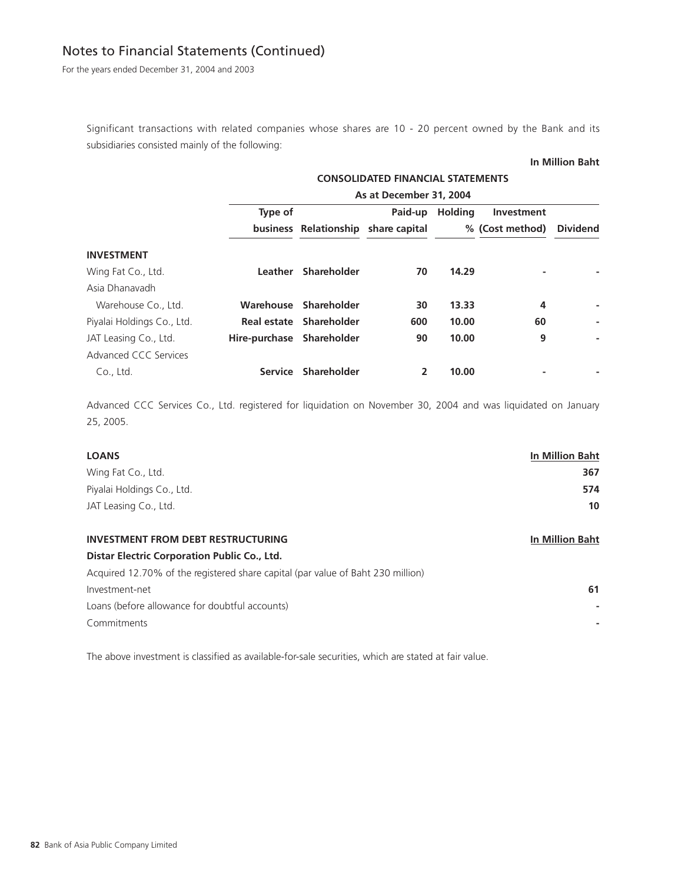For the years ended December 31, 2004 and 2003

Significant transactions with related companies whose shares are 10 - 20 percent owned by the Bank and its subsidiaries consisted mainly of the following:

#### **In Million Baht**

|                            | <b>CONSOLIDATED FINANCIAL STATEMENTS</b> |                         |                                     |                 |                 |                 |  |  |  |
|----------------------------|------------------------------------------|-------------------------|-------------------------------------|-----------------|-----------------|-----------------|--|--|--|
|                            | As at December 31, 2004                  |                         |                                     |                 |                 |                 |  |  |  |
|                            | Type of                                  |                         |                                     | Paid-up Holding | Investment      |                 |  |  |  |
|                            |                                          |                         | business Relationship share capital |                 | % (Cost method) | <b>Dividend</b> |  |  |  |
| <b>INVESTMENT</b>          |                                          |                         |                                     |                 |                 |                 |  |  |  |
| Wing Fat Co., Ltd.         | Leather                                  | Shareholder             | 70                                  | 14.29           |                 |                 |  |  |  |
| Asia Dhanavadh             |                                          |                         |                                     |                 |                 |                 |  |  |  |
| Warehouse Co., Ltd.        |                                          | Warehouse Shareholder   | 30                                  | 13.33           | 4               |                 |  |  |  |
| Piyalai Holdings Co., Ltd. |                                          | Real estate Shareholder | 600                                 | 10.00           | 60              |                 |  |  |  |
| JAT Leasing Co., Ltd.      | Hire-purchase Shareholder                |                         | 90                                  | 10.00           | 9               |                 |  |  |  |
| Advanced CCC Services      |                                          |                         |                                     |                 |                 |                 |  |  |  |
| Co., Ltd.                  | <b>Service</b>                           | Shareholder             |                                     | 10.00           |                 |                 |  |  |  |

Advanced CCC Services Co., Ltd. registered for liquidation on November 30, 2004 and was liquidated on January 25, 2005.

## **LOANS In Million Baht**

| Wing Fat Co., Ltd.         | 367 |
|----------------------------|-----|
| Piyalai Holdings Co., Ltd. | 574 |
| JAT Leasing Co., Ltd.      | 10  |

## **INVESTMENT FROM DEBT RESTRUCTURING IN A SET ON A SET ON A SET OF A SET OF A SET OF A SET OF A SET OF A SET OF A SET OF A SET OF A SET OF A SET OF A SET OF A SET OF A SET OF A SET OF A SET OF A SET OF A SET OF A SET OF A S**

## **Distar Electric Corporation Public Co., Ltd.**

| Acquired 12.70% of the registered share capital (par value of Baht 230 million) |    |
|---------------------------------------------------------------------------------|----|
| Investment-net                                                                  | 61 |
| Loans (before allowance for doubtful accounts)                                  |    |
| Commitments                                                                     |    |
|                                                                                 |    |

The above investment is classified as available-for-sale securities, which are stated at fair value.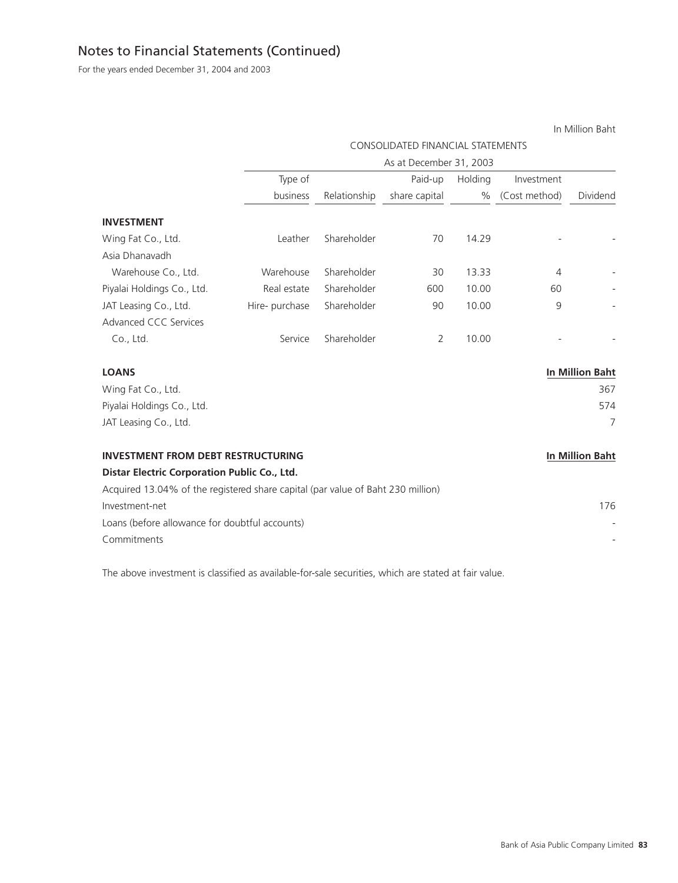For the years ended December 31, 2004 and 2003

|                                                                                 |                |              |                                          |         |                | In Million Baht        |
|---------------------------------------------------------------------------------|----------------|--------------|------------------------------------------|---------|----------------|------------------------|
|                                                                                 |                |              | <b>CONSOLIDATED FINANCIAL STATEMENTS</b> |         |                |                        |
|                                                                                 |                |              | As at December 31, 2003                  |         |                |                        |
|                                                                                 | Type of        |              | Paid-up                                  | Holding | Investment     |                        |
|                                                                                 | business       | Relationship | share capital                            | $\%$    | (Cost method)  | Dividend               |
| <b>INVESTMENT</b>                                                               |                |              |                                          |         |                |                        |
| Wing Fat Co., Ltd.                                                              | Leather        | Shareholder  | 70                                       | 14.29   |                |                        |
| Asia Dhanavadh                                                                  |                |              |                                          |         |                |                        |
| Warehouse Co., Ltd.                                                             | Warehouse      | Shareholder  | 30                                       | 13.33   | $\overline{4}$ |                        |
| Piyalai Holdings Co., Ltd.                                                      | Real estate    | Shareholder  | 600                                      | 10.00   | 60             |                        |
| JAT Leasing Co., Ltd.                                                           | Hire- purchase | Shareholder  | 90                                       | 10.00   | 9              |                        |
| Advanced CCC Services                                                           |                |              |                                          |         |                |                        |
| Co., Ltd.                                                                       | Service        | Shareholder  | $\overline{2}$                           | 10.00   |                |                        |
| <b>LOANS</b>                                                                    |                |              |                                          |         |                | <b>In Million Baht</b> |
| Wing Fat Co., Ltd.                                                              |                |              |                                          |         |                | 367                    |
| Piyalai Holdings Co., Ltd.                                                      |                |              |                                          |         |                | 574                    |
| JAT Leasing Co., Ltd.                                                           |                |              |                                          |         |                | $\overline{7}$         |
| <b>INVESTMENT FROM DEBT RESTRUCTURING</b>                                       |                |              |                                          |         |                | <b>In Million Baht</b> |
| Distar Electric Corporation Public Co., Ltd.                                    |                |              |                                          |         |                |                        |
| Acquired 13.04% of the registered share capital (par value of Baht 230 million) |                |              |                                          |         |                |                        |
| Investment-net                                                                  |                |              |                                          |         |                | 176                    |
| Loans (before allowance for doubtful accounts)                                  |                |              |                                          |         |                |                        |
| Commitments                                                                     |                |              |                                          |         |                |                        |

The above investment is classified as available-for-sale securities, which are stated at fair value.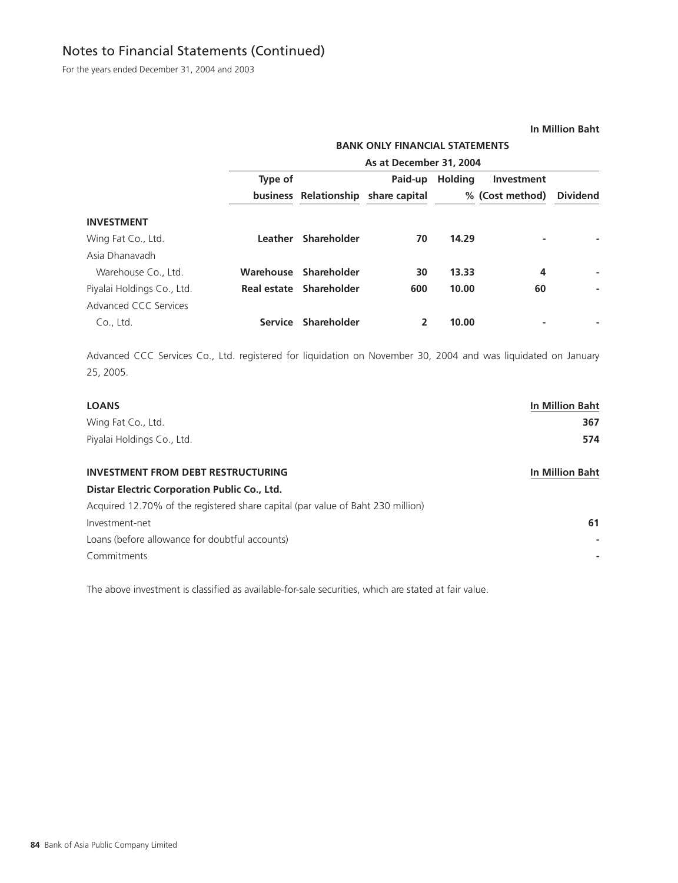For the years ended December 31, 2004 and 2003

#### **In Million Baht**

## **BANK ONLY FINANCIAL STATEMENTS**

|                            | As at December 31, 2004 |                         |               |                |                 |                 |  |  |  |  |
|----------------------------|-------------------------|-------------------------|---------------|----------------|-----------------|-----------------|--|--|--|--|
|                            | Type of                 |                         | Paid-up       | <b>Holding</b> | Investment      |                 |  |  |  |  |
|                            |                         | business Relationship   | share capital |                | % (Cost method) | <b>Dividend</b> |  |  |  |  |
| <b>INVESTMENT</b>          |                         |                         |               |                |                 |                 |  |  |  |  |
| Wing Fat Co., Ltd.         | Leather                 | Shareholder             | 70            | 14.29          | ۰               |                 |  |  |  |  |
| Asia Dhanavadh             |                         |                         |               |                |                 |                 |  |  |  |  |
| Warehouse Co., Ltd.        |                         | Warehouse Shareholder   | 30            | 13.33          | 4               |                 |  |  |  |  |
| Piyalai Holdings Co., Ltd. |                         | Real estate Shareholder | 600           | 10.00          | 60              |                 |  |  |  |  |
| Advanced CCC Services      |                         |                         |               |                |                 |                 |  |  |  |  |
| Co., Ltd.                  | <b>Service</b>          | Shareholder             |               | 10.00          | ۰               |                 |  |  |  |  |

Advanced CCC Services Co., Ltd. registered for liquidation on November 30, 2004 and was liquidated on January 25, 2005.

| <b>LOANS</b>                                                                    | <b>In Million Baht</b> |
|---------------------------------------------------------------------------------|------------------------|
| Wing Fat Co., Ltd.                                                              | 367                    |
| Piyalai Holdings Co., Ltd.                                                      | 574                    |
| <b>INVESTMENT FROM DEBT RESTRUCTURING</b>                                       | <b>In Million Baht</b> |
| Distar Electric Corporation Public Co., Ltd.                                    |                        |
| Acquired 12.70% of the registered share capital (par value of Baht 230 million) |                        |
| Investment-net                                                                  | 61                     |
| Loans (before allowance for doubtful accounts)                                  |                        |
| Commitments                                                                     |                        |

The above investment is classified as available-for-sale securities, which are stated at fair value.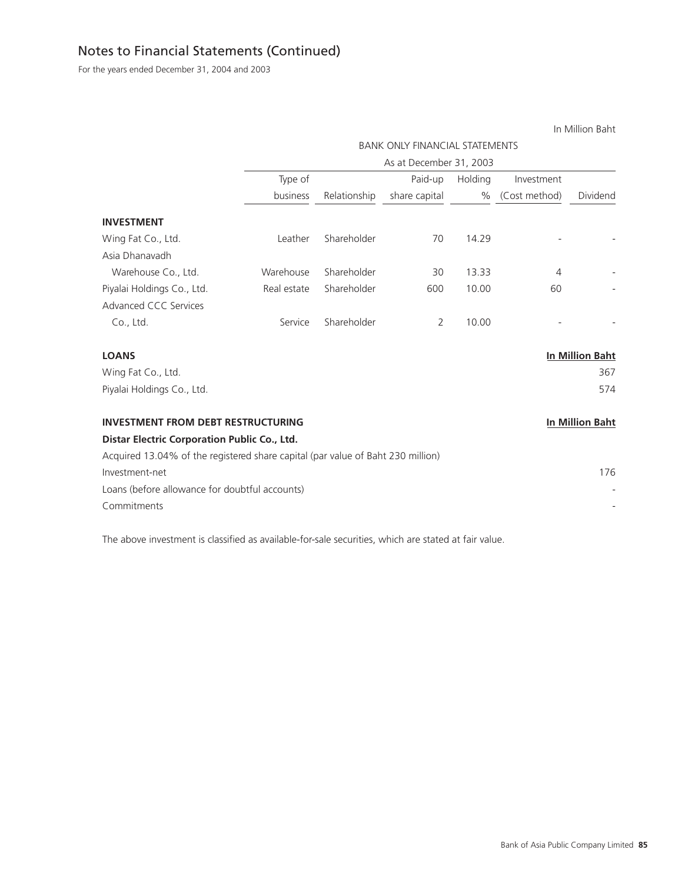For the years ended December 31, 2004 and 2003

|                                                                                 |             |              |                                       |         |               | In Million Baht        |
|---------------------------------------------------------------------------------|-------------|--------------|---------------------------------------|---------|---------------|------------------------|
|                                                                                 |             |              | <b>BANK ONLY FINANCIAL STATEMENTS</b> |         |               |                        |
|                                                                                 |             |              | As at December 31, 2003               |         |               |                        |
|                                                                                 | Type of     |              | Paid-up                               | Holding | Investment    |                        |
|                                                                                 | business    | Relationship | share capital                         | $\%$    | (Cost method) | Dividend               |
| <b>INVESTMENT</b>                                                               |             |              |                                       |         |               |                        |
| Wing Fat Co., Ltd.                                                              | Leather     | Shareholder  | 70                                    | 14.29   |               |                        |
| Asia Dhanavadh                                                                  |             |              |                                       |         |               |                        |
| Warehouse Co., Ltd.                                                             | Warehouse   | Shareholder  | 30                                    | 13.33   | 4             |                        |
| Piyalai Holdings Co., Ltd.                                                      | Real estate | Shareholder  | 600                                   | 10.00   | 60            |                        |
| <b>Advanced CCC Services</b>                                                    |             |              |                                       |         |               |                        |
| Co., Ltd.                                                                       | Service     | Shareholder  | 2                                     | 10.00   |               |                        |
| <b>LOANS</b>                                                                    |             |              |                                       |         |               | <b>In Million Baht</b> |
| Wing Fat Co., Ltd.                                                              |             |              |                                       |         |               | 367                    |
| Piyalai Holdings Co., Ltd.                                                      |             |              |                                       |         |               | 574                    |
| <b>INVESTMENT FROM DEBT RESTRUCTURING</b>                                       |             |              |                                       |         |               | <b>In Million Baht</b> |
| Distar Electric Corporation Public Co., Ltd.                                    |             |              |                                       |         |               |                        |
| Acquired 13.04% of the registered share capital (par value of Baht 230 million) |             |              |                                       |         |               |                        |
| Investment-net                                                                  |             |              |                                       |         |               | 176                    |
| Loans (before allowance for doubtful accounts)                                  |             |              |                                       |         |               |                        |
| Commitments                                                                     |             |              |                                       |         |               |                        |

The above investment is classified as available-for-sale securities, which are stated at fair value.

In Million Baht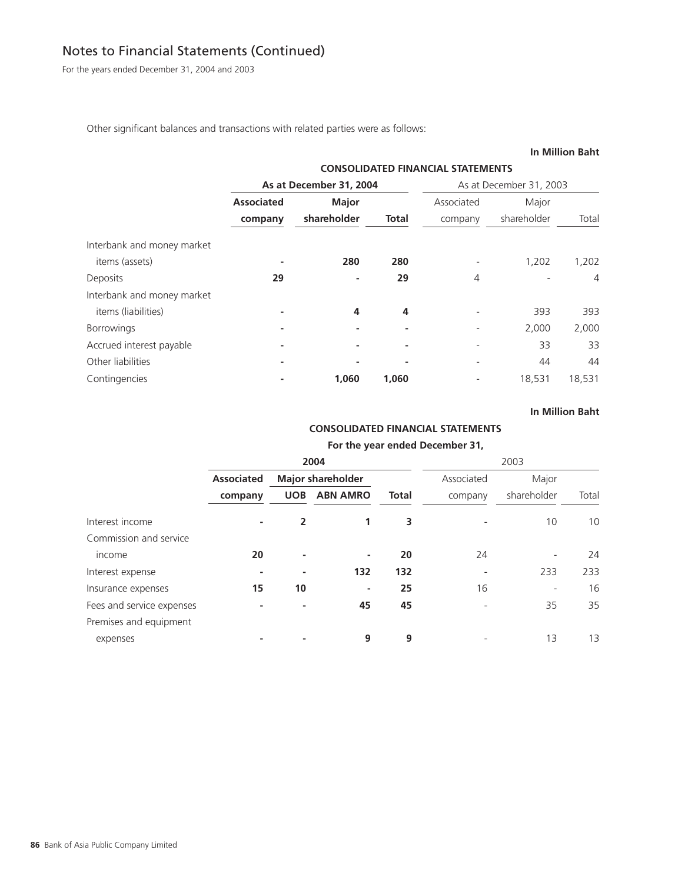For the years ended December 31, 2004 and 2003

Other significant balances and transactions with related parties were as follows:

## **In Million Baht**

|                            |                   | <b>CONSOLIDATED FINANCIAL STATEMENTS</b><br>As at December 31, 2004<br>As at December 31, 2003<br>Associated<br><b>Major</b><br>Major<br>shareholder<br><b>Total</b><br>shareholder<br>company |       |   |        |        |  |  |  |  |
|----------------------------|-------------------|------------------------------------------------------------------------------------------------------------------------------------------------------------------------------------------------|-------|---|--------|--------|--|--|--|--|
|                            |                   |                                                                                                                                                                                                |       |   |        |        |  |  |  |  |
|                            | <b>Associated</b> |                                                                                                                                                                                                |       |   |        |        |  |  |  |  |
|                            | company           |                                                                                                                                                                                                |       |   |        | Total  |  |  |  |  |
| Interbank and money market |                   |                                                                                                                                                                                                |       |   |        |        |  |  |  |  |
| items (assets)             |                   | 280                                                                                                                                                                                            | 280   |   | 1,202  | 1,202  |  |  |  |  |
| Deposits                   | 29                |                                                                                                                                                                                                | 29    | 4 |        | 4      |  |  |  |  |
| Interbank and money market |                   |                                                                                                                                                                                                |       |   |        |        |  |  |  |  |
| items (liabilities)        |                   | 4                                                                                                                                                                                              | 4     |   | 393    | 393    |  |  |  |  |
| <b>Borrowings</b>          |                   | ٠                                                                                                                                                                                              |       |   | 2,000  | 2,000  |  |  |  |  |
| Accrued interest payable   |                   |                                                                                                                                                                                                |       |   | 33     | 33     |  |  |  |  |
| Other liabilities          |                   |                                                                                                                                                                                                |       |   | 44     | 44     |  |  |  |  |
| Contingencies              |                   | 1,060                                                                                                                                                                                          | 1,060 |   | 18,531 | 18,531 |  |  |  |  |

## **In Million Baht**

## **CONSOLIDATED FINANCIAL STATEMENTS**

## **For the year ended December 31,**

|                           |                   |                          | 2004            |              |            | 2003        |       |
|---------------------------|-------------------|--------------------------|-----------------|--------------|------------|-------------|-------|
|                           | <b>Associated</b> | <b>Major shareholder</b> |                 |              | Associated | Major       |       |
|                           | company           | <b>UOB</b>               | <b>ABN AMRO</b> | <b>Total</b> | company    | shareholder | Total |
| Interest income           | -                 | 2                        |                 | 3            |            | 10          | 10    |
| Commission and service    |                   |                          |                 |              |            |             |       |
| income                    | 20                |                          | ۰               | 20           | 24         |             | 24    |
| Interest expense          |                   |                          | 132             | 132          |            | 233         | 233   |
| Insurance expenses        | 15                | 10                       | ٠               | 25           | 16         |             | 16    |
| Fees and service expenses |                   |                          | 45              | 45           |            | 35          | 35    |
| Premises and equipment    |                   |                          |                 |              |            |             |       |
| expenses                  |                   |                          | 9               | 9            |            | 13          | 13    |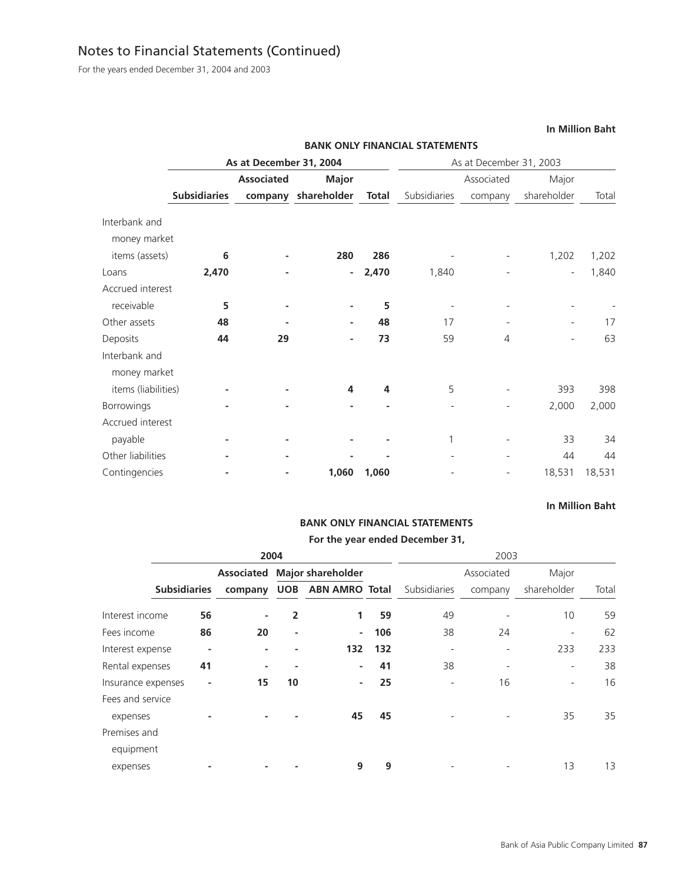For the years ended December 31, 2004 and 2003

|                     |                         |                   |                     | <b>BANK ONLY FINANCIAL STATEMENTS</b> |              |                         |                          |        |  |
|---------------------|-------------------------|-------------------|---------------------|---------------------------------------|--------------|-------------------------|--------------------------|--------|--|
|                     | As at December 31, 2004 |                   |                     |                                       |              | As at December 31, 2003 |                          |        |  |
|                     |                         | <b>Associated</b> | <b>Major</b>        |                                       | Associated   |                         |                          | Major  |  |
|                     | <b>Subsidiaries</b>     |                   | company shareholder | <b>Total</b>                          | Subsidiaries | company                 | shareholder              | Total  |  |
| Interbank and       |                         |                   |                     |                                       |              |                         |                          |        |  |
| money market        |                         |                   |                     |                                       |              |                         |                          |        |  |
| items (assets)      | 6                       |                   | 280                 | 286                                   |              |                         | 1,202                    | 1,202  |  |
| Loans               | 2,470                   |                   | ٠                   | 2,470                                 | 1,840        |                         | $\overline{\phantom{a}}$ | 1,840  |  |
| Accrued interest    |                         |                   |                     |                                       |              |                         |                          |        |  |
| receivable          | 5                       |                   | ٠                   | 5                                     |              |                         |                          |        |  |
| Other assets        | 48                      |                   | ٠                   | 48                                    | 17           |                         |                          | 17     |  |
| Deposits            | 44                      | 29                | ٠                   | 73                                    | 59           | 4                       |                          | 63     |  |
| Interbank and       |                         |                   |                     |                                       |              |                         |                          |        |  |
| money market        |                         |                   |                     |                                       |              |                         |                          |        |  |
| items (liabilities) |                         |                   | 4                   | 4                                     | 5            |                         | 393                      | 398    |  |
| Borrowings          |                         |                   |                     |                                       |              |                         | 2,000                    | 2,000  |  |
| Accrued interest    |                         |                   |                     |                                       |              |                         |                          |        |  |
| payable             |                         |                   |                     |                                       |              |                         | 33                       | 34     |  |
| Other liabilities   |                         |                   |                     |                                       |              |                         | 44                       | 44     |  |
| Contingencies       |                         |                   | 1,060               | 1,060                                 |              |                         | 18,531                   | 18,531 |  |

## **In Million Baht**

# **BANK ONLY FINANCIAL STATEMENTS**

## **For the year ended December 31,**

|                    | 2004                |                   |            |                          |     | 2003                     |            |                          |       |  |
|--------------------|---------------------|-------------------|------------|--------------------------|-----|--------------------------|------------|--------------------------|-------|--|
|                    |                     | <b>Associated</b> |            | <b>Major shareholder</b> |     |                          | Associated | Major                    |       |  |
|                    | <b>Subsidiaries</b> | company           | <b>UOB</b> | <b>ABN AMRO Total</b>    |     | Subsidiaries             | company    | shareholder              | Total |  |
| Interest income    | 56                  | ۰                 | 2          | 1                        | 59  | 49                       |            | 10                       | 59    |  |
| Fees income        | 86                  | 20                |            | $\blacksquare$           | 106 | 38                       | 24         | $\overline{\phantom{a}}$ | 62    |  |
| Interest expense   | ٠                   |                   |            | 132                      | 132 | $\overline{\phantom{a}}$ |            | 233                      | 233   |  |
| Rental expenses    | 41                  |                   |            | ٠                        | 41  | 38                       |            | $\overline{\phantom{a}}$ | 38    |  |
| Insurance expenses | ٠                   | 15                | 10         | ٠                        | 25  | $\overline{\phantom{a}}$ | 16         |                          | 16    |  |
| Fees and service   |                     |                   |            |                          |     |                          |            |                          |       |  |
| expenses           |                     |                   |            | 45                       | 45  |                          |            | 35                       | 35    |  |
| Premises and       |                     |                   |            |                          |     |                          |            |                          |       |  |
| equipment          |                     |                   |            |                          |     |                          |            |                          |       |  |
| expenses           |                     |                   |            | 9                        | 9   |                          |            | 13                       | 13    |  |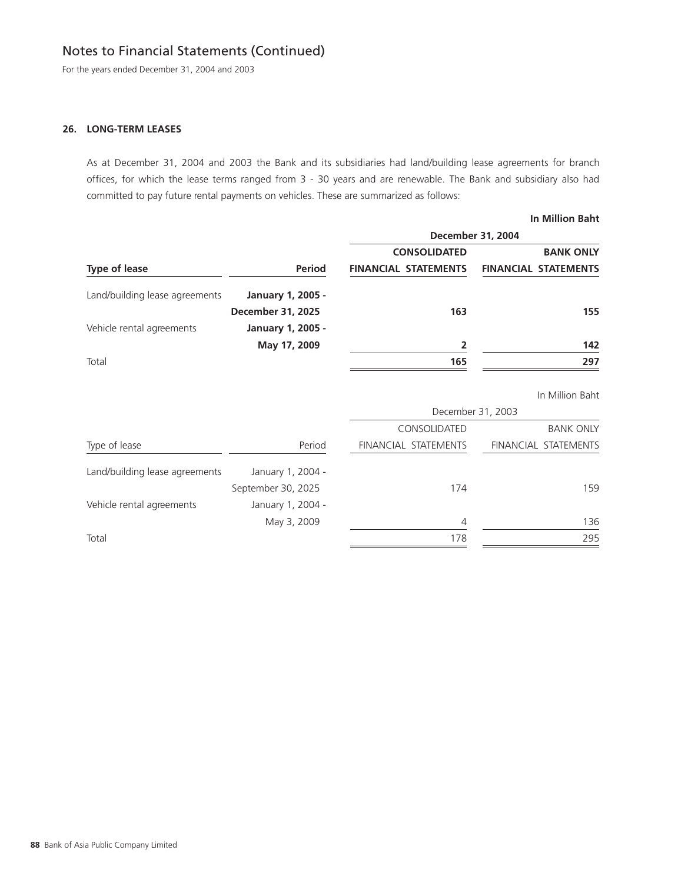For the years ended December 31, 2004 and 2003

## **26. LONG-TERM LEASES**

As at December 31, 2004 and 2003 the Bank and its subsidiaries had land/building lease agreements for branch offices, for which the lease terms ranged from 3 - 30 years and are renewable. The Bank and subsidiary also had committed to pay future rental payments on vehicles. These are summarized as follows:

|                                |                          |                             | <b>In Million Baht</b>      |
|--------------------------------|--------------------------|-----------------------------|-----------------------------|
|                                |                          |                             | <b>December 31, 2004</b>    |
|                                |                          | <b>CONSOLIDATED</b>         | <b>BANK ONLY</b>            |
| <b>Type of lease</b>           | <b>Period</b>            | <b>FINANCIAL STATEMENTS</b> | <b>FINANCIAL STATEMENTS</b> |
| Land/building lease agreements | January 1, 2005 -        |                             |                             |
|                                | <b>December 31, 2025</b> | 163                         | 155                         |
| Vehicle rental agreements      | January 1, 2005 -        |                             |                             |
|                                | May 17, 2009             | 2                           | 142                         |
| Total                          |                          | 165                         | 297                         |
|                                |                          |                             | In Million Baht             |
|                                |                          |                             | December 31, 2003           |
|                                |                          | CONSOLIDATED                | <b>BANK ONLY</b>            |
| Type of lease                  | Period                   | FINANCIAL STATEMENTS        | FINANCIAL STATEMENTS        |
| Land/building lease agreements | January 1, 2004 -        |                             |                             |
|                                | September 30, 2025       | 174                         | 159                         |
| Vehicle rental agreements      | January 1, 2004 -        |                             |                             |
|                                | May 3, 2009              | $\overline{4}$              | 136                         |
| Total                          |                          | 178                         | 295                         |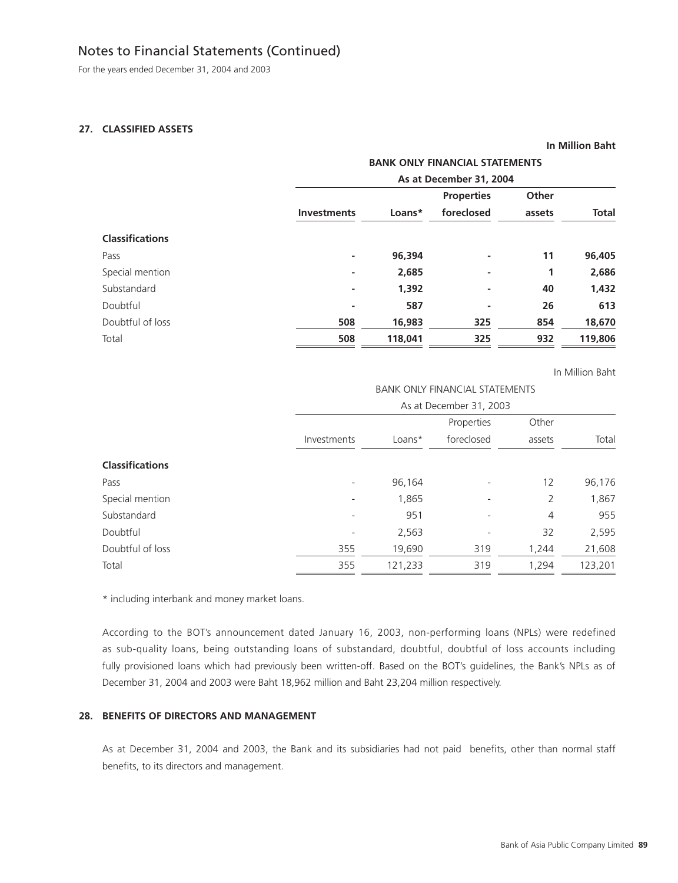For the years ended December 31, 2004 and 2003

## **27. CLASSIFIED ASSETS**

|                        |                    |                         | <b>BANK ONLY FINANCIAL STATEMENTS</b> |        |              |  |  |  |
|------------------------|--------------------|-------------------------|---------------------------------------|--------|--------------|--|--|--|
|                        |                    | As at December 31, 2004 |                                       |        |              |  |  |  |
|                        |                    |                         | <b>Properties</b>                     | Other  |              |  |  |  |
|                        | <b>Investments</b> | Loans*                  | foreclosed                            | assets | <b>Total</b> |  |  |  |
| <b>Classifications</b> |                    |                         |                                       |        |              |  |  |  |
| Pass                   | ٠                  | 96,394                  | ۰                                     | 11     | 96,405       |  |  |  |
| Special mention        | ٠                  | 2,685                   | ٠                                     | 1      | 2,686        |  |  |  |
| Substandard            | ٠                  | 1,392                   | ٠                                     | 40     | 1,432        |  |  |  |
| Doubtful               | ۰                  | 587                     | ۰                                     | 26     | 613          |  |  |  |
| Doubtful of loss       | 508                | 16,983                  | 325                                   | 854    | 18,670       |  |  |  |
| Total                  | 508                | 118,041                 | 325                                   | 932    | 119,806      |  |  |  |

In Million Baht

**In Million Baht**

#### BANK ONLY FINANCIAL STATEMENTS

|                        | As at December 31, 2003  |          |            |                |         |  |  |
|------------------------|--------------------------|----------|------------|----------------|---------|--|--|
|                        |                          |          | Properties | Other          |         |  |  |
|                        | Investments              | $Loans*$ | foreclosed | assets         | Total   |  |  |
| <b>Classifications</b> |                          |          |            |                |         |  |  |
| Pass                   | $\overline{\phantom{a}}$ | 96,164   |            | 12             | 96,176  |  |  |
| Special mention        | $\overline{\phantom{a}}$ | 1,865    |            | 2              | 1,867   |  |  |
| Substandard            | $\overline{\phantom{a}}$ | 951      |            | $\overline{4}$ | 955     |  |  |
| Doubtful               | $\overline{\phantom{a}}$ | 2,563    |            | 32             | 2,595   |  |  |
| Doubtful of loss       | 355                      | 19,690   | 319        | 1,244          | 21,608  |  |  |
| Total                  | 355                      | 121,233  | 319        | 1,294          | 123,201 |  |  |

\* including interbank and money market loans.

According to the BOT's announcement dated January 16, 2003, non-performing loans (NPLs) were redefined as sub-quality loans, being outstanding loans of substandard, doubtful, doubtful of loss accounts including fully provisioned loans which had previously been written-off. Based on the BOT's guidelines, the Bank's NPLs as of December 31, 2004 and 2003 were Baht 18,962 million and Baht 23,204 million respectively.

## **28. BENEFITS OF DIRECTORS AND MANAGEMENT**

As at December 31, 2004 and 2003, the Bank and its subsidiaries had not paid benefits, other than normal staff benefits, to its directors and management.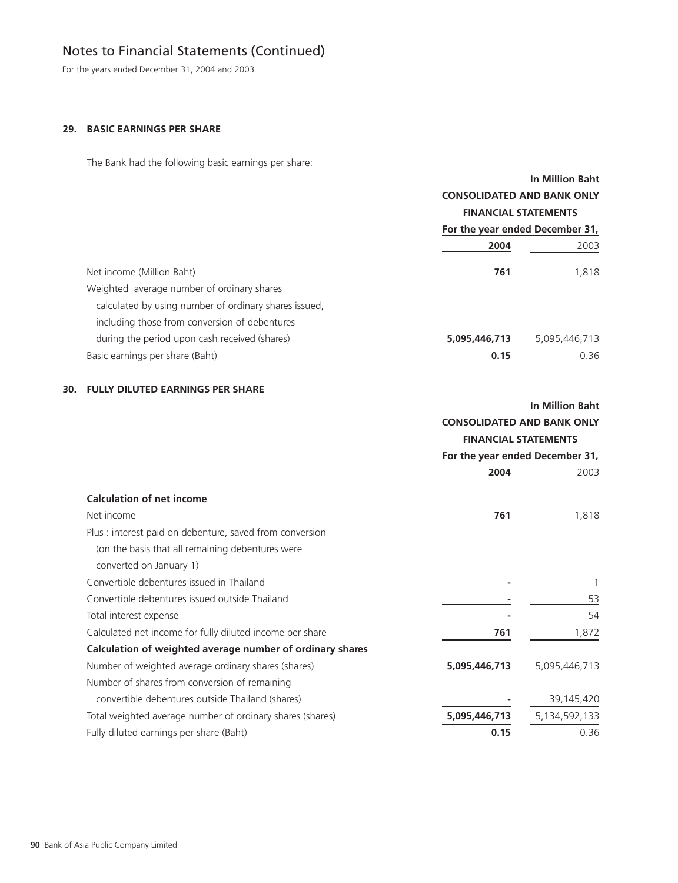For the years ended December 31, 2004 and 2003

## **29. BASIC EARNINGS PER SHARE**

The Bank had the following basic earnings per share:

|                                                       |                                   | In Million Baht |  |
|-------------------------------------------------------|-----------------------------------|-----------------|--|
|                                                       | <b>CONSOLIDATED AND BANK ONLY</b> |                 |  |
|                                                       | <b>FINANCIAL STATEMENTS</b>       |                 |  |
|                                                       | For the year ended December 31,   |                 |  |
|                                                       | 2004                              | 2003            |  |
| Net income (Million Baht)                             | 761                               | 1.818           |  |
| Weighted average number of ordinary shares            |                                   |                 |  |
| calculated by using number of ordinary shares issued. |                                   |                 |  |
| including those from conversion of debentures         |                                   |                 |  |
| during the period upon cash received (shares)         | 5,095,446,713                     | 5,095,446,713   |  |
| Basic earnings per share (Baht)                       | 0.15                              | 0.36            |  |

## **30. FULLY DILUTED EARNINGS PER SHARE**

| In Million Baht                   |
|-----------------------------------|
| <b>CONSOLIDATED AND BANK ONLY</b> |
| <b>FINANCIAL STATEMENTS</b>       |

|                                                           | For the year ended December 31, |               |
|-----------------------------------------------------------|---------------------------------|---------------|
|                                                           | 2004                            | 2003          |
| <b>Calculation of net income</b>                          |                                 |               |
| Net income                                                | 761                             | 1,818         |
| Plus: interest paid on debenture, saved from conversion   |                                 |               |
| (on the basis that all remaining debentures were          |                                 |               |
| converted on January 1)                                   |                                 |               |
| Convertible debentures issued in Thailand                 |                                 |               |
| Convertible debentures issued outside Thailand            |                                 | 53            |
| Total interest expense                                    |                                 | 54            |
| Calculated net income for fully diluted income per share  | 761                             | 1,872         |
| Calculation of weighted average number of ordinary shares |                                 |               |
| Number of weighted average ordinary shares (shares)       | 5,095,446,713                   | 5,095,446,713 |
| Number of shares from conversion of remaining             |                                 |               |
| convertible debentures outside Thailand (shares)          |                                 | 39,145,420    |
| Total weighted average number of ordinary shares (shares) | 5,095,446,713                   | 5,134,592,133 |
| Fully diluted earnings per share (Baht)                   | 0.15                            | 0.36          |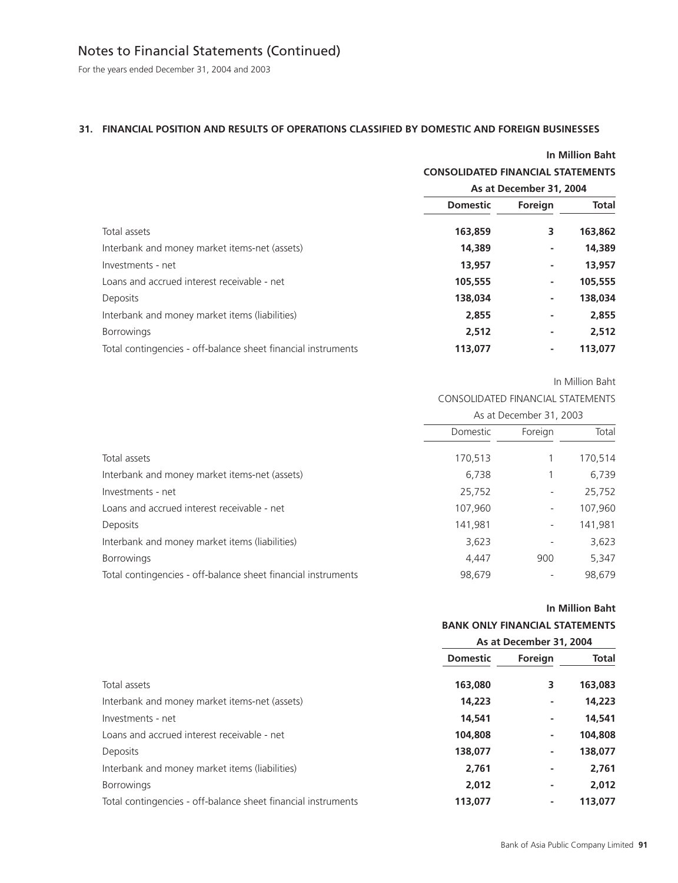For the years ended December 31, 2004 and 2003

## **31. FINANCIAL POSITION AND RESULTS OF OPERATIONS CLASSIFIED BY DOMESTIC AND FOREIGN BUSINESSES**

|                                                               |                                          |                         | <b>In Million Baht</b> |
|---------------------------------------------------------------|------------------------------------------|-------------------------|------------------------|
|                                                               | <b>CONSOLIDATED FINANCIAL STATEMENTS</b> |                         |                        |
|                                                               |                                          | As at December 31, 2004 |                        |
|                                                               | <b>Domestic</b>                          | Foreign                 | <b>Total</b>           |
| Total assets                                                  | 163,859                                  | 3                       | 163,862                |
| Interbank and money market items-net (assets)                 | 14,389                                   | ۰                       | 14,389                 |
| Investments - net                                             | 13,957                                   | ٠                       | 13,957                 |
| Loans and accrued interest receivable - net                   | 105,555                                  | ٠                       | 105,555                |
| <b>Deposits</b>                                               | 138,034                                  | ٠                       | 138,034                |
| Interbank and money market items (liabilities)                | 2,855                                    | ٠                       | 2,855                  |
| <b>Borrowings</b>                                             | 2,512                                    | ۰                       | 2,512                  |
| Total contingencies - off-balance sheet financial instruments | 113,077                                  | ٠                       | 113,077                |

In Million Baht

## CONSOLIDATED FINANCIAL STATEMENTS

|                                                               | As at December 31, 2003 |                          |         |
|---------------------------------------------------------------|-------------------------|--------------------------|---------|
|                                                               | Domestic                | Foreign                  | Total   |
| Total assets                                                  | 170,513                 |                          | 170,514 |
| Interbank and money market items-net (assets)                 | 6,738                   |                          | 6,739   |
| Investments - net                                             | 25,752                  | $\overline{\phantom{a}}$ | 25,752  |
| Loans and accrued interest receivable - net                   | 107,960                 | $\overline{\phantom{0}}$ | 107,960 |
| Deposits                                                      | 141,981                 | $\overline{\phantom{a}}$ | 141,981 |
| Interbank and money market items (liabilities)                | 3,623                   |                          | 3,623   |
| <b>Borrowings</b>                                             | 4,447                   | 900                      | 5,347   |
| Total contingencies - off-balance sheet financial instruments | 98,679                  |                          | 98,679  |

#### **In Million Baht**

## **BANK ONLY FINANCIAL STATEMENTS**

| <b>Domestic</b> | Foreign | <b>Total</b>            |
|-----------------|---------|-------------------------|
| 163,080         | 3       | 163,083                 |
| 14,223          |         | 14,223                  |
| 14,541          | ۰       | 14,541                  |
| 104,808         | ٠       | 104,808                 |
| 138,077         | ۰       | 138,077                 |
| 2,761           |         | 2,761                   |
| 2,012           |         | 2.012                   |
| 113,077         | ۰       | 113,077                 |
|                 |         | As at December 31, 2004 |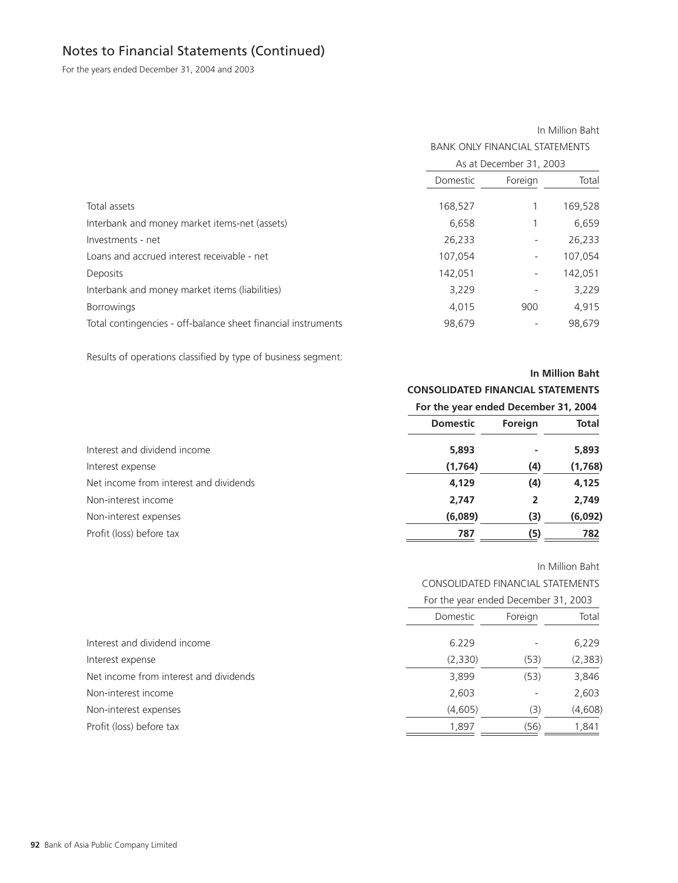For the years ended December 31, 2004 and 2003

#### In Million Baht

BANK ONLY FINANCIAL STATEMENTS

|                                                               |          | As at December 31, 2003      |         |
|---------------------------------------------------------------|----------|------------------------------|---------|
|                                                               | Domestic | Foreign                      | Total   |
| Total assets                                                  | 168,527  |                              | 169,528 |
| Interbank and money market items-net (assets)                 | 6,658    |                              | 6,659   |
| Investments - net                                             | 26,233   | $\qquad \qquad \blacksquare$ | 26,233  |
| Loans and accrued interest receivable - net                   | 107,054  | $\overline{\phantom{a}}$     | 107,054 |
| Deposits                                                      | 142,051  | $\overline{\phantom{a}}$     | 142,051 |
| Interbank and money market items (liabilities)                | 3,229    | $\overline{\phantom{a}}$     | 3,229   |
| <b>Borrowings</b>                                             | 4.015    | 900                          | 4,915   |
| Total contingencies - off-balance sheet financial instruments | 98,679   |                              | 98,679  |

Results of operations classified by type of business segment:

## **In Million Baht**

## **CONSOLIDATED FINANCIAL STATEMENTS**

|  |  |  | For the year ended December 31, 2004 |  |  |
|--|--|--|--------------------------------------|--|--|
|--|--|--|--------------------------------------|--|--|

|                                        | <b>Domestic</b> | Foreign | <b>Total</b> |
|----------------------------------------|-----------------|---------|--------------|
| Interest and dividend income           | 5,893           |         | 5,893        |
| Interest expense                       | (1, 764)        | (4)     | (1,768)      |
| Net income from interest and dividends | 4,129           | (4)     | 4,125        |
| Non-interest income                    | 2,747           | 2       | 2,749        |
| Non-interest expenses                  | (6,089)         | (3)     | (6,092)      |
| Profit (loss) before tax               | 787             | (5)     | 782          |

## In Million Baht

CONSOLIDATED FINANCIAL STATEMENTS

| For the year ended December 31, 2003 |  |  |  |  |
|--------------------------------------|--|--|--|--|
|--------------------------------------|--|--|--|--|

|                                        | Domestic | Foreign | Total    |
|----------------------------------------|----------|---------|----------|
| Interest and dividend income           | 6.229    |         | 6,229    |
| Interest expense                       | (2,330)  | (53)    | (2, 383) |
| Net income from interest and dividends | 3,899    | (53)    | 3,846    |
| Non-interest income                    | 2,603    |         | 2,603    |
| Non-interest expenses                  | (4,605)  | (3)     | (4,608)  |
| Profit (loss) before tax               | 1,897    | (56)    | 1,841    |
|                                        |          |         |          |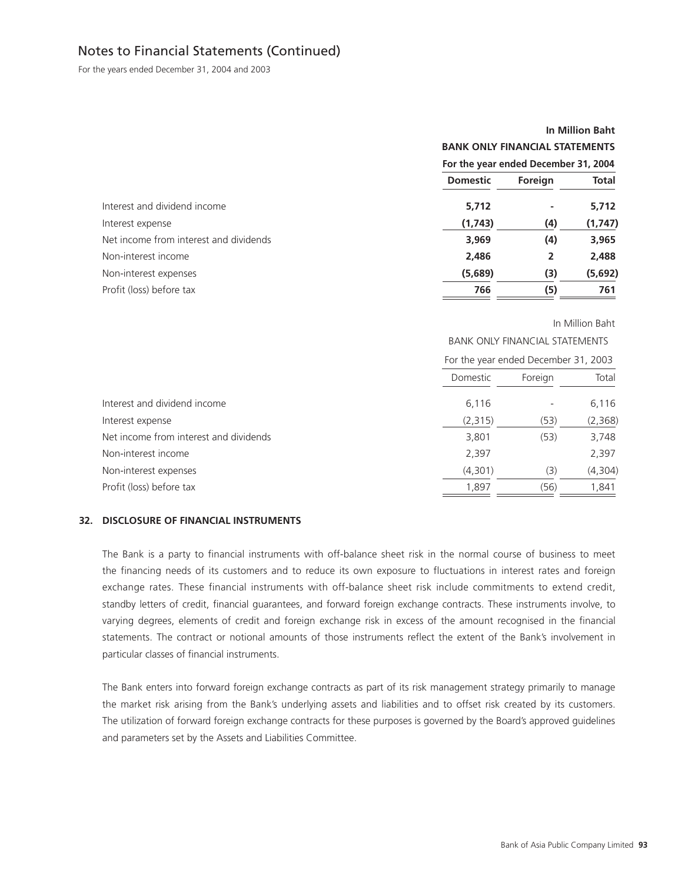For the years ended December 31, 2004 and 2003

# **In Million Baht BANK ONLY FINANCIAL STATEMENTS For the year ended December 31, 2004 Domestic Foreign Total** Interest and dividend income **5,712** - 5,712 **- 5,712** Interest expense **(1,743) (4) (1,747)** Net income from interest and dividends **3,969** (4) 3,965 Non-interest income **2,486 2 2,488** Non-interest expenses **(5,689) (3) (5,692)** Profit (loss) before tax **766 (5) 761**

#### In Million Baht

BANK ONLY FINANCIAL STATEMENTS

|                                        |          | For the year ended December 31, 2003 |         |
|----------------------------------------|----------|--------------------------------------|---------|
|                                        | Domestic | Foreign                              | Total   |
| Interest and dividend income           | 6,116    |                                      | 6,116   |
| Interest expense                       | (2,315)  | (53)                                 | (2,368) |
| Net income from interest and dividends | 3,801    | (53)                                 | 3,748   |
| Non-interest income                    | 2,397    |                                      | 2,397   |
| Non-interest expenses                  | (4,301)  | (3)                                  | (4,304) |
| Profit (loss) before tax               | 1,897    | (56)                                 | 1,841   |

#### **32. DISCLOSURE OF FINANCIAL INSTRUMENTS**

The Bank is a party to financial instruments with off-balance sheet risk in the normal course of business to meet the financing needs of its customers and to reduce its own exposure to fluctuations in interest rates and foreign exchange rates. These financial instruments with off-balance sheet risk include commitments to extend credit, standby letters of credit, financial guarantees, and forward foreign exchange contracts. These instruments involve, to varying degrees, elements of credit and foreign exchange risk in excess of the amount recognised in the financial statements. The contract or notional amounts of those instruments reflect the extent of the Bank's involvement in particular classes of financial instruments.

The Bank enters into forward foreign exchange contracts as part of its risk management strategy primarily to manage the market risk arising from the Bank's underlying assets and liabilities and to offset risk created by its customers. The utilization of forward foreign exchange contracts for these purposes is governed by the Board's approved guidelines and parameters set by the Assets and Liabilities Committee.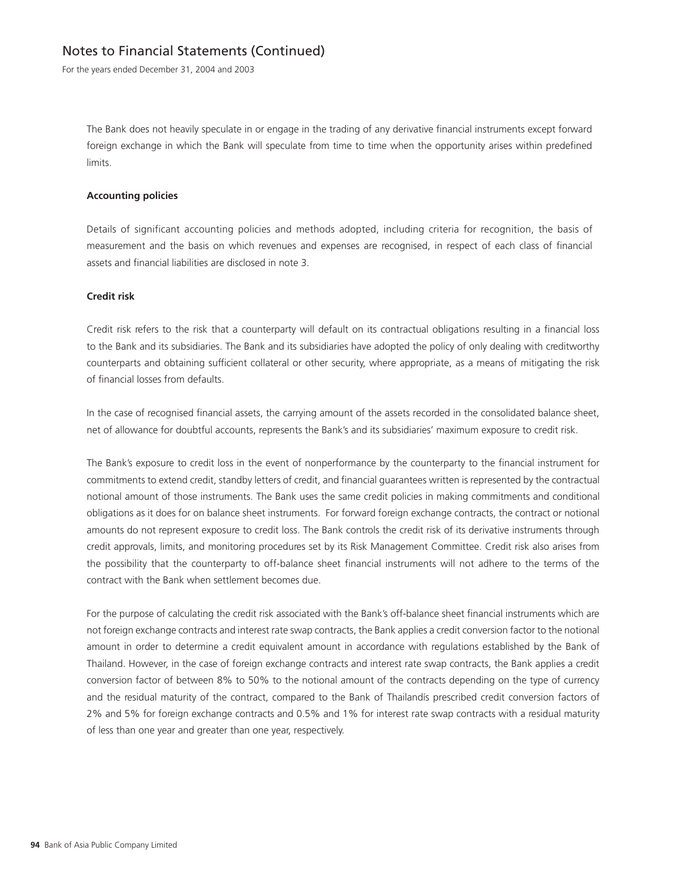For the years ended December 31, 2004 and 2003

The Bank does not heavily speculate in or engage in the trading of any derivative financial instruments except forward foreign exchange in which the Bank will speculate from time to time when the opportunity arises within predefined limits.

#### **Accounting policies**

Details of significant accounting policies and methods adopted, including criteria for recognition, the basis of measurement and the basis on which revenues and expenses are recognised, in respect of each class of financial assets and financial liabilities are disclosed in note 3.

### **Credit risk**

Credit risk refers to the risk that a counterparty will default on its contractual obligations resulting in a financial loss to the Bank and its subsidiaries. The Bank and its subsidiaries have adopted the policy of only dealing with creditworthy counterparts and obtaining sufficient collateral or other security, where appropriate, as a means of mitigating the risk of financial losses from defaults.

In the case of recognised financial assets, the carrying amount of the assets recorded in the consolidated balance sheet, net of allowance for doubtful accounts, represents the Bank's and its subsidiaries' maximum exposure to credit risk.

The Bank's exposure to credit loss in the event of nonperformance by the counterparty to the financial instrument for commitments to extend credit, standby letters of credit, and financial guarantees written is represented by the contractual notional amount of those instruments. The Bank uses the same credit policies in making commitments and conditional obligations as it does for on balance sheet instruments. For forward foreign exchange contracts, the contract or notional amounts do not represent exposure to credit loss. The Bank controls the credit risk of its derivative instruments through credit approvals, limits, and monitoring procedures set by its Risk Management Committee. Credit risk also arises from the possibility that the counterparty to off-balance sheet financial instruments will not adhere to the terms of the contract with the Bank when settlement becomes due.

For the purpose of calculating the credit risk associated with the Bank's off-balance sheet financial instruments which are not foreign exchange contracts and interest rate swap contracts, the Bank applies a credit conversion factor to the notional amount in order to determine a credit equivalent amount in accordance with regulations established by the Bank of Thailand. However, in the case of foreign exchange contracts and interest rate swap contracts, the Bank applies a credit conversion factor of between 8% to 50% to the notional amount of the contracts depending on the type of currency and the residual maturity of the contract, compared to the Bank of Thailandís prescribed credit conversion factors of 2% and 5% for foreign exchange contracts and 0.5% and 1% for interest rate swap contracts with a residual maturity of less than one year and greater than one year, respectively.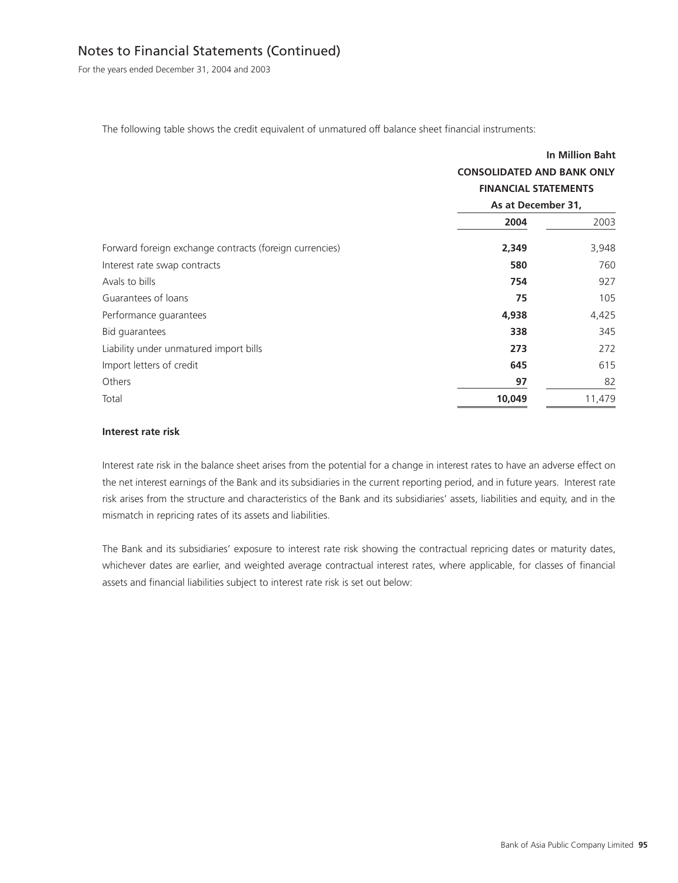For the years ended December 31, 2004 and 2003

The following table shows the credit equivalent of unmatured off balance sheet financial instruments:

|                                                         |                                   | <b>In Million Baht</b> |
|---------------------------------------------------------|-----------------------------------|------------------------|
|                                                         | <b>CONSOLIDATED AND BANK ONLY</b> |                        |
|                                                         | <b>FINANCIAL STATEMENTS</b>       |                        |
|                                                         | As at December 31,                |                        |
|                                                         | 2004                              | 2003                   |
| Forward foreign exchange contracts (foreign currencies) | 2,349                             | 3,948                  |
| Interest rate swap contracts                            | 580                               | 760                    |
| Avals to bills                                          | 754                               | 927                    |
| Guarantees of loans                                     | 75                                | 105                    |
| Performance guarantees                                  | 4,938                             | 4,425                  |
| Bid guarantees                                          | 338                               | 345                    |
| Liability under unmatured import bills                  | 273                               | 272                    |
| Import letters of credit                                | 645                               | 615                    |
| Others                                                  | 97                                | 82                     |
| Total                                                   | 10,049                            | 11,479                 |

#### **Interest rate risk**

Interest rate risk in the balance sheet arises from the potential for a change in interest rates to have an adverse effect on the net interest earnings of the Bank and its subsidiaries in the current reporting period, and in future years. Interest rate risk arises from the structure and characteristics of the Bank and its subsidiaries' assets, liabilities and equity, and in the mismatch in repricing rates of its assets and liabilities.

The Bank and its subsidiaries' exposure to interest rate risk showing the contractual repricing dates or maturity dates, whichever dates are earlier, and weighted average contractual interest rates, where applicable, for classes of financial assets and financial liabilities subject to interest rate risk is set out below: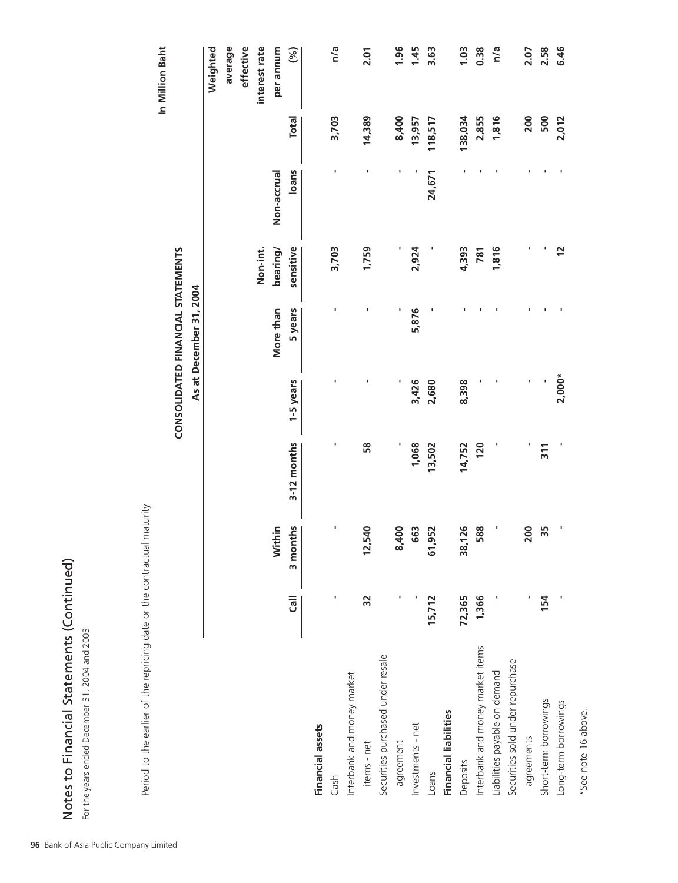| <b>SSSSSSSSSSSSSSSSSSSSSSSSSS</b><br>ι |   |
|----------------------------------------|---|
| ディーク くろく ナクチャー                         | j |
| בוממכמו -                              |   |
| ・ト しくト                                 |   |

| es to Financial Statements (Continued)<br>e years ended December 31, 2004 and 2003 |                    |                             |             |                                   |                         |                |             |              |                 |
|------------------------------------------------------------------------------------|--------------------|-----------------------------|-------------|-----------------------------------|-------------------------|----------------|-------------|--------------|-----------------|
| Period to the earlier of the repricing date or the contractual                     |                    | maturity                    |             |                                   |                         |                |             |              |                 |
|                                                                                    |                    |                             |             |                                   |                         |                |             |              | In Million Baht |
|                                                                                    |                    |                             |             | CONSOLIDATED FINANCIAL STATEMENTS |                         |                |             |              |                 |
|                                                                                    |                    |                             |             |                                   | As at December 31, 2004 |                |             |              |                 |
|                                                                                    |                    |                             |             |                                   |                         |                |             |              | Weighted        |
|                                                                                    |                    |                             |             |                                   |                         |                |             |              | average         |
|                                                                                    |                    |                             |             |                                   |                         |                |             |              | effective       |
|                                                                                    |                    |                             |             |                                   |                         | Non-int.       |             |              | interest rate   |
|                                                                                    |                    | Within                      |             |                                   | More than               | bearing/       | Non-accrual |              | per annum       |
|                                                                                    | $\overline{c}$ all | 3 months                    | 3-12 months | 1-5 years                         | 5 years                 | sensitive      | loans       | <b>Total</b> | (%)             |
| <b>Financial assets</b>                                                            |                    |                             |             |                                   |                         |                |             |              |                 |
| Cash                                                                               | ı                  | ı                           |             |                                   |                         | 3,703          |             | 3,703        | n/a             |
| Interbank and money market                                                         |                    |                             |             |                                   |                         |                |             |              |                 |
| items - net                                                                        | 32                 | 540<br>12,                  | 58          |                                   | ٠                       | 1,759          | J.          | 14,389       | 2.01            |
| Securities purchased under resale                                                  |                    |                             |             |                                   |                         |                |             |              |                 |
| agreement                                                                          | п                  | 400<br>ထဲ                   |             |                                   |                         |                |             | 8,400        | 1.96            |
| Investments - net                                                                  |                    | 663                         | 1,068       | 3,426                             | 5,876                   | 2,924          |             | 13,957       | 1.45            |
| Loans                                                                              | 15,712             | 952<br>61,                  | 13,502      | 2,680                             |                         |                | 24,671      | 118,517      | 3.63            |
| <b>Financial liabilities</b>                                                       |                    |                             |             |                                   |                         |                |             |              |                 |
| Deposits                                                                           | 72,365             | <b>126</b><br>$\frac{8}{3}$ | 14,752      | 8,398                             |                         | 4,393          |             | 138,034      | 1.03            |
| Interbank and money market items                                                   | 1,366              | 588                         | 120         |                                   |                         | 781            |             | 2,855        | 0.38            |
| Liabilities payable on demand                                                      |                    |                             | ı           |                                   |                         | 1,816          |             | 1,816        | n/a             |
| Securities sold under repurchase                                                   |                    |                             |             |                                   |                         |                |             |              |                 |
| agreements                                                                         |                    | 200                         |             | ı                                 |                         | ı              |             | 200          | 2.07            |
| Short-term borrowings                                                              | 154                | 35                          | 311         |                                   |                         | ٠              |             | 500          | 2.58            |
| Long-term borrowings                                                               |                    |                             |             | $2,000*$                          |                         | $\overline{2}$ |             | 2,012        | 6.46            |
|                                                                                    |                    |                             |             |                                   |                         |                |             |              |                 |

\*See note 16 above.

\*See note 16 above.

**96** Bank of Asia Public Company Limited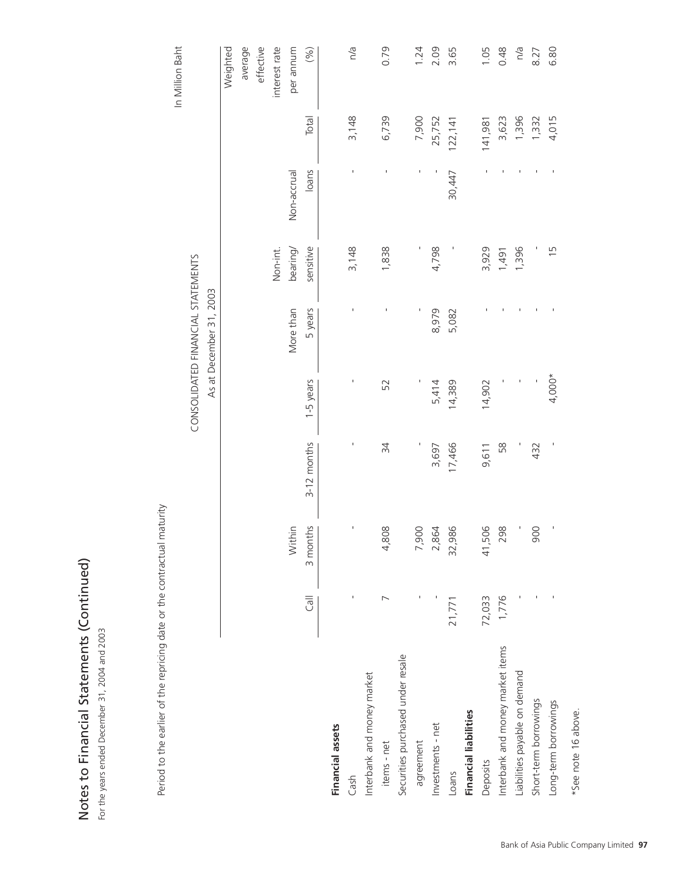| es to Financial Statements (Continued)<br>e years ended December 31, 2004 and 2003 |                |                |                |                          |                                   |                |                |          |                 |
|------------------------------------------------------------------------------------|----------------|----------------|----------------|--------------------------|-----------------------------------|----------------|----------------|----------|-----------------|
| Period to the earlier of the repricing date or the contractual                     |                | maturity       |                |                          |                                   |                |                |          |                 |
|                                                                                    |                |                |                |                          |                                   |                |                |          | In Million Baht |
|                                                                                    |                |                |                |                          | CONSOLIDATED FINANCIAL STATEMENTS |                |                |          |                 |
|                                                                                    |                |                |                |                          | As at December 31, 2003           |                |                |          |                 |
|                                                                                    |                |                |                |                          |                                   |                |                |          | Weighted        |
|                                                                                    |                |                |                |                          |                                   |                |                |          | average         |
|                                                                                    |                |                |                |                          |                                   |                |                |          | effective       |
|                                                                                    |                |                |                |                          |                                   | Non-int.       |                |          | interest rate   |
|                                                                                    |                | Within         |                |                          | More than                         | bearing        | Non-accrual    |          | per annum       |
|                                                                                    | <b>Trall</b>   | 3 months       | 3-12 months    | 1-5 years                | 5 years                           | sensitive      | loans          | Total    | (%)             |
| <b>Financial assets</b>                                                            |                |                |                |                          |                                   |                |                |          |                 |
| Cash                                                                               |                | ٠              | J.             | ı                        |                                   | 3,148          |                | 3,148    | n/a             |
| Interbank and money market                                                         |                |                |                |                          |                                   |                |                |          |                 |
| items - net                                                                        | $\overline{ }$ | 4,808          | 34             | 52                       |                                   | 1,838          |                | 6,739    | 0.79            |
| Securities purchased under resale                                                  |                |                |                |                          |                                   |                |                |          |                 |
| agreement                                                                          |                | 7,900          |                |                          |                                   | J,             | $\blacksquare$ | 7,900    | 1.24            |
| Investments - net                                                                  |                | 2,864          | 3,697          | 5,414                    | 8,979                             | 4,798          |                | 25,752   | 2.09            |
| Loans                                                                              | 21,771         | 32,986         | 17,466         | 14,389                   | 5,082                             | I              | 30,447         | 122, 141 | 3.65            |
| <b>Financial liabilities</b>                                                       |                |                |                |                          |                                   |                |                |          |                 |
| Deposits                                                                           | 72,033         | 506<br>41,     | 9,611          | 14,902                   |                                   | 3,929          |                | 141,981  | 1.05            |
| Interbank and money market items                                                   | 1,776          | 298            | 58             |                          |                                   | 1,491          |                | 3,623    | 0.48            |
| Liabilities payable on demand                                                      |                |                |                | $\mathbf{I}$             |                                   | 1,396          |                | 1,396    | n/a             |
| Short-term borrowings                                                              |                | 900            | 432            | $\overline{\phantom{a}}$ |                                   |                |                | 1,332    | 8.27            |
| Long-term borrowings                                                               |                | $\blacksquare$ | $\blacksquare$ | $4,000*$                 |                                   | $\overline{1}$ |                | 4,015    | 6.80            |
| *See note 16 above.                                                                |                |                |                |                          |                                   |                |                |          |                 |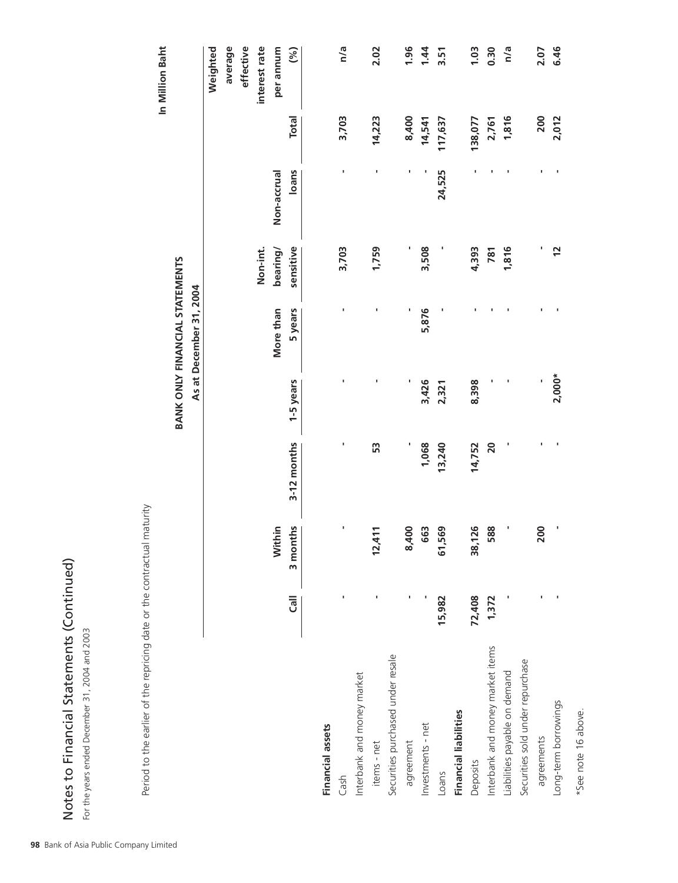| くこくこう<br>$\frac{1}{2}$ |
|------------------------|
| $+21000$<br>)<br>S     |
| ות מה הוא ב            |
| くせんくん<br>í             |

# BANK ONLY FINANCIAL STATEMENTS As at December 31, 2004

| es to Financial Statements (Continued)<br>e years ended December 31, 2004 and 2003 |                |            |             |           |                                       |              |             |              |                 |
|------------------------------------------------------------------------------------|----------------|------------|-------------|-----------|---------------------------------------|--------------|-------------|--------------|-----------------|
| Period to the earlier of the repricing date or the contractual                     |                | maturity   |             |           |                                       |              |             |              |                 |
|                                                                                    |                |            |             |           |                                       |              |             |              | In Million Baht |
|                                                                                    |                |            |             |           | <b>BANK ONLY FINANCIAL STATEMENTS</b> |              |             |              |                 |
|                                                                                    |                |            |             |           | As at December 31, 2004               |              |             |              |                 |
|                                                                                    |                |            |             |           |                                       |              |             |              | Weighted        |
|                                                                                    |                |            |             |           |                                       |              |             |              | average         |
|                                                                                    |                |            |             |           |                                       |              |             |              | effective       |
|                                                                                    |                |            |             |           |                                       | Non-int.     |             |              | interest rate   |
|                                                                                    |                | Within     |             |           | More than                             | bearing/     | Non-accrual |              | per annum       |
|                                                                                    | $\overline{5}$ | 3 months   | 3-12 months | 1-5 years | 5 years                               | sensitive    | loans       | <b>Total</b> | (%)             |
| <b>Financial assets</b>                                                            |                |            |             |           |                                       |              |             |              |                 |
| Cash                                                                               |                | ı,         | ı           |           |                                       | 3,703        | ı           | 3,703        | n/a             |
| Interbank and money market                                                         |                |            |             |           |                                       |              |             |              |                 |
| items - net                                                                        |                | 411<br>12, | S           | ı         |                                       | 1,759        |             | 14,223       | 2.02            |
| Securities purchased under resale                                                  |                |            |             |           |                                       |              |             |              |                 |
| agreement                                                                          |                | 8,400      |             |           |                                       | ı            |             | 8,400        | 1.96            |
| Investments - net                                                                  |                | 663        | 1,068       | 3,426     | 5,876                                 | 3,508        |             | 14,541       | 1.44            |
| Loans                                                                              | 15,982         | 569<br>61, | 13,240      | 2,321     |                                       | p            | 24,525      | 117,637      | 3.51            |
| Financial liabilities                                                              |                |            |             |           |                                       |              |             |              |                 |
| Deposits                                                                           | 72,408         | 38,126     | 14,752      | 8,398     |                                       | 4,393        |             | 138,077      | 1.03            |
| Interbank and money market items                                                   | 1,372          | 588        | 20          |           |                                       | 781          |             | 2,761        | 0.30            |
| Liabilities payable on demand                                                      |                | ×          | ı           |           |                                       | 1,816        |             | 1,816        | n/a             |
| Securities sold under repurchase                                                   |                |            |             |           |                                       |              |             |              |                 |
| agreements                                                                         |                | 200        |             |           |                                       | ٠            |             | 200          | 2.07            |
| Long-term borrowings                                                               |                | J,         |             | $2,000*$  |                                       | $\mathbf{r}$ |             | 2,012        | 6.46            |
|                                                                                    |                |            |             |           |                                       |              |             |              |                 |

\*See note 16 above.

\*See note 16 above.

**98** Bank of Asia Public Company Limited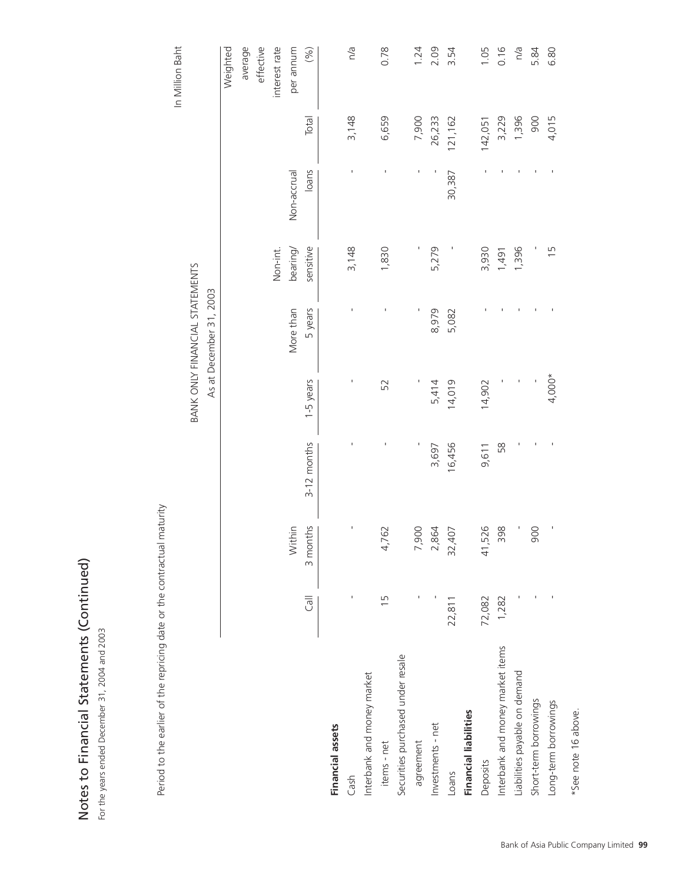| tes to Financial Statements (Continued)<br>ne years ended December 31, 2004 and 2003 |                |          |             |           |                                       |                |             |         |                 |
|--------------------------------------------------------------------------------------|----------------|----------|-------------|-----------|---------------------------------------|----------------|-------------|---------|-----------------|
| Period to the earlier of the repricing date or the contractual                       |                | maturity |             |           |                                       |                |             |         |                 |
|                                                                                      |                |          |             |           |                                       |                |             |         | In Million Baht |
|                                                                                      |                |          |             |           | <b>BANK ONLY FINANCIAL STATEMENTS</b> |                |             |         |                 |
|                                                                                      |                |          |             |           | As at December 31, 2003               |                |             |         |                 |
|                                                                                      |                |          |             |           |                                       |                |             |         | Weighted        |
|                                                                                      |                |          |             |           |                                       |                |             |         | average         |
|                                                                                      |                |          |             |           |                                       |                |             |         | effective       |
|                                                                                      |                |          |             |           |                                       | Non-int.       |             |         | interest rate   |
|                                                                                      |                | Within   |             |           | More than                             | bearing        | Non-accrual |         | per annum       |
|                                                                                      |                | 3 months | 3-12 months | 1-5 years | 5 years                               | sensitive      | loans       | Total   | (%)             |
| <b>Financial assets</b>                                                              |                |          |             |           |                                       |                |             |         |                 |
| Cash                                                                                 |                | I.       |             |           |                                       | 3,148          |             | 3,148   | n/a             |
| Interbank and money market                                                           |                |          |             |           |                                       |                |             |         |                 |
| items - net                                                                          | $\overline{1}$ | 4,762    |             | 52        |                                       | 1,830          |             | 6,659   | 0.78            |
| Securities purchased under resale                                                    |                |          |             |           |                                       |                |             |         |                 |
| agreement                                                                            |                | 7,900    |             |           |                                       |                |             | 7,900   | 1.24            |
| Investments - net                                                                    |                | 2,864    | 3,697       | 5,414     | 8,979                                 | 5,279          |             | 26,233  | 2.09            |
| Loans                                                                                | 22,811         | 32,407   | 16,456      | 14,019    | 5,082                                 |                | 30,387      | 121,162 | 3.54            |
| <b>Financial liabilities</b>                                                         |                |          |             |           |                                       |                |             |         |                 |
| Deposits                                                                             | 72,082         | 41,526   | 9,611       | 14,902    |                                       | 3,930          |             | 142,051 | 1.05            |
| Interbank and money market items                                                     | 1,282          | 398      | 58          |           |                                       | 1,491          |             | 3,229   | 0.16            |
| Liabilities payable on demand                                                        |                |          |             |           |                                       | 1,396          |             | 1,396   | n/a             |
| Short-term borrowings                                                                |                | 900      |             |           |                                       |                |             | 900     | 5.84            |
| Long-term borrowings                                                                 |                |          |             | $4,000*$  |                                       | $\overline{1}$ |             | 4,015   | 6.80            |
|                                                                                      |                |          |             |           |                                       |                |             |         |                 |

\*See note 16 above.

\*See note 16 above.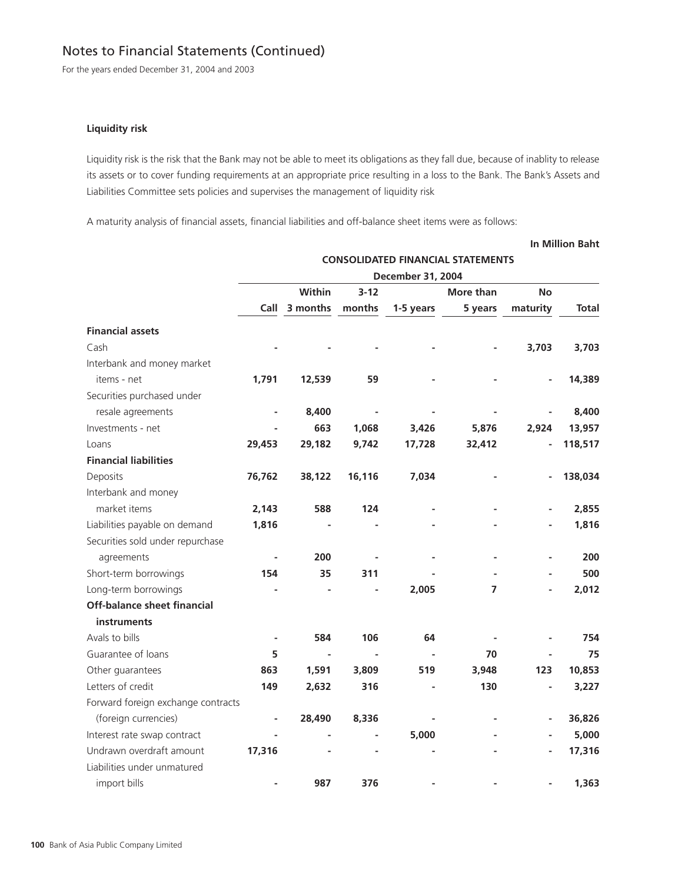For the years ended December 31, 2004 and 2003

#### **Liquidity risk**

Liquidity risk is the risk that the Bank may not be able to meet its obligations as they fall due, because of inablity to release its assets or to cover funding requirements at an appropriate price resulting in a loss to the Bank. The Bank's Assets and Liabilities Committee sets policies and supervises the management of liquidity risk

**In Million Baht**

A maturity analysis of financial assets, financial liabilities and off-balance sheet items were as follows:

# **CONSOLIDATED FINANCIAL STATEMENTS December 31, 2004 Within 3-12 More than No Call 3 months months 1-5 years 5 years maturity Total Financial assets** Cash **- - - - - 3,703 3,703** Interbank and money market items - net **1,791 12,539 59 - - - 14,389** Securities purchased under resale agreements **- 8,400 - - - - 8,400** Investments - net **- 663 1,068 3,426 5,876 2,924 13,957** Loans **29,453 29,182 9,742 17,728 32,412 - 118,517 Financial liabilities** Deposits **76,762 38,122 16,116 7,034 - - 138,034** Interbank and money market items **2,143 588 124 - - - 2,855** Liabilities payable on demand **1,816 - - - - - 1,816** Securities sold under repurchase agreements **- 200 - - - - 200** Short-term borrowings **154 35 311 - - - 500** Long-term borrowings **- - - 2,005 7 - 2,012 Off-balance sheet financial instruments** Avals to bills **- 584 106 64 - - 754** Guarantee of loans **5 5 - - - - 70 - 75** Other guarantees **863 1,591 3,809 519 3,948 123 10,853** Letters of credit **149 2,632 316 - 130 - 3,227** Forward foreign exchange contracts (foreign currencies) **- 28,490 8,336 - - - 36,826** Interest rate swap contract **- - - 5,000 - - 5,000** Undrawn overdraft amount **17,316** - - - - - - - - - - **17,316** Liabilities under unmatured import bills **- 987 376 - - - 1,363**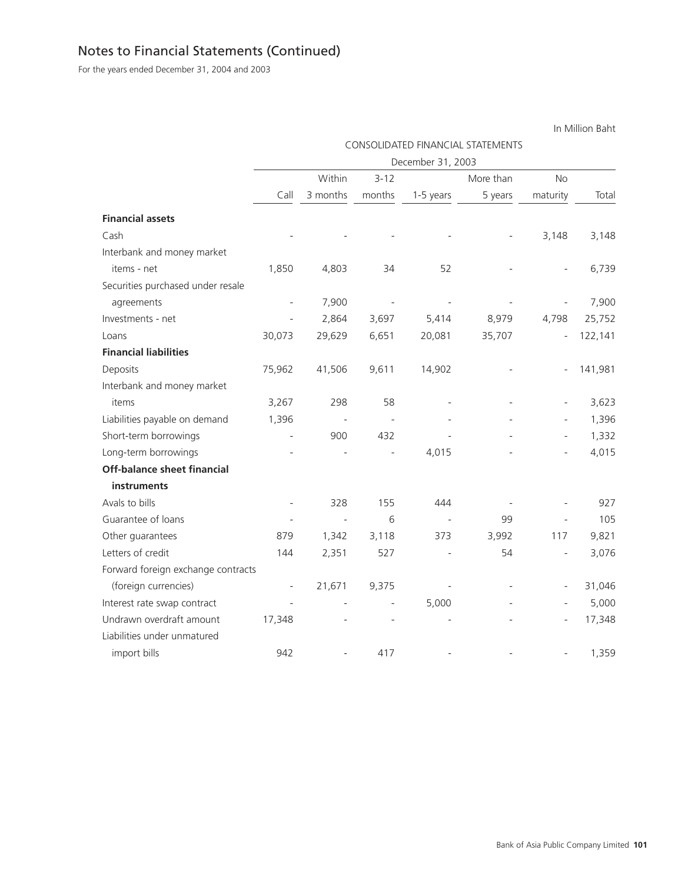For the years ended December 31, 2004 and 2003

CONSOLIDATED FINANCIAL STATEMENTS December 31, 2003 Within 3-12 More than No Call 3 months months 1-5 years 5 years maturity Total **Financial assets** Cash - - - - - - - - - - - - - - 3,148 3,148 Interbank and money market items - net 1,850 4,803 34 52 - - 6,739 Securities purchased under resale agreements - 7,900 - - - - 7,900 Investments - net - 2,864 3,697 5,414 8,979 4,798 25,752 Loans 30,073 29,629 6,651 20,081 35,707 - 122,141 **Financial liabilities** Deposits 75,962 41,506 9,611 14,902 - - 141,981 Interbank and money market items 3,267 298 58 - - - 3,623 Liabilities payable on demand 1,396 - - - - - - - - - - - - - 1,396 Short-term borrowings **-** 900 432 - - - - 1,332 Long-term borrowings - - - - - 4,015 - 4,015 - 4,015 **Off-balance sheet financial instruments** Avals to bills - 328 155 444 - - 927 Guarantee of loans 105 Other guarantees 879 1,342 3,118 373 3,992 117 9,821 Letters of credit 144 2,351 527 - 54 - 3,076 Forward foreign exchange contracts (foreign currencies) - 21,671 9,375 - - - 31,046 Interest rate swap contract  $\qquad \qquad -$  -  $\qquad \qquad -$  5,000 - - 5,000 Undrawn overdraft amount 17,348 - - - - - - - - - - 17,348 Liabilities under unmatured import bills 942 - 417 - - - 1,359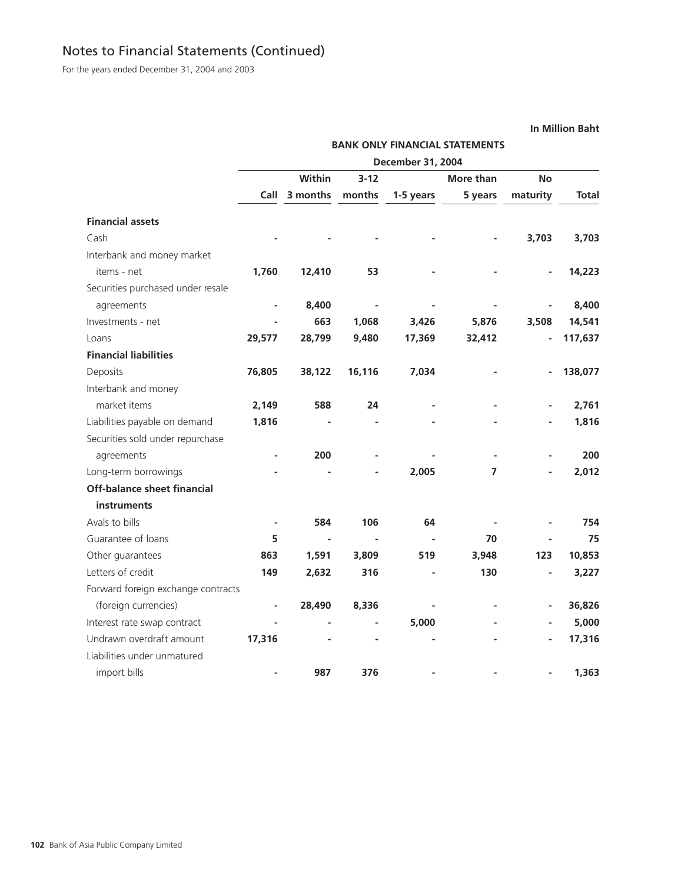For the years ended December 31, 2004 and 2003

**BANK ONLY FINANCIAL STATEMENTS December 31, 2004 Within 3-12 More than No Call 3 months months 1-5 years 5 years maturity Total Financial assets** Cash **- - - - - 3,703 3,703** Interbank and money market items - net **1,760 12,410 53 - - - 14,223** Securities purchased under resale agreements **- 8,400 - - - - 8,400** Investments - net **- 663 1,068 3,426 5,876 3,508 14,541** Loans **29,577 28,799 9,480 17,369 32,412 - 117,637 Financial liabilities** Deposits **76,805 38,122 16,116 7,034 - - 138,077** Interbank and money market items **2,149** 588 24 - - - 2,761 Liabilities payable on demand **1,816 - - - - - 1,816** Securities sold under repurchase agreements **- 200 - - - - 200** Long-term borrowings **- - - 2,005 7 - 2,012 Off-balance sheet financial instruments** Avals to bills **- 584 106 64 - - 754** Guarantee of loans **5 5 - - - - 70 - 75** Other guarantees **863 1,591 3,809 519 3,948 123 10,853** Letters of credit **149 2,632 316 - 130 - 3,227** Forward foreign exchange contracts (foreign currencies) **- 28,490 8,336 - - - 36,826** Interest rate swap contract **- - - 5,000 - - 5,000** Undrawn overdraft amount **17,316** - - - - - - - - - - **17,316** Liabilities under unmatured import bills **- 987 376 - - - 1,363**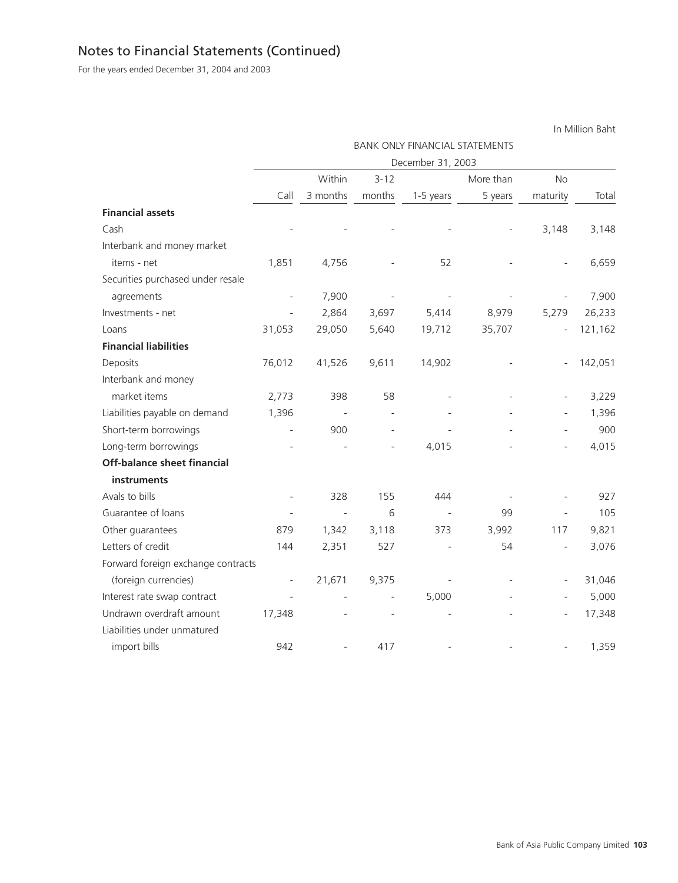For the years ended December 31, 2004 and 2003

BANK ONLY FINANCIAL STATEMENTS December 31, 2003 Within 3-12 More than No Call 3 months months 1-5 years 5 years maturity Total **Financial assets** Cash - - - - - - - - - - - - - - 3,148 3,148 Interbank and money market items - net 1,851 4,756 - 52 - - 6,659 Securities purchased under resale agreements - 7,900 - - - - 7,900 Investments - net - 2,864 3,697 5,414 8,979 5,279 26,233 Loans 31,053 29,050 5,640 19,712 35,707 - 121,162 **Financial liabilities** Deposits 76,012 41,526 9,611 14,902 - - 142,051 Interbank and money market items 2,773 398 58 - - - 3,229 Liabilities payable on demand 1,396 - - - - - - - - - - - - - 1,396 Short-term borrowings **-** 900 - - - - - - 900 Long-term borrowings - - - - - 4,015 - 4,015 - 4,015 **Off-balance sheet financial instruments** Avals to bills - 328 155 444 - - 927 Guarantee of loans 105 Other guarantees 879 1,342 3,118 373 3,992 117 9,821 Letters of credit 144 2,351 527 - 54 - 3,076 Forward foreign exchange contracts (foreign currencies) - 21,671 9,375 - - - 31,046 Interest rate swap contract  $\qquad \qquad -$  -  $\qquad \qquad -$  5,000 - - 5,000 Undrawn overdraft amount  $17,348$  - - - - - - - - - - 17,348 Liabilities under unmatured import bills 942 - 417 - - - 1,359

In Million Baht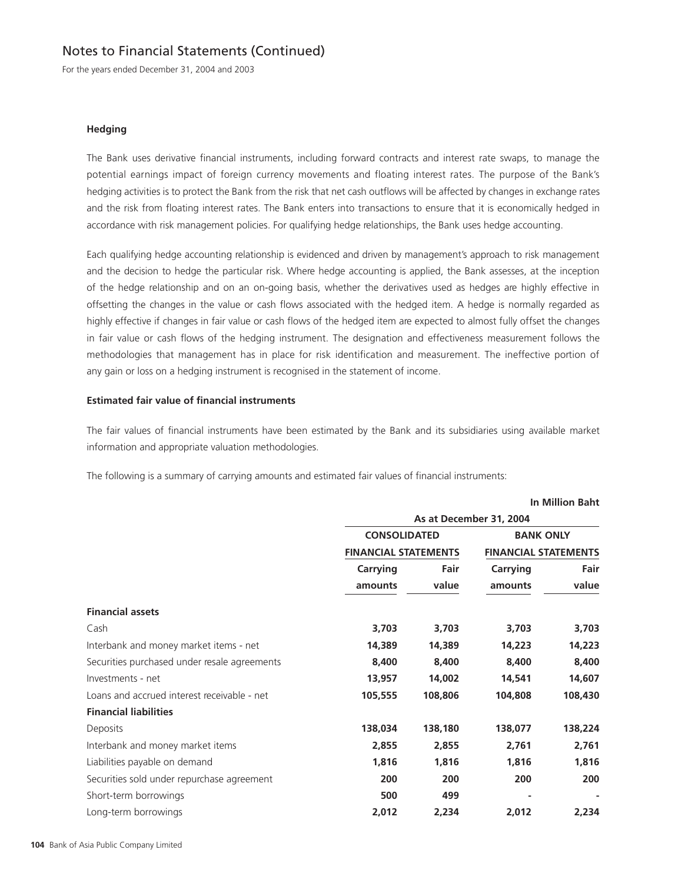For the years ended December 31, 2004 and 2003

#### **Hedging**

The Bank uses derivative financial instruments, including forward contracts and interest rate swaps, to manage the potential earnings impact of foreign currency movements and floating interest rates. The purpose of the Bank's hedging activities is to protect the Bank from the risk that net cash outflows will be affected by changes in exchange rates and the risk from floating interest rates. The Bank enters into transactions to ensure that it is economically hedged in accordance with risk management policies. For qualifying hedge relationships, the Bank uses hedge accounting.

Each qualifying hedge accounting relationship is evidenced and driven by management's approach to risk management and the decision to hedge the particular risk. Where hedge accounting is applied, the Bank assesses, at the inception of the hedge relationship and on an on-going basis, whether the derivatives used as hedges are highly effective in offsetting the changes in the value or cash flows associated with the hedged item. A hedge is normally regarded as highly effective if changes in fair value or cash flows of the hedged item are expected to almost fully offset the changes in fair value or cash flows of the hedging instrument. The designation and effectiveness measurement follows the methodologies that management has in place for risk identification and measurement. The ineffective portion of any gain or loss on a hedging instrument is recognised in the statement of income.

## **Estimated fair value of financial instruments**

The fair values of financial instruments have been estimated by the Bank and its subsidiaries using available market information and appropriate valuation methodologies.

**In Million Baht**

The following is a summary of carrying amounts and estimated fair values of financial instruments:

|                                              |                                                    |         | As at December 31, 2004                         |         |
|----------------------------------------------|----------------------------------------------------|---------|-------------------------------------------------|---------|
|                                              | <b>CONSOLIDATED</b><br><b>FINANCIAL STATEMENTS</b> |         | <b>BANK ONLY</b><br><b>FINANCIAL STATEMENTS</b> |         |
|                                              |                                                    |         |                                                 |         |
|                                              | Carrying                                           | Fair    | Carrying                                        | Fair    |
|                                              | amounts                                            | value   | amounts                                         | value   |
| <b>Financial assets</b>                      |                                                    |         |                                                 |         |
| Cash                                         | 3,703                                              | 3,703   | 3,703                                           | 3,703   |
| Interbank and money market items - net       | 14,389                                             | 14,389  | 14,223                                          | 14,223  |
| Securities purchased under resale agreements | 8,400                                              | 8,400   | 8,400                                           | 8,400   |
| Investments - net                            | 13,957                                             | 14,002  | 14,541                                          | 14,607  |
| Loans and accrued interest receivable - net  | 105,555                                            | 108,806 | 104,808                                         | 108,430 |
| <b>Financial liabilities</b>                 |                                                    |         |                                                 |         |
| Deposits                                     | 138,034                                            | 138,180 | 138,077                                         | 138,224 |
| Interbank and money market items             | 2,855                                              | 2,855   | 2,761                                           | 2,761   |
| Liabilities payable on demand                | 1,816                                              | 1,816   | 1,816                                           | 1,816   |
| Securities sold under repurchase agreement   | 200                                                | 200     | 200                                             | 200     |
| Short-term borrowings                        | 500                                                | 499     |                                                 |         |
| Long-term borrowings                         | 2,012                                              | 2,234   | 2,012                                           | 2,234   |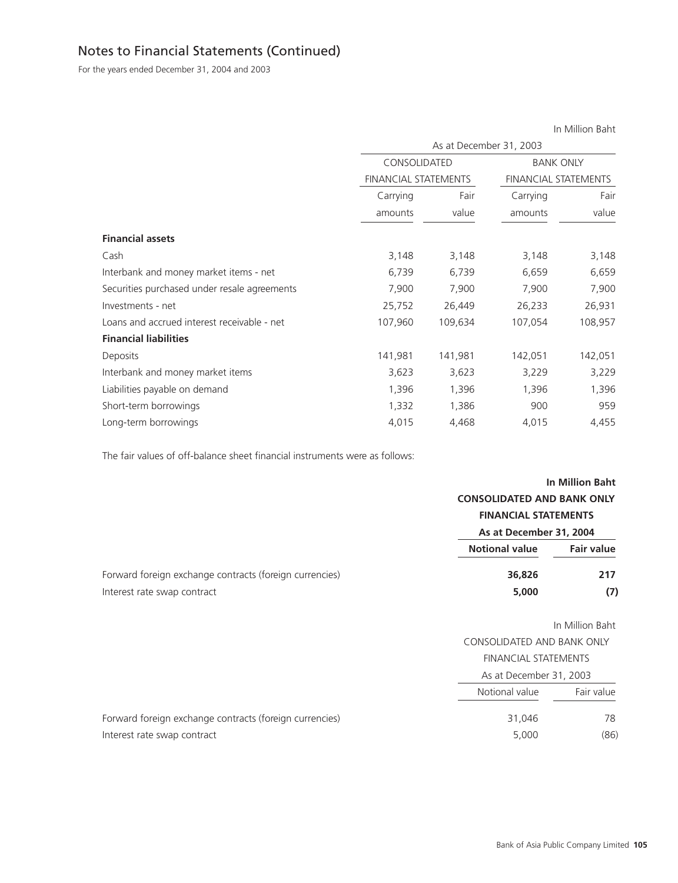For the years ended December 31, 2004 and 2003

|                                              |                             |                         |                             | in Million Bant |
|----------------------------------------------|-----------------------------|-------------------------|-----------------------------|-----------------|
|                                              |                             | As at December 31, 2003 |                             |                 |
|                                              | CONSOLIDATED                |                         | <b>BANK ONLY</b>            |                 |
|                                              | <b>FINANCIAL STATEMENTS</b> |                         | <b>FINANCIAL STATEMENTS</b> |                 |
|                                              | Carrying                    | Fair                    | Carrying                    | Fair            |
|                                              | amounts                     | value                   | amounts                     | value           |
| <b>Financial assets</b>                      |                             |                         |                             |                 |
| Cash                                         | 3,148                       | 3,148                   | 3,148                       | 3,148           |
| Interbank and money market items - net       | 6,739                       | 6,739                   | 6,659                       | 6,659           |
| Securities purchased under resale agreements | 7,900                       | 7,900                   | 7,900                       | 7,900           |
| Investments - net                            | 25,752                      | 26,449                  | 26,233                      | 26,931          |
| Loans and accrued interest receivable - net  | 107,960                     | 109,634                 | 107,054                     | 108,957         |
| <b>Financial liabilities</b>                 |                             |                         |                             |                 |
| Deposits                                     | 141,981                     | 141,981                 | 142,051                     | 142,051         |
| Interbank and money market items             | 3,623                       | 3,623                   | 3,229                       | 3,229           |
| Liabilities payable on demand                | 1,396                       | 1,396                   | 1,396                       | 1,396           |
| Short-term borrowings                        | 1,332                       | 1,386                   | 900                         | 959             |
| Long-term borrowings                         | 4,015                       | 4,468                   | 4,015                       | 4,455           |

The fair values of off-balance sheet financial instruments were as follows:

|                                                         | <b>In Million Baht</b>            |                   |  |
|---------------------------------------------------------|-----------------------------------|-------------------|--|
|                                                         | <b>CONSOLIDATED AND BANK ONLY</b> |                   |  |
|                                                         | <b>FINANCIAL STATEMENTS</b>       |                   |  |
|                                                         | As at December 31, 2004           |                   |  |
|                                                         | <b>Notional value</b>             | <b>Fair value</b> |  |
| Forward foreign exchange contracts (foreign currencies) | 36,826                            | 217               |  |
| Interest rate swap contract                             | 5,000                             | (7)               |  |

In Million Baht

CONSOLIDATED AND BANK ONLY

|                                                         | FINANCIAL STATEMENTS    |            |
|---------------------------------------------------------|-------------------------|------------|
|                                                         | As at December 31, 2003 |            |
|                                                         | Notional value          | Fair value |
| Forward foreign exchange contracts (foreign currencies) | 31.046                  | 78         |
| Interest rate swap contract                             | 5,000                   | (86)       |

In Million Baht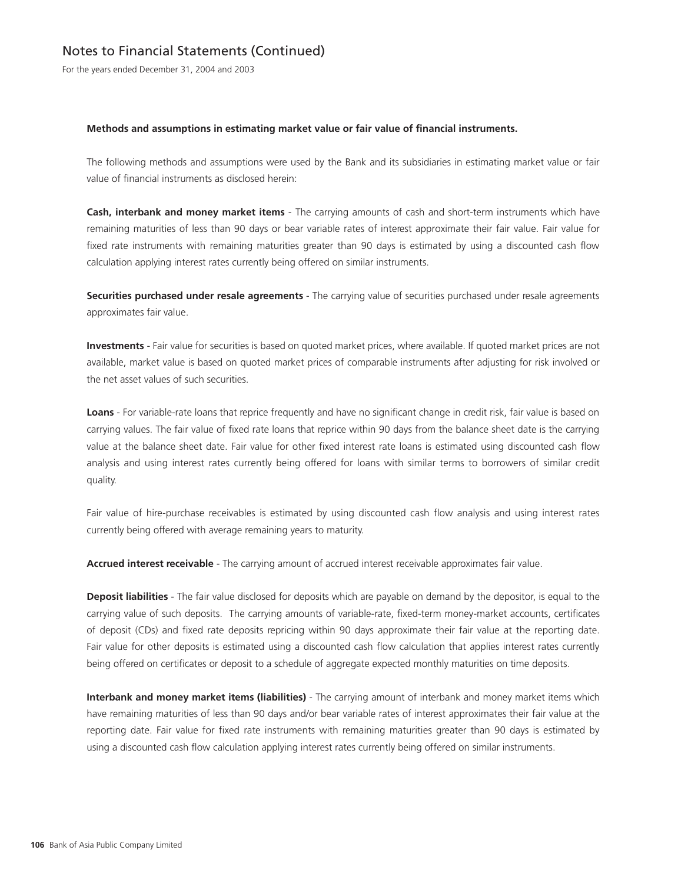For the years ended December 31, 2004 and 2003

#### **Methods and assumptions in estimating market value or fair value of financial instruments.**

The following methods and assumptions were used by the Bank and its subsidiaries in estimating market value or fair value of financial instruments as disclosed herein:

**Cash, interbank and money market items** - The carrying amounts of cash and short-term instruments which have remaining maturities of less than 90 days or bear variable rates of interest approximate their fair value. Fair value for fixed rate instruments with remaining maturities greater than 90 days is estimated by using a discounted cash flow calculation applying interest rates currently being offered on similar instruments.

**Securities purchased under resale agreements** - The carrying value of securities purchased under resale agreements approximates fair value.

**Investments** - Fair value for securities is based on quoted market prices, where available. If quoted market prices are not available, market value is based on quoted market prices of comparable instruments after adjusting for risk involved or the net asset values of such securities.

**Loans** - For variable-rate loans that reprice frequently and have no significant change in credit risk, fair value is based on carrying values. The fair value of fixed rate loans that reprice within 90 days from the balance sheet date is the carrying value at the balance sheet date. Fair value for other fixed interest rate loans is estimated using discounted cash flow analysis and using interest rates currently being offered for loans with similar terms to borrowers of similar credit quality.

Fair value of hire-purchase receivables is estimated by using discounted cash flow analysis and using interest rates currently being offered with average remaining years to maturity.

**Accrued interest receivable** - The carrying amount of accrued interest receivable approximates fair value.

**Deposit liabilities** - The fair value disclosed for deposits which are payable on demand by the depositor, is equal to the carrying value of such deposits. The carrying amounts of variable-rate, fixed-term money-market accounts, certificates of deposit (CDs) and fixed rate deposits repricing within 90 days approximate their fair value at the reporting date. Fair value for other deposits is estimated using a discounted cash flow calculation that applies interest rates currently being offered on certificates or deposit to a schedule of aggregate expected monthly maturities on time deposits.

**Interbank and money market items (liabilities)** - The carrying amount of interbank and money market items which have remaining maturities of less than 90 days and/or bear variable rates of interest approximates their fair value at the reporting date. Fair value for fixed rate instruments with remaining maturities greater than 90 days is estimated by using a discounted cash flow calculation applying interest rates currently being offered on similar instruments.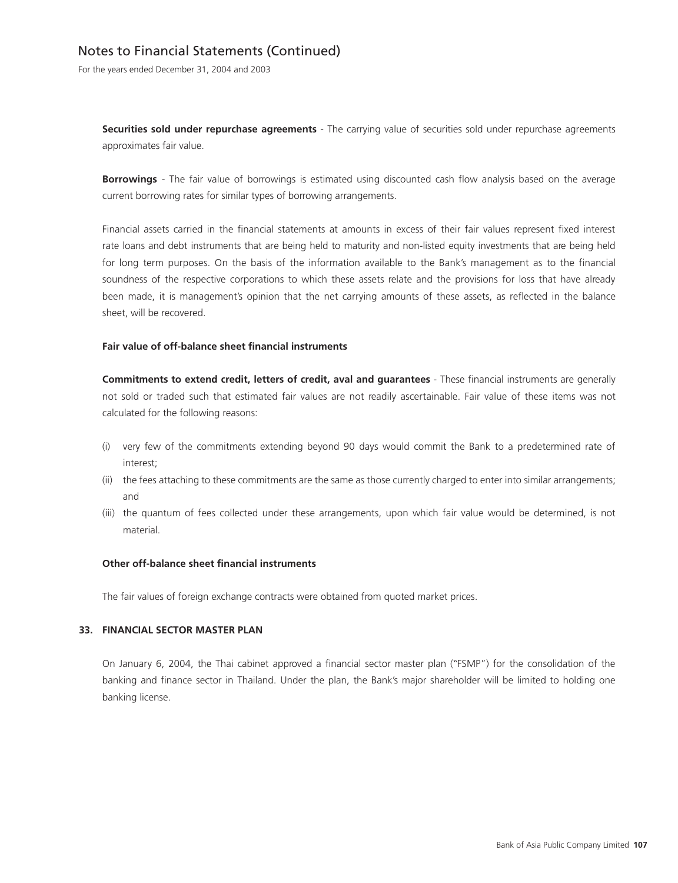# Notes to Financial Statements (Continued)

For the years ended December 31, 2004 and 2003

**Securities sold under repurchase agreements** - The carrying value of securities sold under repurchase agreements approximates fair value.

**Borrowings** - The fair value of borrowings is estimated using discounted cash flow analysis based on the average current borrowing rates for similar types of borrowing arrangements.

Financial assets carried in the financial statements at amounts in excess of their fair values represent fixed interest rate loans and debt instruments that are being held to maturity and non-listed equity investments that are being held for long term purposes. On the basis of the information available to the Bank's management as to the financial soundness of the respective corporations to which these assets relate and the provisions for loss that have already been made, it is management's opinion that the net carrying amounts of these assets, as reflected in the balance sheet, will be recovered.

### **Fair value of off-balance sheet financial instruments**

**Commitments to extend credit, letters of credit, aval and guarantees** - These financial instruments are generally not sold or traded such that estimated fair values are not readily ascertainable. Fair value of these items was not calculated for the following reasons:

- (i) very few of the commitments extending beyond 90 days would commit the Bank to a predetermined rate of interest;
- (ii) the fees attaching to these commitments are the same as those currently charged to enter into similar arrangements; and
- (iii) the quantum of fees collected under these arrangements, upon which fair value would be determined, is not material.

#### **Other off-balance sheet financial instruments**

The fair values of foreign exchange contracts were obtained from quoted market prices.

#### **33. FINANCIAL SECTOR MASTER PLAN**

On January 6, 2004, the Thai cabinet approved a financial sector master plan ("FSMP") for the consolidation of the banking and finance sector in Thailand. Under the plan, the Bank's major shareholder will be limited to holding one banking license.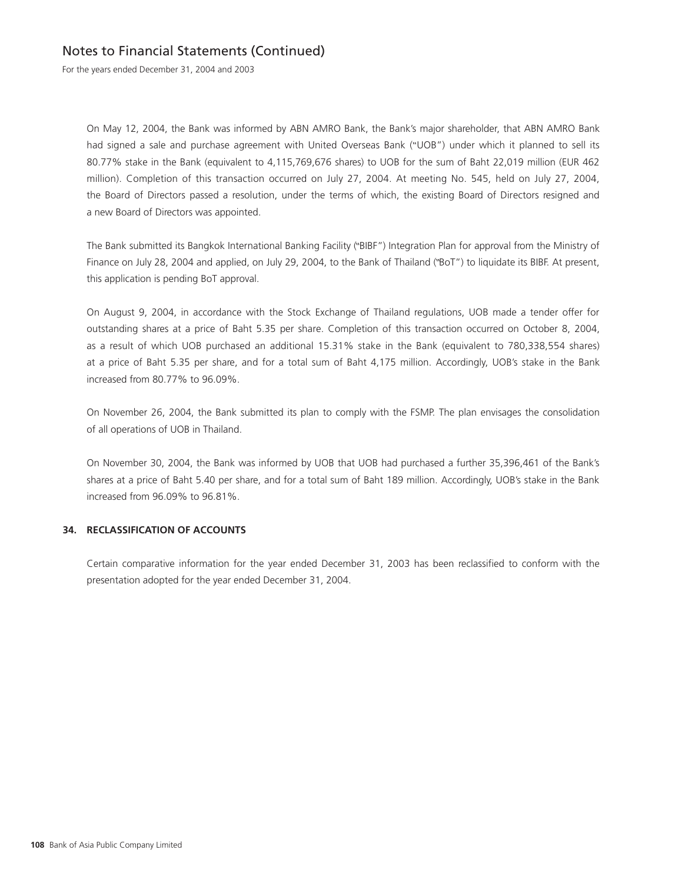For the years ended December 31, 2004 and 2003

On May 12, 2004, the Bank was informed by ABN AMRO Bank, the Bank's major shareholder, that ABN AMRO Bank had signed a sale and purchase agreement with United Overseas Bank ("UOB") under which it planned to sell its 80.77% stake in the Bank (equivalent to 4,115,769,676 shares) to UOB for the sum of Baht 22,019 million (EUR 462 million). Completion of this transaction occurred on July 27, 2004. At meeting No. 545, held on July 27, 2004, the Board of Directors passed a resolution, under the terms of which, the existing Board of Directors resigned and a new Board of Directors was appointed.

The Bank submitted its Bangkok International Banking Facility ("BIBF") Integration Plan for approval from the Ministry of Finance on July 28, 2004 and applied, on July 29, 2004, to the Bank of Thailand ("BoT") to liquidate its BIBF. At present, this application is pending BoT approval.

On August 9, 2004, in accordance with the Stock Exchange of Thailand regulations, UOB made a tender offer for outstanding shares at a price of Baht 5.35 per share. Completion of this transaction occurred on October 8, 2004, as a result of which UOB purchased an additional 15.31% stake in the Bank (equivalent to 780,338,554 shares) at a price of Baht 5.35 per share, and for a total sum of Baht 4,175 million. Accordingly, UOB's stake in the Bank increased from 80.77% to 96.09%.

On November 26, 2004, the Bank submitted its plan to comply with the FSMP. The plan envisages the consolidation of all operations of UOB in Thailand.

On November 30, 2004, the Bank was informed by UOB that UOB had purchased a further 35,396,461 of the Bank's shares at a price of Baht 5.40 per share, and for a total sum of Baht 189 million. Accordingly, UOB's stake in the Bank increased from 96.09% to 96.81%.

## **34. RECLASSIFICATION OF ACCOUNTS**

Certain comparative information for the year ended December 31, 2003 has been reclassified to conform with the presentation adopted for the year ended December 31, 2004.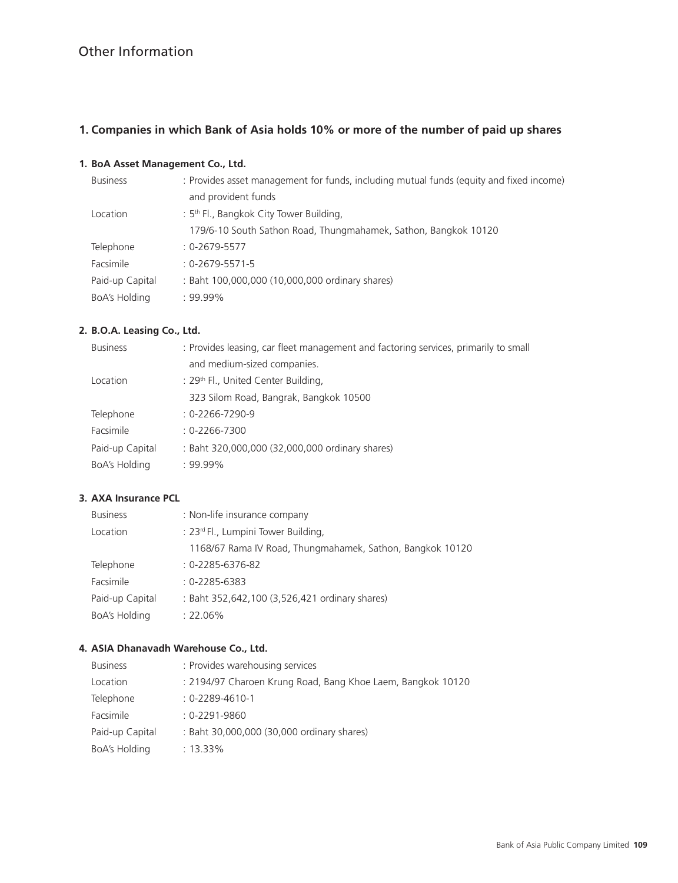# **1. Companies in which Bank of Asia holds 10% or more of the number of paid up shares**

## **1. BoA Asset Management Co., Ltd.**

| <b>Business</b>  | : Provides asset management for funds, including mutual funds (equity and fixed income) |  |  |  |
|------------------|-----------------------------------------------------------------------------------------|--|--|--|
|                  | and provident funds                                                                     |  |  |  |
| Location         | : $5th$ Fl., Bangkok City Tower Building,                                               |  |  |  |
|                  | 179/6-10 South Sathon Road, Thungmahamek, Sathon, Bangkok 10120                         |  |  |  |
| Telephone        | $: 0 - 2679 - 5577$                                                                     |  |  |  |
| <b>Facsimile</b> | $: 0 - 2679 - 5571 - 5$                                                                 |  |  |  |
| Paid-up Capital  | : Baht 100,000,000 (10,000,000 ordinary shares)                                         |  |  |  |
| BoA's Holding    | $.99.99\%$                                                                              |  |  |  |

## **2. B.O.A. Leasing Co., Ltd.**

| <b>Business</b> | : Provides leasing, car fleet management and factoring services, primarily to small |  |  |  |
|-----------------|-------------------------------------------------------------------------------------|--|--|--|
|                 | and medium-sized companies.                                                         |  |  |  |
| Location        | : 29 <sup>th</sup> Fl., United Center Building,                                     |  |  |  |
|                 | 323 Silom Road, Bangrak, Bangkok 10500                                              |  |  |  |
| Telephone       | $: 0 - 2266 - 7290 - 9$                                                             |  |  |  |
| Facsimile       | $: 0 - 2266 - 7300$                                                                 |  |  |  |
| Paid-up Capital | : Baht 320,000,000 (32,000,000 ordinary shares)                                     |  |  |  |
| BoA's Holding   | $: 99.99\%$                                                                         |  |  |  |
|                 |                                                                                     |  |  |  |

## **3. AXA Insurance PCL**

| <b>Business</b> | : Non-life insurance company                              |  |  |  |  |
|-----------------|-----------------------------------------------------------|--|--|--|--|
| Location        | : 23 <sup>rd</sup> Fl., Lumpini Tower Building,           |  |  |  |  |
|                 | 1168/67 Rama IV Road, Thungmahamek, Sathon, Bangkok 10120 |  |  |  |  |
| Telephone       | $: 0 - 2285 - 6376 - 82$                                  |  |  |  |  |
| Facsimile       | $: 0 - 2285 - 6383$                                       |  |  |  |  |
| Paid-up Capital | : Baht 352,642,100 (3,526,421 ordinary shares)            |  |  |  |  |
| BoA's Holding   | $: 22.06\%$                                               |  |  |  |  |

## **4. ASIA Dhanavadh Warehouse Co., Ltd.**

| <b>Business</b> | : Provides warehousing services                             |
|-----------------|-------------------------------------------------------------|
| Location        | : 2194/97 Charoen Krung Road, Bang Khoe Laem, Bangkok 10120 |
| Telephone       | $: 0 - 2289 - 4610 - 1$                                     |
| Facsimile       | $: 0 - 2291 - 9860$                                         |
| Paid-up Capital | : Baht 30,000,000 (30,000 ordinary shares)                  |
| BoA's Holding   | $: 13.33\%$                                                 |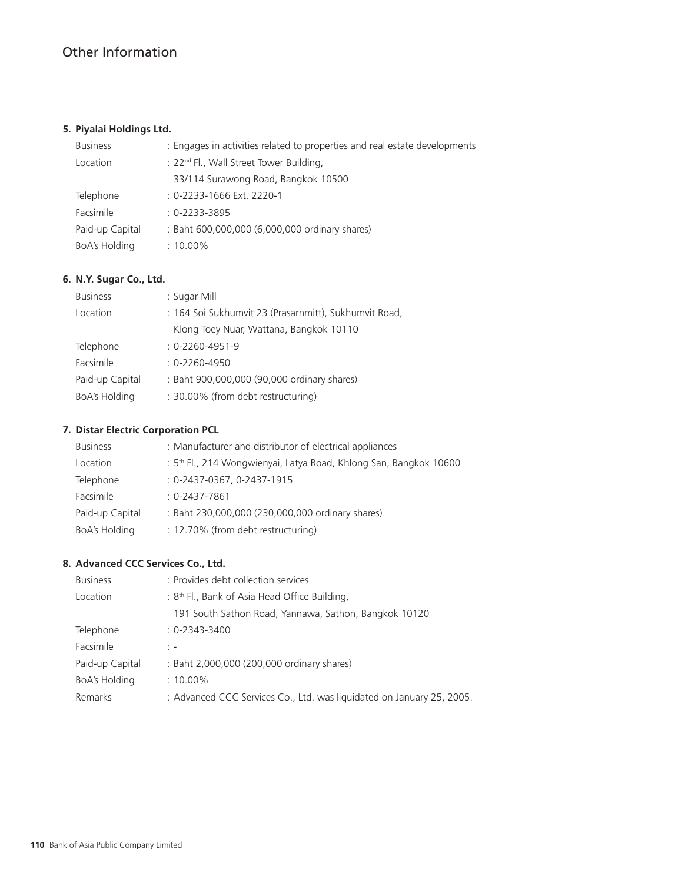# **5. Piyalai Holdings Ltd.**

| <b>Business</b> | : Engages in activities related to properties and real estate developments |  |  |  |  |
|-----------------|----------------------------------------------------------------------------|--|--|--|--|
| Location        | : 22 <sup>nd</sup> Fl., Wall Street Tower Building,                        |  |  |  |  |
|                 | 33/114 Surawong Road, Bangkok 10500                                        |  |  |  |  |
| Telephone       | : 0-2233-1666 Ext. 2220-1                                                  |  |  |  |  |
| Facsimile       | $: 0 - 2233 - 3895$                                                        |  |  |  |  |
| Paid-up Capital | : Baht 600,000,000 (6,000,000 ordinary shares)                             |  |  |  |  |
| BoA's Holding   | $: 10.00\%$                                                                |  |  |  |  |

## **6. N.Y. Sugar Co., Ltd.**

| <b>Business</b> | : Sugar Mill                                          |  |  |
|-----------------|-------------------------------------------------------|--|--|
| Location        | : 164 Soi Sukhumvit 23 (Prasarnmitt), Sukhumvit Road, |  |  |
|                 | Klong Toey Nuar, Wattana, Bangkok 10110               |  |  |
| Telephone       | $: 0 - 2260 - 4951 - 9$                               |  |  |
| Facsimile       | $0-2260-4950$                                         |  |  |
| Paid-up Capital | : Baht 900,000,000 (90,000 ordinary shares)           |  |  |
| BoA's Holding   | : 30.00% (from debt restructuring)                    |  |  |

## **7. Distar Electric Corporation PCL**

| <b>Business</b> | : Manufacturer and distributor of electrical appliances                       |
|-----------------|-------------------------------------------------------------------------------|
| Location        | : 5 <sup>th</sup> Fl., 214 Wongwienyai, Latya Road, Khlong San, Bangkok 10600 |
| Telephone       | : 0-2437-0367, 0-2437-1915                                                    |
| Facsimile       | $0-2437-7861$                                                                 |
| Paid-up Capital | : Baht 230,000,000 (230,000,000 ordinary shares)                              |
| BoA's Holding   | : 12.70% (from debt restructuring)                                            |

## **8. Advanced CCC Services Co., Ltd.**

| <b>Business</b>      | : Provides debt collection services                                   |  |  |  |
|----------------------|-----------------------------------------------------------------------|--|--|--|
| Location             | : $8th$ Fl., Bank of Asia Head Office Building,                       |  |  |  |
|                      | 191 South Sathon Road, Yannawa, Sathon, Bangkok 10120                 |  |  |  |
| Telephone            | $: 0 - 2343 - 3400$                                                   |  |  |  |
| Facsimile            | $\frac{1}{2}$ $\frac{1}{2}$                                           |  |  |  |
| Paid-up Capital      | : Baht 2,000,000 (200,000 ordinary shares)                            |  |  |  |
| <b>BoA's Holding</b> | $:10.00\%$                                                            |  |  |  |
| Remarks              | : Advanced CCC Services Co., Ltd. was liquidated on January 25, 2005. |  |  |  |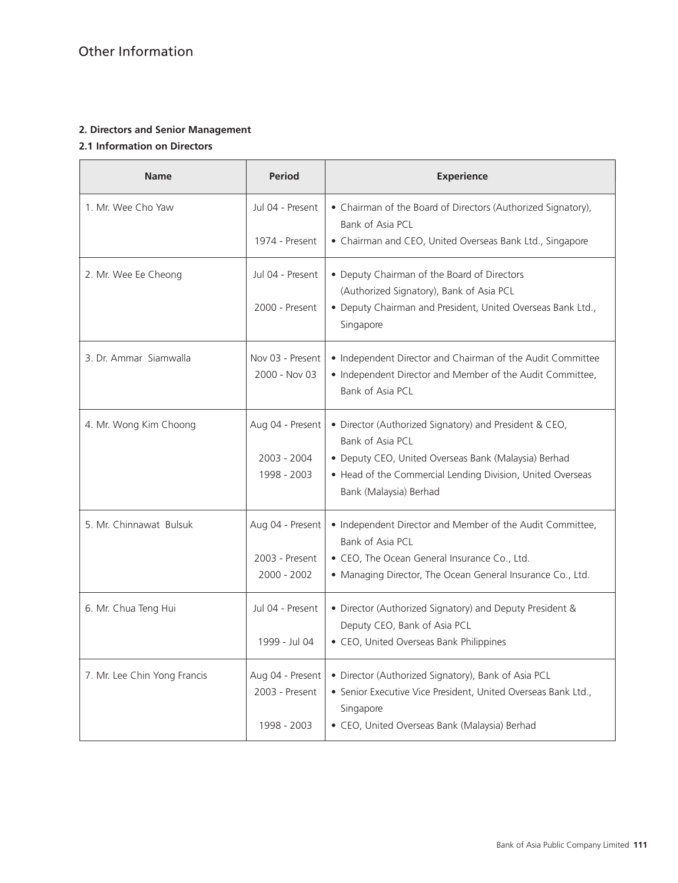## **2. Directors and Senior Management**

## **2.1 Information on Directors**

| <b>Period</b><br><b>Name</b> |                                                   | <b>Experience</b>                                                                                                                                                                                                          |  |  |
|------------------------------|---------------------------------------------------|----------------------------------------------------------------------------------------------------------------------------------------------------------------------------------------------------------------------------|--|--|
| 1. Mr. Wee Cho Yaw           | Jul 04 - Present<br>1974 - Present                | • Chairman of the Board of Directors (Authorized Signatory),<br>Bank of Asia PCL<br>• Chairman and CEO, United Overseas Bank Ltd., Singapore                                                                               |  |  |
| 2. Mr. Wee Ee Cheong         | Jul 04 - Present<br>2000 - Present                | • Deputy Chairman of the Board of Directors<br>(Authorized Signatory), Bank of Asia PCL<br>• Deputy Chairman and President, United Overseas Bank Ltd.,<br>Singapore                                                        |  |  |
| 3. Dr. Ammar Siamwalla       | Nov 03 - Present<br>2000 - Nov 03                 | • Independent Director and Chairman of the Audit Committee<br>• Independent Director and Member of the Audit Committee,<br>Bank of Asia PCL                                                                                |  |  |
| 4. Mr. Wong Kim Choong       | Aug 04 - Present<br>2003 - 2004<br>1998 - 2003    | • Director (Authorized Signatory) and President & CEO,<br>Bank of Asia PCL<br>• Deputy CEO, United Overseas Bank (Malaysia) Berhad<br>• Head of the Commercial Lending Division, United Overseas<br>Bank (Malaysia) Berhad |  |  |
| 5. Mr. Chinnawat Bulsuk      | Aug 04 - Present<br>2003 - Present<br>2000 - 2002 | • Independent Director and Member of the Audit Committee,<br>Bank of Asia PCL<br>• CEO, The Ocean General Insurance Co., Ltd.<br>• Managing Director, The Ocean General Insurance Co., Ltd.                                |  |  |
| 6. Mr. Chua Teng Hui         | Jul 04 - Present<br>1999 - Jul 04                 | • Director (Authorized Signatory) and Deputy President &<br>Deputy CEO, Bank of Asia PCL<br>• CEO, United Overseas Bank Philippines                                                                                        |  |  |
| 7. Mr. Lee Chin Yong Francis | Aug 04 - Present<br>2003 - Present<br>1998 - 2003 | • Director (Authorized Signatory), Bank of Asia PCL<br>· Senior Executive Vice President, United Overseas Bank Ltd.,<br>Singapore<br>· CEO, United Overseas Bank (Malaysia) Berhad                                         |  |  |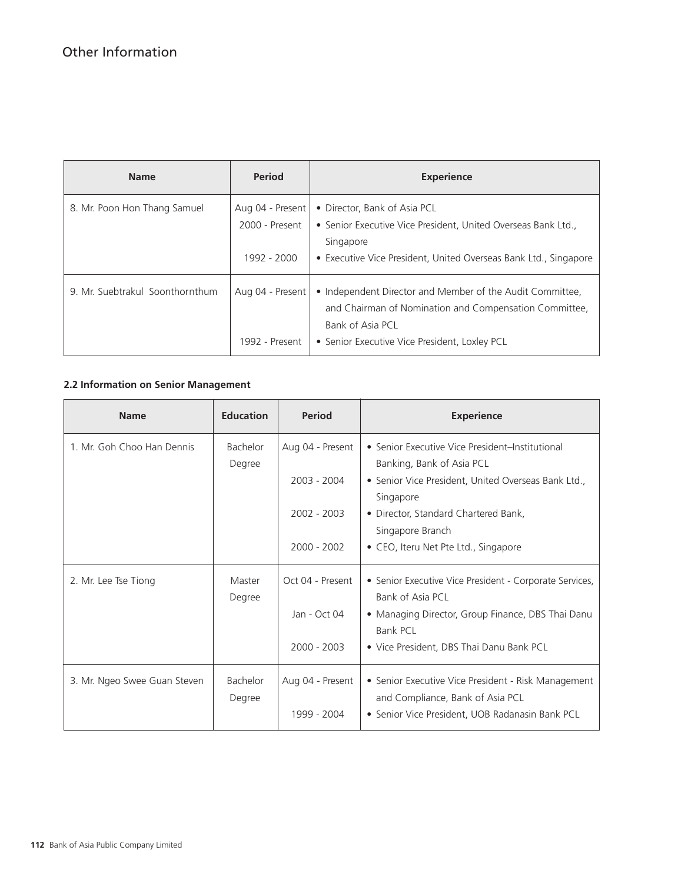| <b>Name</b>                     | <b>Period</b>                      | <b>Experience</b>                                                                                                                                                                        |  |
|---------------------------------|------------------------------------|------------------------------------------------------------------------------------------------------------------------------------------------------------------------------------------|--|
| 8. Mr. Poon Hon Thang Samuel    | Aug 04 - Present<br>2000 - Present | • Director, Bank of Asia PCL<br>• Senior Executive Vice President, United Overseas Bank Ltd.,<br>Singapore                                                                               |  |
|                                 | 1992 - 2000                        | • Executive Vice President, United Overseas Bank Ltd., Singapore                                                                                                                         |  |
| 9. Mr. Suebtrakul Soonthornthum | Aug 04 - Present<br>1992 - Present | • Independent Director and Member of the Audit Committee,<br>and Chairman of Nomination and Compensation Committee.<br>Bank of Asia PCL<br>• Senior Executive Vice President, Loxley PCL |  |

# **2.2 Information on Senior Management**

| <b>Name</b>                  | <b>Education</b>   | <b>Period</b>    | <b>Experience</b>                                                                             |
|------------------------------|--------------------|------------------|-----------------------------------------------------------------------------------------------|
| 1. Mr. Goh Choo Han Dennis   | Bachelor           | Aug 04 - Present | • Senior Executive Vice President-Institutional                                               |
|                              | Degree             | 2003 - 2004      | Banking, Bank of Asia PCL<br>• Senior Vice President, United Overseas Bank Ltd.,<br>Singapore |
|                              |                    | 2002 - 2003      | • Director, Standard Chartered Bank,<br>Singapore Branch                                      |
|                              |                    | $2000 - 2002$    | • CEO, Iteru Net Pte Ltd., Singapore                                                          |
| 2. Mr. Lee Tse Tiong         | Master<br>Degree   | Oct 04 - Present | • Senior Executive Vice President - Corporate Services,<br>Bank of Asia PCL                   |
|                              |                    | Jan - Oct 04     | • Managing Director, Group Finance, DBS Thai Danu<br><b>Bank PCL</b>                          |
|                              |                    | $2000 - 2003$    | • Vice President, DBS Thai Danu Bank PCL                                                      |
| 3. Mr. Ngeo Swee Guan Steven | Bachelor<br>Degree | Aug 04 - Present | • Senior Executive Vice President - Risk Management<br>and Compliance, Bank of Asia PCL       |
|                              |                    | 1999 - 2004      | • Senior Vice President, UOB Radanasin Bank PCL                                               |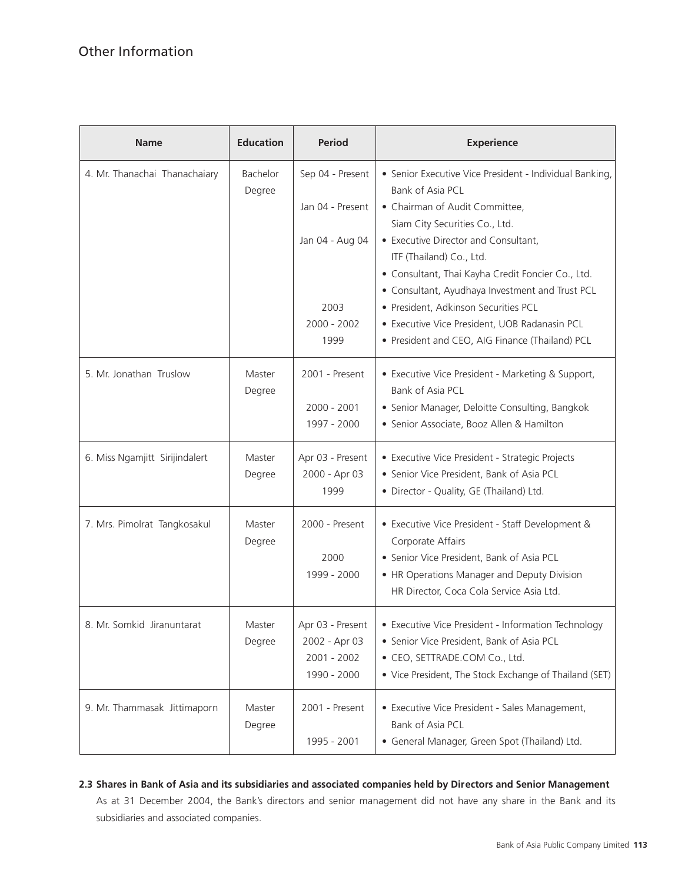| <b>Name</b>                    | <b>Education</b>   | <b>Period</b>    | <b>Experience</b>                                                                                                   |
|--------------------------------|--------------------|------------------|---------------------------------------------------------------------------------------------------------------------|
| 4. Mr. Thanachai Thanachaiary  | Bachelor<br>Degree | Sep 04 - Present | • Senior Executive Vice President - Individual Banking,<br>Bank of Asia PCL                                         |
|                                |                    | Jan 04 - Present | • Chairman of Audit Committee,                                                                                      |
|                                |                    |                  | Siam City Securities Co., Ltd.                                                                                      |
|                                |                    | Jan 04 - Aug 04  | • Executive Director and Consultant,                                                                                |
|                                |                    |                  | ITF (Thailand) Co., Ltd.                                                                                            |
|                                |                    |                  | · Consultant, Thai Kayha Credit Foncier Co., Ltd.                                                                   |
|                                |                    |                  | • Consultant, Ayudhaya Investment and Trust PCL                                                                     |
|                                |                    | 2003             | · President, Adkinson Securities PCL                                                                                |
|                                |                    | 2000 - 2002      | · Executive Vice President, UOB Radanasin PCL                                                                       |
|                                |                    | 1999             | • President and CEO, AIG Finance (Thailand) PCL                                                                     |
| 5. Mr. Jonathan Truslow        | Master<br>Degree   | 2001 - Present   | • Executive Vice President - Marketing & Support,<br>Bank of Asia PCL                                               |
|                                |                    | $2000 - 2001$    | • Senior Manager, Deloitte Consulting, Bangkok                                                                      |
|                                |                    | 1997 - 2000      | · Senior Associate, Booz Allen & Hamilton                                                                           |
| 6. Miss Ngamjitt Sirijindalert | Master             | Apr 03 - Present | • Executive Vice President - Strategic Projects                                                                     |
|                                | Degree             | 2000 - Apr 03    | • Senior Vice President, Bank of Asia PCL                                                                           |
|                                |                    | 1999             | • Director - Quality, GE (Thailand) Ltd.                                                                            |
| 7. Mrs. Pimolrat Tangkosakul   | Master<br>Degree   | 2000 - Present   | • Executive Vice President - Staff Development &<br>Corporate Affairs                                               |
|                                |                    | 2000             | • Senior Vice President, Bank of Asia PCL                                                                           |
|                                |                    | 1999 - 2000      | • HR Operations Manager and Deputy Division                                                                         |
|                                |                    |                  | HR Director, Coca Cola Service Asia Ltd.                                                                            |
| 8. Mr. Somkid Jiranuntarat     | Master             | Apr 03 - Present | • Executive Vice President - Information Technology                                                                 |
|                                | Degree             | 2002 - Apr 03    | • Senior Vice President, Bank of Asia PCL                                                                           |
|                                |                    | 2001 - 2002      | • CEO, SETTRADE.COM Co., Ltd.                                                                                       |
|                                |                    | 1990 - 2000      | • Vice President, The Stock Exchange of Thailand (SET)                                                              |
| 9. Mr. Thammasak Jittimaporn   | Master<br>Degree   | 2001 - Present   | • Executive Vice President - Sales Management,<br>Bank of Asia PCL<br>• General Manager, Green Spot (Thailand) Ltd. |
|                                |                    | 1995 - 2001      |                                                                                                                     |

## **2.3 Shares in Bank of Asia and its subsidiaries and associated companies held by Directors and Senior Management**

As at 31 December 2004, the Bank's directors and senior management did not have any share in the Bank and its subsidiaries and associated companies.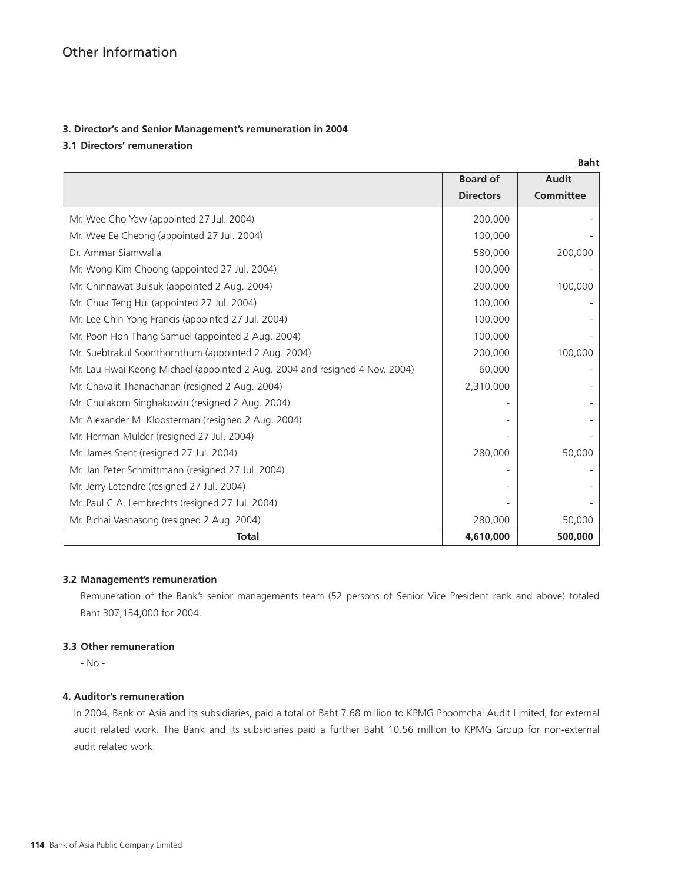## **3. Director's and Senior Management's remuneration in 2004**

## **3.1 Directors' remuneration**

|                                                                             |                  | <b>Baht</b>      |
|-----------------------------------------------------------------------------|------------------|------------------|
|                                                                             | <b>Board of</b>  | <b>Audit</b>     |
|                                                                             | <b>Directors</b> | <b>Committee</b> |
| Mr. Wee Cho Yaw (appointed 27 Jul. 2004)                                    | 200,000          |                  |
| Mr. Wee Ee Cheong (appointed 27 Jul. 2004)                                  | 100.000          |                  |
| Dr. Ammar Siamwalla                                                         | 580,000          | 200,000          |
| Mr. Wong Kim Choong (appointed 27 Jul. 2004)                                | 100,000          |                  |
| Mr. Chinnawat Bulsuk (appointed 2 Aug. 2004)                                | 200,000          | 100,000          |
| Mr. Chua Teng Hui (appointed 27 Jul. 2004)                                  | 100,000          |                  |
| Mr. Lee Chin Yong Francis (appointed 27 Jul. 2004)                          | 100,000          |                  |
| Mr. Poon Hon Thang Samuel (appointed 2 Aug. 2004)                           | 100,000          |                  |
| Mr. Suebtrakul Soonthornthum (appointed 2 Aug. 2004)                        | 200,000          | 100,000          |
| Mr. Lau Hwai Keong Michael (appointed 2 Aug. 2004 and resigned 4 Nov. 2004) | 60,000           |                  |
| Mr. Chavalit Thanachanan (resigned 2 Aug. 2004)                             | 2,310,000        |                  |
| Mr. Chulakorn Singhakowin (resigned 2 Aug. 2004)                            |                  |                  |
| Mr. Alexander M. Kloosterman (resigned 2 Aug. 2004)                         |                  |                  |
| Mr. Herman Mulder (resigned 27 Jul. 2004)                                   |                  |                  |
| Mr. James Stent (resigned 27 Jul. 2004)                                     | 280,000          | 50,000           |
| Mr. Jan Peter Schmittmann (resigned 27 Jul. 2004)                           |                  |                  |
| Mr. Jerry Letendre (resigned 27 Jul. 2004)                                  |                  |                  |
| Mr. Paul C.A. Lembrechts (resigned 27 Jul. 2004)                            |                  |                  |
| Mr. Pichai Vasnasong (resigned 2 Aug. 2004)                                 | 280,000          | 50,000           |
| <b>Total</b>                                                                | 4,610,000        | 500,000          |

## **3.2 Management's remuneration**

Remuneration of the Bank's senior managements team (52 persons of Senior Vice President rank and above) totaled Baht 307,154,000 for 2004.

## **3.3 Other remuneration**

- No -

## **4. Auditor's remuneration**

In 2004, Bank of Asia and its subsidiaries, paid a total of Baht 7.68 million to KPMG Phoomchai Audit Limited, for external audit related work. The Bank and its subsidiaries paid a further Baht 10.56 million to KPMG Group for non-external audit related work.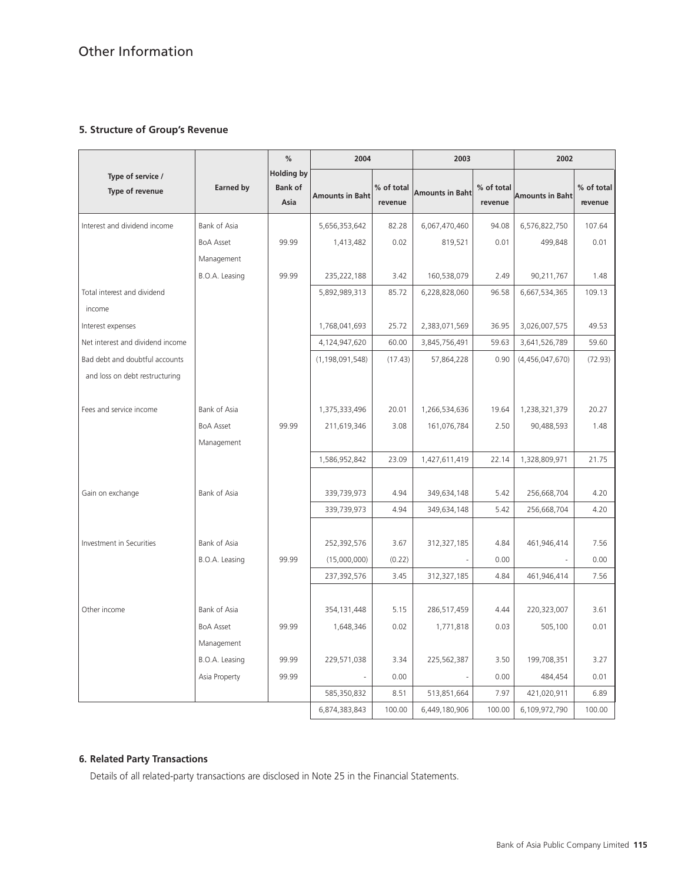## **5. Structure of Group's Revenue**

|                                      |                     | %                                           | 2004                   |                       | 2003                   |                       | 2002                   |                       |
|--------------------------------------|---------------------|---------------------------------------------|------------------------|-----------------------|------------------------|-----------------------|------------------------|-----------------------|
| Type of service /<br>Type of revenue | <b>Earned by</b>    | <b>Holding by</b><br><b>Bank of</b><br>Asia | <b>Amounts in Baht</b> | % of total<br>revenue | <b>Amounts in Baht</b> | % of total<br>revenue | <b>Amounts in Baht</b> | % of total<br>revenue |
| Interest and dividend income         | Bank of Asia        |                                             | 5,656,353,642          | 82.28                 | 6,067,470,460          | 94.08                 | 6,576,822,750          | 107.64                |
|                                      | <b>BoA Asset</b>    | 99.99                                       | 1,413,482              | 0.02                  | 819,521                | 0.01                  | 499,848                | 0.01                  |
|                                      | Management          |                                             |                        |                       |                        |                       |                        |                       |
|                                      | B.O.A. Leasing      | 99.99                                       | 235,222,188            | 3.42                  | 160,538,079            | 2.49                  | 90,211,767             | 1.48                  |
| Total interest and dividend          |                     |                                             | 5,892,989,313          | 85.72                 | 6,228,828,060          | 96.58                 | 6,667,534,365          | 109.13                |
| income                               |                     |                                             |                        |                       |                        |                       |                        |                       |
| Interest expenses                    |                     |                                             | 1,768,041,693          | 25.72                 | 2,383,071,569          | 36.95                 | 3,026,007,575          | 49.53                 |
| Net interest and dividend income     |                     |                                             | 4,124,947,620          | 60.00                 | 3,845,756,491          | 59.63                 | 3,641,526,789          | 59.60                 |
| Bad debt and doubtful accounts       |                     |                                             | (1, 198, 091, 548)     | (17.43)               | 57,864,228             | 0.90                  | (4,456,047,670)        | (72.93)               |
| and loss on debt restructuring       |                     |                                             |                        |                       |                        |                       |                        |                       |
| Fees and service income              | Bank of Asia        |                                             | 1,375,333,496          | 20.01                 | 1,266,534,636          | 19.64                 | 1,238,321,379          | 20.27                 |
|                                      | <b>BoA Asset</b>    | 99.99                                       | 211,619,346            | 3.08                  | 161,076,784            | 2.50                  | 90,488,593             | 1.48                  |
|                                      | Management          |                                             |                        |                       |                        |                       |                        |                       |
|                                      |                     |                                             | 1,586,952,842          | 23.09                 | 1,427,611,419          | 22.14                 | 1,328,809,971          | 21.75                 |
|                                      |                     |                                             |                        |                       |                        |                       |                        |                       |
| Gain on exchange                     | Bank of Asia        |                                             | 339,739,973            | 4.94                  | 349,634,148            | 5.42                  | 256,668,704            | 4.20                  |
|                                      |                     |                                             | 339,739,973            | 4.94                  | 349,634,148            | 5.42                  | 256,668,704            | 4.20                  |
|                                      |                     |                                             |                        |                       |                        |                       |                        |                       |
| Investment in Securities             | Bank of Asia        |                                             | 252,392,576            | 3.67                  | 312,327,185            | 4.84                  | 461,946,414            | 7.56                  |
|                                      | B.O.A. Leasing      | 99.99                                       | (15,000,000)           | (0.22)                |                        | 0.00                  |                        | 0.00                  |
|                                      |                     |                                             | 237,392,576            | 3.45                  | 312,327,185            | 4.84                  | 461,946,414            | 7.56                  |
|                                      |                     |                                             |                        |                       |                        |                       |                        |                       |
| Other income                         | <b>Bank of Asia</b> |                                             | 354,131,448            | 5.15                  | 286,517,459            | 4.44                  | 220,323,007            | 3.61                  |
|                                      | <b>BoA Asset</b>    | 99.99                                       | 1,648,346              | 0.02                  | 1,771,818              | 0.03                  | 505,100                | 0.01                  |
|                                      | Management          |                                             |                        |                       |                        |                       |                        |                       |
|                                      | B.O.A. Leasing      | 99.99                                       | 229,571,038            | 3.34                  | 225,562,387            | 3.50                  | 199,708,351            | 3.27                  |
|                                      | Asia Property       | 99.99                                       |                        | 0.00                  |                        | 0.00                  | 484,454                | 0.01                  |
|                                      |                     |                                             | 585,350,832            | 8.51                  | 513,851,664            | 7.97                  | 421,020,911            | 6.89                  |
|                                      |                     |                                             | 6,874,383,843          | 100.00                | 6,449,180,906          | 100.00                | 6,109,972,790          | 100.00                |

## **6. Related Party Transactions**

Details of all related-party transactions are disclosed in Note 25 in the Financial Statements.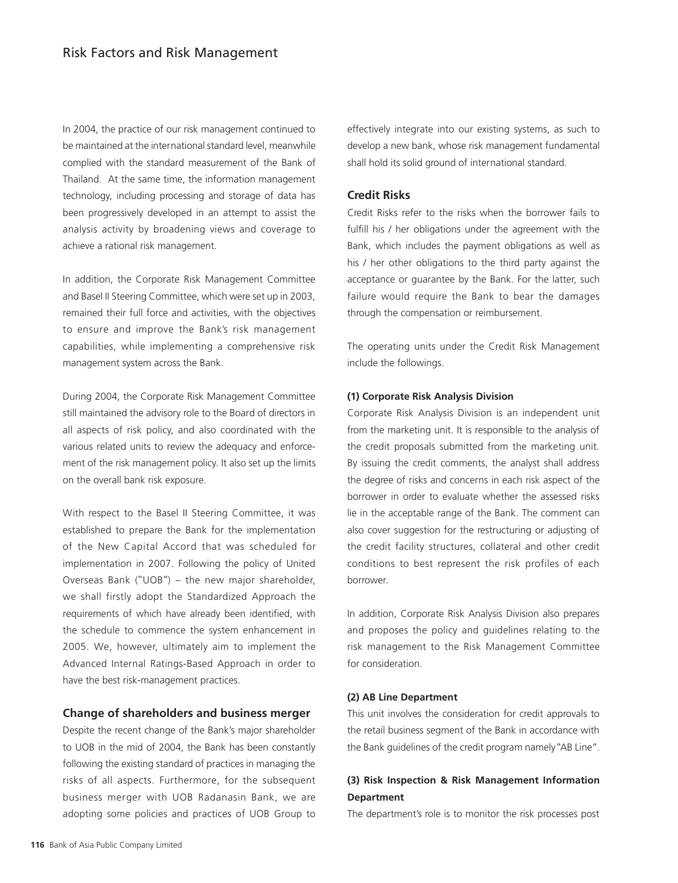In 2004, the practice of our risk management continued to be maintained at the international standard level, meanwhile complied with the standard measurement of the Bank of Thailand. At the same time, the information management technology, including processing and storage of data has been progressively developed in an attempt to assist the analysis activity by broadening views and coverage to achieve a rational risk management.

In addition, the Corporate Risk Management Committee and Basel II Steering Committee, which were set up in 2003, remained their full force and activities, with the objectives to ensure and improve the Bank's risk management capabilities, while implementing a comprehensive risk management system across the Bank.

During 2004, the Corporate Risk Management Committee still maintained the advisory role to the Board of directors in all aspects of risk policy, and also coordinated with the various related units to review the adequacy and enforcement of the risk management policy. It also set up the limits on the overall bank risk exposure.

With respect to the Basel II Steering Committee, it was established to prepare the Bank for the implementation of the New Capital Accord that was scheduled for implementation in 2007. Following the policy of United Overseas Bank ("UOB") – the new major shareholder, we shall firstly adopt the Standardized Approach the requirements of which have already been identified, with the schedule to commence the system enhancement in 2005. We, however, ultimately aim to implement the Advanced Internal Ratings-Based Approach in order to have the best risk-management practices.

## **Change of shareholders and business merger**

Despite the recent change of the Bank's major shareholder to UOB in the mid of 2004, the Bank has been constantly following the existing standard of practices in managing the risks of all aspects. Furthermore, for the subsequent business merger with UOB Radanasin Bank, we are adopting some policies and practices of UOB Group to effectively integrate into our existing systems, as such to develop a new bank, whose risk management fundamental shall hold its solid ground of international standard.

## **Credit Risks**

Credit Risks refer to the risks when the borrower fails to fulfill his / her obligations under the agreement with the Bank, which includes the payment obligations as well as his / her other obligations to the third party against the acceptance or guarantee by the Bank. For the latter, such failure would require the Bank to bear the damages through the compensation or reimbursement.

The operating units under the Credit Risk Management include the followings.

#### **(1) Corporate Risk Analysis Division**

Corporate Risk Analysis Division is an independent unit from the marketing unit. It is responsible to the analysis of the credit proposals submitted from the marketing unit. By issuing the credit comments, the analyst shall address the degree of risks and concerns in each risk aspect of the borrower in order to evaluate whether the assessed risks lie in the acceptable range of the Bank. The comment can also cover suggestion for the restructuring or adjusting of the credit facility structures, collateral and other credit conditions to best represent the risk profiles of each borrower.

In addition, Corporate Risk Analysis Division also prepares and proposes the policy and guidelines relating to the risk management to the Risk Management Committee for consideration.

#### **(2) AB Line Department**

This unit involves the consideration for credit approvals to the retail business segment of the Bank in accordance with the Bank guidelines of the credit program namely "AB Line".

## **(3) Risk Inspection & Risk Management Information Department**

The department's role is to monitor the risk processes post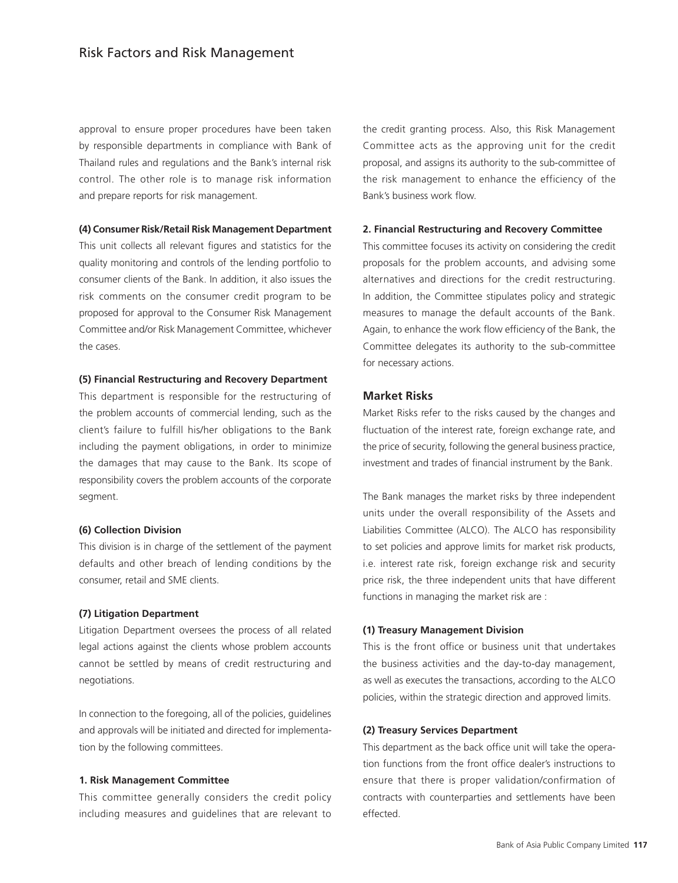approval to ensure proper procedures have been taken by responsible departments in compliance with Bank of Thailand rules and regulations and the Bank's internal risk control. The other role is to manage risk information and prepare reports for risk management.

#### **(4) Consumer Risk/Retail Risk Management Department**

This unit collects all relevant figures and statistics for the quality monitoring and controls of the lending portfolio to consumer clients of the Bank. In addition, it also issues the risk comments on the consumer credit program to be proposed for approval to the Consumer Risk Management Committee and/or Risk Management Committee, whichever the cases.

#### **(5) Financial Restructuring and Recovery Department**

This department is responsible for the restructuring of the problem accounts of commercial lending, such as the client's failure to fulfill his/her obligations to the Bank including the payment obligations, in order to minimize the damages that may cause to the Bank. Its scope of responsibility covers the problem accounts of the corporate segment.

#### **(6) Collection Division**

This division is in charge of the settlement of the payment defaults and other breach of lending conditions by the consumer, retail and SME clients.

#### **(7) Litigation Department**

Litigation Department oversees the process of all related legal actions against the clients whose problem accounts cannot be settled by means of credit restructuring and negotiations.

In connection to the foregoing, all of the policies, guidelines and approvals will be initiated and directed for implementation by the following committees.

#### **1. Risk Management Committee**

This committee generally considers the credit policy including measures and guidelines that are relevant to

the credit granting process. Also, this Risk Management Committee acts as the approving unit for the credit proposal, and assigns its authority to the sub-committee of the risk management to enhance the efficiency of the Bank's business work flow.

#### **2. Financial Restructuring and Recovery Committee**

This committee focuses its activity on considering the credit proposals for the problem accounts, and advising some alternatives and directions for the credit restructuring. In addition, the Committee stipulates policy and strategic measures to manage the default accounts of the Bank. Again, to enhance the work flow efficiency of the Bank, the Committee delegates its authority to the sub-committee for necessary actions.

### **Market Risks**

Market Risks refer to the risks caused by the changes and fluctuation of the interest rate, foreign exchange rate, and the price of security, following the general business practice, investment and trades of financial instrument by the Bank.

The Bank manages the market risks by three independent units under the overall responsibility of the Assets and Liabilities Committee (ALCO). The ALCO has responsibility to set policies and approve limits for market risk products, i.e. interest rate risk, foreign exchange risk and security price risk, the three independent units that have different functions in managing the market risk are :

#### **(1) Treasury Management Division**

This is the front office or business unit that undertakes the business activities and the day-to-day management, as well as executes the transactions, according to the ALCO policies, within the strategic direction and approved limits.

#### **(2) Treasury Services Department**

This department as the back office unit will take the operation functions from the front office dealer's instructions to ensure that there is proper validation/confirmation of contracts with counterparties and settlements have been effected.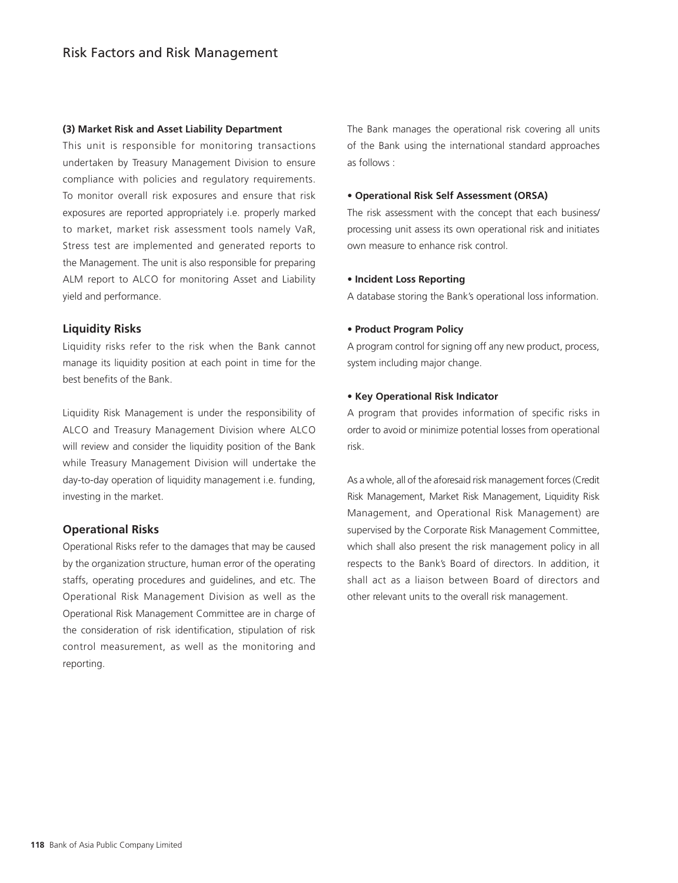#### **(3) Market Risk and Asset Liability Department**

This unit is responsible for monitoring transactions undertaken by Treasury Management Division to ensure compliance with policies and regulatory requirements. To monitor overall risk exposures and ensure that risk exposures are reported appropriately i.e. properly marked to market, market risk assessment tools namely VaR, Stress test are implemented and generated reports to the Management. The unit is also responsible for preparing ALM report to ALCO for monitoring Asset and Liability yield and performance.

## **Liquidity Risks**

Liquidity risks refer to the risk when the Bank cannot manage its liquidity position at each point in time for the best benefits of the Bank.

Liquidity Risk Management is under the responsibility of ALCO and Treasury Management Division where ALCO will review and consider the liquidity position of the Bank while Treasury Management Division will undertake the day-to-day operation of liquidity management i.e. funding, investing in the market.

## **Operational Risks**

Operational Risks refer to the damages that may be caused by the organization structure, human error of the operating staffs, operating procedures and guidelines, and etc. The Operational Risk Management Division as well as the Operational Risk Management Committee are in charge of the consideration of risk identification, stipulation of risk control measurement, as well as the monitoring and reporting.

The Bank manages the operational risk covering all units of the Bank using the international standard approaches as follows :

#### **• Operational Risk Self Assessment (ORSA)**

The risk assessment with the concept that each business/ processing unit assess its own operational risk and initiates own measure to enhance risk control.

#### **• Incident Loss Reporting**

A database storing the Bank's operational loss information.

#### **• Product Program Policy**

A program control for signing off any new product, process, system including major change.

#### **• Key Operational Risk Indicator**

A program that provides information of specific risks in order to avoid or minimize potential losses from operational risk.

As a whole, all of the aforesaid risk management forces (Credit Risk Management, Market Risk Management, Liquidity Risk Management, and Operational Risk Management) are supervised by the Corporate Risk Management Committee, which shall also present the risk management policy in all respects to the Bank's Board of directors. In addition, it shall act as a liaison between Board of directors and other relevant units to the overall risk management.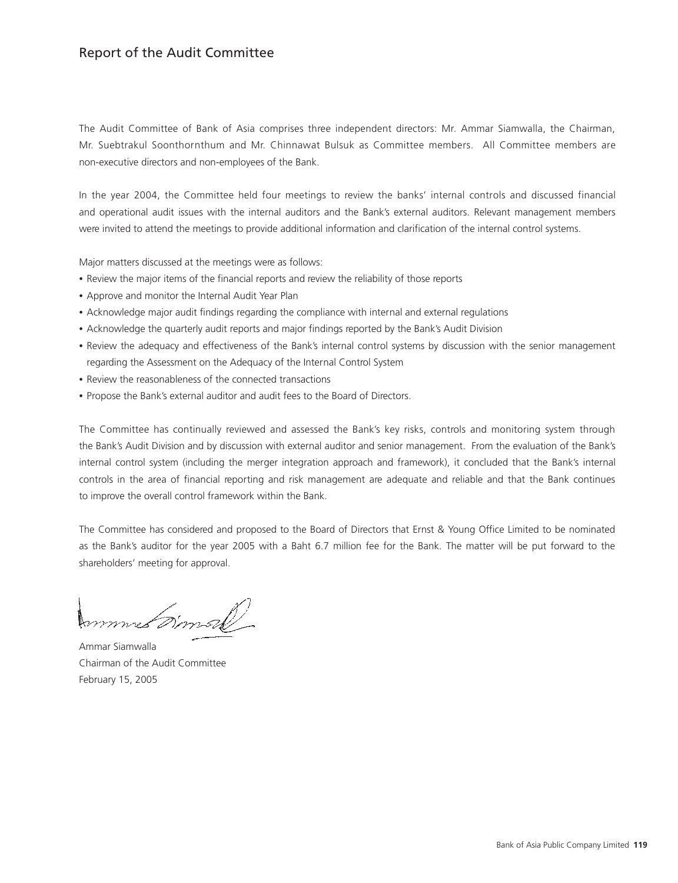# Report of the Audit Committee

The Audit Committee of Bank of Asia comprises three independent directors: Mr. Ammar Siamwalla, the Chairman, Mr. Suebtrakul Soonthornthum and Mr. Chinnawat Bulsuk as Committee members. All Committee members are non-executive directors and non-employees of the Bank.

In the year 2004, the Committee held four meetings to review the banks' internal controls and discussed financial and operational audit issues with the internal auditors and the Bank's external auditors. Relevant management members were invited to attend the meetings to provide additional information and clarification of the internal control systems.

Major matters discussed at the meetings were as follows:

- Review the major items of the financial reports and review the reliability of those reports
- Approve and monitor the Internal Audit Year Plan
- Acknowledge major audit findings regarding the compliance with internal and external regulations
- Acknowledge the quarterly audit reports and major findings reported by the Bank's Audit Division
- Review the adequacy and effectiveness of the Bank's internal control systems by discussion with the senior management regarding the Assessment on the Adequacy of the Internal Control System
- Review the reasonableness of the connected transactions
- Propose the Bank's external auditor and audit fees to the Board of Directors.

The Committee has continually reviewed and assessed the Bank's key risks, controls and monitoring system through the Bank's Audit Division and by discussion with external auditor and senior management. From the evaluation of the Bank's internal control system (including the merger integration approach and framework), it concluded that the Bank's internal controls in the area of financial reporting and risk management are adequate and reliable and that the Bank continues to improve the overall control framework within the Bank.

The Committee has considered and proposed to the Board of Directors that Ernst & Young Office Limited to be nominated as the Bank's auditor for the year 2005 with a Baht 6.7 million fee for the Bank. The matter will be put forward to the shareholders' meeting for approval.

mmmet *Dinner*k

Ammar Siamwalla Chairman of the Audit Committee February 15, 2005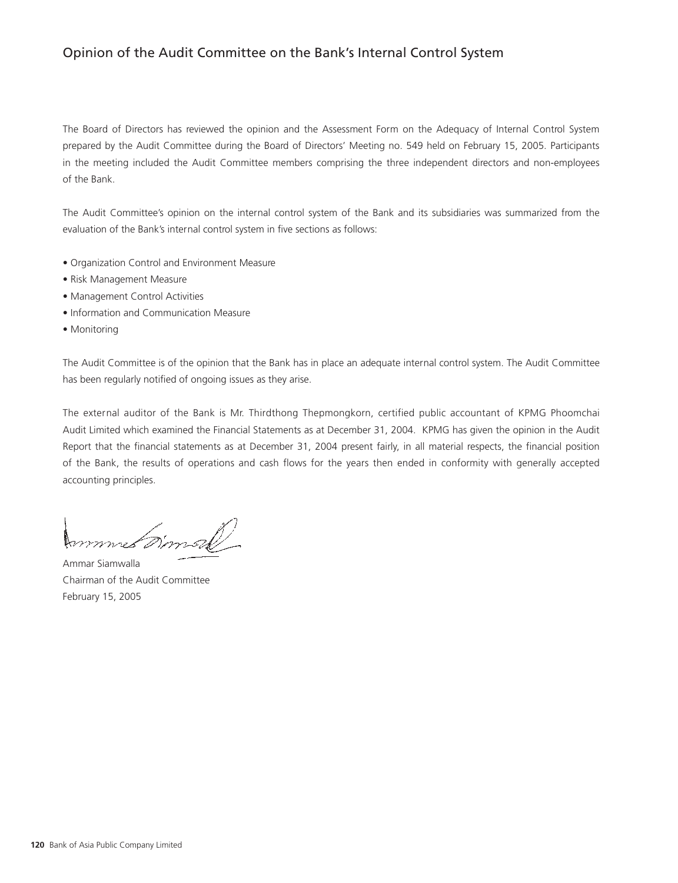# Opinion of the Audit Committee on the Bank's Internal Control System

The Board of Directors has reviewed the opinion and the Assessment Form on the Adequacy of Internal Control System prepared by the Audit Committee during the Board of Directors' Meeting no. 549 held on February 15, 2005. Participants in the meeting included the Audit Committee members comprising the three independent directors and non-employees of the Bank.

The Audit Committee's opinion on the internal control system of the Bank and its subsidiaries was summarized from the evaluation of the Bank's internal control system in five sections as follows:

- Organization Control and Environment Measure
- Risk Management Measure
- Management Control Activities
- Information and Communication Measure
- Monitoring

The Audit Committee is of the opinion that the Bank has in place an adequate internal control system. The Audit Committee has been regularly notified of ongoing issues as they arise.

The external auditor of the Bank is Mr. Thirdthong Thepmongkorn, certified public accountant of KPMG Phoomchai Audit Limited which examined the Financial Statements as at December 31, 2004. KPMG has given the opinion in the Audit Report that the financial statements as at December 31, 2004 present fairly, in all material respects, the financial position of the Bank, the results of operations and cash flows for the years then ended in conformity with generally accepted accounting principles.

mmus *timall* 

Ammar Siamwalla Chairman of the Audit Committee February 15, 2005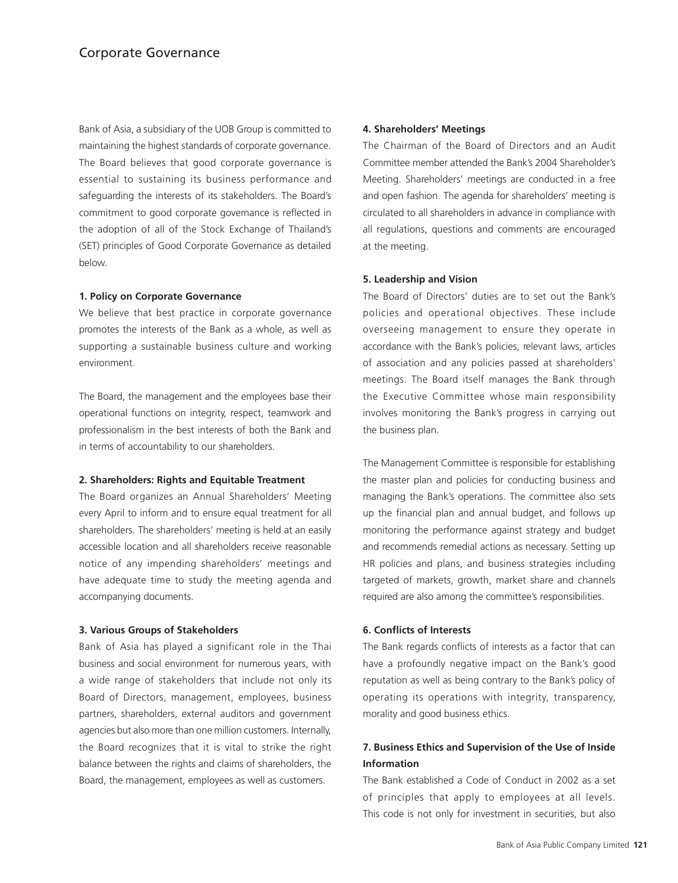Bank of Asia, a subsidiary of the UOB Group is committed to maintaining the highest standards of corporate governance. The Board believes that good corporate governance is essential to sustaining its business performance and safeguarding the interests of its stakeholders. The Board's commitment to good corporate governance is reflected in the adoption of all of the Stock Exchange of Thailand's (SET) principles of Good Corporate Governance as detailed below.

#### **1. Policy on Corporate Governance**

We believe that best practice in corporate governance promotes the interests of the Bank as a whole, as well as supporting a sustainable business culture and working environment.

The Board, the management and the employees base their operational functions on integrity, respect, teamwork and professionalism in the best interests of both the Bank and in terms of accountability to our shareholders.

#### **2. Shareholders: Rights and Equitable Treatment**

The Board organizes an Annual Shareholders' Meeting every April to inform and to ensure equal treatment for all shareholders. The shareholders' meeting is held at an easily accessible location and all shareholders receive reasonable notice of any impending shareholders' meetings and have adequate time to study the meeting agenda and accompanying documents.

#### **3. Various Groups of Stakeholders**

Bank of Asia has played a significant role in the Thai business and social environment for numerous years, with a wide range of stakeholders that include not only its Board of Directors, management, employees, business partners, shareholders, external auditors and government agencies but also more than one million customers. Internally, the Board recognizes that it is vital to strike the right balance between the rights and claims of shareholders, the Board, the management, employees as well as customers.

#### **4. Shareholders' Meetings**

The Chairman of the Board of Directors and an Audit Committee member attended the Bank's 2004 Shareholder's Meeting. Shareholders' meetings are conducted in a free and open fashion. The agenda for shareholders' meeting is circulated to all shareholders in advance in compliance with all regulations, questions and comments are encouraged at the meeting.

#### **5. Leadership and Vision**

The Board of Directors' duties are to set out the Bank's policies and operational objectives. These include overseeing management to ensure they operate in accordance with the Bank's policies, relevant laws, articles of association and any policies passed at shareholders' meetings. The Board itself manages the Bank through the Executive Committee whose main responsibility involves monitoring the Bank's progress in carrying out the business plan.

The Management Committee is responsible for establishing the master plan and policies for conducting business and managing the Bank's operations. The committee also sets up the financial plan and annual budget, and follows up monitoring the performance against strategy and budget and recommends remedial actions as necessary. Setting up HR policies and plans, and business strategies including targeted of markets, growth, market share and channels required are also among the committee's responsibilities.

#### **6. Conflicts of Interests**

The Bank regards conflicts of interests as a factor that can have a profoundly negative impact on the Bank's good reputation as well as being contrary to the Bank's policy of operating its operations with integrity, transparency, morality and good business ethics.

## **7. Business Ethics and Supervision of the Use of Inside Information**

The Bank established a Code of Conduct in 2002 as a set of principles that apply to employees at all levels. This code is not only for investment in securities, but also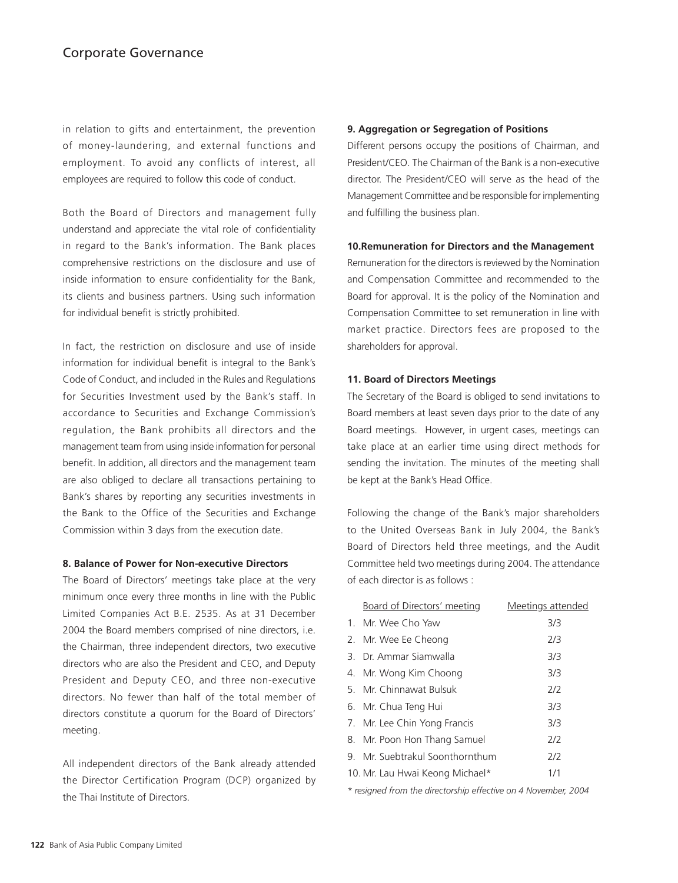in relation to gifts and entertainment, the prevention of money-laundering, and external functions and employment. To avoid any conflicts of interest, all employees are required to follow this code of conduct.

Both the Board of Directors and management fully understand and appreciate the vital role of confidentiality in regard to the Bank's information. The Bank places comprehensive restrictions on the disclosure and use of inside information to ensure confidentiality for the Bank, its clients and business partners. Using such information for individual benefit is strictly prohibited.

In fact, the restriction on disclosure and use of inside information for individual benefit is integral to the Bank's Code of Conduct, and included in the Rules and Regulations for Securities Investment used by the Bank's staff. In accordance to Securities and Exchange Commission's regulation, the Bank prohibits all directors and the management team from using inside information for personal benefit. In addition, all directors and the management team are also obliged to declare all transactions pertaining to Bank's shares by reporting any securities investments in the Bank to the Office of the Securities and Exchange Commission within 3 days from the execution date.

#### **8. Balance of Power for Non-executive Directors**

The Board of Directors' meetings take place at the very minimum once every three months in line with the Public Limited Companies Act B.E. 2535. As at 31 December 2004 the Board members comprised of nine directors, i.e. the Chairman, three independent directors, two executive directors who are also the President and CEO, and Deputy President and Deputy CEO, and three non-executive directors. No fewer than half of the total member of directors constitute a quorum for the Board of Directors' meeting.

All independent directors of the Bank already attended the Director Certification Program (DCP) organized by the Thai Institute of Directors.

#### **9. Aggregation or Segregation of Positions**

Different persons occupy the positions of Chairman, and President/CEO. The Chairman of the Bank is a non-executive director. The President/CEO will serve as the head of the Management Committee and be responsible for implementing and fulfilling the business plan.

#### **10.Remuneration for Directors and the Management**

Remuneration for the directors is reviewed by the Nomination and Compensation Committee and recommended to the Board for approval. It is the policy of the Nomination and Compensation Committee to set remuneration in line with market practice. Directors fees are proposed to the shareholders for approval.

#### **11. Board of Directors Meetings**

The Secretary of the Board is obliged to send invitations to Board members at least seven days prior to the date of any Board meetings. However, in urgent cases, meetings can take place at an earlier time using direct methods for sending the invitation. The minutes of the meeting shall be kept at the Bank's Head Office.

Following the change of the Bank's major shareholders to the United Overseas Bank in July 2004, the Bank's Board of Directors held three meetings, and the Audit Committee held two meetings during 2004. The attendance of each director is as follows :

| <b>Board of Directors' meeting</b> | Meetings attended |
|------------------------------------|-------------------|
| 1. Mr. Wee Cho Yaw                 | 3/3               |
| 2. Mr. Wee Ee Cheong               | 2/3               |
| 3. Dr. Ammar Siamwalla             | 3/3               |
| 4. Mr. Wong Kim Choong             | 3/3               |
| 5. Mr. Chinnawat Bulsuk            | 2/2               |
| 6. Mr. Chua Teng Hui               | 3/3               |
| 7. Mr. Lee Chin Yong Francis       | 3/3               |
| 8. Mr. Poon Hon Thang Samuel       | 2/2               |
| 9. Mr. Suebtrakul Soonthornthum    | 2/2               |
| 10. Mr. Lau Hwai Keong Michael*    | 1/1               |

*\* resigned from the directorship effective on 4 November, 2004*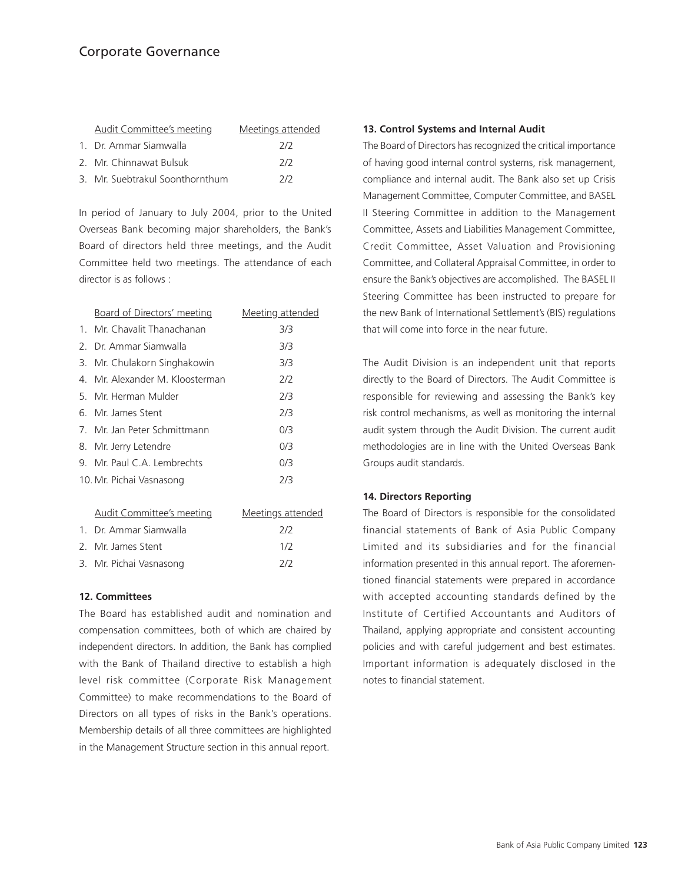# Corporate Governance

| <b>Audit Committee's meeting</b> | Meetings attended |
|----------------------------------|-------------------|
| 1. Dr. Ammar Siamwalla           | 7/2               |
| 2. Mr. Chinnawat Bulsuk          | 7/2               |
| 3. Mr. Suebtrakul Soonthornthum  | 7/2               |

In period of January to July 2004, prior to the United Overseas Bank becoming major shareholders, the Bank's Board of directors held three meetings, and the Audit Committee held two meetings. The attendance of each director is as follows :

| Board of Directors' meeting     | Meeting attended |
|---------------------------------|------------------|
| 1. Mr. Chavalit Thanachanan     | 3/3              |
| 2. Dr. Ammar Siamwalla          | 3/3              |
| 3. Mr. Chulakorn Singhakowin    | 3/3              |
| 4. Mr. Alexander M. Kloosterman | 2/2              |
| 5. Mr. Herman Mulder            | 2/3              |
| 6. Mr. James Stent              | 2/3              |
| 7. Mr. Jan Peter Schmittmann    | 0/3              |
| 8. Mr. Jerry Letendre           | 0/3              |
| 9. Mr. Paul C.A. Lembrechts     | 0/3              |
| 10. Mr. Pichai Vasnasong        | 2/3              |
|                                 |                  |

| Audit Committee's meeting | Meetings attended |
|---------------------------|-------------------|
| 1. Dr. Ammar Siamwalla    | 7/2               |
| 2. Mr. James Stent        | 1/2               |
| 3. Mr. Pichai Vasnasong   | 7/2               |

## **12. Committees**

The Board has established audit and nomination and compensation committees, both of which are chaired by independent directors. In addition, the Bank has complied with the Bank of Thailand directive to establish a high level risk committee (Corporate Risk Management Committee) to make recommendations to the Board of Directors on all types of risks in the Bank's operations. Membership details of all three committees are highlighted in the Management Structure section in this annual report.

## **13. Control Systems and Internal Audit**

The Board of Directors has recognized the critical importance of having good internal control systems, risk management, compliance and internal audit. The Bank also set up Crisis Management Committee, Computer Committee, and BASEL II Steering Committee in addition to the Management Committee, Assets and Liabilities Management Committee, Credit Committee, Asset Valuation and Provisioning Committee, and Collateral Appraisal Committee, in order to ensure the Bank's objectives are accomplished. The BASEL II Steering Committee has been instructed to prepare for the new Bank of International Settlement's (BIS) regulations that will come into force in the near future.

The Audit Division is an independent unit that reports directly to the Board of Directors. The Audit Committee is responsible for reviewing and assessing the Bank's key risk control mechanisms, as well as monitoring the internal audit system through the Audit Division. The current audit methodologies are in line with the United Overseas Bank Groups audit standards.

## **14. Directors Reporting**

The Board of Directors is responsible for the consolidated financial statements of Bank of Asia Public Company Limited and its subsidiaries and for the financial information presented in this annual report. The aforementioned financial statements were prepared in accordance with accepted accounting standards defined by the Institute of Certified Accountants and Auditors of Thailand, applying appropriate and consistent accounting policies and with careful judgement and best estimates. Important information is adequately disclosed in the notes to financial statement.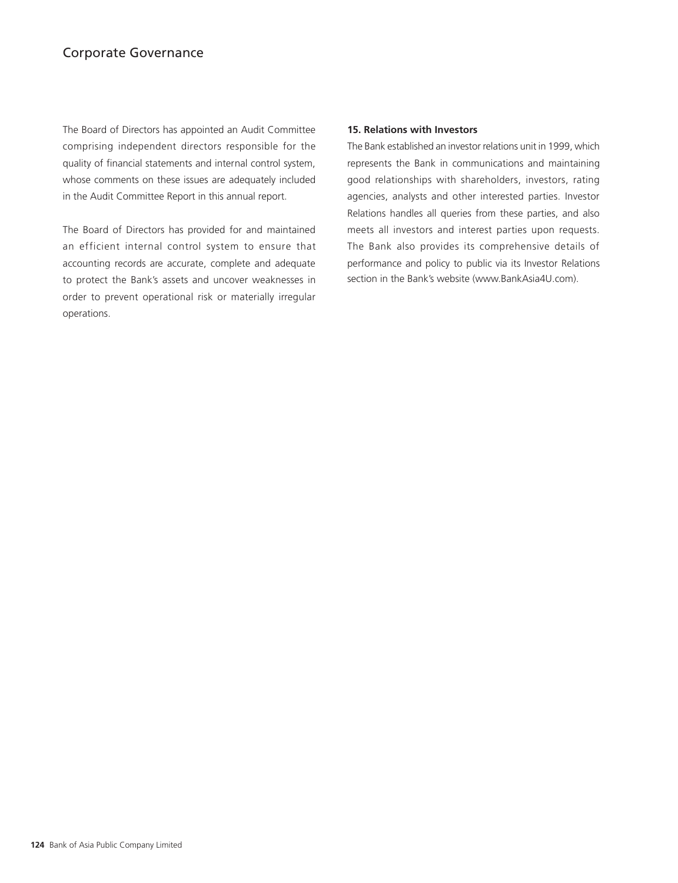# Corporate Governance

The Board of Directors has appointed an Audit Committee comprising independent directors responsible for the quality of financial statements and internal control system, whose comments on these issues are adequately included in the Audit Committee Report in this annual report.

The Board of Directors has provided for and maintained an efficient internal control system to ensure that accounting records are accurate, complete and adequate to protect the Bank's assets and uncover weaknesses in order to prevent operational risk or materially irregular operations.

#### **15. Relations with Investors**

The Bank established an investor relations unit in 1999, which represents the Bank in communications and maintaining good relationships with shareholders, investors, rating agencies, analysts and other interested parties. Investor Relations handles all queries from these parties, and also meets all investors and interest parties upon requests. The Bank also provides its comprehensive details of performance and policy to public via its Investor Relations section in the Bank's website (www.BankAsia4U.com).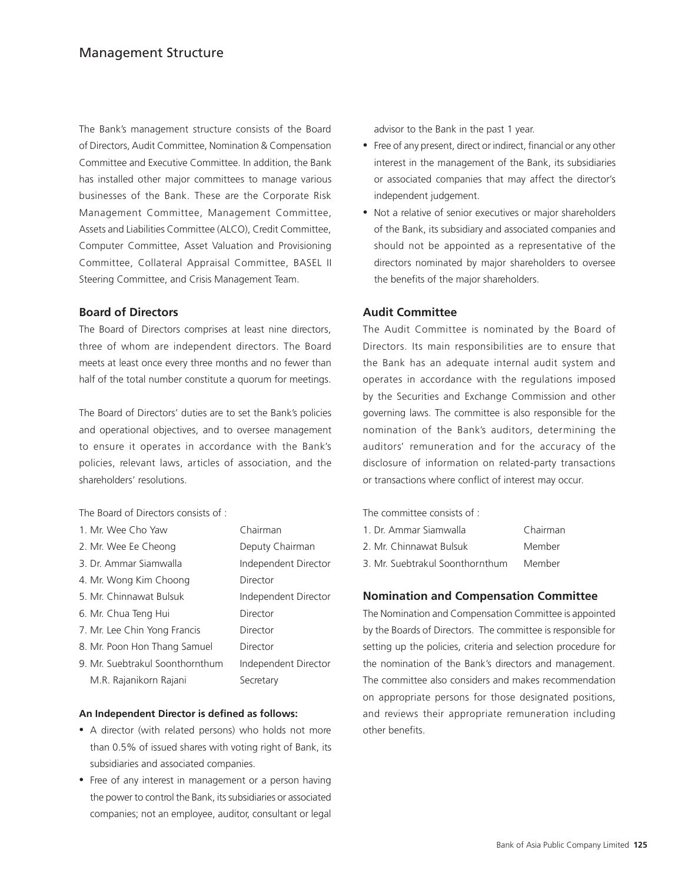The Bank's management structure consists of the Board of Directors, Audit Committee, Nomination & Compensation Committee and Executive Committee. In addition, the Bank has installed other major committees to manage various businesses of the Bank. These are the Corporate Risk Management Committee, Management Committee, Assets and Liabilities Committee (ALCO), Credit Committee, Computer Committee, Asset Valuation and Provisioning Committee, Collateral Appraisal Committee, BASEL II Steering Committee, and Crisis Management Team.

## **Board of Directors**

The Board of Directors comprises at least nine directors, three of whom are independent directors. The Board meets at least once every three months and no fewer than half of the total number constitute a quorum for meetings.

The Board of Directors' duties are to set the Bank's policies and operational objectives, and to oversee management to ensure it operates in accordance with the Bank's policies, relevant laws, articles of association, and the shareholders' resolutions.

The Board of Directors consists of :

| 1. Mr. Wee Cho Yaw              | Chairman             |
|---------------------------------|----------------------|
| 2. Mr. Wee Ee Cheong            | Deputy Chairman      |
| 3. Dr. Ammar Siamwalla          | Independent Director |
| 4. Mr. Wong Kim Choong          | Director             |
| 5. Mr. Chinnawat Bulsuk         | Independent Director |
| 6. Mr. Chua Teng Hui            | Director             |
| 7. Mr. Lee Chin Yong Francis    | Director             |
| 8. Mr. Poon Hon Thang Samuel    | Director             |
| 9. Mr. Suebtrakul Soonthornthum | Independent Director |
| M.R. Rajanikorn Rajani          | Secretary            |

#### **An Independent Director is defined as follows:**

- A director (with related persons) who holds not more than 0.5% of issued shares with voting right of Bank, its subsidiaries and associated companies.
- Free of any interest in management or a person having the power to control the Bank, its subsidiaries or associated companies; not an employee, auditor, consultant or legal

advisor to the Bank in the past 1 year.

- Free of any present, direct or indirect, financial or any other interest in the management of the Bank, its subsidiaries or associated companies that may affect the director's independent judgement.
- Not a relative of senior executives or major shareholders of the Bank, its subsidiary and associated companies and should not be appointed as a representative of the directors nominated by major shareholders to oversee the benefits of the major shareholders.

## **Audit Committee**

The Audit Committee is nominated by the Board of Directors. Its main responsibilities are to ensure that the Bank has an adequate internal audit system and operates in accordance with the regulations imposed by the Securities and Exchange Commission and other governing laws. The committee is also responsible for the nomination of the Bank's auditors, determining the auditors' remuneration and for the accuracy of the disclosure of information on related-party transactions or transactions where conflict of interest may occur.

The committee consists of :

| 1. Dr. Ammar Siamwalla          | Chairman |
|---------------------------------|----------|
| 2. Mr. Chinnawat Bulsuk         | Member   |
| 3. Mr. Suebtrakul Soonthornthum | Member   |

## **Nomination and Compensation Committee**

The Nomination and Compensation Committee is appointed by the Boards of Directors. The committee is responsible for setting up the policies, criteria and selection procedure for the nomination of the Bank's directors and management. The committee also considers and makes recommendation on appropriate persons for those designated positions, and reviews their appropriate remuneration including other benefits.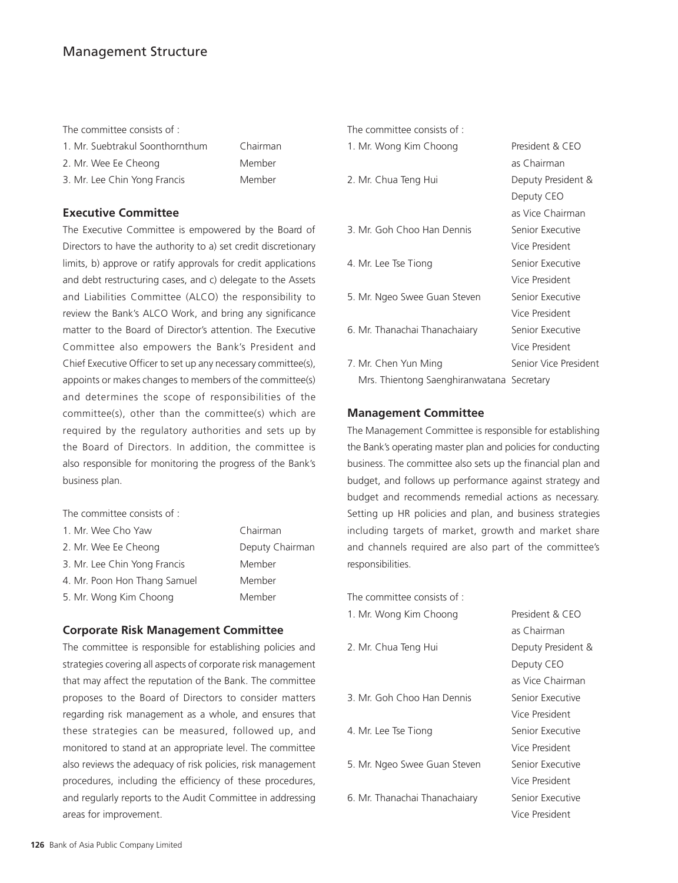## Management Structure

The committee consists of :

| 1. Mr. Suebtrakul Soonthornthum | Chairma |
|---------------------------------|---------|
| 2. Mr. Wee Ee Cheong            | Member  |
| 3. Mr. Lee Chin Yong Francis    | Member  |

## **Executive Committee**

The Executive Committee is empowered by the Board of Directors to have the authority to a) set credit discretionary limits, b) approve or ratify approvals for credit applications and debt restructuring cases, and c) delegate to the Assets and Liabilities Committee (ALCO) the responsibility to review the Bank's ALCO Work, and bring any significance matter to the Board of Director's attention. The Executive Committee also empowers the Bank's President and Chief Executive Officer to set up any necessary committee(s), appoints or makes changes to members of the committee(s) and determines the scope of responsibilities of the committee(s), other than the committee(s) which are required by the regulatory authorities and sets up by the Board of Directors. In addition, the committee is also responsible for monitoring the progress of the Bank's business plan.

Chairman Member

The committee consists of :

| 1. Mr. Wee Cho Yaw           | Chairman        |
|------------------------------|-----------------|
| 2. Mr. Wee Ee Cheong         | Deputy Chairman |
| 3. Mr. Lee Chin Yong Francis | Member          |
| 4. Mr. Poon Hon Thang Samuel | Member          |
| 5. Mr. Wong Kim Choong       | Member          |

## **Corporate Risk Management Committee**

The committee is responsible for establishing policies and strategies covering all aspects of corporate risk management that may affect the reputation of the Bank. The committee proposes to the Board of Directors to consider matters regarding risk management as a whole, and ensures that these strategies can be measured, followed up, and monitored to stand at an appropriate level. The committee also reviews the adequacy of risk policies, risk management procedures, including the efficiency of these procedures, and regularly reports to the Audit Committee in addressing areas for improvement.

| The committee consists of :               |                       |
|-------------------------------------------|-----------------------|
| 1. Mr. Wong Kim Choong                    | President & CEO       |
|                                           | as Chairman           |
| 2. Mr. Chua Teng Hui                      | Deputy President &    |
|                                           | Deputy CEO            |
|                                           | as Vice Chairman      |
| 3. Mr. Goh Choo Han Dennis                | Senior Executive      |
|                                           | Vice President        |
| 4. Mr. Lee Tse Tiong                      | Senior Executive      |
|                                           | Vice President        |
| 5. Mr. Ngeo Swee Guan Steven              | Senior Executive      |
|                                           | Vice President        |
| 6. Mr. Thanachai Thanachaiary             | Senior Executive      |
|                                           | Vice President        |
| 7. Mr. Chen Yun Ming                      | Senior Vice President |
| Mrs. Thientong Saenghiranwatana Secretary |                       |

## **Management Committee**

The Management Committee is responsible for establishing the Bank's operating master plan and policies for conducting business. The committee also sets up the financial plan and budget, and follows up performance against strategy and budget and recommends remedial actions as necessary. Setting up HR policies and plan, and business strategies including targets of market, growth and market share and channels required are also part of the committee's responsibilities.

| The committee consists of :   |                    |
|-------------------------------|--------------------|
| 1. Mr. Wong Kim Choong        | President & CEO    |
|                               | as Chairman        |
| 2. Mr. Chua Teng Hui          | Deputy President & |
|                               | Deputy CEO         |
|                               | as Vice Chairman   |
| 3. Mr. Goh Choo Han Dennis    | Senior Executive   |
|                               | Vice President     |
| 4. Mr. Lee Tse Tiong          | Senior Executive   |
|                               | Vice President     |
| 5. Mr. Ngeo Swee Guan Steven  | Senior Executive   |
|                               | Vice President     |
| 6. Mr. Thanachai Thanachaiary | Senior Executive   |
|                               | Vice President     |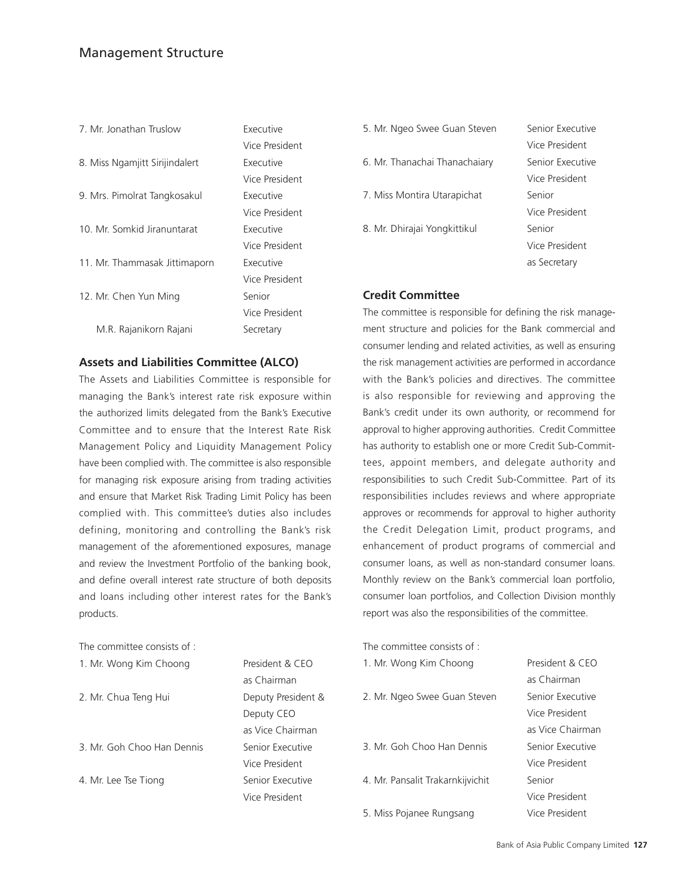# Management Structure

| 7. Mr. Jonathan Truslow        | <b>Executive</b> |
|--------------------------------|------------------|
|                                | Vice President   |
| 8. Miss Ngamjitt Sirijindalert | Executive        |
|                                | Vice President   |
| 9. Mrs. Pimolrat Tangkosakul   | Executive        |
|                                | Vice President   |
| 10. Mr. Somkid Jiranuntarat    | Executive        |
|                                | Vice President   |
| 11. Mr. Thammasak Jittimaporn  | <b>Executive</b> |
|                                | Vice President   |
| 12. Mr. Chen Yun Ming          | Senior           |
|                                | Vice President   |
| M.R. Rajanikorn Rajani         | Secretary        |
|                                |                  |

## **Assets and Liabilities Committee (ALCO)**

The Assets and Liabilities Committee is responsible for managing the Bank's interest rate risk exposure within the authorized limits delegated from the Bank's Executive Committee and to ensure that the Interest Rate Risk Management Policy and Liquidity Management Policy have been complied with. The committee is also responsible for managing risk exposure arising from trading activities and ensure that Market Risk Trading Limit Policy has been complied with. This committee's duties also includes defining, monitoring and controlling the Bank's risk management of the aforementioned exposures, manage and review the Investment Portfolio of the banking book, and define overall interest rate structure of both deposits and loans including other interest rates for the Bank's products.

as Chairman

Deputy CEO as Vice Chairman

Vice President

Vice President

| The committee consists of : |  |  |
|-----------------------------|--|--|
|                             |  |  |

| 1. Mr. Wong Kim Choong | President & CEO |
|------------------------|-----------------|
|------------------------|-----------------|

2. Mr. Chua Teng Hui Deputy President &

3. Mr. Goh Choo Han Dennis Senior Executive

4. Mr. Lee Tse Tiong Senior Executive

| 5. Mr. Ngeo Swee Guan Steven  | Senior Executive |
|-------------------------------|------------------|
|                               | Vice President   |
| 6. Mr. Thanachai Thanachaiary | Senior Executive |
|                               | Vice President   |
| 7. Miss Montira Utarapichat   | Senior           |
|                               | Vice President   |
| 8. Mr. Dhirajai Yongkittikul  | Senior           |
|                               | Vice President   |
|                               | as Secretary     |

## **Credit Committee**

The committee is responsible for defining the risk management structure and policies for the Bank commercial and consumer lending and related activities, as well as ensuring the risk management activities are performed in accordance with the Bank's policies and directives. The committee is also responsible for reviewing and approving the Bank's credit under its own authority, or recommend for approval to higher approving authorities. Credit Committee has authority to establish one or more Credit Sub-Committees, appoint members, and delegate authority and responsibilities to such Credit Sub-Committee. Part of its responsibilities includes reviews and where appropriate approves or recommends for approval to higher authority the Credit Delegation Limit, product programs, and enhancement of product programs of commercial and consumer loans, as well as non-standard consumer loans. Monthly review on the Bank's commercial loan portfolio, consumer loan portfolios, and Collection Division monthly report was also the responsibilities of the committee.

| The committee consists of :      |                  |
|----------------------------------|------------------|
| 1. Mr. Wong Kim Choong           | President & CFO  |
|                                  | as Chairman      |
| 2. Mr. Ngeo Swee Guan Steven     | Senior Executive |
|                                  | Vice President   |
|                                  | as Vice Chairman |
| 3 Mr Goh Choo Han Dennis         | Senior Executive |
|                                  | Vice President   |
| 4. Mr. Pansalit Trakarnkijvichit | Senior           |
|                                  | Vice President   |
| 5. Miss Pojanee Rungsang         | Vice President   |
|                                  |                  |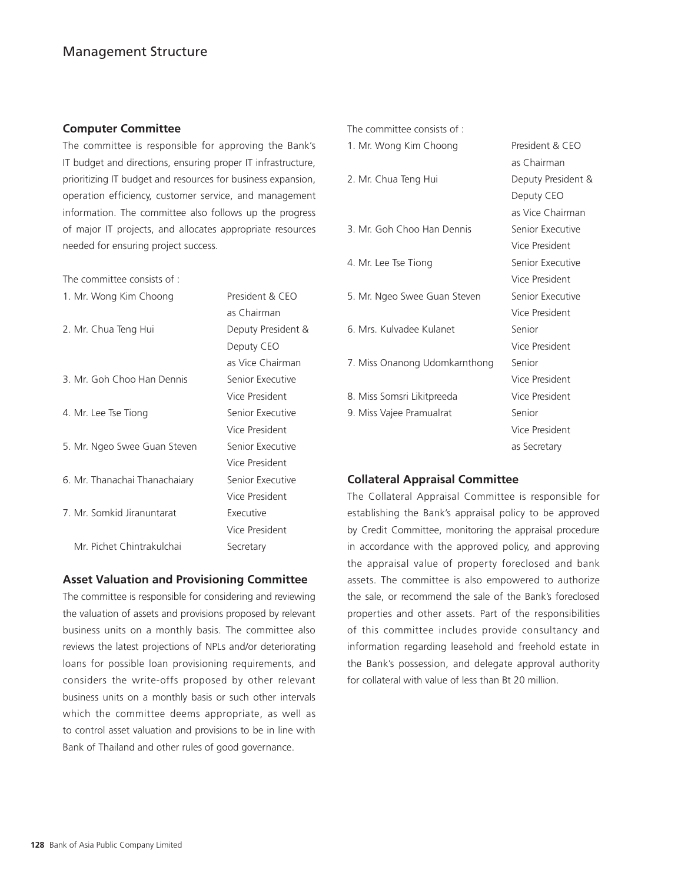## **Computer Committee**

The committee is responsible for approving the Bank's IT budget and directions, ensuring proper IT infrastructure, prioritizing IT budget and resources for business expansion, operation efficiency, customer service, and management information. The committee also follows up the progress of major IT projects, and allocates appropriate resources needed for ensuring project success.

The committee consists of :

| 1. Mr. Wong Kim Choong        | President & CEO    |
|-------------------------------|--------------------|
|                               | as Chairman        |
| 2. Mr. Chua Teng Hui          | Deputy President & |
|                               | Deputy CEO         |
|                               | as Vice Chairman   |
| 3. Mr. Goh Choo Han Dennis    | Senior Executive   |
|                               | Vice President     |
| 4. Mr. Lee Tse Tiong          | Senior Executive   |
|                               | Vice President     |
| 5. Mr. Ngeo Swee Guan Steven  | Senior Executive   |
|                               | Vice President     |
| 6. Mr. Thanachai Thanachaiary | Senior Executive   |
|                               | Vice President     |
| 7. Mr. Somkid Jiranuntarat    | Executive          |
|                               | Vice President     |
| Mr. Pichet Chintrakulchai     | Secretary          |

## **Asset Valuation and Provisioning Committee**

The committee is responsible for considering and reviewing the valuation of assets and provisions proposed by relevant business units on a monthly basis. The committee also reviews the latest projections of NPLs and/or deteriorating loans for possible loan provisioning requirements, and considers the write-offs proposed by other relevant business units on a monthly basis or such other intervals which the committee deems appropriate, as well as to control asset valuation and provisions to be in line with Bank of Thailand and other rules of good governance.

|  |  | The committee consists of: |  |  |  |
|--|--|----------------------------|--|--|--|
|--|--|----------------------------|--|--|--|

| 1. Mr. Wong Kim Choong        | President & CEO    |
|-------------------------------|--------------------|
|                               | as Chairman        |
| 2. Mr. Chua Teng Hui          | Deputy President & |
|                               | Deputy CEO         |
|                               | as Vice Chairman   |
| 3. Mr. Goh Choo Han Dennis    | Senior Executive   |
|                               | Vice President     |
| 4. Mr. Lee Tse Tiong          | Senior Executive   |
|                               | Vice President     |
| 5. Mr. Ngeo Swee Guan Steven  | Senior Executive   |
|                               | Vice President     |
| 6. Mrs. Kulvadee Kulanet      | Senior             |
|                               | Vice President     |
| 7. Miss Onanong Udomkarnthong | Senior             |
|                               | Vice President     |
| 8. Miss Somsri Likitpreeda    | Vice President     |
| 9. Miss Vajee Pramualrat      | Senior             |

## **Collateral Appraisal Committee**

The Collateral Appraisal Committee is responsible for establishing the Bank's appraisal policy to be approved by Credit Committee, monitoring the appraisal procedure in accordance with the approved policy, and approving the appraisal value of property foreclosed and bank assets. The committee is also empowered to authorize the sale, or recommend the sale of the Bank's foreclosed properties and other assets. Part of the responsibilities of this committee includes provide consultancy and information regarding leasehold and freehold estate in the Bank's possession, and delegate approval authority for collateral with value of less than Bt 20 million.

Vice President as Secretary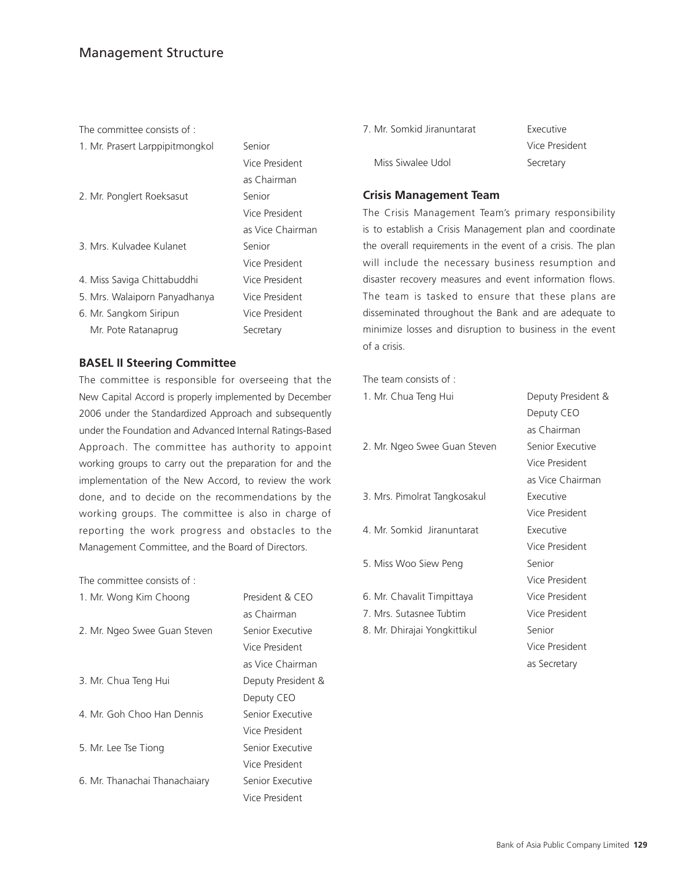# Management Structure

The committee consists of :

1. Mr. Prasert Larppipitmongkol Senior

| 2. Mr. Ponglert Roeksasut |  |
|---------------------------|--|
|---------------------------|--|

3. Mrs. Kulvadee Kulanet Senior

- 4. Miss Saviga Chittabuddhi Vice President
- 5. Mrs. Walaiporn Panyadhanya Vice President
- 6. Mr. Sangkom Siripun Vice President Mr. Pote Ratanaprug Secretary

# **BASEL II Steering Committee**

The committee is responsible for overseeing that the New Capital Accord is properly implemented by December 2006 under the Standardized Approach and subsequently under the Foundation and Advanced Internal Ratings-Based Approach. The committee has authority to appoint working groups to carry out the preparation for and the implementation of the New Accord, to review the work done, and to decide on the recommendations by the working groups. The committee is also in charge of reporting the work progress and obstacles to the Management Committee, and the Board of Directors.

Vice President as Chairman Senior

Vice President as Vice Chairman

Vice President

The committee consists of :

| 1. Mr. Wong Kim Choong        | President & CFO    |
|-------------------------------|--------------------|
|                               | as Chairman        |
| 2. Mr. Ngeo Swee Guan Steven  | Senior Executive   |
|                               | Vice President     |
|                               | as Vice Chairman   |
| 3. Mr. Chua Teng Hui          | Deputy President & |
|                               | Deputy CEO         |
| 4. Mr. Goh Choo Han Dennis    | Senior Executive   |
|                               | Vice President     |
| 5. Mr. Lee Tse Tiong          | Senior Executive   |
|                               | Vice President     |
| 6. Mr. Thanachai Thanachaiary | Senior Executive   |
|                               | Vice President     |

| 7. Mr. Somkid Jiranuntarat | Executive      |
|----------------------------|----------------|
|                            | Vice President |
| Miss Siwalee Udol          | Secretary      |

## **Crisis Management Team**

The Crisis Management Team's primary responsibility is to establish a Crisis Management plan and coordinate the overall requirements in the event of a crisis. The plan will include the necessary business resumption and disaster recovery measures and event information flows. The team is tasked to ensure that these plans are disseminated throughout the Bank and are adequate to minimize losses and disruption to business in the event of a crisis.

The team consists of :

| 1. Mr. Chua Teng Hui         | Deputy President & |
|------------------------------|--------------------|
|                              | Deputy CEO         |
|                              | as Chairman        |
| 2. Mr. Ngeo Swee Guan Steven | Senior Executive   |
|                              | Vice President     |
|                              | as Vice Chairman   |
| 3. Mrs. Pimolrat Tangkosakul | Executive          |
|                              | Vice President     |
| 4. Mr. Somkid Jiranuntarat   | Executive          |
|                              | Vice President     |
| 5. Miss Woo Siew Peng        | Senior             |
|                              | Vice President     |
| 6. Mr. Chavalit Timpittaya   | Vice President     |
| 7. Mrs. Sutasnee Tubtim      | Vice President     |
| 8. Mr. Dhirajai Yongkittikul | Senior             |
|                              | Vice President     |

as Secretary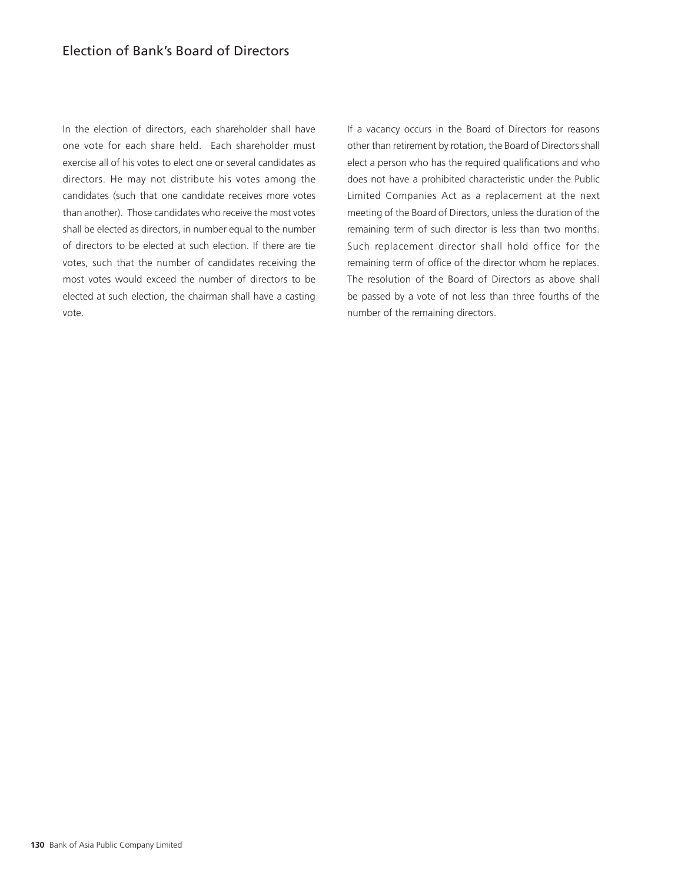In the election of directors, each shareholder shall have one vote for each share held. Each shareholder must exercise all of his votes to elect one or several candidates as directors. He may not distribute his votes among the candidates (such that one candidate receives more votes than another). Those candidates who receive the most votes shall be elected as directors, in number equal to the number of directors to be elected at such election. If there are tie votes, such that the number of candidates receiving the most votes would exceed the number of directors to be elected at such election, the chairman shall have a casting vote.

If a vacancy occurs in the Board of Directors for reasons other than retirement by rotation, the Board of Directors shall elect a person who has the required qualifications and who does not have a prohibited characteristic under the Public Limited Companies Act as a replacement at the next meeting of the Board of Directors, unless the duration of the remaining term of such director is less than two months. Such replacement director shall hold office for the remaining term of office of the director whom he replaces. The resolution of the Board of Directors as above shall be passed by a vote of not less than three fourths of the number of the remaining directors.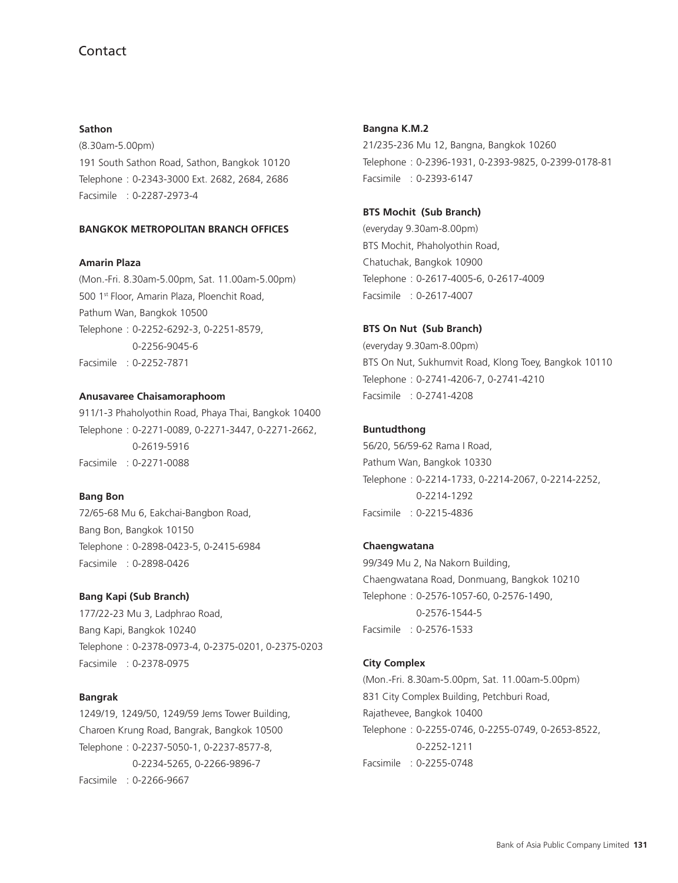### **Sathon**

(8.30am-5.00pm) 191 South Sathon Road, Sathon, Bangkok 10120 Telephone : 0-2343-3000 Ext. 2682, 2684, 2686 Facsimile : 0-2287-2973-4

## **BANGKOK METROPOLITAN BRANCH OFFICES**

## **Amarin Plaza**

(Mon.-Fri. 8.30am-5.00pm, Sat. 11.00am-5.00pm) 500 1st Floor, Amarin Plaza, Ploenchit Road, Pathum Wan, Bangkok 10500 Telephone : 0-2252-6292-3, 0-2251-8579, 0-2256-9045-6 Facsimile : 0-2252-7871

## **Anusavaree Chaisamoraphoom**

911/1-3 Phaholyothin Road, Phaya Thai, Bangkok 10400 Telephone : 0-2271-0089, 0-2271-3447, 0-2271-2662, 0-2619-5916 Facsimile : 0-2271-0088

## **Bang Bon**

72/65-68 Mu 6, Eakchai-Bangbon Road, Bang Bon, Bangkok 10150 Telephone : 0-2898-0423-5, 0-2415-6984 Facsimile : 0-2898-0426

## **Bang Kapi (Sub Branch)**

177/22-23 Mu 3, Ladphrao Road, Bang Kapi, Bangkok 10240 Telephone : 0-2378-0973-4, 0-2375-0201, 0-2375-0203 Facsimile : 0-2378-0975

#### **Bangrak**

1249/19, 1249/50, 1249/59 Jems Tower Building, Charoen Krung Road, Bangrak, Bangkok 10500 Telephone : 0-2237-5050-1, 0-2237-8577-8, 0-2234-5265, 0-2266-9896-7 Facsimile : 0-2266-9667

### **Bangna K.M.2**

21/235-236 Mu 12, Bangna, Bangkok 10260 Telephone : 0-2396-1931, 0-2393-9825, 0-2399-0178-81 Facsimile : 0-2393-6147

#### **BTS Mochit (Sub Branch)**

(everyday 9.30am-8.00pm) BTS Mochit, Phaholyothin Road, Chatuchak, Bangkok 10900 Telephone : 0-2617-4005-6, 0-2617-4009 Facsimile : 0-2617-4007

## **BTS On Nut (Sub Branch)**

(everyday 9.30am-8.00pm) BTS On Nut, Sukhumvit Road, Klong Toey, Bangkok 10110 Telephone : 0-2741-4206-7, 0-2741-4210 Facsimile : 0-2741-4208

## **Buntudthong**

56/20, 56/59-62 Rama I Road, Pathum Wan, Bangkok 10330 Telephone : 0-2214-1733, 0-2214-2067, 0-2214-2252, 0-2214-1292 Facsimile : 0-2215-4836

### **Chaengwatana**

99/349 Mu 2, Na Nakorn Building, Chaengwatana Road, Donmuang, Bangkok 10210 Telephone : 0-2576-1057-60, 0-2576-1490, 0-2576-1544-5 Facsimile : 0-2576-1533

### **City Complex**

(Mon.-Fri. 8.30am-5.00pm, Sat. 11.00am-5.00pm) 831 City Complex Building, Petchburi Road, Rajathevee, Bangkok 10400 Telephone : 0-2255-0746, 0-2255-0749, 0-2653-8522, 0-2252-1211 Facsimile : 0-2255-0748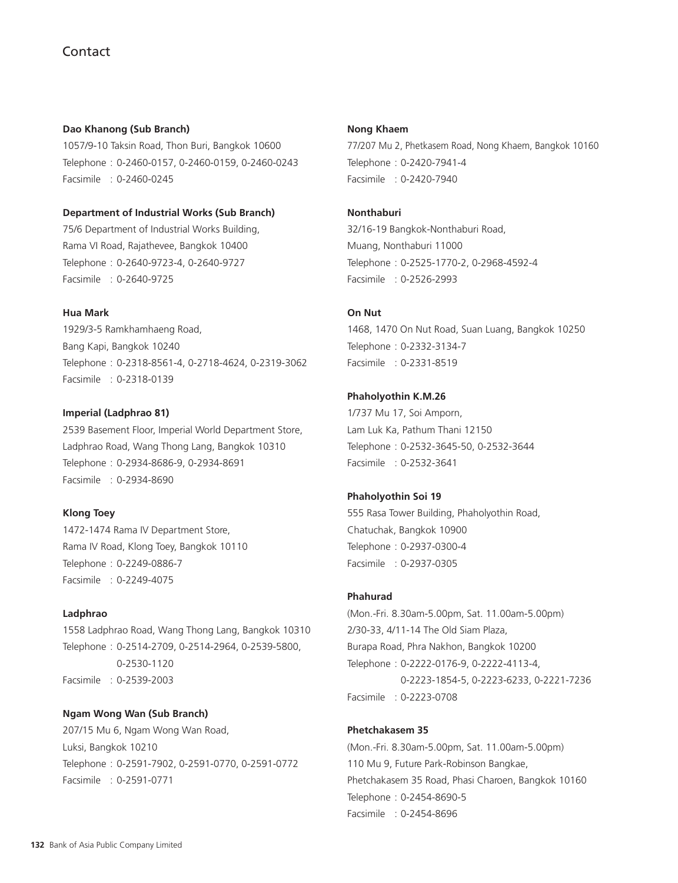### **Dao Khanong (Sub Branch)**

1057/9-10 Taksin Road, Thon Buri, Bangkok 10600 Telephone : 0-2460-0157, 0-2460-0159, 0-2460-0243 Facsimile : 0-2460-0245

## **Department of Industrial Works (Sub Branch)**

75/6 Department of Industrial Works Building, Rama VI Road, Rajathevee, Bangkok 10400 Telephone : 0-2640-9723-4, 0-2640-9727 Facsimile : 0-2640-9725

## **Hua Mark**

1929/3-5 Ramkhamhaeng Road, Bang Kapi, Bangkok 10240 Telephone : 0-2318-8561-4, 0-2718-4624, 0-2319-3062 Facsimile : 0-2318-0139

#### **Imperial (Ladphrao 81)**

2539 Basement Floor, Imperial World Department Store, Ladphrao Road, Wang Thong Lang, Bangkok 10310 Telephone : 0-2934-8686-9, 0-2934-8691 Facsimile : 0-2934-8690

#### **Klong Toey**

1472-1474 Rama IV Department Store, Rama IV Road, Klong Toey, Bangkok 10110 Telephone : 0-2249-0886-7 Facsimile : 0-2249-4075

#### **Ladphrao**

1558 Ladphrao Road, Wang Thong Lang, Bangkok 10310 Telephone : 0-2514-2709, 0-2514-2964, 0-2539-5800, 0-2530-1120 Facsimile : 0-2539-2003

## **Ngam Wong Wan (Sub Branch)**

207/15 Mu 6, Ngam Wong Wan Road, Luksi, Bangkok 10210 Telephone : 0-2591-7902, 0-2591-0770, 0-2591-0772 Facsimile : 0-2591-0771

#### **Nong Khaem**

77/207 Mu 2, Phetkasem Road, Nong Khaem, Bangkok 10160 Telephone : 0-2420-7941-4 Facsimile : 0-2420-7940

### **Nonthaburi**

32/16-19 Bangkok-Nonthaburi Road, Muang, Nonthaburi 11000 Telephone : 0-2525-1770-2, 0-2968-4592-4 Facsimile : 0-2526-2993

#### **On Nut**

1468, 1470 On Nut Road, Suan Luang, Bangkok 10250 Telephone : 0-2332-3134-7 Facsimile : 0-2331-8519

## **Phaholyothin K.M.26**

1/737 Mu 17, Soi Amporn, Lam Luk Ka, Pathum Thani 12150 Telephone : 0-2532-3645-50, 0-2532-3644 Facsimile : 0-2532-3641

## **Phaholyothin Soi 19**

555 Rasa Tower Building, Phaholyothin Road, Chatuchak, Bangkok 10900 Telephone : 0-2937-0300-4 Facsimile : 0-2937-0305

### **Phahurad**

(Mon.-Fri. 8.30am-5.00pm, Sat. 11.00am-5.00pm) 2/30-33, 4/11-14 The Old Siam Plaza, Burapa Road, Phra Nakhon, Bangkok 10200 Telephone : 0-2222-0176-9, 0-2222-4113-4, 0-2223-1854-5, 0-2223-6233, 0-2221-7236 Facsimile : 0-2223-0708

#### **Phetchakasem 35**

(Mon.-Fri. 8.30am-5.00pm, Sat. 11.00am-5.00pm) 110 Mu 9, Future Park-Robinson Bangkae, Phetchakasem 35 Road, Phasi Charoen, Bangkok 10160 Telephone : 0-2454-8690-5 Facsimile : 0-2454-8696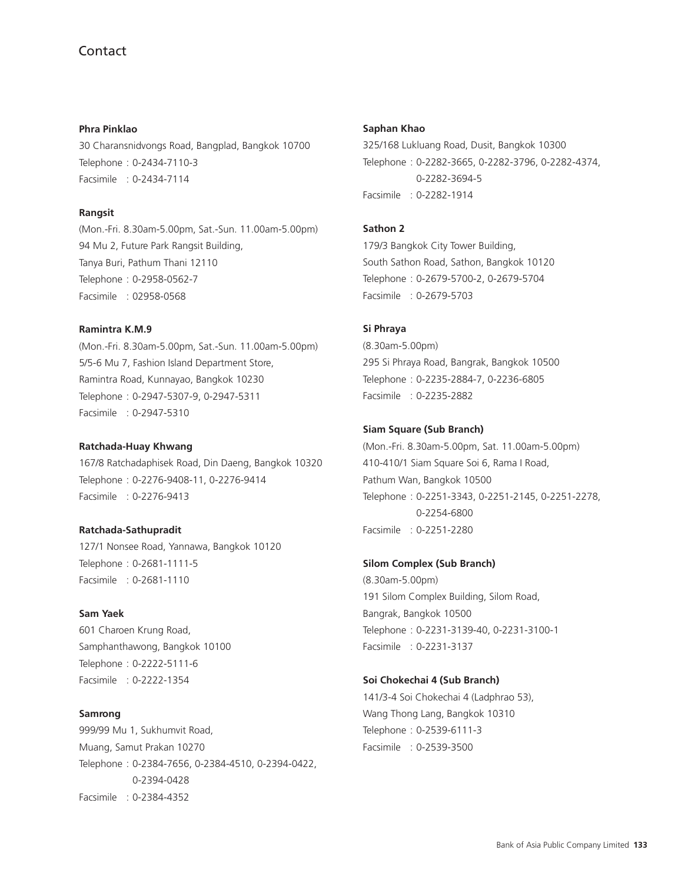**Phra Pinklao** 30 Charansnidvongs Road, Bangplad, Bangkok 10700 Telephone : 0-2434-7110-3 Facsimile : 0-2434-7114

## **Rangsit**

(Mon.-Fri. 8.30am-5.00pm, Sat.-Sun. 11.00am-5.00pm) 94 Mu 2, Future Park Rangsit Building, Tanya Buri, Pathum Thani 12110 Telephone : 0-2958-0562-7 Facsimile : 02958-0568

## **Ramintra K.M.9**

(Mon.-Fri. 8.30am-5.00pm, Sat.-Sun. 11.00am-5.00pm) 5/5-6 Mu 7, Fashion Island Department Store, Ramintra Road, Kunnayao, Bangkok 10230 Telephone : 0-2947-5307-9, 0-2947-5311 Facsimile : 0-2947-5310

#### **Ratchada-Huay Khwang**

167/8 Ratchadaphisek Road, Din Daeng, Bangkok 10320 Telephone : 0-2276-9408-11, 0-2276-9414 Facsimile : 0-2276-9413

### **Ratchada-Sathupradit**

127/1 Nonsee Road, Yannawa, Bangkok 10120 Telephone : 0-2681-1111-5 Facsimile : 0-2681-1110

#### **Sam Yaek**

601 Charoen Krung Road, Samphanthawong, Bangkok 10100 Telephone : 0-2222-5111-6 Facsimile : 0-2222-1354

## **Samrong**

999/99 Mu 1, Sukhumvit Road, Muang, Samut Prakan 10270 Telephone : 0-2384-7656, 0-2384-4510, 0-2394-0422, 0-2394-0428 Facsimile : 0-2384-4352

#### **Saphan Khao**

325/168 Lukluang Road, Dusit, Bangkok 10300 Telephone : 0-2282-3665, 0-2282-3796, 0-2282-4374, 0-2282-3694-5 Facsimile : 0-2282-1914

#### **Sathon 2**

179/3 Bangkok City Tower Building, South Sathon Road, Sathon, Bangkok 10120 Telephone : 0-2679-5700-2, 0-2679-5704 Facsimile : 0-2679-5703

#### **Si Phraya**

(8.30am-5.00pm) 295 Si Phraya Road, Bangrak, Bangkok 10500 Telephone : 0-2235-2884-7, 0-2236-6805 Facsimile : 0-2235-2882

#### **Siam Square (Sub Branch)**

(Mon.-Fri. 8.30am-5.00pm, Sat. 11.00am-5.00pm) 410-410/1 Siam Square Soi 6, Rama I Road, Pathum Wan, Bangkok 10500 Telephone : 0-2251-3343, 0-2251-2145, 0-2251-2278, 0-2254-6800 Facsimile : 0-2251-2280

#### **Silom Complex (Sub Branch)**

(8.30am-5.00pm) 191 Silom Complex Building, Silom Road, Bangrak, Bangkok 10500 Telephone : 0-2231-3139-40, 0-2231-3100-1 Facsimile : 0-2231-3137

#### **Soi Chokechai 4 (Sub Branch)**

141/3-4 Soi Chokechai 4 (Ladphrao 53), Wang Thong Lang, Bangkok 10310 Telephone : 0-2539-6111-3 Facsimile : 0-2539-3500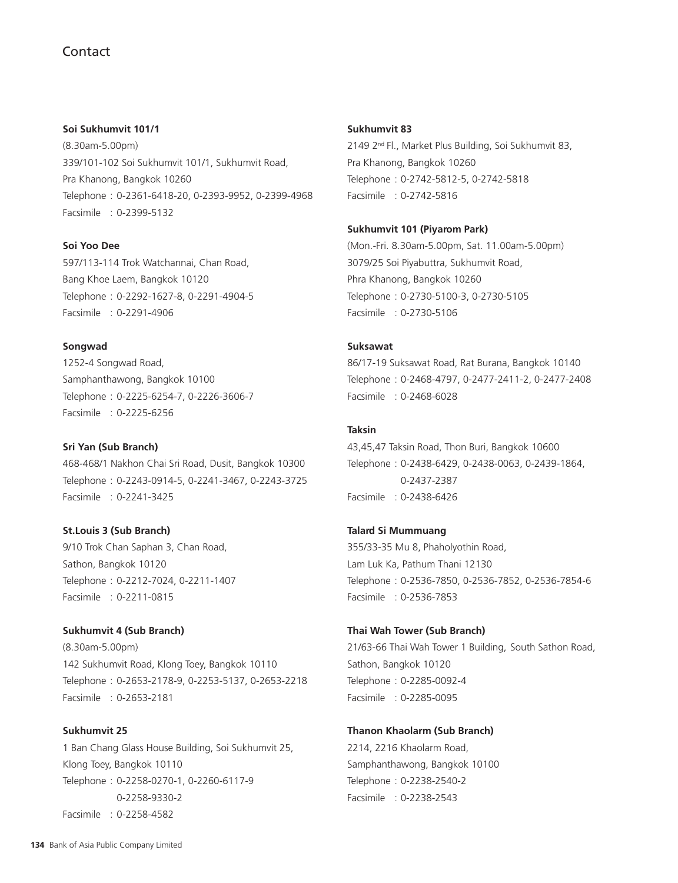## **Soi Sukhumvit 101/1**

(8.30am-5.00pm) 339/101-102 Soi Sukhumvit 101/1, Sukhumvit Road, Pra Khanong, Bangkok 10260 Telephone : 0-2361-6418-20, 0-2393-9952, 0-2399-4968 Facsimile : 0-2399-5132

## **Soi Yoo Dee**

597/113-114 Trok Watchannai, Chan Road, Bang Khoe Laem, Bangkok 10120 Telephone : 0-2292-1627-8, 0-2291-4904-5 Facsimile : 0-2291-4906

## **Songwad**

1252-4 Songwad Road, Samphanthawong, Bangkok 10100 Telephone : 0-2225-6254-7, 0-2226-3606-7 Facsimile : 0-2225-6256

## **Sri Yan (Sub Branch)**

468-468/1 Nakhon Chai Sri Road, Dusit, Bangkok 10300 Telephone : 0-2243-0914-5, 0-2241-3467, 0-2243-3725 Facsimile : 0-2241-3425

## **St.Louis 3 (Sub Branch)**

9/10 Trok Chan Saphan 3, Chan Road, Sathon, Bangkok 10120 Telephone : 0-2212-7024, 0-2211-1407 Facsimile : 0-2211-0815

## **Sukhumvit 4 (Sub Branch)**

(8.30am-5.00pm) 142 Sukhumvit Road, Klong Toey, Bangkok 10110 Telephone : 0-2653-2178-9, 0-2253-5137, 0-2653-2218 Facsimile : 0-2653-2181

## **Sukhumvit 25**

1 Ban Chang Glass House Building, Soi Sukhumvit 25, Klong Toey, Bangkok 10110 Telephone : 0-2258-0270-1, 0-2260-6117-9 0-2258-9330-2 Facsimile : 0-2258-4582

#### **Sukhumvit 83**

2149 2nd Fl., Market Plus Building, Soi Sukhumvit 83, Pra Khanong, Bangkok 10260 Telephone : 0-2742-5812-5, 0-2742-5818 Facsimile : 0-2742-5816

## **Sukhumvit 101 (Piyarom Park)**

(Mon.-Fri. 8.30am-5.00pm, Sat. 11.00am-5.00pm) 3079/25 Soi Piyabuttra, Sukhumvit Road, Phra Khanong, Bangkok 10260 Telephone : 0-2730-5100-3, 0-2730-5105 Facsimile : 0-2730-5106

## **Suksawat**

86/17-19 Suksawat Road, Rat Burana, Bangkok 10140 Telephone : 0-2468-4797, 0-2477-2411-2, 0-2477-2408 Facsimile : 0-2468-6028

## **Taksin**

43,45,47 Taksin Road, Thon Buri, Bangkok 10600 Telephone : 0-2438-6429, 0-2438-0063, 0-2439-1864, 0-2437-2387 Facsimile : 0-2438-6426

## **Talard Si Mummuang**

355/33-35 Mu 8, Phaholyothin Road, Lam Luk Ka, Pathum Thani 12130 Telephone : 0-2536-7850, 0-2536-7852, 0-2536-7854-6 Facsimile : 0-2536-7853

#### **Thai Wah Tower (Sub Branch)**

21/63-66 Thai Wah Tower 1 Building, South Sathon Road, Sathon, Bangkok 10120 Telephone : 0-2285-0092-4 Facsimile : 0-2285-0095

## **Thanon Khaolarm (Sub Branch)**

2214, 2216 Khaolarm Road, Samphanthawong, Bangkok 10100 Telephone : 0-2238-2540-2 Facsimile : 0-2238-2543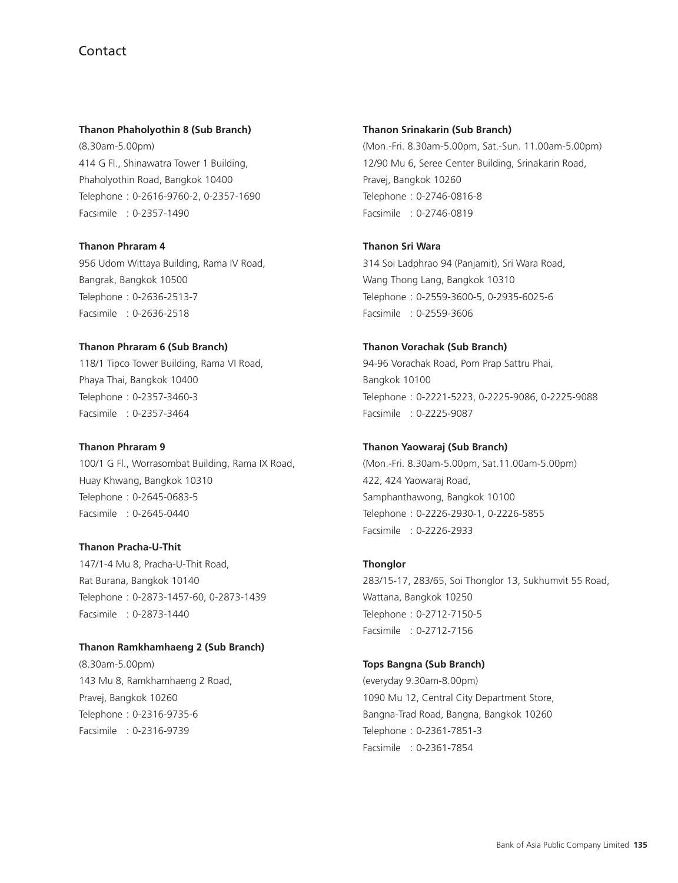## **Thanon Phaholyothin 8 (Sub Branch)**

(8.30am-5.00pm) 414 G Fl., Shinawatra Tower 1 Building, Phaholyothin Road, Bangkok 10400 Telephone : 0-2616-9760-2, 0-2357-1690 Facsimile : 0-2357-1490

#### **Thanon Phraram 4**

956 Udom Wittaya Building, Rama IV Road, Bangrak, Bangkok 10500 Telephone : 0-2636-2513-7 Facsimile : 0-2636-2518

## **Thanon Phraram 6 (Sub Branch)**

118/1 Tipco Tower Building, Rama VI Road, Phaya Thai, Bangkok 10400 Telephone : 0-2357-3460-3 Facsimile : 0-2357-3464

## **Thanon Phraram 9**

100/1 G Fl., Worrasombat Building, Rama IX Road, Huay Khwang, Bangkok 10310 Telephone : 0-2645-0683-5 Facsimile : 0-2645-0440

## **Thanon Pracha-U-Thit**

147/1-4 Mu 8, Pracha-U-Thit Road, Rat Burana, Bangkok 10140 Telephone : 0-2873-1457-60, 0-2873-1439 Facsimile : 0-2873-1440

## **Thanon Ramkhamhaeng 2 (Sub Branch)**

(8.30am-5.00pm) 143 Mu 8, Ramkhamhaeng 2 Road, Pravej, Bangkok 10260 Telephone : 0-2316-9735-6 Facsimile : 0-2316-9739

#### **Thanon Srinakarin (Sub Branch)**

(Mon.-Fri. 8.30am-5.00pm, Sat.-Sun. 11.00am-5.00pm) 12/90 Mu 6, Seree Center Building, Srinakarin Road, Pravej, Bangkok 10260 Telephone : 0-2746-0816-8 Facsimile : 0-2746-0819

## **Thanon Sri Wara**

314 Soi Ladphrao 94 (Panjamit), Sri Wara Road, Wang Thong Lang, Bangkok 10310 Telephone : 0-2559-3600-5, 0-2935-6025-6 Facsimile : 0-2559-3606

## **Thanon Vorachak (Sub Branch)**

94-96 Vorachak Road, Pom Prap Sattru Phai, Bangkok 10100 Telephone : 0-2221-5223, 0-2225-9086, 0-2225-9088 Facsimile : 0-2225-9087

### **Thanon Yaowaraj (Sub Branch)**

(Mon.-Fri. 8.30am-5.00pm, Sat.11.00am-5.00pm) 422, 424 Yaowaraj Road, Samphanthawong, Bangkok 10100 Telephone : 0-2226-2930-1, 0-2226-5855 Facsimile : 0-2226-2933

## **Thonglor**

283/15-17, 283/65, Soi Thonglor 13, Sukhumvit 55 Road, Wattana, Bangkok 10250 Telephone : 0-2712-7150-5 Facsimile : 0-2712-7156

## **Tops Bangna (Sub Branch)**

(everyday 9.30am-8.00pm) 1090 Mu 12, Central City Department Store, Bangna-Trad Road, Bangna, Bangkok 10260 Telephone : 0-2361-7851-3 Facsimile : 0-2361-7854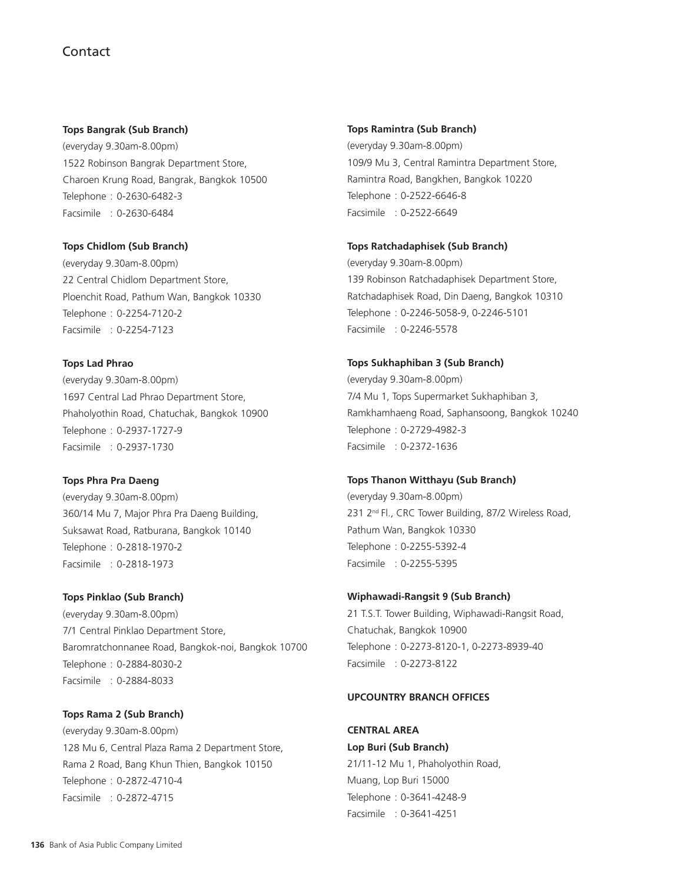#### **Tops Bangrak (Sub Branch)**

(everyday 9.30am-8.00pm) 1522 Robinson Bangrak Department Store, Charoen Krung Road, Bangrak, Bangkok 10500 Telephone : 0-2630-6482-3 Facsimile : 0-2630-6484

## **Tops Chidlom (Sub Branch)**

(everyday 9.30am-8.00pm) 22 Central Chidlom Department Store, Ploenchit Road, Pathum Wan, Bangkok 10330 Telephone : 0-2254-7120-2 Facsimile : 0-2254-7123

**Tops Lad Phrao** (everyday 9.30am-8.00pm) 1697 Central Lad Phrao Department Store, Phaholyothin Road, Chatuchak, Bangkok 10900 Telephone : 0-2937-1727-9 Facsimile : 0-2937-1730

### **Tops Phra Pra Daeng**

(everyday 9.30am-8.00pm) 360/14 Mu 7, Major Phra Pra Daeng Building, Suksawat Road, Ratburana, Bangkok 10140 Telephone : 0-2818-1970-2 Facsimile : 0-2818-1973

**Tops Pinklao (Sub Branch)**

(everyday 9.30am-8.00pm) 7/1 Central Pinklao Department Store, Baromratchonnanee Road, Bangkok-noi, Bangkok 10700 Telephone : 0-2884-8030-2 Facsimile : 0-2884-8033

**Tops Rama 2 (Sub Branch)** (everyday 9.30am-8.00pm) 128 Mu 6, Central Plaza Rama 2 Department Store, Rama 2 Road, Bang Khun Thien, Bangkok 10150 Telephone : 0-2872-4710-4 Facsimile : 0-2872-4715

#### **Tops Ramintra (Sub Branch)**

(everyday 9.30am-8.00pm) 109/9 Mu 3, Central Ramintra Department Store, Ramintra Road, Bangkhen, Bangkok 10220 Telephone : 0-2522-6646-8 Facsimile : 0-2522-6649

## **Tops Ratchadaphisek (Sub Branch)**

(everyday 9.30am-8.00pm) 139 Robinson Ratchadaphisek Department Store, Ratchadaphisek Road, Din Daeng, Bangkok 10310 Telephone : 0-2246-5058-9, 0-2246-5101 Facsimile : 0-2246-5578

#### **Tops Sukhaphiban 3 (Sub Branch)**

(everyday 9.30am-8.00pm) 7/4 Mu 1, Tops Supermarket Sukhaphiban 3, Ramkhamhaeng Road, Saphansoong, Bangkok 10240 Telephone : 0-2729-4982-3 Facsimile : 0-2372-1636

### **Tops Thanon Witthayu (Sub Branch)**

(everyday 9.30am-8.00pm) 231 2<sup>nd</sup> Fl., CRC Tower Building, 87/2 Wireless Road, Pathum Wan, Bangkok 10330 Telephone : 0-2255-5392-4 Facsimile : 0-2255-5395

## **Wiphawadi-Rangsit 9 (Sub Branch)**

21 T.S.T. Tower Building, Wiphawadi-Rangsit Road, Chatuchak, Bangkok 10900 Telephone : 0-2273-8120-1, 0-2273-8939-40 Facsimile : 0-2273-8122

## **UPCOUNTRY BRANCH OFFICES**

**CENTRAL AREA Lop Buri (Sub Branch)** 21/11-12 Mu 1, Phaholyothin Road, Muang, Lop Buri 15000 Telephone : 0-3641-4248-9 Facsimile : 0-3641-4251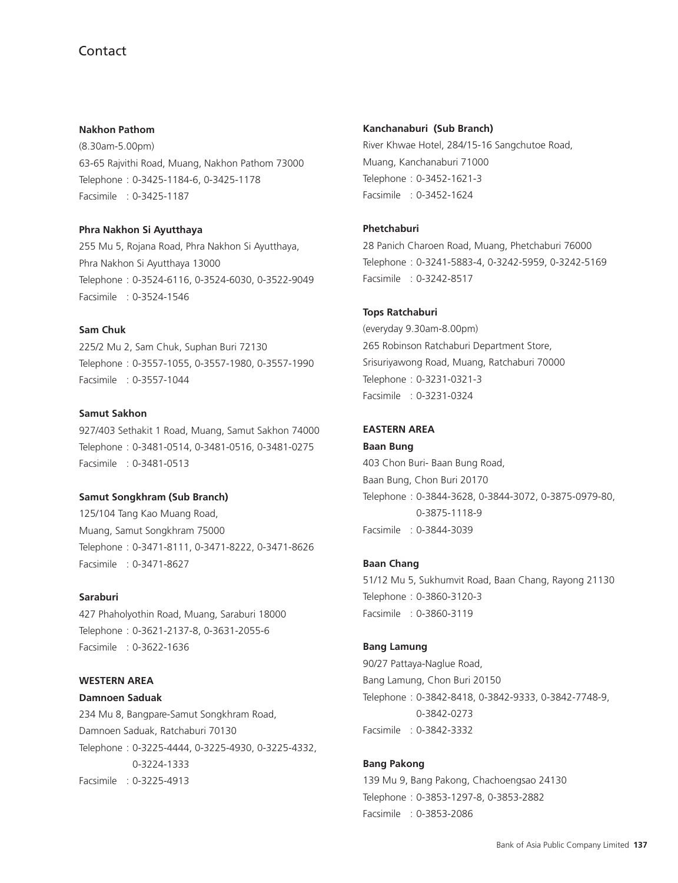#### **Nakhon Pathom**

(8.30am-5.00pm) 63-65 Rajvithi Road, Muang, Nakhon Pathom 73000 Telephone : 0-3425-1184-6, 0-3425-1178 Facsimile : 0-3425-1187

#### **Phra Nakhon Si Ayutthaya**

255 Mu 5, Rojana Road, Phra Nakhon Si Ayutthaya, Phra Nakhon Si Ayutthaya 13000 Telephone : 0-3524-6116, 0-3524-6030, 0-3522-9049 Facsimile : 0-3524-1546

## **Sam Chuk**

225/2 Mu 2, Sam Chuk, Suphan Buri 72130 Telephone : 0-3557-1055, 0-3557-1980, 0-3557-1990 Facsimile : 0-3557-1044

#### **Samut Sakhon**

927/403 Sethakit 1 Road, Muang, Samut Sakhon 74000 Telephone : 0-3481-0514, 0-3481-0516, 0-3481-0275 Facsimile : 0-3481-0513

## **Samut Songkhram (Sub Branch)**

125/104 Tang Kao Muang Road, Muang, Samut Songkhram 75000 Telephone : 0-3471-8111, 0-3471-8222, 0-3471-8626 Facsimile : 0-3471-8627

#### **Saraburi**

427 Phaholyothin Road, Muang, Saraburi 18000 Telephone : 0-3621-2137-8, 0-3631-2055-6 Facsimile : 0-3622-1636

## **WESTERN AREA**

**Damnoen Saduak** 234 Mu 8, Bangpare-Samut Songkhram Road, Damnoen Saduak, Ratchaburi 70130 Telephone : 0-3225-4444, 0-3225-4930, 0-3225-4332, 0-3224-1333 Facsimile : 0-3225-4913

#### **Kanchanaburi (Sub Branch)**

River Khwae Hotel, 284/15-16 Sangchutoe Road, Muang, Kanchanaburi 71000 Telephone : 0-3452-1621-3 Facsimile : 0-3452-1624

### **Phetchaburi**

28 Panich Charoen Road, Muang, Phetchaburi 76000 Telephone : 0-3241-5883-4, 0-3242-5959, 0-3242-5169 Facsimile : 0-3242-8517

#### **Tops Ratchaburi**

(everyday 9.30am-8.00pm) 265 Robinson Ratchaburi Department Store, Srisuriyawong Road, Muang, Ratchaburi 70000 Telephone : 0-3231-0321-3 Facsimile : 0-3231-0324

#### **EASTERN AREA**

**Baan Bung** 403 Chon Buri- Baan Bung Road, Baan Bung, Chon Buri 20170 Telephone : 0-3844-3628, 0-3844-3072, 0-3875-0979-80, 0-3875-1118-9 Facsimile : 0-3844-3039

## **Baan Chang**

51/12 Mu 5, Sukhumvit Road, Baan Chang, Rayong 21130 Telephone : 0-3860-3120-3 Facsimile : 0-3860-3119

### **Bang Lamung**

90/27 Pattaya-Naglue Road, Bang Lamung, Chon Buri 20150 Telephone : 0-3842-8418, 0-3842-9333, 0-3842-7748-9, 0-3842-0273 Facsimile : 0-3842-3332

#### **Bang Pakong**

139 Mu 9, Bang Pakong, Chachoengsao 24130 Telephone : 0-3853-1297-8, 0-3853-2882 Facsimile : 0-3853-2086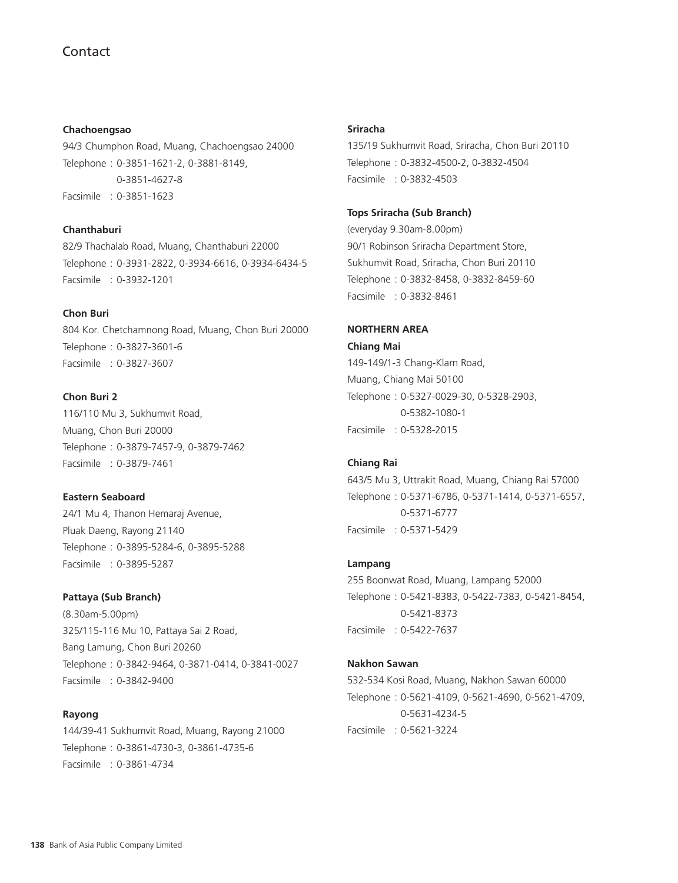#### **Chachoengsao**

94/3 Chumphon Road, Muang, Chachoengsao 24000 Telephone : 0-3851-1621-2, 0-3881-8149, 0-3851-4627-8 Facsimile : 0-3851-1623

## **Chanthaburi**

82/9 Thachalab Road, Muang, Chanthaburi 22000 Telephone : 0-3931-2822, 0-3934-6616, 0-3934-6434-5 Facsimile : 0-3932-1201

#### **Chon Buri**

804 Kor. Chetchamnong Road, Muang, Chon Buri 20000 Telephone : 0-3827-3601-6 Facsimile : 0-3827-3607

## **Chon Buri 2**

116/110 Mu 3, Sukhumvit Road, Muang, Chon Buri 20000 Telephone : 0-3879-7457-9, 0-3879-7462 Facsimile : 0-3879-7461

## **Eastern Seaboard**

24/1 Mu 4, Thanon Hemaraj Avenue, Pluak Daeng, Rayong 21140 Telephone : 0-3895-5284-6, 0-3895-5288 Facsimile : 0-3895-5287

### **Pattaya (Sub Branch)**

(8.30am-5.00pm) 325/115-116 Mu 10, Pattaya Sai 2 Road, Bang Lamung, Chon Buri 20260 Telephone : 0-3842-9464, 0-3871-0414, 0-3841-0027 Facsimile : 0-3842-9400

## **Rayong**

144/39-41 Sukhumvit Road, Muang, Rayong 21000 Telephone : 0-3861-4730-3, 0-3861-4735-6 Facsimile : 0-3861-4734

#### **Sriracha**

135/19 Sukhumvit Road, Sriracha, Chon Buri 20110 Telephone : 0-3832-4500-2, 0-3832-4504 Facsimile : 0-3832-4503

#### **Tops Sriracha (Sub Branch)**

(everyday 9.30am-8.00pm) 90/1 Robinson Sriracha Department Store, Sukhumvit Road, Sriracha, Chon Buri 20110 Telephone : 0-3832-8458, 0-3832-8459-60 Facsimile : 0-3832-8461

## **NORTHERN AREA**

**Chiang Mai** 149-149/1-3 Chang-Klarn Road, Muang, Chiang Mai 50100 Telephone : 0-5327-0029-30, 0-5328-2903, 0-5382-1080-1 Facsimile : 0-5328-2015

#### **Chiang Rai**

643/5 Mu 3, Uttrakit Road, Muang, Chiang Rai 57000 Telephone : 0-5371-6786, 0-5371-1414, 0-5371-6557, 0-5371-6777 Facsimile : 0-5371-5429

#### **Lampang**

255 Boonwat Road, Muang, Lampang 52000 Telephone : 0-5421-8383, 0-5422-7383, 0-5421-8454, 0-5421-8373 Facsimile : 0-5422-7637

### **Nakhon Sawan**

532-534 Kosi Road, Muang, Nakhon Sawan 60000 Telephone : 0-5621-4109, 0-5621-4690, 0-5621-4709, 0-5631-4234-5 Facsimile : 0-5621-3224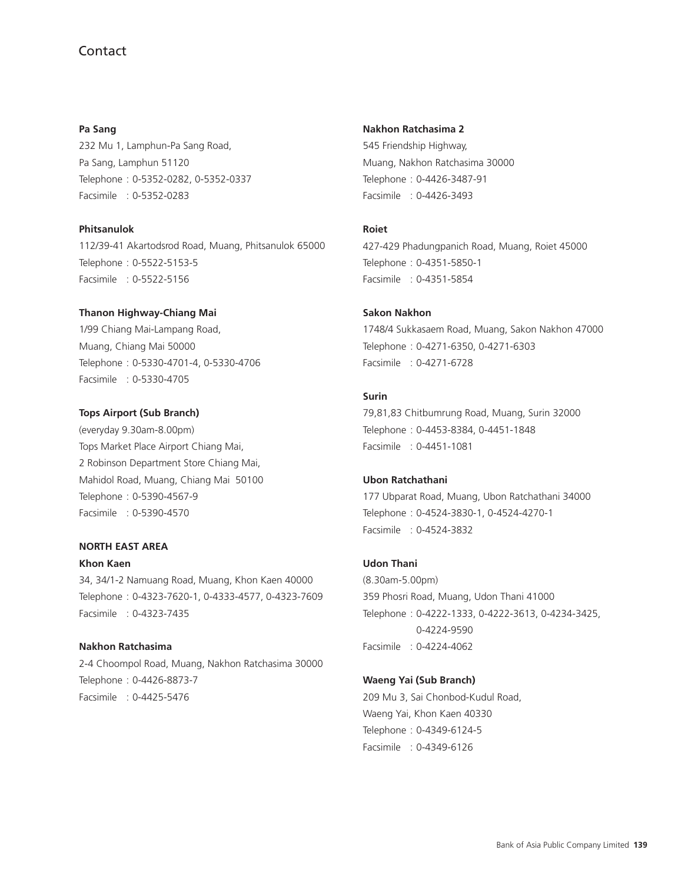**Pa Sang** 232 Mu 1, Lamphun-Pa Sang Road, Pa Sang, Lamphun 51120 Telephone : 0-5352-0282, 0-5352-0337 Facsimile : 0-5352-0283

## **Phitsanulok**

112/39-41 Akartodsrod Road, Muang, Phitsanulok 65000 Telephone : 0-5522-5153-5 Facsimile : 0-5522-5156

### **Thanon Highway-Chiang Mai**

1/99 Chiang Mai-Lampang Road, Muang, Chiang Mai 50000 Telephone : 0-5330-4701-4, 0-5330-4706 Facsimile : 0-5330-4705

#### **Tops Airport (Sub Branch)**

(everyday 9.30am-8.00pm) Tops Market Place Airport Chiang Mai, 2 Robinson Department Store Chiang Mai, Mahidol Road, Muang, Chiang Mai 50100 Telephone : 0-5390-4567-9 Facsimile : 0-5390-4570

## **NORTH EAST AREA**

#### **Khon Kaen**

34, 34/1-2 Namuang Road, Muang, Khon Kaen 40000 Telephone : 0-4323-7620-1, 0-4333-4577, 0-4323-7609 Facsimile : 0-4323-7435

## **Nakhon Ratchasima**

2-4 Choompol Road, Muang, Nakhon Ratchasima 30000 Telephone : 0-4426-8873-7 Facsimile : 0-4425-5476

#### **Nakhon Ratchasima 2**

545 Friendship Highway, Muang, Nakhon Ratchasima 30000 Telephone : 0-4426-3487-91 Facsimile : 0-4426-3493

## **Roiet**

427-429 Phadungpanich Road, Muang, Roiet 45000 Telephone : 0-4351-5850-1 Facsimile : 0-4351-5854

## **Sakon Nakhon**

1748/4 Sukkasaem Road, Muang, Sakon Nakhon 47000 Telephone : 0-4271-6350, 0-4271-6303 Facsimile : 0-4271-6728

## **Surin**

79,81,83 Chitbumrung Road, Muang, Surin 32000 Telephone : 0-4453-8384, 0-4451-1848 Facsimile : 0-4451-1081

### **Ubon Ratchathani**

177 Ubparat Road, Muang, Ubon Ratchathani 34000 Telephone : 0-4524-3830-1, 0-4524-4270-1 Facsimile : 0-4524-3832

## **Udon Thani**

(8.30am-5.00pm) 359 Phosri Road, Muang, Udon Thani 41000 Telephone : 0-4222-1333, 0-4222-3613, 0-4234-3425, 0-4224-9590 Facsimile : 0-4224-4062

## **Waeng Yai (Sub Branch)**

209 Mu 3, Sai Chonbod-Kudul Road, Waeng Yai, Khon Kaen 40330 Telephone : 0-4349-6124-5 Facsimile : 0-4349-6126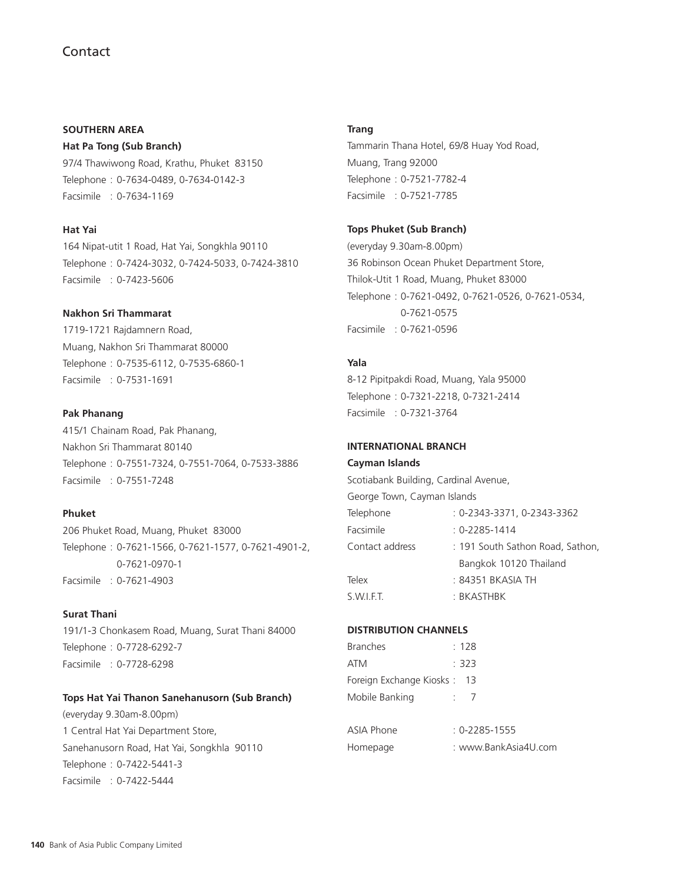## **SOUTHERN AREA**

**Hat Pa Tong (Sub Branch)**

97/4 Thawiwong Road, Krathu, Phuket 83150 Telephone : 0-7634-0489, 0-7634-0142-3 Facsimile : 0-7634-1169

## **Hat Yai**

164 Nipat-utit 1 Road, Hat Yai, Songkhla 90110 Telephone : 0-7424-3032, 0-7424-5033, 0-7424-3810 Facsimile : 0-7423-5606

## **Nakhon Sri Thammarat**

1719-1721 Rajdamnern Road, Muang, Nakhon Sri Thammarat 80000 Telephone : 0-7535-6112, 0-7535-6860-1 Facsimile : 0-7531-1691

## **Pak Phanang**

415/1 Chainam Road, Pak Phanang, Nakhon Sri Thammarat 80140 Telephone : 0-7551-7324, 0-7551-7064, 0-7533-3886 Facsimile : 0-7551-7248

## **Phuket**

206 Phuket Road, Muang, Phuket 83000 Telephone : 0-7621-1566, 0-7621-1577, 0-7621-4901-2, 0-7621-0970-1 Facsimile : 0-7621-4903

## **Surat Thani**

191/1-3 Chonkasem Road, Muang, Surat Thani 84000 Telephone : 0-7728-6292-7 Facsimile : 0-7728-6298

#### **Tops Hat Yai Thanon Sanehanusorn (Sub Branch)**

(everyday 9.30am-8.00pm) 1 Central Hat Yai Department Store, Sanehanusorn Road, Hat Yai, Songkhla 90110 Telephone : 0-7422-5441-3 Facsimile : 0-7422-5444

### **Trang**

Tammarin Thana Hotel, 69/8 Huay Yod Road, Muang, Trang 92000 Telephone : 0-7521-7782-4 Facsimile : 0-7521-7785

## **Tops Phuket (Sub Branch)**

(everyday 9.30am-8.00pm) 36 Robinson Ocean Phuket Department Store, Thilok-Utit 1 Road, Muang, Phuket 83000 Telephone : 0-7621-0492, 0-7621-0526, 0-7621-0534, 0-7621-0575 Facsimile : 0-7621-0596

## **Yala**

8-12 Pipitpakdi Road, Muang, Yala 95000 Telephone : 0-7321-2218, 0-7321-2414 Facsimile : 0-7321-3764

## **INTERNATIONAL BRANCH**

#### **Cayman Islands**

Scotiabank Building, Cardinal Avenue, George Town, Cayman Islands Telephone : 0-2343-3371, 0-2343-3362 Facsimile : 0-2285-1414 Contact address : 191 South Sathon Road, Sathon, Bangkok 10120 Thailand Telex : 84351 BKASIA TH S.W.I.F.T. : BKASTHBK

## **DISTRIBUTION CHANNELS**

| <b>Branches</b>             | : 128 |  |
|-----------------------------|-------|--|
| ATM                         | : 323 |  |
| Foreign Exchange Kiosks: 13 |       |  |
| Mobile Banking              |       |  |
|                             |       |  |

| ASIA Phone | $: 0 - 2285 - 1555$  |
|------------|----------------------|
| Homepage   | : www.BankAsia4U.com |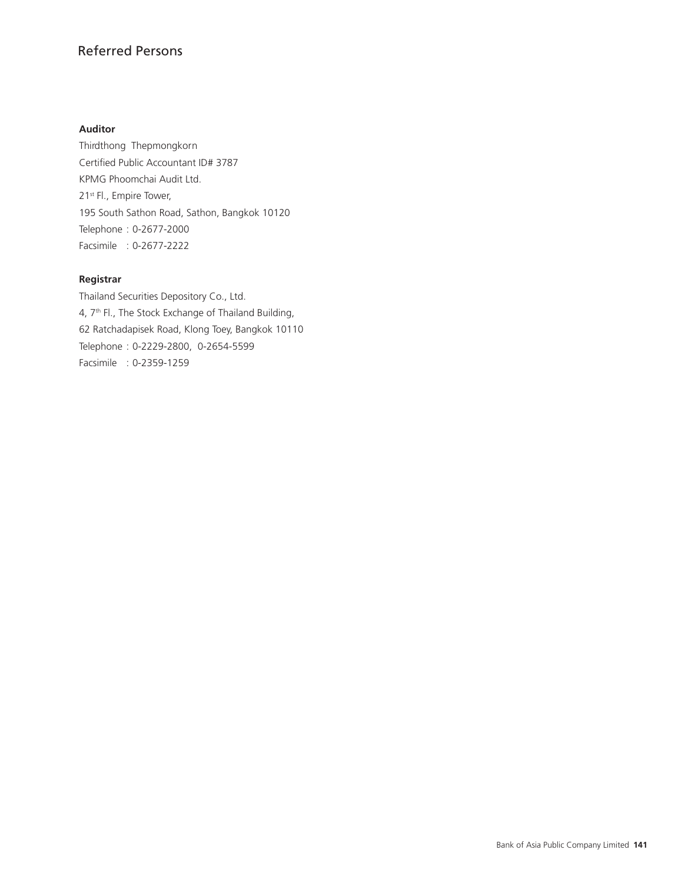# Referred Persons

## **Auditor**

Thirdthong Thepmongkorn Certified Public Accountant ID# 3787 KPMG Phoomchai Audit Ltd. 21<sup>st</sup> Fl., Empire Tower, 195 South Sathon Road, Sathon, Bangkok 10120 Telephone : 0-2677-2000 Facsimile : 0-2677-2222

## **Registrar**

Thailand Securities Depository Co., Ltd. 4, 7th Fl., The Stock Exchange of Thailand Building, 62 Ratchadapisek Road, Klong Toey, Bangkok 10110 Telephone : 0-2229-2800, 0-2654-5599 Facsimile : 0-2359-1259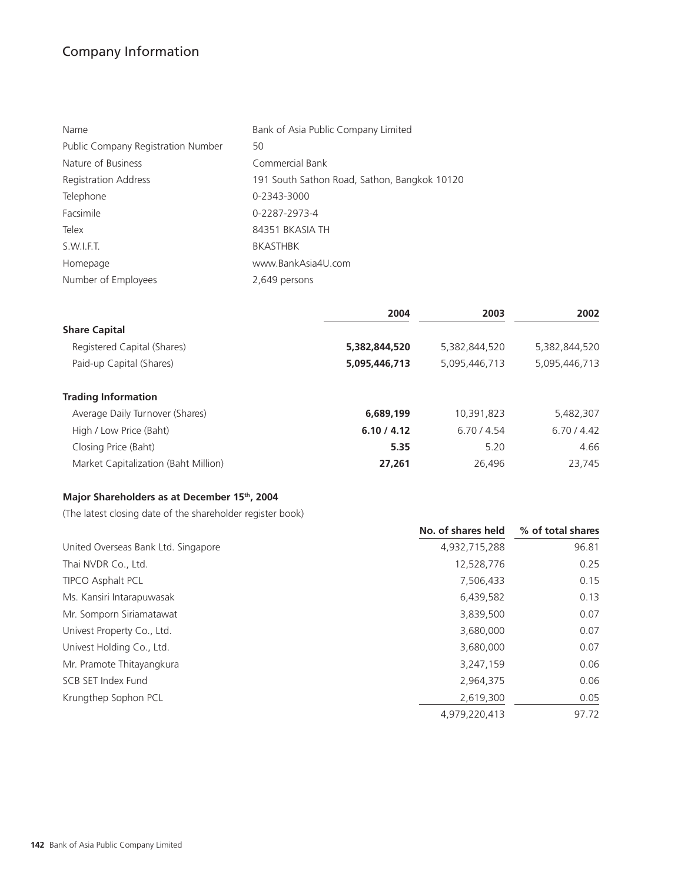# Company Information

| Name                               | Bank of Asia Public Company Limited          |
|------------------------------------|----------------------------------------------|
| Public Company Registration Number | 50                                           |
| Nature of Business                 | Commercial Bank                              |
| <b>Registration Address</b>        | 191 South Sathon Road, Sathon, Bangkok 10120 |
| Telephone                          | 0-2343-3000                                  |
| Facsimile                          | 0-2287-2973-4                                |
| Telex                              | 84351 BKASIA TH                              |
| S.W.I.F.T.                         | <b>BKASTHBK</b>                              |
| Homepage                           | www.BankAsia4U.com                           |
| Number of Employees                | 2,649 persons                                |
|                                    |                                              |

|                                      | 2004          | 2003          | 2002          |
|--------------------------------------|---------------|---------------|---------------|
| <b>Share Capital</b>                 |               |               |               |
| Registered Capital (Shares)          | 5,382,844,520 | 5,382,844,520 | 5,382,844,520 |
| Paid-up Capital (Shares)             | 5,095,446,713 | 5,095,446,713 | 5,095,446,713 |
| <b>Trading Information</b>           |               |               |               |
| Average Daily Turnover (Shares)      | 6,689,199     | 10,391,823    | 5,482,307     |
| High / Low Price (Baht)              | 6.10 / 4.12   | 6.70/4.54     | 6.70/4.42     |
| Closing Price (Baht)                 | 5.35          | 5.20          | 4.66          |
| Market Capitalization (Baht Million) | 27,261        | 26,496        | 23,745        |

# **Major Shareholders as at December 15th, 2004**

(The latest closing date of the shareholder register book)

|                                     | No. of shares held | % of total shares |
|-------------------------------------|--------------------|-------------------|
| United Overseas Bank Ltd. Singapore | 4,932,715,288      | 96.81             |
| Thai NVDR Co., Ltd.                 | 12,528,776         | 0.25              |
| <b>TIPCO Asphalt PCL</b>            | 7,506,433          | 0.15              |
| Ms. Kansiri Intarapuwasak           | 6,439,582          | 0.13              |
| Mr. Somporn Siriamatawat            | 3,839,500          | 0.07              |
| Univest Property Co., Ltd.          | 3,680,000          | 0.07              |
| Univest Holding Co., Ltd.           | 3,680,000          | 0.07              |
| Mr. Pramote Thitayangkura           | 3,247,159          | 0.06              |
| SCB SET Index Fund                  | 2,964,375          | 0.06              |
| Krungthep Sophon PCL                | 2,619,300          | 0.05              |
|                                     | 4,979,220,413      | 97.72             |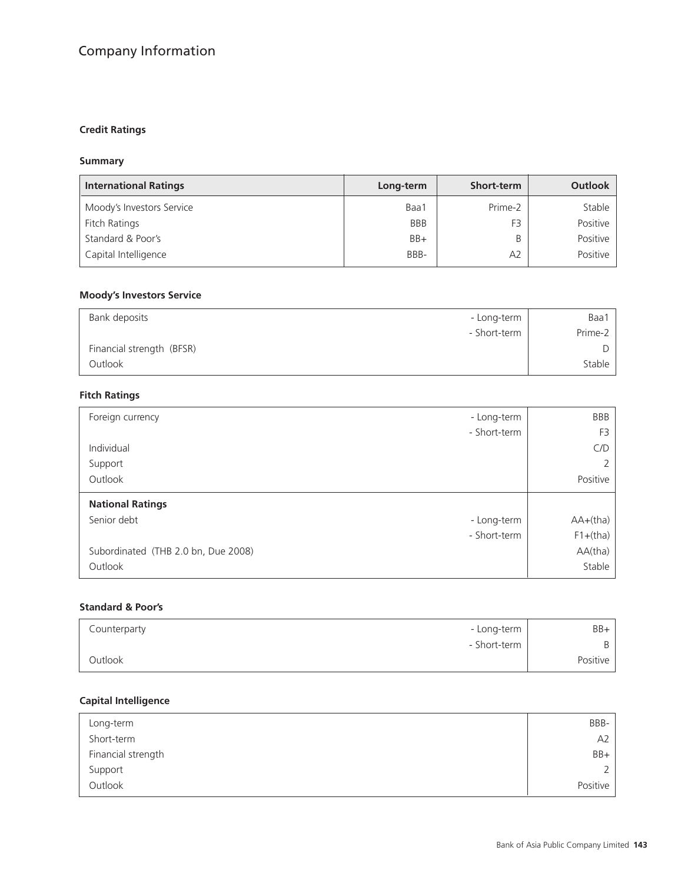# Company Information

#### **Credit Ratings**

### **Summary**

| <b>International Ratings</b> | Long-term  | <b>Short-term</b> | Outlook  |
|------------------------------|------------|-------------------|----------|
| Moody's Investors Service    | Baa1       | Prime-2           | Stable   |
| Fitch Ratings                | <b>BBB</b> | F3                | Positive |
| Standard & Poor's            | $BB+$      |                   | Positive |
| Capital Intelligence         | BBB-       | A <sub>2</sub>    | Positive |

### **Moody's Investors Service**

| Bank deposits             | - Long-term  | Baa1    |
|---------------------------|--------------|---------|
|                           | - Short-term | Prime-2 |
| Financial strength (BFSR) |              |         |
| Outlook                   |              | Stable  |

#### **Fitch Ratings**

| - Long-term<br>Foreign currency     | <b>BBB</b>     |
|-------------------------------------|----------------|
| - Short-term                        | F <sub>3</sub> |
| Individual                          | C/D            |
| Support                             |                |
| Outlook                             | Positive       |
|                                     |                |
| <b>National Ratings</b>             |                |
| Senior debt<br>- Long-term          | $AA+(tha)$     |
| - Short-term                        | $F1+(tha)$     |
| Subordinated (THB 2.0 bn, Due 2008) | AA(tha)        |

### **Standard & Poor's**

| Counterparty | - Long-term  | BB+      |
|--------------|--------------|----------|
|              | - Short-term | B        |
| Outlook      |              | Positive |

## **Capital Intelligence**

| Long-term          | BBB-     |
|--------------------|----------|
| Short-term         | A2       |
| Financial strength | BB+      |
| Support            | っ        |
| Outlook            | Positive |